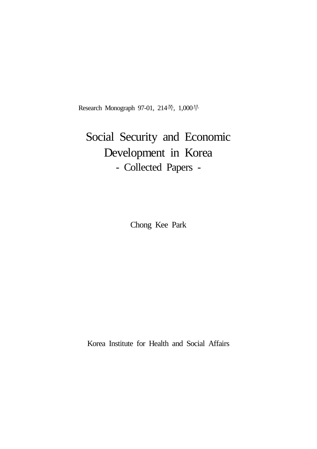Research Monograph 97-01, 214쪽, 1,000부

# Social Security and Economic Development in Korea - Collected Papers -

Chong Kee Park

Korea Institute for Health and Social Affairs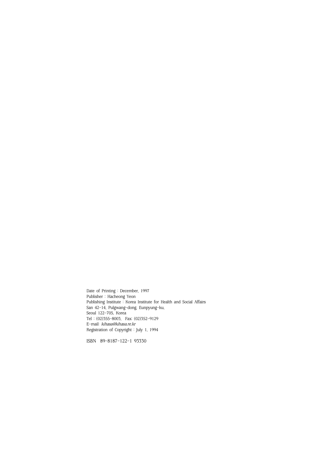Date of Printing : December, 1997 Publisher : Hacheong Yeon Publishing Institute : Korea Institute for Health and Social Affairs San 42-14, Pulgwang-dong, Eunpyung-ku, Seoul 122-705, Korea Tel : (02)355-8003, Fax: (02)352-9129 E-mail: kihasa@kihasa.re.kr Registration of Copyright : July 1, 1994

ISBN 89-8187-122-1 93330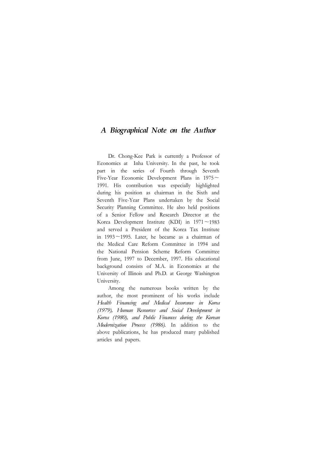#### *A Biographical Note on the Author*

 Dr. Chong-Kee Park is currently a Professor of Economics at Inha University. In the past, he took part in the series of Fourth through Seventh Five-Year Economic Development Plans in  $1975 \sim$ 1991. His contribution was especially highlighted during his position as chairman in the Sixth and Seventh Five-Year Plans undertaken by the Social Security Planning Committee. He also held positions of a Senior Fellow and Research Director at the Korea Development Institute (KDI) in 1971~1983 and served a President of the Korea Tax Institute in 1993~1995. Later, he became as a chairman of the Medical Care Reform Committee in 1994 and the National Pension Scheme Reform Committee from June, 1997 to December, 1997. His educational background consists of M.A. in Economics at the University of Illinois and Ph.D. at George Washington University.

 Among the numerous books written by the author, the most prominent of his works include *Health Financing and Medical Insurance in Korea (1979), Human Resources and Social Development in Korea (1980), and Public Finances during the Korean Modernization Process (1986)*. In addition to the above publications, he has produced many published articles and papers.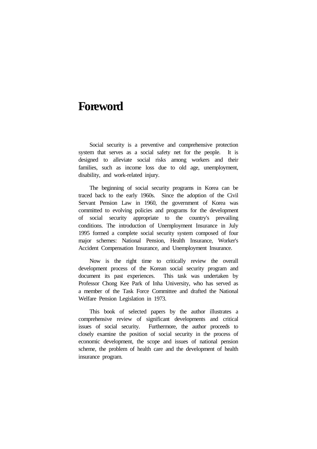#### **Foreword**

 Social security is a preventive and comprehensive protection system that serves as a social safety net for the people. It is designed to alleviate social risks among workers and their families, such as income loss due to old age, unemployment, disability, and work-related injury.

 The beginning of social security programs in Korea can be traced back to the early 1960s. Since the adoption of the Civil Servant Pension Law in 1960, the government of Korea was committed to evolving policies and programs for the development of social security appropriate to the country's prevailing conditions. The introduction of Unemployment Insurance in July 1995 formed a complete social security system composed of four major schemes: National Pension, Health Insurance, Worker's Accident Compensation Insurance, and Unemployment Insurance.

 Now is the right time to critically review the overall development process of the Korean social security program and document its past experiences. This task was undertaken by Professor Chong Kee Park of Inha University, who has served as a member of the Task Force Committee and drafted the National Welfare Pension Legislation in 1973.

 This book of selected papers by the author illustrates a comprehensive review of significant developments and critical issues of social security. Furthermore, the author proceeds to closely examine the position of social security in the process of economic development, the scope and issues of national pension scheme, the problem of health care and the development of health insurance program.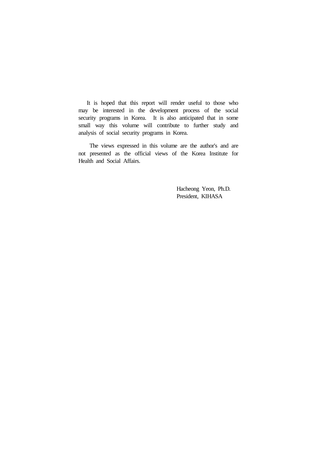It is hoped that this report will render useful to those who may be interested in the development process of the social security programs in Korea. It is also anticipated that in some small way this volume will contribute to further study and analysis of social security programs in Korea.

 The views expressed in this volume are the author's and are not presented as the official views of the Korea Institute for Health and Social Affairs.

> Hacheong Yeon, Ph.D. President, KIHASA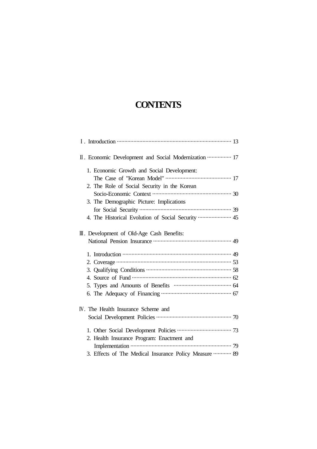## **CONTENTS**

| II. Economic Development and Social Modernization …………… 17                                                                                                                                                                |
|---------------------------------------------------------------------------------------------------------------------------------------------------------------------------------------------------------------------------|
| 1. Economic Growth and Social Development:<br>2. The Role of Social Security in the Korean<br>3. The Demographic Picture: Implications<br>4. The Historical Evolution of Social Security <b>··················</b> ··· 45 |
| III. Development of Old-Age Cash Benefits:                                                                                                                                                                                |
|                                                                                                                                                                                                                           |
|                                                                                                                                                                                                                           |
|                                                                                                                                                                                                                           |
|                                                                                                                                                                                                                           |
|                                                                                                                                                                                                                           |
| 5. Types and Amounts of Benefits <b>Community</b> 64                                                                                                                                                                      |
|                                                                                                                                                                                                                           |
| IV. The Health Insurance Scheme and                                                                                                                                                                                       |
|                                                                                                                                                                                                                           |
|                                                                                                                                                                                                                           |
| 2. Health Insurance Program: Enactment and                                                                                                                                                                                |
|                                                                                                                                                                                                                           |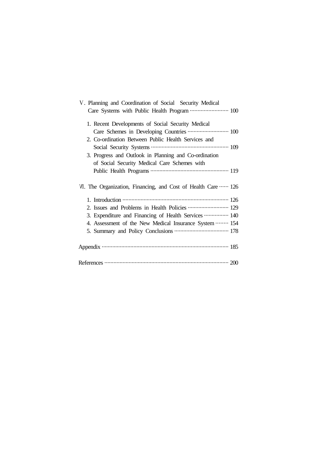| V. Planning and Coordination of Social Security Medical       |
|---------------------------------------------------------------|
|                                                               |
|                                                               |
| 1. Recent Developments of Social Security Medical             |
|                                                               |
| 2. Co-ordination Between Public Health Services and           |
|                                                               |
| 3. Progress and Outlook in Planning and Co-ordination         |
| of Social Security Medical Care Schemes with                  |
|                                                               |
|                                                               |
| VI. The Organization, Financing, and Cost of Health Care  126 |
|                                                               |
| 2. Issues and Problems in Health Policies  129                |
| 3. Expenditure and Financing of Health Services  140          |
| 4. Assessment of the New Medical Insurance System  154        |
|                                                               |
|                                                               |
|                                                               |
|                                                               |
|                                                               |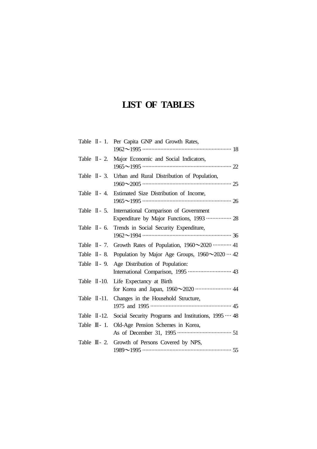## **LIST OF TABLES**

| Table II - 1. Per Capita GNP and Growth Rates,                                     |
|------------------------------------------------------------------------------------|
| Table II - 2. Major Economic and Social Indicators,                                |
| Urban and Rural Distribution of Population,                                        |
| Estimated Size Distribution of Income,                                             |
| International Comparison of Government<br>Expenditure by Major Functions, 1993  28 |
| Trends in Social Security Expenditure,                                             |
| Growth Rates of Population, 1960~2020 ………… 41                                      |
| Population by Major Age Groups, 1960~2020 · · 42                                   |
| Age Distribution of Population:                                                    |
| Life Expectancy at Birth<br>for Korea and Japan, 1960~2020 …………………… 44             |
| Table II-11. Changes in the Household Structure,                                   |
| Table II-12. Social Security Programs and Institutions, 1995  48                   |
| Table III - 1. Old-Age Pension Schemes in Korea,                                   |
| Growth of Persons Covered by NPS,                                                  |
|                                                                                    |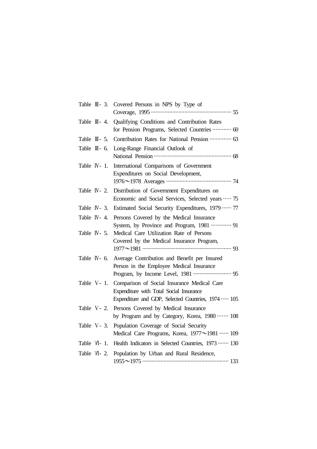|                          | Table III- 3. Covered Persons in NPS by Type of                                                                                              |
|--------------------------|----------------------------------------------------------------------------------------------------------------------------------------------|
| Table $\mathbb{II}$ - 4. | Qualifying Conditions and Contribution Rates<br>for Pension Programs, Selected Countries  60                                                 |
| Table $III - 5$ .        | Contribution Rates for National Pension  63                                                                                                  |
| Table $III - 6$ .        | Long-Range Financial Outlook of                                                                                                              |
| Table IV- 1.             | International Comparisons of Government<br>Expenditures on Social Development,                                                               |
| Table IV-2.              | Distribution of Government Expenditures on<br>Economic and Social Services, Selected years  75                                               |
| Table IV-3.              | Estimated Social Security Expenditures, 1979  77                                                                                             |
| Table IV- 4.             | Persons Covered by the Medical Insurance<br>System, by Province and Program, 1981  91                                                        |
| Table IV- 5.             | Medical Care Utilization Rate of Persons<br>Covered by the Medical Insurance Program,                                                        |
|                          | Table IV- 6. Average Contribution and Benefit per Insured<br>Person in the Employee Medical Insurance                                        |
| Table V- 1.              | Comparison of Social Insurance Medical Care<br>Expenditure with Total Social Insurance<br>Expenditure and GDP, Selected Countries, 1974  105 |
| Table $V - 2$ .          | Persons Covered by Medical Insurance<br>by Program and by Category, Korea, 1980 ······· 108                                                  |
| Table V-3.               | Population Coverage of Social Security<br>Medical Care Programs, Korea, 1977~1981 …… 109                                                     |
| Table VI- 1.             | Health Indicators in Selected Countries, 1973  130                                                                                           |
| Table VI-2.              | Population by Urban and Rural Residence,                                                                                                     |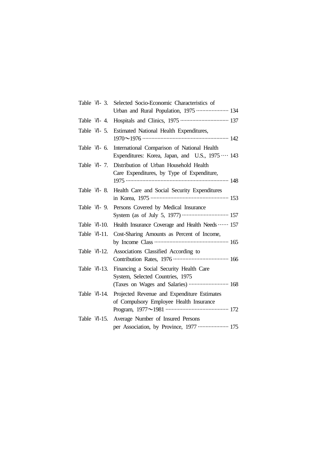| Table VI-3.  | Selected Socio-Economic Characteristics of<br>Urban and Rural Population, 1975 ···················· 134                        |
|--------------|--------------------------------------------------------------------------------------------------------------------------------|
| Table VI-4.  |                                                                                                                                |
| Table VI- 5. | Estimated National Health Expenditures,                                                                                        |
| Table VI- 6. | International Comparison of National Health<br>Expenditures: Korea, Japan, and U.S., 1975  143                                 |
| Table VI-7.  | Distribution of Urban Household Health<br>Care Expenditures, by Type of Expenditure,                                           |
| Table VI-8.  | Health Care and Social Security Expenditures                                                                                   |
| Table VI-9.  | Persons Covered by Medical Insurance                                                                                           |
| Table VI-10. | Health Insurance Coverage and Health Needs  157                                                                                |
| Table VI-11. | Cost-Sharing Amounts as Percent of Income,                                                                                     |
| Table VI-12. | Associations Classified According to                                                                                           |
| Table VI-13. | Financing a Social Security Health Care<br>System, Selected Countries, 1975<br>(Taxes on Wages and Salaries)  168              |
| Table VI-14. | Projected Revenue and Expenditure Estimates<br>of Compulsory Employee Health Insurance<br>Program, 1977~1981 ………………………………… 172 |
| Table VI-15. | Average Number of Insured Persons<br>per Association, by Province, 1977 ··················· 175                                |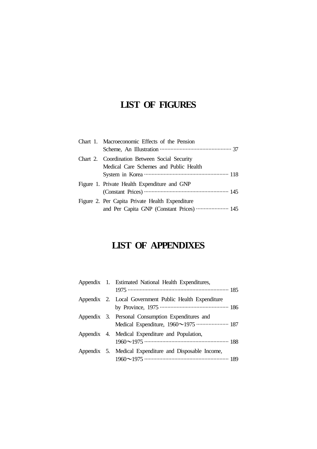## **LIST OF FIGURES**

| Chart 1. Macroeconomic Effects of the Pension   |
|-------------------------------------------------|
| Chart 2. Coordination Between Social Security   |
| Medical Care Schemes and Public Health          |
|                                                 |
| Figure 1. Private Health Expenditure and GNP    |
|                                                 |
| Figure 2. Per Capita Private Health Expenditure |
| and Per Capita GNP (Constant Prices)  145       |

### **LIST OF APPENDIXES**

|  | Appendix 1. Estimated National Health Expenditures,                                      |
|--|------------------------------------------------------------------------------------------|
|  | Appendix 2. Local Government Public Health Expenditure                                   |
|  | Appendix 3. Personal Consumption Expenditures and<br>Medical Expenditure, 1960~1975  187 |
|  | Appendix 4. Medical Expenditure and Population,                                          |
|  | Appendix 5. Medical Expenditure and Disposable Income,                                   |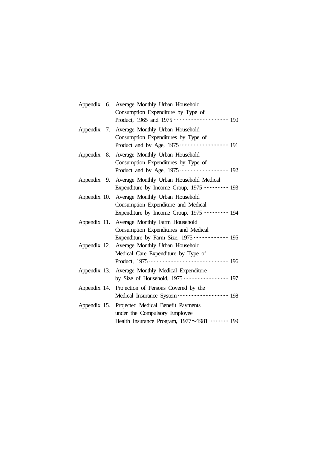|             | Appendix 6. Average Monthly Urban Household<br>Consumption Expenditure by Type of                                             |
|-------------|-------------------------------------------------------------------------------------------------------------------------------|
|             |                                                                                                                               |
|             | Appendix 7. Average Monthly Urban Household<br>Consumption Expenditures by Type of                                            |
| Appendix 8. | Average Monthly Urban Household<br>Consumption Expenditures by Type of                                                        |
|             | Appendix 9. Average Monthly Urban Household Medical<br>Expenditure by Income Group, 1975 ················ 193                 |
|             | Appendix 10. Average Monthly Urban Household<br>Consumption Expenditure and Medical<br>Expenditure by Income Group, 1975  194 |
|             | Appendix 11. Average Monthly Farm Household<br>Consumption Expenditures and Medical<br>Expenditure by Farm Size, 1975  195    |
|             | Appendix 12. Average Monthly Urban Household<br>Medical Care Expenditure by Type of                                           |
|             | Appendix 13. Average Monthly Medical Expenditure                                                                              |
|             | Appendix 14. Projection of Persons Covered by the                                                                             |
|             | Appendix 15. Projected Medical Benefit Payments<br>under the Compulsory Employee<br>Health Insurance Program, 1977~1981  199  |
|             |                                                                                                                               |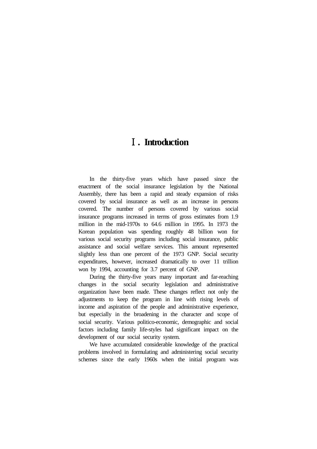#### Ⅰ**. Introduction**

 In the thirty-five years which have passed since the enactment of the social insurance legislation by the National Assembly, there has been a rapid and steady expansion of risks covered by social insurance as well as an increase in persons covered. The number of persons covered by various social insurance programs increased in terms of gross estimates from 1.9 million in the mid-1970s to 64.6 million in 1995. In 1973 the Korean population was spending roughly 48 billion won for various social security programs including social insurance, public assistance and social welfare services. This amount represented slightly less than one percent of the 1973 GNP. Social security expenditures, however, increased dramatically to over 11 trillion won by 1994, accounting for 3.7 percent of GNP.

 During the thirty-five years many important and far-reaching changes in the social security legislation and administrative organization have been made. These changes reflect not only the adjustments to keep the program in line with rising levels of income and aspiration of the people and administrative experience, but especially in the broadening in the character and scope of social security. Various politico-economic, demographic and social factors including family life-styles had significant impact on the development of our social security system.

 We have accumulated considerable knowledge of the practical problems involved in formulating and administering social security schemes since the early 1960s when the initial program was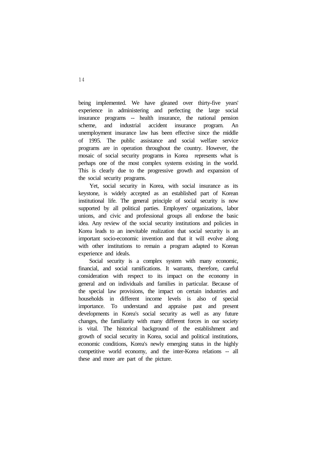being implemented. We have gleaned over thirty-five years' experience in administering and perfecting the large social insurance programs -- health insurance, the national pension scheme, and industrial accident insurance program. An unemployment insurance law has been effective since the middle of 1995. The public assistance and social welfare service programs are in operation throughout the country. However, the mosaic of social security programs in Korea represents what is perhaps one of the most complex systems existing in the world. This is clearly due to the progressive growth and expansion of the social security programs.

 Yet, social security in Korea, with social insurance as its keystone, is widely accepted as an established part of Korean institutional life. The general principle of social security is now supported by all political parties. Employers' organizations, labor unions, and civic and professional groups all endorse the basic idea. Any review of the social security institutions and policies in Korea leads to an inevitable realization that social security is an important socio-economic invention and that it will evolve along with other institutions to remain a program adapted to Korean experience and ideals.

Social security is a complex system with many economic, financial, and social ramifications. It warrants, therefore, careful consideration with respect to its impact on the economy in general and on individuals and families in particular. Because of the special law provisions, the impact on certain industries and households in different income levels is also of special importance. To understand and appraise past and present developments in Korea's social security as well as any future changes, the familiarity with many different forces in our society is vital. The historical background of the establishment and growth of social security in Korea, social and political institutions, economic conditions, Korea's newly emerging status in the highly competitive world economy, and the inter-Korea relations -- all these and more are part of the picture.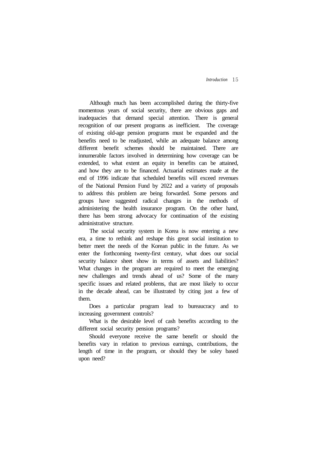Although much has been accomplished during the thirty-five momentous years of social security, there are obvious gaps and inadequacies that demand special attention. There is general recognition of our present programs as inefficient. The coverage of existing old-age pension programs must be expanded and the benefits need to be readjusted, while an adequate balance among different benefit schemes should be maintained. There are innumerable factors involved in determining how coverage can be extended, to what extent an equity in benefits can be attained, and how they are to be financed. Actuarial estimates made at the end of 1996 indicate that scheduled benefits will exceed revenues of the National Pension Fund by 2022 and a variety of proposals to address this problem are being forwarded. Some persons and groups have suggested radical changes in the methods of administering the health insurance program. On the other hand, there has been strong advocacy for continuation of the existing administrative structure.

 The social security system in Korea is now entering a new era, a time to rethink and reshape this great social institution to better meet the needs of the Korean public in the future. As we enter the forthcoming twenty-first century, what does our social security balance sheet show in terms of assets and liabilities? What changes in the program are required to meet the emerging new challenges and trends ahead of us? Some of the many specific issues and related problems, that are most likely to occur in the decade ahead, can be illustrated by citing just a few of them.

Does a particular program lead to bureaucracy and to increasing government controls?

What is the desirable level of cash benefits according to the different social security pension programs?

Should everyone receive the same benefit or should the benefits vary in relation to previous earnings, contributions, the length of time in the program, or should they be soley based upon need?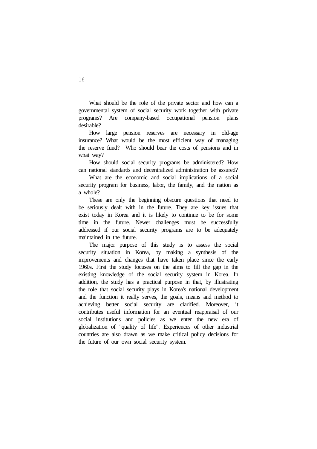What should be the role of the private sector and how can a governmental system of social security work together with private programs? Are company-based occupational pension plans desirable?

How large pension reserves are necessary in old-age insurance? What would be the most efficient way of managing the reserve fund? Who should bear the costs of pensions and in what way?

How should social security programs be administered? How can national standards and decentralized administration be assured?

What are the economic and social implications of a social security program for business, labor, the family, and the nation as a whole?

These are only the beginning obscure questions that need to be seriously dealt with in the future. They are key issues that exist today in Korea and it is likely to continue to be for some time in the future. Newer challenges must be successfully addressed if our social security programs are to be adequately maintained in the future.

The major purpose of this study is to assess the social security situation in Korea, by making a synthesis of the improvements and changes that have taken place since the early 1960s. First the study focuses on the aims to fill the gap in the existing knowledge of the social security system in Korea. In addition, the study has a practical purpose in that, by illustrating the role that social security plays in Korea's national development and the function it really serves, the goals, means and method to achieving better social security are clarified. Moreover, it contributes useful information for an eventual reappraisal of our social institutions and policies as we enter the new era of globalization of "quality of life". Experiences of other industrial countries are also drawn as we make critical policy decisions for the future of our own social security system.

16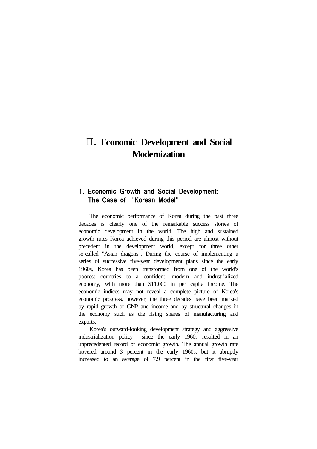#### Ⅱ**. Economic Development and Social Modernization**

#### 1. Economic Growth and Social Development: The Case of "Korean Model"

 The economic performance of Korea during the past three decades is clearly one of the remarkable success stories of economic development in the world. The high and sustained growth rates Korea achieved during this period are almost without precedent in the development world, except for three other so-called "Asian dragons". During the course of implementing a series of successive five-year development plans since the early 1960s, Korea has been transformed from one of the world's poorest countries to a confident, modern and industrialized economy, with more than \$11,000 in per capita income. The economic indices may not reveal a complete picture of Korea's economic progress, however, the three decades have been marked by rapid growth of GNP and income and by structural changes in the economy such as the rising shares of manufacturing and exports.

 Korea's outward-looking development strategy and aggressive industrialization policy since the early 1960s resulted in an unprecedented record of economic growth. The annual growth rate hovered around 3 percent in the early 1960s, but it abruptly increased to an average of 7.9 percent in the first five-year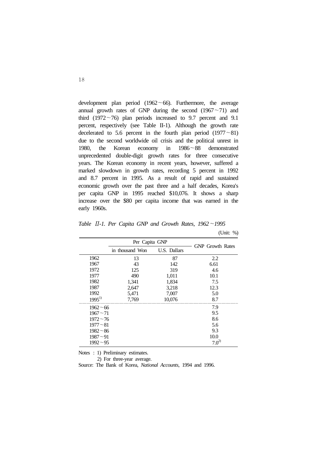development plan period  $(1962 \sim 66)$ . Furthermore, the average annual growth rates of GNP during the second  $(1967 - 71)$  and third (1972 $\sim$ 76) plan periods increased to 9.7 percent and 9.1 percent, respectively (see Table II-1). Although the growth rate decelerated to 5.6 percent in the fourth plan period  $(1977 \sim 81)$ due to the second worldwide oil crisis and the political unrest in 1980, the Korean economy in 1986~88 demonstrated unprecedented double-digit growth rates for three consecutive years. The Korean economy in recent years, however, suffered a marked slowdown in growth rates, recording 5 percent in 1992 and 8.7 percent in 1995. As a result of rapid and sustained economic growth over the past three and a half decades, Korea's per capita GNP in 1995 reached \$10,076. It shows a sharp increase over the \$80 per capita income that was earned in the early 1960s.

|             | Per Capita GNP  | <b>GNP</b> Growth Rates |           |
|-------------|-----------------|-------------------------|-----------|
|             | in thousand Won | U.S. Dallars            |           |
| 1962        | 13              | 87                      | 2.2       |
| 1967        | 43              | 142                     | 6.61      |
| 1972        | 125             | 319                     | 4.6       |
| 1977        | 490             | 1,011                   | 10.1      |
| 1982        | 1,341           | 1,834                   | 7.5       |
| 1987        | 2,647           | 3,218                   | 12.3      |
| 1992        | 5,471           | 7,007                   | 5.0       |
| $1995^{1}$  | 7.769           | 10,076                  | 8.7       |
| $1962 - 66$ |                 |                         | 7.9       |
| $1967 - 71$ |                 |                         | 9.5       |
| $1972 - 76$ |                 |                         | 8.6       |
| $1977 - 81$ |                 |                         | 5.6       |
| $1982 - 86$ |                 |                         | 9.3       |
| $1987 - 91$ |                 |                         | 10.0      |
| $1992 - 95$ |                 |                         | $7.0^{2}$ |

*Table* Ⅱ*-1. Per Capita GNP and Growth Rates, 1962*~*1995* (Unit: %)

Notes : 1) Preliminary estimates.

2) For three-year average.

Source: The Bank of Korea, *National Accounts*, 1994 and 1996.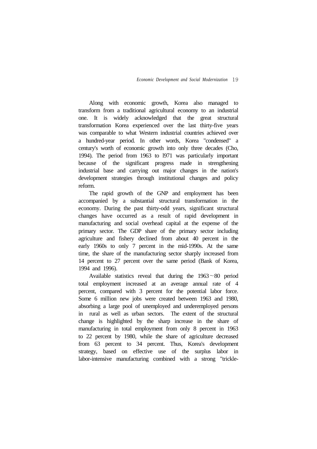Along with economic growth, Korea also managed to transform from a traditional agricultural economy to an industrial one. It is widely acknowledged that the great structural transformation Korea experienced over the last thirty-five years was comparable to what Western industrial countries achieved over a hundred-year period. In other words, Korea "condensed" a century's worth of economic growth into only three decades (Cho, 1994). The period from 1963 to l971 was particularly important because of the significant progress made in strengthening industrial base and carrying out major changes in the nation's development strategies through institutional changes and policy reform.

The rapid growth of the GNP and employment has been accompanied by a substantial structural transformation in the economy. During the past thirty-odd years, significant structural changes have occurred as a result of rapid development in manufacturing and social overhead capital at the expense of the primary sector. The GDP share of the primary sector including agriculture and fishery declined from about 40 percent in the early 1960s to only 7 percent in the mid-1990s. At the same time, the share of the manufacturing sector sharply increased from 14 percent to 27 percent over the same period (Bank of Korea, 1994 and 1996).

Available statistics reveal that during the  $1963 \sim 80$  period total employment increased at an average annual rate of 4 percent, compared with 3 percent for the potential labor force. Some 6 million new jobs were created between 1963 and 1980, absorbing a large pool of unemployed and underemployed persons in rural as well as urban sectors. The extent of the structural change is highlighted by the sharp increase in the share of manufacturing in total employment from only 8 percent in 1963 to 22 percent by 1980, while the share of agriculture decreased from 63 percent to 34 percent. Thus, Korea's development strategy, based on effective use of the surplus labor in labor-intensive manufacturing combined with a strong "trickle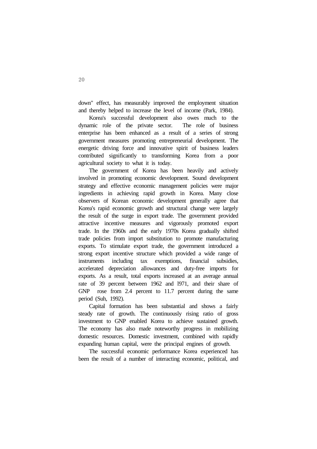down" effect, has measurably improved the employment situation and thereby helped to increase the level of income (Park, 1984).

Korea's successful development also owes much to the dynamic role of the private sector. The role of business enterprise has been enhanced as a result of a series of strong government measures promoting entrepreneurial development. The energetic driving force and innovative spirit of business leaders contributed significantly to transforming Korea from a poor agricultural society to what it is today.

The government of Korea has been heavily and actively involved in promoting economic development. Sound development strategy and effective economic management policies were major ingredients in achieving rapid growth in Korea. Many close observers of Korean economic development generally agree that Korea's rapid economic growth and structural change were largely the result of the surge in export trade. The government provided attractive incentive measures and vigorously promoted export trade. In the 1960s and the early 1970s Korea gradually shifted trade policies from import substitution to promote manufacturing exports. To stimulate export trade, the government introduced a strong export incentive structure which provided a wide range of instruments including tax exemptions, financial subsidies, accelerated depreciation allowances and duty-free imports for exports. As a result, total exports increased at an average annual rate of 39 percent between 1962 and l971, and their share of GNP rose from 2.4 percent to 11.7 percent during the same period (Suh, 1992).

Capital formation has been substantial and shows a fairly steady rate of growth. The continuously rising ratio of gross investment to GNP enabled Korea to achieve sustained growth. The economy has also made noteworthy progress in mobilizing domestic resources. Domestic investment, combined with rapidly expanding human capital, were the principal engines of growth.

The successful economic performance Korea experienced has been the result of a number of interacting economic, political, and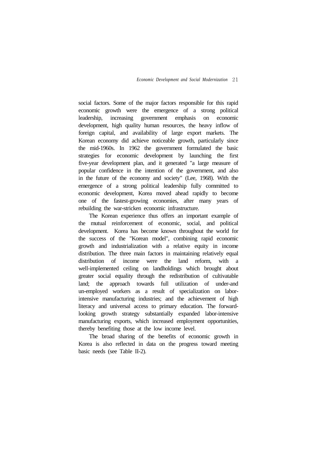social factors. Some of the major factors responsible for this rapid economic growth were the emergence of a strong political leadership, increasing government emphasis on economic development, high quality human resources, the heavy inflow of foreign capital, and availability of large export markets. The Korean economy did achieve noticeable growth, particularly since the mid-1960s. In 1962 the government formulated the basic strategies for economic development by launching the first five-year development plan, and it generated "a large measure of popular confidence in the intention of the government, and also in the future of the economy and society" (Lee, 1968). With the emergence of a strong political leadership fully committed to economic development, Korea moved ahead rapidly to become one of the fastest-growing economies, after many years of rebuilding the war-stricken economic infrastructure.

The Korean experience thus offers an important example of the mutual reinforcement of economic, social, and political development. Korea has become known throughout the world for the success of the "Korean model", combining rapid economic growth and industrialization with a relative equity in income distribution. The three main factors in maintaining relatively equal distribution of income were the land reform, with a well-implemented ceiling on landholdings which brought about greater social equality through the redistribution of cultivatable land; the approach towards full utilization of under-and un-employed workers as a result of specialization on laborintensive manufacturing industries; and the achievement of high literacy and universal access to primary education. The forwardlooking growth strategy substantially expanded labor-intensive manufacturing exports, which increased employment opportunities, thereby benefiting those at the low income level.

The broad sharing of the benefits of economic growth in Korea is also reflected in data on the progress toward meeting basic needs (see Table II-2).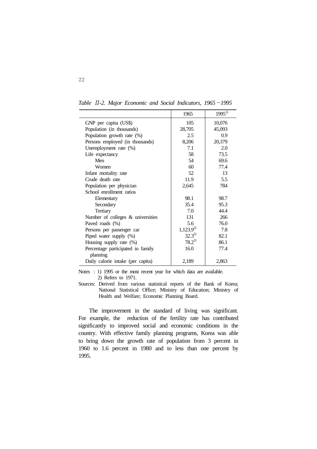|                                   | 1965          | $1995^{1}$ |
|-----------------------------------|---------------|------------|
|                                   |               |            |
| GNP per capita (US\$)             | 105           | 10,076     |
| Population (in thousands)         | 28,705        | 45,093     |
| Population growth rate (%)        | 2.5           | 0.9        |
| Persons employed (in thousands)   | 8,206         | 20,379     |
| Unemployment rate (%)             | 7.1           | 2.0        |
| Life expectancy                   | 58            | 73.5       |
| Men                               | 54            | 69.6       |
| Women                             | 60            | 77.4       |
| Infant mortality rate             | 52            | 13         |
| Crude death rate                  | 11.9          | 5.5        |
| Population per physician          | 2,645         | 784        |
| School enrollment ratios          |               |            |
| Elementary                        | 98.1          | 98.7       |
| Secondary                         | 35.4          | 95.3       |
| Tertiary                          | 7.0           | 44.4       |
| Number of colleges & universities | 131           | 266        |
| Paved roads (%)                   | 5.6           | 76.0       |
| Persons per passenger car         | $1,123.9^{2}$ | 7.8        |
| Piped water supply (%)            | $32.3^{2}$    | 82.1       |
| Housing supply rate (%)           | $78.2^{2}$    | 86.1       |
| Percentage participated in family | 16.0          | 77.4       |
| planning                          |               |            |
| Daily calorie intake (per capita) | 2,189         | 2,863      |
|                                   |               |            |

*Table* Ⅱ*-2. Major Economic and Social Indicators, 1965*~*1995*

Notes : 1) 1995 or the most recent year for which data are available. 2) Refers to 1971.

Sources: Derived from various statistical reports of the Bank of Korea; National Statistical Office; Ministry of Education; Ministry of Health and Welfare; Economic Planning Board.

The improvement in the standard of living was significant. For example, the reduction of the fertility rate has contributed significantly to improved social and economic conditions in the country. With effective family planning programs, Korea was able to bring down the growth rate of population from 3 percent in 1960 to 1.6 percent in 1980 and to less than one percent by 1995.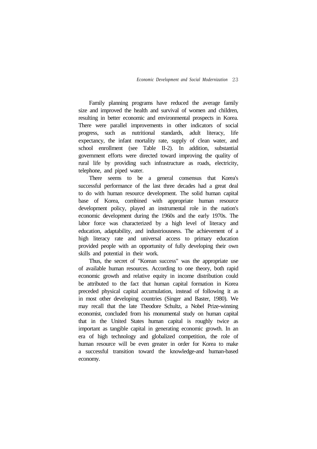Family planning programs have reduced the average family size and improved the health and survival of women and children, resulting in better economic and environmental prospects in Korea. There were parallel improvements in other indicators of social progress, such as nutritional standards, adult literacy, life expectancy, the infant mortality rate, supply of clean water, and school enrollment (see Table II-2). In addition, substantial government efforts were directed toward improving the quality of rural life by providing such infrastructure as roads, electricity, telephone, and piped water.

There seems to be a general consensus that Korea's successful performance of the last three decades had a great deal to do with human resource development. The solid human capital base of Korea, combined with appropriate human resource development policy, played an instrumental role in the nation's economic development during the 1960s and the early 1970s. The labor force was characterized by a high level of literacy and education, adaptability, and industriousness. The achievement of a high literacy rate and universal access to primary education provided people with an opportunity of fully developing their own skills and potential in their work.

Thus, the secret of "Korean success" was the appropriate use of available human resources. According to one theory, both rapid economic growth and relative equity in income distribution could be attributed to the fact that human capital formation in Korea preceded physical capital accumulation, instead of following it as in most other developing countries (Singer and Baster, 1980). We may recall that the late Theodore Schultz, a Nobel Prize-winning economist, concluded from his monumental study on human capital that in the United States human capital is roughly twice as important as tangible capital in generating economic growth. In an era of high technology and globalized competition, the role of human resource will be even greater in order for Korea to make a successful transition toward the knowledge-and human-based economy.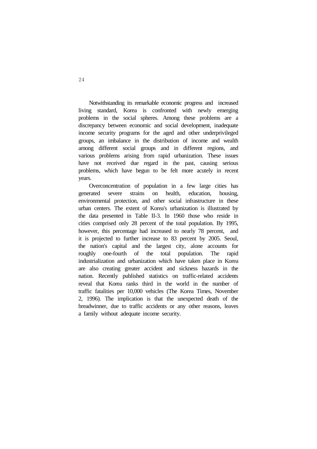Notwithstanding its remarkable economic progress and increased living standard, Korea is confronted with newly emerging problems in the social spheres. Among these problems are a discrepancy between economic and social development, inadequate income security programs for the aged and other underprivileged groups, an imbalance in the distribution of income and wealth among different social groups and in different regions, and various problems arising from rapid urbanization. These issues have not received due regard in the past, causing serious problems, which have begun to be felt more acutely in recent years.

Overconcentration of population in a few large cities has generated severe strains on health, education, housing, environmental protection, and other social infrastructure in these urban centers. The extent of Korea's urbanization is illustrated by the data presented in Table II-3. In 1960 those who reside in cities comprised only 28 percent of the total population. By 1995, however, this percentage had increased to nearly 78 percent, and it is projected to further increase to 83 percent by 2005. Seoul, the nation's capital and the largest city, alone accounts for roughly one-fourth of the total population. The rapid industrialization and urbanization which have taken place in Korea are also creating greater accident and sickness hazards in the nation. Recently published statistics on traffic-related accidents reveal that Korea ranks third in the world in the number of traffic fatalities per 10,000 vehicles (The Korea Times, November 2, 1996). The implication is that the unexpected death of the breadwinner, due to traffic accidents or any other reasons, leaves a family without adequate income security.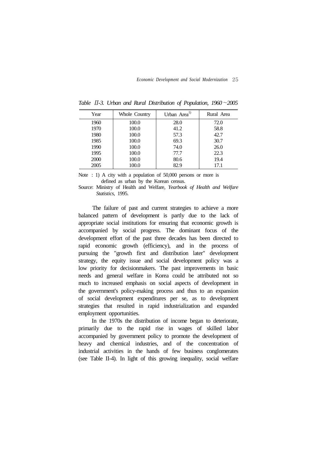| Year | Whole Country | Urban Area <sup>1)</sup> | Rural Area |
|------|---------------|--------------------------|------------|
| 1960 | 100.0         | 28.0                     | 72.0       |
| 1970 | 100.0         | 41.2                     | 58.8       |
| 1980 | 100.0         | 57.3                     | 42.7       |
| 1985 | 100.0         | 69.3                     | 30.7       |
| 1990 | 100.0         | 74.0                     | 26.0       |
| 1995 | 100.0         | 77.7                     | 22.3       |
| 2000 | 100.0         | 80.6                     | 19.4       |
| 2005 | 100.0         | 82.9                     | 17.1       |

*Table* Ⅱ*-3. Urban and Rural Distribution of Population, 1960*~*2005*

Note : 1) A city with a population of 50,000 persons or more is defined as urban by the Korean census.

Source: Ministry of Health and Welfare, *Yearbook of Health and Welfare Statistics*, 1995.

 The failure of past and current strategies to achieve a more balanced pattern of development is partly due to the lack of appropriate social institutions for ensuring that economic growth is accompanied by social progress. The dominant focus of the development effort of the past three decades has been directed to rapid economic growth (efficiency), and in the process of pursuing the "growth first and distribution later" development strategy, the equity issue and social development policy was a low priority for decisionmakers. The past improvements in basic needs and general welfare in Korea could be attributed not so much to increased emphasis on social aspects of development in the government's policy-making process and thus to an expansion of social development expenditures per se, as to development strategies that resulted in rapid industrialization and expanded employment opportunities.

In the 1970s the distribution of income began to deteriorate, primarily due to the rapid rise in wages of skilled labor accompanied by government policy to promote the development of heavy and chemical industries, and of the concentration of industrial activities in the hands of few business conglomerates (see Table II-4). In light of this growing inequality, social welfare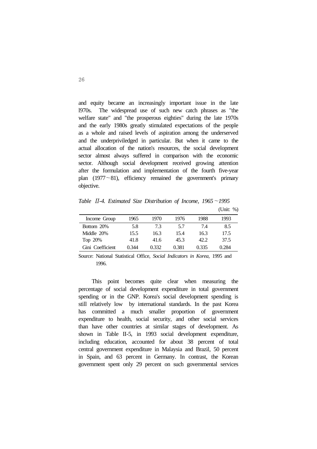and equity became an increasingly important issue in the late l970s. The widespread use of such new catch phrases as "the welfare state" and "the prosperous eighties" during the late 1970s and the early 1980s greatly stimulated expectations of the people as a whole and raised levels of aspiration among the underserved and the underpriviledged in particular. But when it came to the actual allocation of the nation's resources, the social development sector almost always suffered in comparison with the economic sector. Although social development received growing attention after the formulation and implementation of the fourth five-year plan  $(1977 \sim 81)$ , efficiency remained the government's primary objective.

*Table* Ⅱ*-4. Estimated Size Distribution of Income, 1965*~*1995*

|                  |       |       |       |       | (Unit: %) |
|------------------|-------|-------|-------|-------|-----------|
| Income Group     | 1965  | 1970  | 1976  | 1988  | 1993      |
| Bottom 20%       | 5.8   | 7.3   | 5.7   | 7.4   | 8.5       |
| Middle 20%       | 15.5  | 16.3  | 15.4  | 16.3  | 17.5      |
| Top 20%          | 41.8  | 41.6  | 45.3  | 42.2  | 37.5      |
| Gini Coefficient | 0.344 | 0.332 | 0.381 | 0.335 | 0.284     |

Source: National Statistical Office, *Social Indicators in Korea,* 1995 and 1996.

This point becomes quite clear when measuring the percentage of social development expenditure in total government spending or in the GNP. Korea's social development spending is still relatively low by international standards. In the past Korea has committed a much smaller proportion of government expenditure to health, social security, and other social services than have other countries at similar stages of development. As shown in Table II-5, in 1993 social development expenditure, including education, accounted for about 38 percent of total central government expenditure in Malaysia and Brazil, 50 percent in Spain, and 63 percent in Germany. In contrast, the Korean government spent only 29 percent on such governmental services

26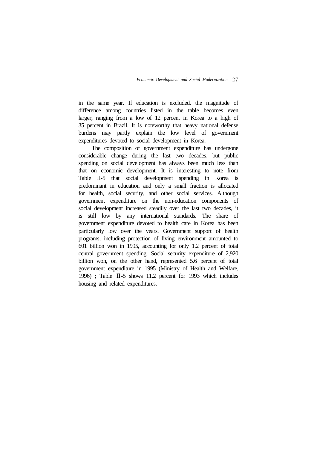in the same year. If education is excluded, the magnitude of difference among countries listed in the table becomes even larger, ranging from a low of 12 percent in Korea to a high of 35 percent in Brazil. It is noteworthy that heavy national defense burdens may partly explain the low level of government expenditures devoted to social development in Korea.

The composition of government expenditure has undergone considerable change during the last two decades, but public spending on social development has always been much less than that on economic development. It is interesting to note from Table II-5 that social development spending in Korea is predominant in education and only a small fraction is allocated for health, social security, and other social services. Although government expenditure on the non-education components of social development increased steadily over the last two decades, it is still low by any international standards. The share of government expenditure devoted to health care in Korea has been particularly low over the years. Government support of health programs, including protection of living environment amounted to 601 billion won in 1995, accounting for only 1.2 percent of total central government spending. Social security expenditure of 2,920 billion won, on the other hand, represented 5.6 percent of total government expenditure in 1995 (Ministry of Health and Welfare, 1996) ; Table  $\Pi$ -5 shows 11.2 percent for 1993 which includes housing and related expenditures.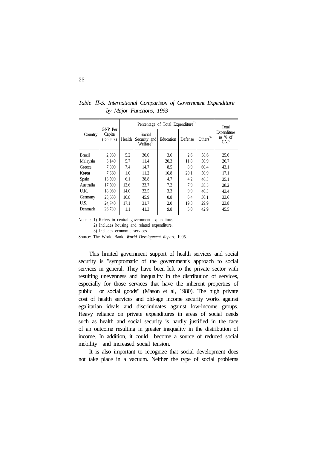| Country        | <b>GNP</b> Per<br>Capita<br>(Dollars) |        | Total                                           |           |         |             |                                      |
|----------------|---------------------------------------|--------|-------------------------------------------------|-----------|---------|-------------|--------------------------------------|
|                |                                       | Health | Social<br>Security and<br>Welfare <sup>2)</sup> | Education | Defense | Others $3)$ | Expenditure<br>as % of<br><b>GNP</b> |
| <b>Brazil</b>  | 2,930                                 | 5.2    | 30.0                                            | 3.6       | 2.6     | 58.6        | 25.6                                 |
| Malaysia       | 3,140                                 | 5.7    | 11.4                                            | 20.3      | 11.8    | 50.9        | 26.7                                 |
| Greece         | 7.390                                 | 7.4    | 14.7                                            | 8.5       | 8.9     | 60.4        | 43.1                                 |
| Korea          | 7.660                                 | 1.0    | 11.2                                            | 16.8      | 20.1    | 50.9        | 17.1                                 |
| Spain          | 13,590                                | 6.1    | 38.8                                            | 4.7       | 4.2     | 46.3        | 35.1                                 |
| Australia      | 17,500                                | 12.6   | 33.7                                            | 7.2       | 7.9     | 38.5        | 28.2                                 |
| U.K.           | 18.060                                | 14.0   | 32.5                                            | 3.3       | 9.9     | 40.3        | 43.4                                 |
| Germany        | 23.560                                | 16.8   | 45.9                                            | 0.8       | 6.4     | 30.1        | 33.6                                 |
| U.S.           | 24,740                                | 17.1   | 31.7                                            | 2.0       | 19.3    | 29.9        | 23.8                                 |
| <b>Denmark</b> | 26,730                                | 1.1    | 41.3                                            | 9.8       | 5.0     | 42.9        | 45.5                                 |

*Table* Ⅱ*-5. International Comparison of Government Expenditure by Major Functions, 1993*

Note : 1) Refers to central government expenditure.

2) Includes housing and related expenditure.

3) Includes economic services.

Source: The World Bank, *World Development Report*, 1995.

This limited government support of health services and social security is "symptomatic of the government's approach to social services in general. They have been left to the private sector with resulting unevenness and inequality in the distribution of services, especially for those services that have the inherent properties of public or social goods" (Mason et al, 1980). The high private cost of health services and old-age income security works against egalitarian ideals and discriminates against low-income groups. Heavy reliance on private expenditures in areas of social needs such as health and social security is hardly justified in the face of an outcome resulting in greater inequality in the distribution of income. In addition, it could become a source of reduced social mobility and increased social tension.

It is also important to recognize that social development does not take place in a vacuum. Neither the type of social problems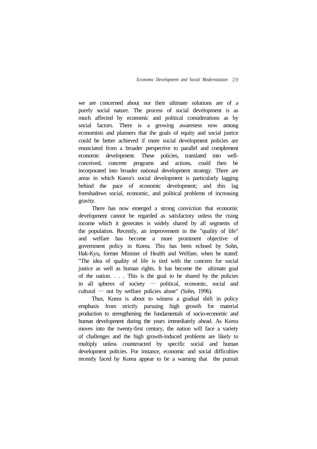we are concerned about nor their ultimate solutions are of a purely social nature. The process of social development is as much affected by economic and political considerations as by social factors. There is a growing awareness now among economists and planners that the goals of equity and social justice could be better achieved if more social development policies are enunciated from a broader perspective to parallel and complement economic development. These policies, translated into wellconceived, concrete programs and actions, could then be incorporated into broader national development strategy. There are areas in which Korea's social development is particularly lagging behind the pace of economic development; and this lag foreshadows social, economic, and political problems of increasing gravity.

There has now emerged a strong conviction that economic development cannot be regarded as satisfactory unless the rising income which it generates is widely shared by all segments of the population. Recently, an improvement in the "quality of life" and welfare has become a more prominent objective of government policy in Korea. This has been echoed by Sohn, Hak-Kyu, former Minister of Health and Welfare, when he stated: "The idea of quality of life is tied with the concern for social justice as well as human rights. It has become the ultimate goal of the nation. . . . This is the goal to be shared by the policies in all spheres of society ― political, economic, social and cultural — not by welfare policies alone" (Sohn, 1996).

Thus, Korea is about to witness a gradual shift in policy emphasis from strictly pursuing high growth for material production to strengthening the fundamentals of socio-economic and human development during the years immediately ahead. As Korea moves into the twenty-first century, the nation will face a variety of challenges and the high growth-induced problems are likely to multiply unless counteracted by specific social and human development policies. For instance, economic and social difficulties recently faced by Korea appear to be a warning that the pursuit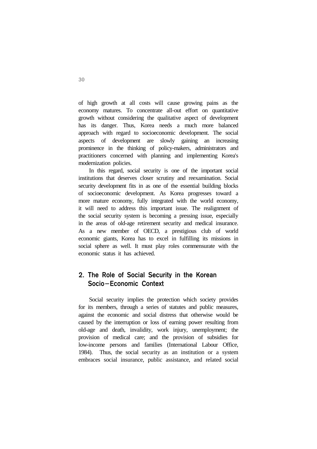of high growth at all costs will cause growing pains as the economy matures. To concentrate all-out effort on quantitative growth without considering the qualitative aspect of development has its danger. Thus, Korea needs a much more balanced approach with regard to socioeconomic development. The social aspects of development are slowly gaining an increasing prominence in the thinking of policy-makers, administrators and practitioners concerned with planning and implementing Korea's modernization policies.

In this regard, social security is one of the important social institutions that deserves closer scrutiny and reexamination. Social security development fits in as one of the essential building blocks of socioeconomic development. As Korea progresses toward a more mature economy, fully integrated with the world economy, it will need to address this important issue. The realignment of the social security system is becoming a pressing issue, especially in the areas of old-age retirement security and medical insurance. As a new member of OECD, a prestigious club of world economic giants, Korea has to excel in fulfilling its missions in social sphere as well. It must play roles commensurate with the economic status it has achieved.

#### 2. The Role of Social Security in the Korean Socio-Economic Context

Social security implies the protection which society provides for its members, through a series of statutes and public measures, against the economic and social distress that otherwise would be caused by the interruption or loss of earning power resulting from old-age and death, invalidity, work injury, unemployment; the provision of medical care; and the provision of subsidies for low-income persons and families (International Labour Office, 1984). Thus, the social security as an institution or a system embraces social insurance, public assistance, and related social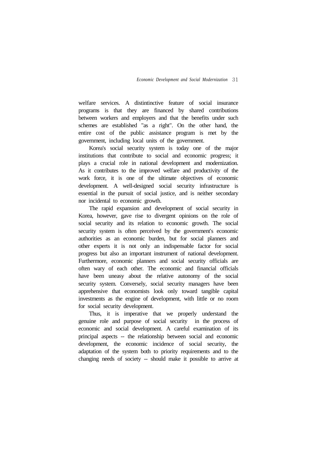welfare services. A distintinctive feature of social insurance programs is that they are financed by shared contributions between workers and employers and that the benefits under such schemes are established "as a right". On the other hand, the entire cost of the public assistance program is met by the government, including local units of the government.

Korea's social security system is today one of the major institutions that contribute to social and economic progress; it plays a crucial role in national development and modernization. As it contributes to the improved welfare and productivity of the work force, it is one of the ultimate objectives of economic development. A well-designed social security infrastructure is essential in the pursuit of social justice, and is neither secondary nor incidental to economic growth.

The rapid expansion and development of social security in Korea, however, gave rise to divergent opinions on the role of social security and its relation to economic growth. The social security system is often perceived by the government's economic authorities as an economic burden, but for social planners and other experts it is not only an indispensable factor for social progress but also an important instrument of national development. Furthermore, economic planners and social security officials are often wary of each other. The economic and financial officials have been uneasy about the relative autonomy of the social security system. Conversely, social security managers have been apprehensive that economists look only toward tangible capital investments as the engine of development, with little or no room for social security development.

Thus, it is imperative that we properly understand the genuine role and purpose of social security in the process of economic and social development. A careful examination of its principal aspects -- the relationship between social and economic development, the economic incidence of social security, the adaptation of the system both to priority requirements and to the changing needs of society -- should make it possible to arrive at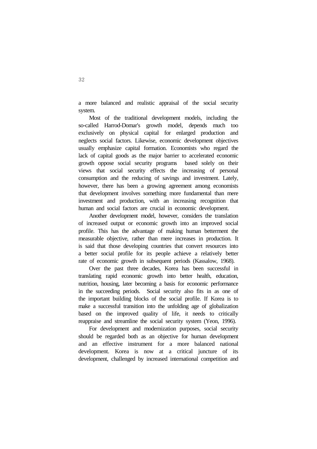a more balanced and realistic appraisal of the social security system.

Most of the traditional development models, including the so-called Harrod-Domar's growth model, depends much too exclusively on physical capital for enlarged production and neglects social factors. Likewise, economic development objectives usually emphasize capital formation. Economists who regard the lack of capital goods as the major barrier to accelerated economic growth oppose social security programs based solely on their views that social security effects the increasing of personal consumption and the reducing of savings and investment. Lately, however, there has been a growing agreement among economists that development involves something more fundamental than mere investment and production, with an increasing recognition that human and social factors are crucial in economic development.

Another development model, however, considers the translation of increased output or economic growth into an improved social profile. This has the advantage of making human betterment the measurable objective, rather than mere increases in production. It is said that those developing countries that convert resources into a better social profile for its people achieve a relatively better rate of economic growth in subsequent periods (Kassalow, 1968).

Over the past three decades, Korea has been successful in translating rapid economic growth into better health, education, nutrition, housing, later becoming a basis for economic performance in the succeeding periods. Social security also fits in as one of the important building blocks of the social profile. If Korea is to make a successful transition into the unfolding age of globalization based on the improved quality of life, it needs to critically reappraise and streamline the social security system (Yeon, 1996).

For development and modernization purposes, social security should be regarded both as an objective for human development and an effective instrument for a more balanced national development. Korea is now at a critical juncture of its development, challenged by increased international competition and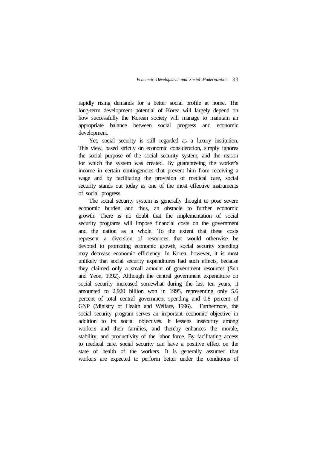rapidly rising demands for a better social profile at home. The long-term development potential of Korea will largely depend on how successfully the Korean society will manage to maintain an appropriate balance between social progress and economic development.

Yet, social security is still regarded as a luxury institution. This view, based strictly on economic consideration, simply ignores the social purpose of the social security system, and the reason for which the system was created. By guaranteeing the worker's income in certain contingencies that prevent him from receiving a wage and by facilitating the provision of medical care, social security stands out today as one of the most effective instruments of social progress.

The social security system is generally thought to pose severe economic burden and thus, an obstacle to further economic growth. There is no doubt that the implementation of social security programs will impose financial costs on the government and the nation as a whole. To the extent that these costs represent a diversion of resources that would otherwise be devoted to promoting economic growth, social security spending may decrease economic efficiency. In Korea, however, it is most unlikely that social security expenditures had such effects, because they claimed only a small amount of government resources (Suh and Yeon, 1992). Although the central government expenditure on social security increased somewhat during the last ten years, it amounted to 2,920 billion won in 1995, representing only 5.6 percent of total central government spending and 0.8 percent of GNP (Ministry of Health and Welfare, 1996). Furthermore, the social security program serves an important economic objective in addition to its social objectives. It lessens insecurity among workers and their families, and thereby enhances the morale, stability, and productivity of the labor force. By facilitating access to medical care, social security can have a positive effect on the state of health of the workers. It is generally assumed that workers are expected to perform better under the conditions of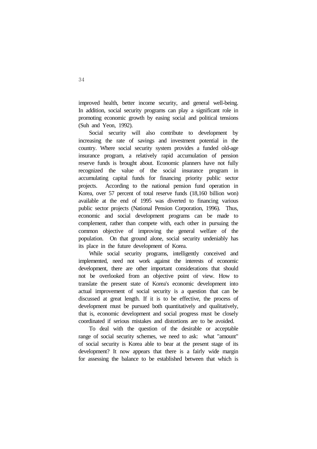improved health, better income security, and general well-being. In addition, social security programs can play a significant role in promoting economic growth by easing social and political tensions (Suh and Yeon, 1992).

Social security will also contribute to development by increasing the rate of savings and investment potential in the country. Where social security system provides a funded old-age insurance program, a relatively rapid accumulation of pension reserve funds is brought about. Economic planners have not fully recognized the value of the social insurance program in accumulating capital funds for financing priority public sector projects. According to the national pension fund operation in Korea, over 57 percent of total reserve funds (18,160 billion won) available at the end of 1995 was diverted to financing various public sector projects (National Pension Corporation, 1996). Thus, economic and social development programs can be made to complement, rather than compete with, each other in pursuing the common objective of improving the general welfare of the population. On that ground alone, social security undeniably has its place in the future development of Korea.

While social security programs, intelligently conceived and implemented, need not work against the interests of economic development, there are other important considerations that should not be overlooked from an objective point of view. How to translate the present state of Korea's economic development into actual improvement of social security is a question that can be discussed at great length. If it is to be effective, the process of development must be pursued both quantitatively and qualitatively, that is, economic development and social progress must be closely coordinated if serious mistakes and distortions are to be avoided.

To deal with the question of the desirable or acceptable range of social security schemes, we need to ask: what "amount" of social security is Korea able to bear at the present stage of its development? It now appears that there is a fairly wide margin for assessing the balance to be established between that which is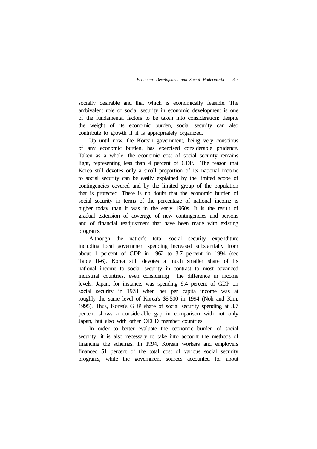socially desirable and that which is economically feasible. The ambivalent role of social security in economic development is one of the fundamental factors to be taken into consideration: despite the weight of its economic burden, social security can also contribute to growth if it is appropriately organized.

Up until now, the Korean government, being very conscious of any economic burden, has exercised considerable prudence. Taken as a whole, the economic cost of social security remains light, representing less than 4 percent of GDP. The reason that Korea still devotes only a small proportion of its national income to social security can be easily explained by the limited scope of contingencies covered and by the limited group of the population that is protected. There is no doubt that the economic burden of social security in terms of the percentage of national income is higher today than it was in the early 1960s. It is the result of gradual extension of coverage of new contingencies and persons and of financial readjustment that have been made with existing programs.

Although the nation's total social security expenditure including local government spending increased substantially from about 1 percent of GDP in 1962 to 3.7 percent in 1994 (see Table II-6), Korea still devotes a much smaller share of its national income to social security in contrast to most advanced industrial countries, even considering the difference in income levels. Japan, for instance, was spending 9.4 percent of GDP on social security in 1978 when her per capita income was at roughly the same level of Korea's \$8,500 in 1994 (Noh and Kim, 1995). Thus, Korea's GDP share of social security spending at 3.7 percent shows a considerable gap in comparison with not only Japan, but also with other OECD member countries.

In order to better evaluate the economic burden of social security, it is also necessary to take into account the methods of financing the schemes. In 1994, Korean workers and employers financed 51 percent of the total cost of various social security programs, while the government sources accounted for about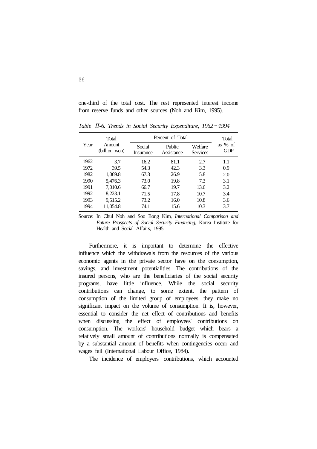one-third of the total cost. The rest represented interest income from reserve funds and other sources (Noh and Kim, 1995).

| Year | Total                          | Percent of Total    | Total                |                            |                       |
|------|--------------------------------|---------------------|----------------------|----------------------------|-----------------------|
|      | <b>Amount</b><br>(billion won) | Social<br>Insurance | Public<br>Assistance | Welfare<br><b>Services</b> | as % of<br><b>GDP</b> |
| 1962 | 3.7                            | 16.2                | 81.1                 | 2.7                        | 1.1                   |
| 1972 | 39.5                           | 54.3                | 42.3                 | 3.3                        | 0.9                   |
| 1982 | 1,069.8                        | 67.3                | 26.9                 | 5.8                        | 2.0                   |
| 1990 | 5,476.3                        | 73.0                | 19.8                 | 7.3                        | 3.1                   |
| 1991 | 7,010.6                        | 66.7                | 19.7                 | 13.6                       | 3.2                   |
| 1992 | 8,223.1                        | 71.5                | 17.8                 | 10.7                       | 3.4                   |
| 1993 | 9,515.2                        | 73.2                | 16.0                 | 10.8                       | 3.6                   |
| 1994 | 11,054.8                       | 74.1                | 15.6                 | 10.3                       | 3.7                   |
|      |                                |                     |                      |                            |                       |

*Table* Ⅱ*-6. Trends in Social Security Expenditure, 1962*~*1994*

Source: In Chul Noh and Soo Bong Kim, *International Comparison and Future Prospects of Social Security Financing*, Korea Institute for Health and Social Affairs, 1995.

Furthermore, it is important to determine the effective influence which the withdrawals from the resources of the various economic agents in the private sector have on the consumption, savings, and investment potentialities. The contributions of the insured persons, who are the beneficiaries of the social security programs, have little influence. While the social security contributions can change, to some extent, the pattern of consumption of the limited group of employees, they make no significant impact on the volume of consumption. It is, however, essential to consider the net effect of contributions and benefits when discussing the effect of employees' contributions on consumption. The workers' household budget which bears a relatively small amount of contributions normally is compensated by a substantial amount of benefits when contingencies occur and wages fail (International Labour Office, 1984).

The incidence of employers' contributions, which accounted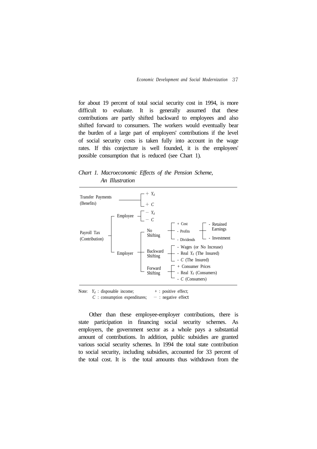for about 19 percent of total social security cost in 1994, is more difficult to evaluate. It is generally assumed that these contributions are partly shifted backward to employees and also shifted forward to consumers. The workers would eventually bear the burden of a large part of employers' contributions if the level of social security costs is taken fully into account in the wage rates. If this conjecture is well founded, it is the employees' possible consumption that is reduced (see Chart 1).

*Chart 1. Macroeconomic Effects of the Pension Scheme, An Illustration*



 $C$  : consumption expenditures;  $-$  : negative effect

Other than these employee-employer contributions, there is state participation in financing social security schemes. As employers, the government sector as a whole pays a substantial amount of contributions. In addition, public subsidies are granted various social security schemes. In 1994 the total state contribution to social security, including subsidies, accounted for 33 percent of the total cost. It is the total amounts thus withdrawn from the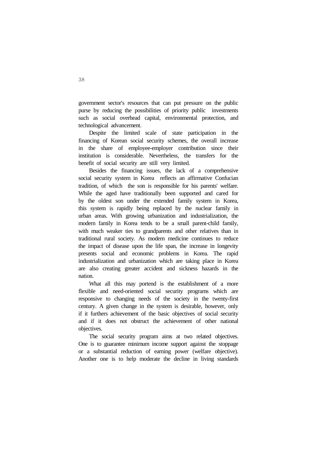government sector's resources that can put pressure on the public purse by reducing the possibilities of priority public investments such as social overhead capital, environmental protection, and technological advancement.

Despite the limited scale of state participation in the financing of Korean social security schemes, the overall increase in the share of employee-employer contribution since their institution is considerable. Nevertheless, the transfers for the benefit of social security are still very limited.

Besides the financing issues, the lack of a comprehensive social security system in Korea reflects an affirmative Confucian tradition, of which the son is responsible for his parents' welfare. While the aged have traditionally been supported and cared for by the oldest son under the extended family system in Korea, this system is rapidly being replaced by the nuclear family in urban areas. With growing urbanization and industrialization, the modern family in Korea tends to be a small parent-child family, with much weaker ties to grandparents and other relatives than in traditional rural society. As modern medicine continues to reduce the impact of disease upon the life span, the increase in longevity presents social and economic problems in Korea. The rapid industrialization and urbanization which are taking place in Korea are also creating greater accident and sickness hazards in the nation.

What all this may portend is the establishment of a more flexible and need-oriented social security programs which are responsive to changing needs of the society in the twenty-first century. A given change in the system is desirable, however, only if it furthers achievement of the basic objectives of social security and if it does not obstruct the achievement of other national objectives.

The social security program aims at two related objectives. One is to guarantee minimum income support against the stoppage or a substantial reduction of earning power (welfare objective). Another one is to help moderate the decline in living standards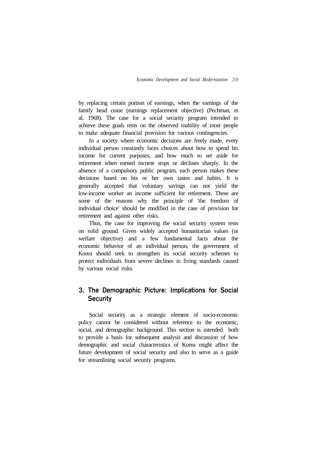by replacing certain portion of earnings, when the earnings of the family head cease (earnings replacement objective) (Pechman, et al, 1968). The case for a social security program intended to achieve these goals rests on the observed inability of most people to make adequate financial provision for various contingencies.

In a society where economic decisions are freely made, every individual person constantly faces choices about how to spend his income for current purposes, and how much to set aside for retirement when earned income stops or declines sharply. In the absence of a compulsory public program, each person makes these decisions based on his or her own tastes and habits. It is generally accepted that voluntary savings can not yield the low-income worker an income sufficient for retirement. These are some of the reasons why the principle of 'the freedom of individual choice' should be modified in the case of provision for retirement and against other risks.

Thus, the case for improving the social security system rests on solid ground. Given widely accepted humanitarian values (or welfare objective) and a few fundamental facts about the economic behavior of an individual person, the government of Korea should seek to strengthen its social security schemes to protect individuals from severe declines in living standards caused by various social risks.

## 3. The Demographic Picture: Implications for Social **Security**

Social security as a strategic element of socio-economic policy cannot be considered without reference to the economic, social, and demographic background. This section is intended both to provide a basis for subsequent analysis and discussion of how demographic and social characteristics of Korea might affect the future development of social security and also to serve as a guide for streamlining social security programs.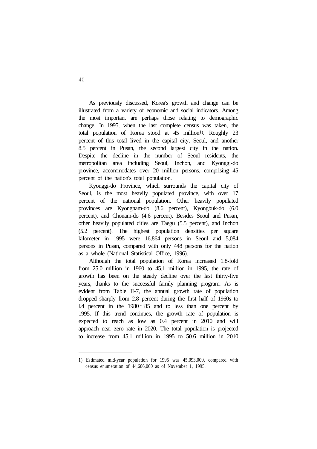As previously discussed, Korea's growth and change can be illustrated from a variety of economic and social indicators. Among the most important are perhaps those relating to demographic change. In 1995, when the last complete census was taken, the total population of Korea stood at 45 million<sup>1</sup>). Roughly 23 percent of this total lived in the capital city, Seoul, and another 8.5 percent in Pusan, the second largest city in the nation. Despite the decline in the number of Seoul residents, the metropolitan area including Seoul, Inchon, and Kyonggi-do province, accommodates over 20 million persons, comprising 45 percent of the nation's total population.

Kyonggi-do Province, which surrounds the capital city of Seoul, is the most heavily populated province, with over 17 percent of the national population. Other heavily populated provinces are Kyongnam-do (8.6 percent), Kyongbuk-do (6.0 percent), and Chonam-do (4.6 percent). Besides Seoul and Pusan, other heavily populated cities are Taegu (5.5 percent), and Inchon (5.2 percent). The highest population densities per square kilometer in 1995 were 16,864 persons in Seoul and 5,084 persons in Pusan, compared with only 448 persons for the nation as a whole (National Statistical Office, 1996).

Although the total population of Korea increased 1.8-fold from 25.0 million in 1960 to 45.1 million in 1995, the rate of growth has been on the steady decline over the last thirty-five years, thanks to the successful family planning program. As is evident from Table II-7, the annual growth rate of population dropped sharply from 2.8 percent during the first half of 1960s to 1.4 percent in the  $1980 \sim 85$  and to less than one percent by 1995. If this trend continues, the growth rate of population is expected to reach as low as 0.4 percent in 2010 and will approach near zero rate in 2020. The total population is projected to increase from 45.1 million in 1995 to 50.6 million in 2010

<sup>1)</sup> Estimated mid-year population for 1995 was 45,093,000, compared with census enumeration of 44,606,000 as of November 1, 1995.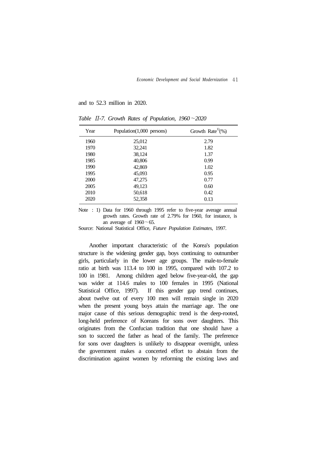and to 52.3 million in 2020.

| Year | Population(1,000 persons) | Growth Rate <sup>1</sup> $(%)$ |
|------|---------------------------|--------------------------------|
| 1960 | 25,012                    | 2.79                           |
| 1970 | 32,241                    | 1.82                           |
| 1980 | 38,124                    | 1.37                           |
| 1985 | 40,806                    | 0.99                           |
| 1990 | 42,869                    | 1.02                           |
| 1995 | 45,093                    | 0.95                           |
| 2000 | 47,275                    | 0.77                           |
| 2005 | 49,123                    | 0.60                           |
| 2010 | 50,618                    | 0.42                           |
| 2020 | 52,358                    | 0.13                           |

*Table* Ⅱ*-7. Growth Rates of Population, 1960*~*2020*

Note : 1) Data for 1960 through 1995 refer to five-year average annual growth rates. Growth rate of 2.79% for 1960, for instance, is an average of  $1960 \sim 65$ .

Source: National Statistical Office, *Future Population Estimates*, 1997.

Another important characteristic of the Korea's population structure is the widening gender gap, boys continuing to outnumber girls, particularly in the lower age groups. The male-to-female ratio at birth was 113.4 to 100 in 1995, compared with 107.2 to 100 in 1981. Among children aged below five-year-old, the gap was wider at 114.6 males to 100 females in 1995 (National Statistical Office, 1997). If this gender gap trend continues, about twelve out of every 100 men will remain single in 2020 when the present young boys attain the marriage age. The one major cause of this serious demographic trend is the deep-rooted, long-held preference of Koreans for sons over daughters. This originates from the Confucian tradition that one should have a son to succeed the father as head of the family. The preference for sons over daughters is unlikely to disappear overnight, unless the government makes a concerted effort to abstain from the discrimination against women by reforming the existing laws and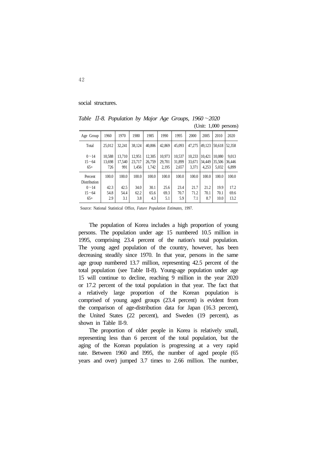social structures.

|                                |                         |                         |                           |                           |                           |                           |                           |                           | (Unit: 1,000 persons)     |                          |
|--------------------------------|-------------------------|-------------------------|---------------------------|---------------------------|---------------------------|---------------------------|---------------------------|---------------------------|---------------------------|--------------------------|
| Age Group                      | 1960                    | 1970                    | 1980                      | 1985                      | 1990                      | 1995                      | 2000                      | 2005                      | 2010                      | 2020                     |
| Total                          | 25.012                  | 32.241                  | 38.124                    | 40,806                    | 42.869                    | 45,093                    | 47.275                    | 49.123                    | 50.618                    | 52.358                   |
| $0 - 14$<br>$15 - 64$<br>$65+$ | 10.588<br>13,698<br>726 | 13.710<br>17.540<br>991 | 12.951<br>23.717<br>1.456 | 12.305<br>26.759<br>1.742 | 10.973<br>29.701<br>2.195 | 10,537<br>31.899<br>2,657 | 10.233<br>33.671<br>3.371 | 10.421<br>34.449<br>4.253 | 10.080<br>35.506<br>5.032 | 9,013<br>36,446<br>6,899 |
| Percent<br>Distribution        | 100.0                   | 100.0                   | 100.0                     | 100.0                     | 100.0                     | 100.0                     | 100.0                     | 100.0                     | 100.0                     | 100.0                    |
| $0 - 14$                       | 42.3                    | 42.5                    | 34.0                      | 30.1                      | 25.6                      | 23.4                      | 21.7                      | 21.2                      | 19.9                      | 17.2                     |
| $15 - 64$                      | 54.8                    | 54.4                    | 62.2                      | 65.6                      | 69.3                      | 70.7                      | 71.2                      | 70.1                      | 70.1                      | 69.6                     |
| $65+$                          | 2.9                     | 3.1                     | 3.8                       | 4.3                       | 5.1                       | 5.9                       | 7.1                       | 8.7                       | 10.0                      | 13.2                     |
|                                |                         |                         |                           |                           |                           |                           |                           |                           |                           |                          |

*Table* Ⅱ*-8. Population by Major Age Groups, 1960*~*2020*  $(TInit: 1,000$  persons)

Source: National Statistical Office, *Future Population Estimates*, 1997.

The population of Korea includes a high proportion of young persons. The population under age 15 numbered 10.5 million in 1995, comprising 23.4 percent of the nation's total population. The young aged population of the country, however, has been decreasing steadily since 1970. In that year, persons in the same age group numbered 13.7 million, representing 42.5 percent of the total population (see Table II-8). Young-age population under age 15 will continue to decline, reaching 9 million in the year 2020 or 17.2 percent of the total population in that year. The fact that a relatively large proportion of the Korean population is comprised of young aged groups (23.4 percent) is evident from the comparison of age-distribution data for Japan (16.3 percent), the United States (22 percent), and Sweden (19 percent), as shown in Table II-9.

The proportion of older people in Korea is relatively small, representing less than 6 percent of the total population, but the aging of the Korean population is progressing at a very rapid rate. Between 1960 and l995, the number of aged people (65 years and over) jumped 3.7 times to 2.66 million. The number,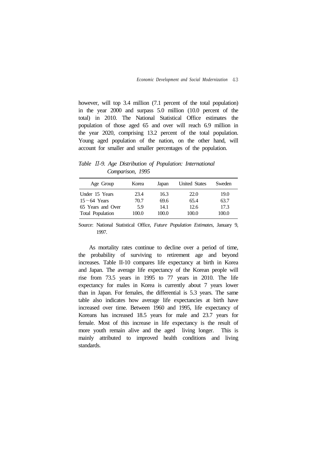however, will top 3.4 million (7.1 percent of the total population) in the year 2000 and surpass 5.0 million (10.0 percent of the total) in 2010. The National Statistical Office estimates the population of those aged 65 and over will reach 6.9 million in the year 2020, comprising 13.2 percent of the total population. Young aged population of the nation, on the other hand, will account for smaller and smaller percentages of the population.

*Table* Ⅱ*-9. Age Distribution of Population: International Comparison, 1995*

| Age Group          | Korea | Japan | United States | Sweden |
|--------------------|-------|-------|---------------|--------|
| Under 15 Years     | 23.4  | 16.3  | 22.0          | 19.0   |
| $15 \sim 64$ Years | 70.7  | 69.6  | 65.4          | 63.7   |
| 65 Years and Over  | 5.9   | 14.1  | 12.6          | 17.3   |
| Total Population   | 100.0 | 100.0 | 100.0         | 100.0  |

Source: National Statistical Office, *Future Population Estimates,* January 9, 1997.

As mortality rates continue to decline over a period of time, the probability of surviving to retirement age and beyond increases. Table II-10 compares life expectancy at birth in Korea and Japan. The average life expectancy of the Korean people will rise from 73.5 years in 1995 to 77 years in 2010. The life expectancy for males in Korea is currently about 7 years lower than in Japan. For females, the differential is 5.3 years. The same table also indicates how average life expectancies at birth have increased over time. Between 1960 and 1995, life expectancy of Koreans has increased 18.5 years for male and 23.7 years for female. Most of this increase in life expectancy is the result of more youth remain alive and the aged living longer. This is mainly attributed to improved health conditions and living standards.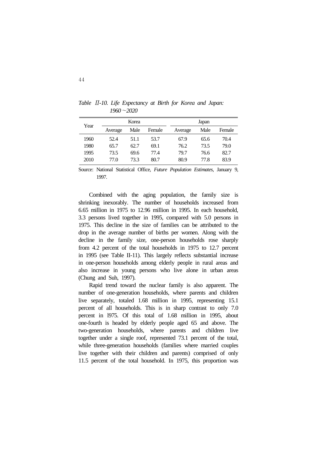| Year |         | Korea |        |         | Japan |        |
|------|---------|-------|--------|---------|-------|--------|
|      | Average | Male  | Female | Average | Male  | Female |
| 1960 | 52.4    | 51.1  | 53.7   | 67.9    | 65.6  | 70.4   |
| 1980 | 65.7    | 62.7  | 69.1   | 76.2    | 73.5  | 79.0   |
| 1995 | 73.5    | 69.6  | 77.4   | 79.7    | 76.6  | 82.7   |
| 2010 | 77.O    | 73.3  | 80.7   | 80.9    | 77.8  | 83.9   |

*Table* Ⅱ*-10. Life Expectancy at Birth for Korea and Japan: 1960*~*2020*

Source: National Statistical Office, *Future Population Estimates*, January 9, 1997.

Combined with the aging population, the family size is shrinking inexorably. The number of households increased from 6.65 million in 1975 to 12.96 million in 1995. In each household, 3.3 persons lived together in 1995, compared with 5.0 persons in 1975. This decline in the size of families can be attributed to the drop in the average number of births per women. Along with the decline in the family size, one-person households rose sharply from 4.2 percent of the total households in 1975 to 12.7 percent in 1995 (see Table II-11). This largely reflects substantial increase in one-person households among elderly people in rural areas and also increase in young persons who live alone in urban areas (Chung and Suh, 1997).

Rapid trend toward the nuclear family is also apparent. The number of one-generation households, where parents and children live separately, totaled 1.68 million in 1995, representing 15.1 percent of all households. This is in sharp contrast to only 7.0 percent in l975. Of this total of 1.68 million in 1995, about one-fourth is headed by elderly people aged 65 and above. The two-generation households, where parents and children live together under a single roof, represented 73.1 percent of the total, while three-generation households (families where married couples live together with their children and parents) comprised of only 11.5 percent of the total household. In 1975, this proportion was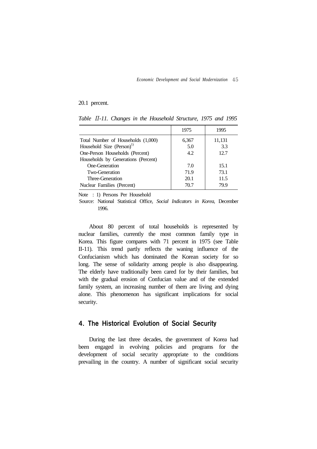#### 20.1 percent.

|                                       | 1975  | 1995   |
|---------------------------------------|-------|--------|
| Total Number of Households (1,000)    | 6,367 | 11,131 |
| Household Size (Person) <sup>1)</sup> | 5.0   | 3.3    |
| One-Person Households (Percent)       | 4.2   | 12.7   |
| Households by Generations (Percent)   |       |        |
| One-Generation                        | 7.0   | 15.1   |
| Two-Generation                        | 71.9  | 73.1   |
| Three-Generation                      | 20.1  | 11.5   |
| Nuclear Families (Percent)            | 70.7  | 79 9   |

*Table* Ⅱ*-11. Changes in the Household Structure, 1975 and 1995*

Note : 1) Persons Per Household

Source: National Statistical Office, *Social Indicators in Korea,* December 1996.

About 80 percent of total households is represented by nuclear families, currently the most common family type in Korea. This figure compares with 71 percent in 1975 (see Table II-11). This trend partly reflects the waning influence of the Confucianism which has dominated the Korean society for so long. The sense of solidarity among people is also disappearing. The elderly have traditionally been cared for by their families, but with the gradual erosion of Confucian value and of the extended family system, an increasing number of them are living and dying alone. This phenomenon has significant implications for social security.

### 4. The Historical Evolution of Social Security

During the last three decades, the government of Korea had been engaged in evolving policies and programs for the development of social security appropriate to the conditions prevailing in the country. A number of significant social security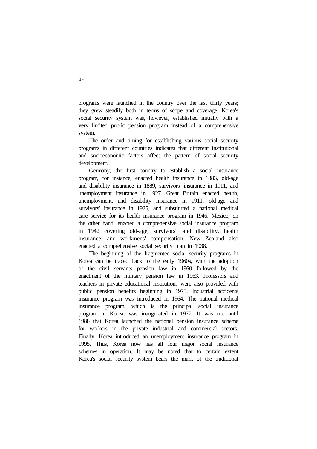programs were launched in the country over the last thirty years; they grew steadily both in terms of scope and coverage. Korea's social security system was, however, established initially with a very limited public pension program instead of a comprehensive system.

The order and timing for establishing various social security programs in different countries indicates that different institutional and socioeconomic factors affect the pattern of social security development.

Germany, the first country to establish a social insurance program, for instance, enacted health insurance in 1883, old-age and disability insurance in 1889, survivors' insurance in 1911, and unemployment insurance in 1927. Great Britain enacted health, unemployment, and disability insurance in 1911, old-age and survivors' insurance in 1925, and substituted a national medical care service for its health insurance program in 1946. Mexico, on the other hand, enacted a comprehensive social insurance program in 1942 covering old-age, survivors', and disability, health insurance, and workmens' compensation. New Zealand also enacted a comprehensive social security plan in 1938.

The beginning of the fragmented social security programs in Korea can be traced back to the early 1960s, with the adoption of the civil servants pension law in 1960 followed by the enactment of the military pension law in 1963. Professors and teachers in private educational institutions were also provided with public pension benefits beginning in 1975. Industrial accidents insurance program was introduced in 1964. The national medical insurance program, which is the principal social insurance program in Korea, was inaugurated in 1977. It was not until 1988 that Korea launched the national pension insurance scheme for workers in the private industrial and commercial sectors. Finally, Korea introduced an unemployment insurance program in 1995. Thus, Korea now has all four major social insurance schemes in operation. It may be noted that to certain extent Korea's social security system bears the mark of the traditional

46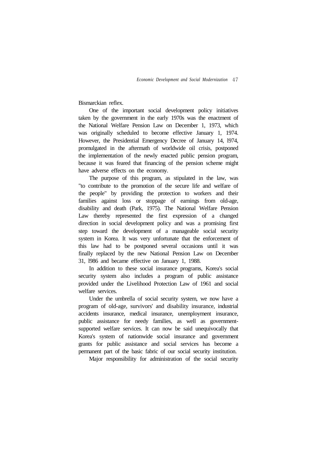Bismarckian reflex.

One of the important social development policy initiatives taken by the government in the early 1970s was the enactment of the National Welfare Pension Law on December 1, 1973, which was originally scheduled to become effective January 1, 1974. However, the Presidential Emergency Decree of January 14, l974, promulgated in the aftermath of worldwide oil crisis, postponed the implementation of the newly enacted public pension program, because it was feared that financing of the pension scheme might have adverse effects on the economy.

The purpose of this program, as stipulated in the law, was "to contribute to the promotion of the secure life and welfare of the people" by providing the protection to workers and their families against loss or stoppage of earnings from old-age, disability and death (Park, 1975). The National Welfare Pension Law thereby represented the first expression of a changed direction in social development policy and was a promising first step toward the development of a manageable social security system in Korea. It was very unfortunate that the enforcement of this law had to be postponed several occasions until it was finally replaced by the new National Pension Law on December 31, l986 and became effective on January 1, 1988.

In addition to these social insurance programs, Korea's social security system also includes a program of public assistance provided under the Livelihood Protection Law of 1961 and social welfare services.

Under the umbrella of social security system, we now have a program of old-age, survivors' and disability insurance, industrial accidents insurance, medical insurance, unemployment insurance, public assistance for needy families, as well as governmentsupported welfare services. It can now be said unequivocally that Korea's system of nationwide social insurance and government grants for public assistance and social services has become a permanent part of the basic fabric of our social security institution.

Major responsibility for administration of the social security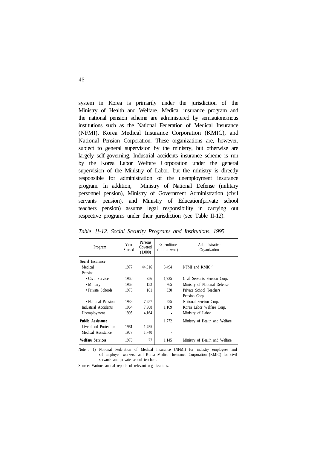system in Korea is primarily under the jurisdiction of the Ministry of Health and Welfare. Medical insurance program and the national pension scheme are administered by semiautonomous institutions such as the National Federation of Medical Insurance (NFMI), Korea Medical Insurance Corporation (KMIC), and National Pension Corporation. These organizations are, however, subject to general supervision by the ministry, but otherwise are largely self-governing. Industrial accidents insurance scheme is run by the Korea Labor Welfare Corporation under the general supervision of the Ministry of Labor, but the ministry is directly responsible for administration of the unemployment insurance program. In addition, Ministry of National Defense (military personnel pension), Ministry of Government Administration (civil servants pension), and Ministry of Education(private school teachers pension) assume legal responsibility in carrying out respective programs under their jurisdiction (see Table II-12).

| Program                  | Year<br>Started | Persons<br>Covered<br>(1,000) | Expenditure<br>(billion won) | Administrative<br>Organization |
|--------------------------|-----------------|-------------------------------|------------------------------|--------------------------------|
| <b>Social Insurance</b>  |                 |                               |                              |                                |
| Medical                  | 1977            | 44,016                        | 3,494                        | NFMI and $KMIC1$               |
| Pension                  |                 |                               |                              |                                |
| • Civil Service          | 1960            | 956                           | 1,935                        | Civil Servants Pension Corp.   |
| • Military               | 1963            | 152                           | 765                          | Ministry of National Defense   |
| • Private Schools        | 1975            | 181                           | 330                          | Private School Teachers        |
|                          |                 |                               |                              | Pension Corp.                  |
| • National Pension       | 1988            | 7.257                         | 555                          | National Pension Corp.         |
| Industrial Accidents     | 1964            | 7,908                         | 1,109                        | Korea Labor Welfare Corp.      |
| Unemployment             | 1995            | 4,164                         |                              | Ministry of Labor              |
| <b>Public Assistance</b> |                 |                               | 1,772                        | Ministry of Health and Welfare |
| Livelihood Protection    | 1961            | 1,755                         |                              |                                |
| Medical Assistance       | 1977            | 1,740                         |                              |                                |
| <b>Welfare Services</b>  | 1970            | 77                            | 1,145                        | Ministry of Health and Welfare |

*Table* Ⅱ*-12. Social Security Programs and Institutions, 1995*

Note : 1) National Federation of Medical Insurance (NFMI) for industry employees and self-employed workers; and Korea Medical Insurance Corporation (KMIC) for civil servants and private school teachers.

Source: Various annual reports of relevant organizations.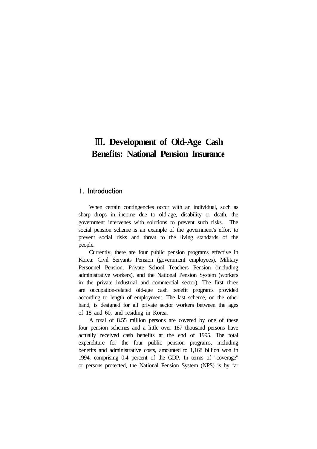## Ⅲ**. Development of Old-Age Cash Benefits: National Pension Insurance**

#### 1. Introduction

When certain contingencies occur with an individual, such as sharp drops in income due to old-age, disability or death, the government intervenes with solutions to prevent such risks. The social pension scheme is an example of the government's effort to prevent social risks and threat to the living standards of the people.

Currently, there are four public pension programs effective in Korea: Civil Servants Pension (government employees), Military Personnel Pension, Private School Teachers Pension (including administrative workers), and the National Pension System (workers in the private industrial and commercial sector). The first three are occupation-related old-age cash benefit programs provided according to length of employment. The last scheme, on the other hand, is designed for all private sector workers between the ages of 18 and 60, and residing in Korea.

A total of 8.55 million persons are covered by one of these four pension schemes and a little over 187 thousand persons have actually received cash benefits at the end of 1995. The total expenditure for the four public pension programs, including benefits and administrative costs, amounted to 1,168 billion won in 1994, comprising 0.4 percent of the GDP. In terms of "coverage" or persons protected, the National Pension System (NPS) is by far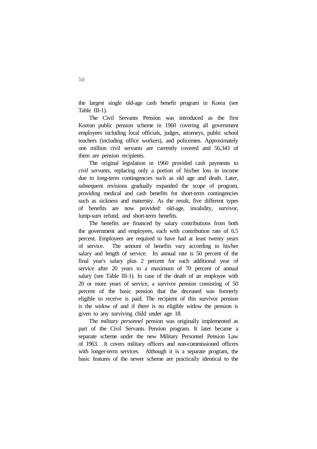the largest single old-age cash benefit program in Korea (see Table III-1).

The Civil Servants Pension was introduced as the first Korean public pension scheme in 1960 covering all government employees including local officials, judges, attorneys, public school teachers (including office workers), and policemen. Approximately one million civil servants are currently covered and 56,343 of them are pension recipients.

The original legislation in 1960 provided cash payments to *civil servants,* replacing only a portion of his/her loss in income due to long-term contingencies such as old age and death. Later, subsequent revisions gradually expanded the scope of program, providing medical and cash benefits for short-term contingencies such as sickness and maternity. As the result, five different types of benefits are now provided: old-age, invalidity, survivor, lump-sum refund, and short-term benefits.

The benefits are financed by salary contributions from both the government and employees, each with contribution rate of 6.5 percent. Employees are required to have had at least twenty years of service. The amount of benefits vary according to his/her salary and length of service. Its annual rate is 50 percent of the final year's salary plus 2 percent for each additional year of service after 20 years to a maximum of 70 percent of annual salary (see Table III-1). In case of the death of an employee with 20 or more years of service, a survivor pension consisting of 50 percent of the basic pension that the deceased was formerly eligible to receive is paid. The recipient of this survivor pension is the widow of and if there is no eligible widow the pension is given to any surviving child under age 18.

The *military personnel* pension was originally implemented as part of the Civil Servants Pension program. It later became a separate scheme under the new Military Personnel Pension Law of 1963. It covers military officers and non-commissioned officers with longer-term services. Although it is a separate program, the basic features of the newer scheme are practically identical to the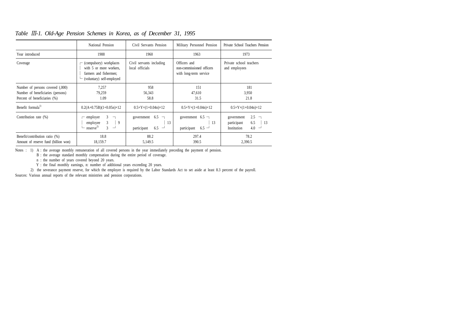|                                                                                                       | National Pension                                                                                                            | Civil Servants Pension                      | Military Personnel Pension                              | Private School Teachers Pension                                                |  |
|-------------------------------------------------------------------------------------------------------|-----------------------------------------------------------------------------------------------------------------------------|---------------------------------------------|---------------------------------------------------------|--------------------------------------------------------------------------------|--|
| 1988<br>Year introduced                                                                               |                                                                                                                             | 1960                                        | 1963                                                    | 1973                                                                           |  |
| Coverage                                                                                              | (compulsory) workplaces<br>with 5 or more workers,<br>farmers and fishermen;<br>(voluntary) self-employed                   | Civil servants including<br>local officials |                                                         | Private school teachers<br>and employees                                       |  |
| Number of persons covered (,000)<br>Number of beneficiaries (persons)<br>Percent of beneficiaries (%) | 7,257<br>79,259<br>1.09                                                                                                     | 958<br>56,343<br>58.8                       | 151<br>47,610<br>31.5                                   | 181<br>3,950<br>21.8                                                           |  |
| Benefit formula <sup>1)</sup>                                                                         | $0.2(A+0.75B)(1+0.05n)\times12$                                                                                             | $0.5 \times Y \times (1+0.04n) \times 12$   | $0.5 \times Y \times (1+0.04n) \times 12$               | $0.5 \times Y \times (1+0.04n) \times 12$                                      |  |
| Contribution rate (%)                                                                                 | $\Gamma$ employer<br>3<br>⇁<br>9<br>$\mathbf{3}$<br>employee<br>$reserve^{2)}$<br>$\overline{\phantom{a}}$<br>$\mathcal{E}$ | government 6.5<br>13<br>participant<br>6.5  | government $6.5$ $\neg$<br>13<br>$6.5 -$<br>participant | 2.5<br>government<br>$\Box$<br>6.5<br>-13<br>participant<br>4.0<br>Institution |  |
| Benefit/contribution ratio (%)<br>Amount of reserve fund (billion won)                                | 18.8<br>18,159.7                                                                                                            | 88.2<br>5,149.5                             | 297.4<br>390.5                                          | 78.2<br>2,390.5                                                                |  |

*Table* Ⅲ*-1. Old-Age Pension Schemes in Korea, as of December 31, 1995*

Notes : 1) A : the average monthly remuneration of all covered persons in the year immediately preceding the payment of pension.

B : the average standard monthly compensation during the entire period of coverage.

<sup>n</sup> : the number of years covered beyond 20 years.

Y : the final monthly earnings, n: number of additional years exceeding 20 years.

2) the severance payment reserve, for which the employer is required by the Labor Standards Act to set aside at least 8.3 percent of the payroll.

Sources: Various annual reports of the relevant ministries and pension corporations.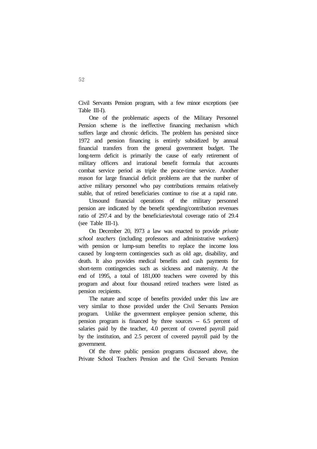Civil Servants Pension program, with a few minor exceptions (see Table III-I).

One of the problematic aspects of the Military Personnel Pension scheme is the ineffective financing mechanism which suffers large and chronic deficits. The problem has persisted since 1972 and pension financing is entirely subsidized by annual financial transfers from the general government budget. The long-term deficit is primarily the cause of early retirement of military officers and irrational benefit formula that accounts combat service period as triple the peace-time service. Another reason for large financial deficit problems are that the number of active military personnel who pay contributions remains relatively stable, that of retired beneficiaries continue to rise at a rapid rate.

Unsound financial operations of the military personnel pension are indicated by the benefit spending/contribution revenues ratio of 297.4 and by the beneficiaries/total coverage ratio of 29.4 (see Table III-1).

On December 20, l973 a law was enacted to provide *private school teachers* (including professors and administrative workers) with pension or lump-sum benefits to replace the income loss caused by long-term contingencies such as old age, disability, and death. It also provides medical benefits and cash payments for short-term contingencies such as sickness and maternity. At the end of 1995, a total of 181,000 teachers were covered by this program and about four thousand retired teachers were listed as pension recipients.

The nature and scope of benefits provided under this law are very similar to those provided under the Civil Servants Pension program. Unlike the government employee pension scheme, this pension program is financed by three sources -- 6.5 percent of salaries paid by the teacher, 4.0 percent of covered payroll paid by the institution, and 2.5 percent of covered payroll paid by the government.

Of the three public pension programs discussed above, the Private School Teachers Pension and the Civil Servants Pension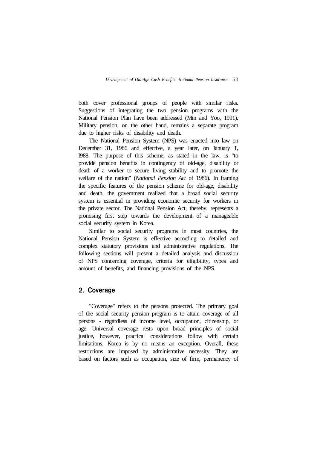both cover professional groups of people with similar risks. Suggestions of integrating the two pension programs with the National Pension Plan have been addressed (Min and Yoo, 1991). Military pension, on the other hand, remains a separate program due to higher risks of disability and death.

The National Pension System (NPS) was enacted into law on December 31, 1986 and effective, a year later, on January 1, l988. The purpose of this scheme, as stated in the law, is "to provide pension benefits in contingency of old-age, disability or death of a worker to secure living stability and to promote the welfare of the nation" (*National Pension Act* of 1986). In framing the specific features of the pension scheme for old-age, disability and death, the government realized that a broad social security system is essential in providing economic security for workers in the private sector. The National Pension Act, thereby, represents a promising first step towards the development of a manageable social security system in Korea.

Similar to social security programs in most countries, the National Pension System is effective according to detailed and complex statutory provisions and administrative regulations. The following sections will present a detailed analysis and discussion of NPS concerning coverage, criteria for eligibility, types and amount of benefits, and financing provisions of the NPS.

#### 2. Coverage

"Coverage" refers to the persons protected. The primary goal of the social security pension program is to attain coverage of all persons - regardless of income level, occupation, citizenship, or age. Universal coverage rests upon broad principles of social justice, however, practical considerations follow with certain limitations. Korea is by no means an exception. Overall, these restrictions are imposed by administrative necessity. They are based on factors such as occupation, size of firm, permanency of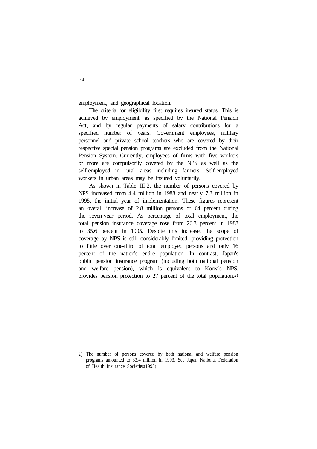employment, and geographical location.

The criteria for eligibility first requires insured status. This is achieved by employment, as specified by the National Pension Act, and by regular payments of salary contributions for a specified number of years. Government employees, military personnel and private school teachers who are covered by their respective special pension programs are excluded from the National Pension System. Currently, employees of firms with five workers or more are compulsorily covered by the NPS as well as the self-employed in rural areas including farmers. Self-employed workers in urban areas may be insured voluntarily.

As shown in Table III-2, the number of persons covered by NPS increased from 4.4 million in 1988 and nearly 7.3 million in 1995, the initial year of implementation. These figures represent an overall increase of 2.8 million persons or 64 percent during the seven-year period. As percentage of total employment, the total pension insurance coverage rose from 26.3 percent in 1988 to 35.6 percent in 1995. Despite this increase, the scope of coverage by NPS is still considerably limited, providing protection to little over one-third of total employed persons and only 16 percent of the nation's entire population. In contrast, Japan's public pension insurance program (including both national pension and welfare pension), which is equivalent to Korea's NPS, provides pension protection to 27 percent of the total population.2)

54

<sup>2)</sup> The number of persons covered by both national and welfare pension programs amounted to 33.4 million in 1993. See Japan National Federation of Health Insurance Societies(1995).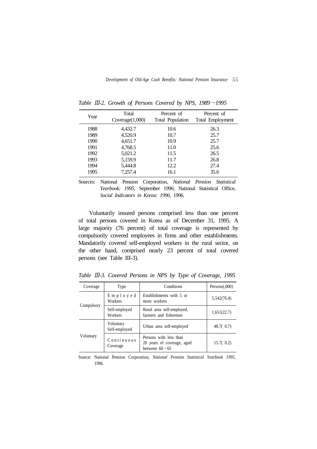| Year | Total<br>Coverage(1,000) | Percent of<br><b>Total Population</b> | Percent of<br><b>Total Employment</b> |
|------|--------------------------|---------------------------------------|---------------------------------------|
| 1988 | 4,432.7                  | 10.6                                  | 26.3                                  |
| 1989 | 4,520.9                  | 10.7                                  | 25.7                                  |
| 1990 | 4,651.7                  | 10.9                                  | 25.7                                  |
| 1991 | 4,768.5                  | 11.0                                  | 25.6                                  |
| 1992 | 5,021.2                  | 11.5                                  | 26.5                                  |
| 1993 | 5,159.9                  | 11.7                                  | 26.8                                  |
| 1994 | 5,444.8                  | 12.2                                  | 27.4                                  |
| 1995 | 7,257.4                  | 16.1                                  | 35.6                                  |
|      |                          |                                       |                                       |

*Table* Ⅲ*-2. Growth of Persons Covered by NPS, 1989*~*1995*

Sources: National Pension Corporation, *National Pension Statistical Yearbook; 1995,* September 1996; National Statistical Office, *Social Indicators in Korea: 1996,* 1996.

Voluntarily insured persons comprised less than one percent of total persons covered in Korea as of December 31, 1995. A large majority (76 percent) of total coverage is represented by compulsorily covered employees in firms and other establishments. Mandatorily covered self-employed workers in the rural sector, on the other hand, comprised nearly 23 percent of total covered persons (see Table III-3).

| Coverage   | Type                       | Conditions                                                                   | Persons $(.000)$ |
|------------|----------------------------|------------------------------------------------------------------------------|------------------|
|            | Employed<br>Workers        | Establishments with 5 or<br>more workers                                     | 5,542(76.4)      |
| Compulsory | Self-employed<br>Workers   | Rural area self-employed,<br>farmers and fishermen                           | 1,651(22.7)      |
|            | Voluntary<br>Self-employed | Urban area self-employed                                                     | 48.7(0.7)        |
| Voluntary  | Continuous<br>Coverage     | Persons with less than<br>20 years of coverage, aged<br>between $60 \sim 65$ | 15.7(0.2)        |

*Table* Ⅲ*-3. Covered Persons in NPS by Type of Coverage, 1995*

Source: National Pension Corporation, *National Pension Statistical Yearbook 1995,* 1996.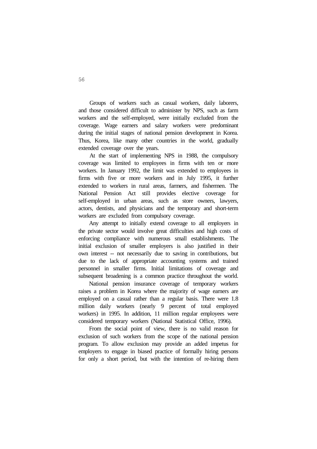Groups of workers such as casual workers, daily laborers, and those considered difficult to administer by NPS, such as farm workers and the self-employed, were initially excluded from the coverage. Wage earners and salary workers were predominant during the initial stages of national pension development in Korea. Thus, Korea, like many other countries in the world, gradually extended coverage over the years.

 At the start of implementing NPS in 1988, the compulsory coverage was limited to employees in firms with ten or more workers. In January 1992, the limit was extended to employees in firms with five or more workers and in July 1995, it further extended to workers in rural areas, farmers, and fishermen. The National Pension Act still provides elective coverage for self-employed in urban areas, such as store owners, lawyers, actors, dentists, and physicians and the temporary and short-term workers are excluded from compulsory coverage.

Any attempt to initially extend coverage to all employers in the private sector would involve great difficulties and high costs of enforcing compliance with numerous small establishments. The initial exclusion of smaller employers is also justified in their own interest -- not necessarily due to saving in contributions, but due to the lack of appropriate accounting systems and trained personnel in smaller firms. Initial limitations of coverage and subsequent broadening is a common practice throughout the world.

National pension insurance coverage of temporary workers raises a problem in Korea where the majority of wage earners are employed on a casual rather than a regular basis. There were 1.8 million daily workers (nearly 9 percent of total employed workers) in 1995. In addition, 11 million regular employees were considered temporary workers (National Statistical Office, 1996).

From the social point of view, there is no valid reason for exclusion of such workers from the scope of the national pension program. To allow exclusion may provide an added impetus for employers to engage in biased practice of formally hiring persons for only a short period, but with the intention of re-hiring them

56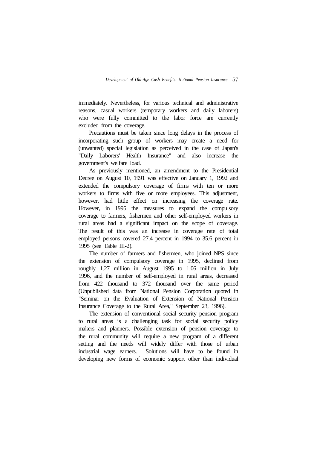immediately. Nevertheless, for various technical and administrative reasons, casual workers (temporary workers and daily laborers) who were fully committed to the labor force are currently excluded from the coverage.

Precautions must be taken since long delays in the process of incorporating such group of workers may create a need for (unwanted) special legislation as perceived in the case of Japan's "Daily Laborers' Health Insurance" and also increase the government's welfare load.

As previously mentioned, an amendment to the Presidential Decree on August 10, 1991 was effective on January 1, 1992 and extended the compulsory coverage of firms with ten or more workers to firms with five or more employees. This adjustment, however, had little effect on increasing the coverage rate. However, in 1995 the measures to expand the compulsory coverage to farmers, fishermen and other self-employed workers in rural areas had a significant impact on the scope of coverage. The result of this was an increase in coverage rate of total employed persons covered 27.4 percent in 1994 to 35.6 percent in 1995 (see Table III-2).

The number of farmers and fishermen, who joined NPS since the extension of compulsory coverage in 1995, declined from roughly 1.27 million in August 1995 to 1.06 million in July 1996, and the number of self-employed in rural areas, decreased from 422 thousand to 372 thousand over the same period (Unpublished data from National Pension Corporation quoted in "Seminar on the Evaluation of Extension of National Pension Insurance Coverage to the Rural Area," September 23, 1996).

The extension of conventional social security pension program to rural areas is a challenging task for social security policy makers and planners. Possible extension of pension coverage to the rural community will require a new program of a different setting and the needs will widely differ with those of urban industrial wage earners. Solutions will have to be found in developing new forms of economic support other than individual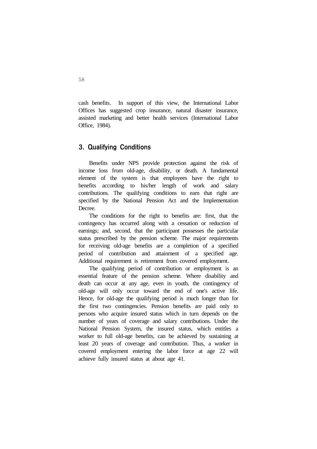cash benefits. In support of this view, the International Labor Offices has suggested crop insurance, natural disaster insurance, assisted marketing and better health services (International Labor Office, 1984).

### 3. Qualifying Conditions

Benefits under NPS provide protection against the risk of income loss from old-age, disability, or death. A fundamental element of the system is that employees have the right to benefits according to his/her length of work and salary contributions. The qualifying conditions to earn that right are specified by the National Pension Act and the Implementation Decree.

The conditions for the right to benefits are: first, that the contingency has occurred along with a cessation or reduction of earnings; and, second, that the participant possesses the particular status prescribed by the pension scheme. The major requirements for receiving old-age benefits are a completion of a specified period of contribution and attainment of a specified age. Additional requirement is retirement from covered employment.

The qualifying period of contribution or employment is an essential feature of the pension scheme. Where disability and death can occur at any age, even in youth, the contingency of old-age will only occur toward the end of one's active life. Hence, for old-age the qualifying period is much longer than for the first two contingencies. Pension benefits are paid only to persons who acquire insured status which in turn depends on the number of years of coverage and salary contributions. Under the National Pension System, the insured status, which entitles a worker to full old-age benefits, can be achieved by sustaining at least 20 years of coverage and contribution. Thus, a worker in covered employment entering the labor force at age 22 will achieve fully insured status at about age 41.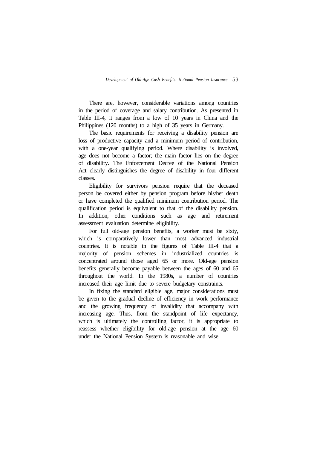There are, however, considerable variations among countries in the period of coverage and salary contribution. As presented in Table III-4, it ranges from a low of 10 years in China and the Philippines (120 months) to a high of 35 years in Germany.

The basic requirements for receiving a disability pension are loss of productive capacity and a minimum period of contribution, with a one-year qualifying period. Where disability is involved, age does not become a factor; the main factor lies on the degree of disability. The Enforcement Decree of the National Pension Act clearly distinguishes the degree of disability in four different classes.

Eligibility for survivors pension require that the deceased person be covered either by pension program before his/her death or have completed the qualified minimum contribution period. The qualification period is equivalent to that of the disability pension. In addition, other conditions such as age and retirement assessment evaluation determine eligibility.

For full old-age pension benefits, a worker must be sixty, which is comparatively lower than most advanced industrial countries. It is notable in the figures of Table III-4 that a majority of pension schemes in industrialized countries is concentrated around those aged 65 or more. Old-age pension benefits generally become payable between the ages of 60 and 65 throughout the world. In the 1980s, a number of countries increased their age limit due to severe budgetary constraints.

In fixing the standard eligible age, major considerations must be given to the gradual decline of efficiency in work performance and the growing frequency of invalidity that accompany with increasing age. Thus, from the standpoint of life expectancy, which is ultimately the controlling factor, it is appropriate to reassess whether eligibility for old-age pension at the age 60 under the National Pension System is reasonable and wise.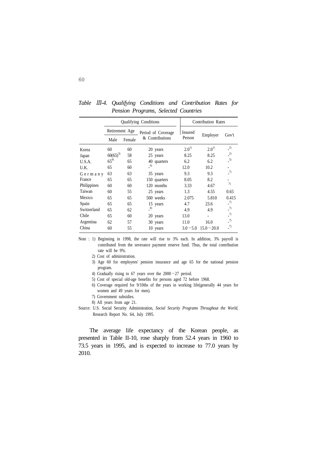|             |                        | <b>Qualifying Conditions</b> |          |                                       | <b>Contribution Rates</b> |                  |                |  |
|-------------|------------------------|------------------------------|----------|---------------------------------------|---------------------------|------------------|----------------|--|
|             | Retirement Age<br>Male | Female                       |          | Period of Coverage<br>& Contributions | Insured<br>Person         | Employer         | Gov't          |  |
| Korea       | 60                     | 60                           |          | 20 years                              | $2.0^{1}$                 | $2.0^{1}$        | $^{2)}$        |  |
| Japan       | $60(65)^3$             | 58                           |          | 25 years                              | 8.25                      | 8.25             | $^{2)}$        |  |
| U.S.A.      | $65^{4)}$              | 65                           |          | 40 quarters                           | 6.2                       | 6.2              | $-5)$          |  |
| U.K.        | 65                     | 60                           | $^{(6)}$ |                                       | 12.0                      | 10.2             |                |  |
| Germany     | 63                     | 63                           |          | 35 years                              | 9.3                       | 9.3              | $\frac{7}{2}$  |  |
| France      | 65                     | 65                           |          | 150 quarters                          | 8.05                      | 8.2              |                |  |
| Philippines | 60                     | 60                           |          | 120 months                            | 3.33                      | 4.67             | 7)             |  |
| Taiwan      | 60                     | 55                           |          | 25 years                              | 1.3                       | 4.55             | 0.65           |  |
| Mexico      | 65                     | 65                           |          | 500 weeks                             | 2.075                     | 5.810            | 0.415          |  |
| Spain       | 65                     | 65                           |          | 15 years                              | 4.7                       | 23.6             | $\frac{7}{2}$  |  |
| Switzerland | 65                     | 62                           | $_{8}$   |                                       | 4.9                       | 4.9              | $\overline{a}$ |  |
| Chile       | 65                     | 60                           |          | 20 years                              | 13.0                      |                  | $\frac{7}{2}$  |  |
| Argentina   | 62                     | 57                           |          | 30 years                              | 11.0                      | 16.0             | $\frac{7}{2}$  |  |
| China       | 60                     | 55                           |          | 10 years                              | $3.0 - 5.0$               | $15.0 \sim 20.0$ | $\frac{7}{2}$  |  |

*Table* Ⅲ*-4. Qualifying Conditions and Contribution Rates for Pension Programs, Selected Countries*

Note : 1) Beginning in 1998, the rate will rise to 3% each. In addition, 3% payroll is contributed from the severance payment reserve fund. Thus, the total contribution rate will be 9%.

2) Cost of administration.

- 3) Age 60 for employees' pension insurance and age 65 for the national pension program.
- 4) Gradually rising to 67 years over the  $2000 \sim 27$  period.
- 5) Cost of special old-age benefits for persons aged 72 before 1968.
- 6) Coverage required for 9/10ths of the years in working life(generally 44 years for women and 49 years for men).
- 7) Government subsidies.
- 8) All years from age 21.
- Source: U.S. Social Security Administration, *Social Security Programs Throughout the World,* Research Report No. 64, July 1995.

 The average life expectancy of the Korean people, as presented in Table II-10, rose sharply from 52.4 years in 1960 to 73.5 years in 1995, and is expected to increase to 77.0 years by 2010.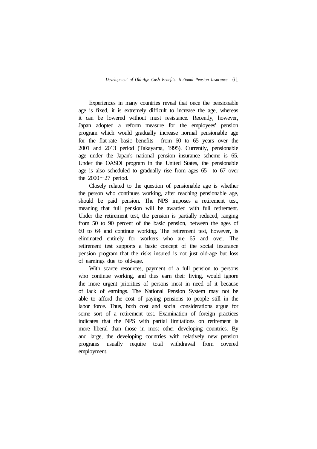Experiences in many countries reveal that once the pensionable age is fixed, it is extremely difficult to increase the age, whereas it can be lowered without must resistance. Recently, however, Japan adopted a reform measure for the employees' pension program which would gradually increase normal pensionable age for the flat-rate basic benefits from 60 to 65 years over the 2001 and 2013 period (Takayama, 1995). Currently, pensionable age under the Japan's national pension insurance scheme is 65. Under the OASDI program in the United States, the pensionable age is also scheduled to gradually rise from ages 65 to 67 over the  $2000 \sim 27$  period.

Closely related to the question of pensionable age is whether the person who continues working, after reaching pensionable age, should be paid pension. The NPS imposes a retirement test, meaning that full pension will be awarded with full retirement. Under the retirement test, the pension is partially reduced, ranging from 50 to 90 percent of the basic pension, between the ages of 60 to 64 and continue working. The retirement test, however, is eliminated entirely for workers who are 65 and over. The retirement test supports a basic concept of the social insurance pension program that the risks insured is not just old-age but loss of earnings due to old-age.

With scarce resources, payment of a full pension to persons who continue working, and thus earn their living, would ignore the more urgent priorities of persons most in need of it because of lack of earnings. The National Pension System may not be able to afford the cost of paying pensions to people still in the labor force. Thus, both cost and social considerations argue for some sort of a retirement test. Examination of foreign practices indicates that the NPS with partial limitations on retirement is more liberal than those in most other developing countries. By and large, the developing countries with relatively new pension programs usually require total withdrawal from covered employment.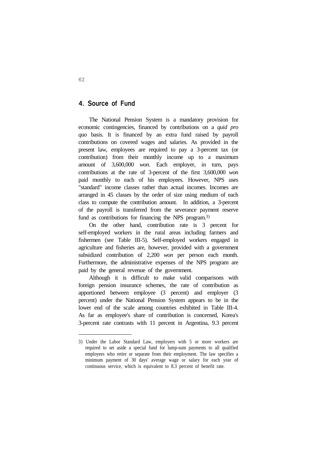### 4. Source of Fund

The National Pension System is a mandatory provision for economic contingencies, financed by contributions on a *quid pro quo* basis. It is financed by an extra fund raised by payroll contributions on covered wages and salaries. As provided in the present law, employees are required to pay a 3-percent tax (or contribution) from their monthly income up to a maximum amount of 3,600,000 *won.* Each employer, in turn, pays contributions at the rate of 3-percent of the first 3,600,000 *won*  paid monthly to each of his employees. However, NPS uses "standard" income classes rather than actual incomes. Incomes are arranged in 45 classes by the order of size using medium of each class to compute the contribution amount. In addition, a 3-percent of the payroll is transferred from the severance payment reserve fund as contributions for financing the NPS program.<sup>3)</sup>

On the other hand, contribution rate is 3 percent for self-employed workers in the rural areas including farmers and fishermen (see Table III-5). Self-employed workers engaged in agriculture and fisheries are, however, provided with a government subsidized contribution of 2,200 *won* per person each month. Furthermore, the administrative expenses of the NPS program are paid by the general revenue of the government.

Although it is difficult to make valid comparisons with foreign pension insurance schemes, the rate of contribution as apportioned between employee (3 percent) and employer (3 percent) under the National Pension System appears to be in the lower end of the scale among countries exhibited in Table III-4. As far as employee's share of contribution is concerned, Korea's 3-percent rate contrasts with 11 percent in Argentina, 9.3 percent

<sup>3)</sup> Under the Labor Standard Law, employers with 5 or more workers are required to set aside a special fund for lump-sum payments to all qualified employees who retire or separate from their employment. The law specifies a minimum payment of 30 days' average wage or salary for each year of continuous service, which is equivalent to 8.3 percent of benefit rate.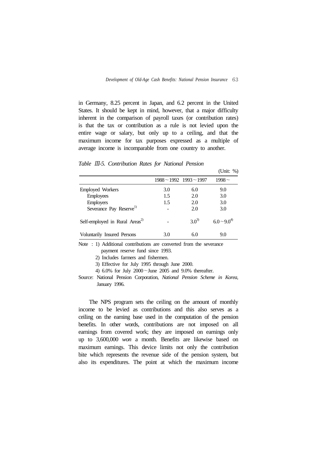$(T\text{lnit. } 0)$ 

in Germany, 8.25 percent in Japan, and 6.2 percent in the United States. It should be kept in mind, however, that a major difficulty inherent in the comparison of payroll taxes (or contribution rates) is that the tax or contribution as a rule is not levied upon the entire wage or salary, but only up to a ceiling, and that the maximum income for tax purposes expressed as a multiple of average income is incomparable from one country to another.

|                                            |     |                                   | (UIIIL 70)         |
|--------------------------------------------|-----|-----------------------------------|--------------------|
|                                            |     | $1988 \sim 1992$ $1993 \sim 1997$ | $1998 -$           |
| <b>Employed Workers</b>                    | 3.0 | 6.0                               | 9.0                |
| <b>Employees</b>                           | 1.5 | 2.0                               | 3.0                |
| <b>Employers</b>                           | 1.5 | 2.0                               | 3.0                |
| Severance Pay Reserve <sup>1)</sup>        |     | 2.0                               | 3.0                |
| Self-employed in Rural Areas <sup>2)</sup> |     | $3.0^{3}$                         | $6.0 \sim 9.0^{4}$ |
| Voluntarily Insured Persons                | 3.0 | 6.0                               | 9.0                |

Note : 1) Additional contributions are converted from the severance payment reserve fund since 1993.

2) Includes farmers and fishermen.

3) Effective for July 1995 through June 2000.

4) 6.0% for July 2000~June 2005 and 9.0% thereafter.

Source: National Pension Corporation, *National Pension Scheme in Korea,* January 1996.

The NPS program sets the ceiling on the amount of monthly income to be levied as contributions and this also serves as a ceiling on the earning base used in the computation of the pension benefits. In other words, contributions are not imposed on all earnings from covered work; they are imposed on earnings only up to 3,600,000 *won* a month. Benefits are likewise based on maximum earnings. This device limits not only the contribution bite which represents the revenue side of the pension system, but also its expenditures. The point at which the maximum income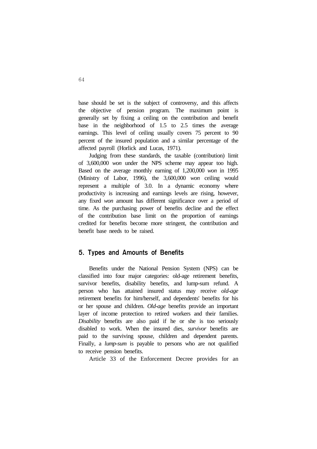base should be set is the subject of controversy, and this affects the objective of pension program. The maximum point is generally set by fixing a ceiling on the contribution and benefit base in the neighborhood of 1.5 to 2.5 times the average earnings. This level of ceiling usually covers 75 percent to 90 percent of the insured population and a similar percentage of the affected payroll (Horlick and Lucas, 1971).

Judging from these standards, the taxable (contribution) limit of 3,600,000 *won* under the NPS scheme may appear too high. Based on the average monthly earning of 1,200,000 *won* in 1995 (Ministry of Labor, 1996), the 3,600,000 *won* ceiling would represent a multiple of 3.0. In a dynamic economy where productivity is increasing and earnings levels are rising, however, any fixed *won* amount has different significance over a period of time. As the purchasing power of benefits decline and the effect of the contribution base limit on the proportion of earnings credited for benefits become more stringent, the contribution and benefit base needs to be raised.

### 5. Types and Amounts of Benefits

Benefits under the National Pension System (NPS) can be classified into four major categories: old-age retirement benefits, survivor benefits, disability benefits, and lump-sum refund. A person who has attained insured status may receive *old-age* retirement benefits for him/herself, and dependents' benefits for his or her spouse and children. *Old-age* benefits provide an important layer of income protection to retired workers and their families. *Disability* benefits are also paid if he or she is too seriously disabled to work. When the insured dies, *survivor* benefits are paid to the surviving spouse, children and dependent parents. Finally, a *lump-sum* is payable to persons who are not qualified to receive pension benefits.

Article 33 of the Enforcement Decree provides for an

64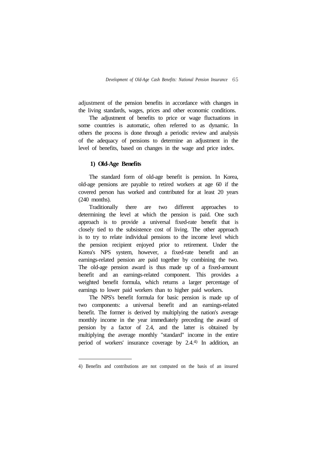adjustment of the pension benefits in accordance with changes in the living standards, wages, prices and other economic conditions.

The adjustment of benefits to price or wage fluctuations in some countries is automatic, often referred to as dynamic. In others the process is done through a periodic review and analysis of the adequacy of pensions to determine an adjustment in the level of benefits, based on changes in the wage and price index.

#### **1) Old-Age Benefits**

The standard form of old-age benefit is pension. In Korea, old-age pensions are payable to retired workers at age 60 if the covered person has worked and contributed for at least 20 years (240 months).

Traditionally there are two different approaches to determining the level at which the pension is paid. One such approach is to provide a universal fixed-rate benefit that is closely tied to the subsistence cost of living. The other approach is to try to relate individual pensions to the income level which the pension recipient enjoyed prior to retirement. Under the Korea's NPS system, however, a fixed-rate benefit and an earnings-related pension are paid together by combining the two. The old-age pension award is thus made up of a fixed-amount benefit and an earnings-related component. This provides a weighted benefit formula, which returns a larger percentage of earnings to lower paid workers than to higher paid workers.

The NPS's benefit formula for basic pension is made up of two components: a universal benefit and an earnings-related benefit. The former is derived by multiplying the nation's average monthly income in the year immediately preceding the award of pension by a factor of 2.4, and the latter is obtained by multiplying the average monthly "standard" income in the entire period of workers' insurance coverage by 2.4.4) In addition, an

<sup>4)</sup> Benefits and contributions are not computed on the basis of an insured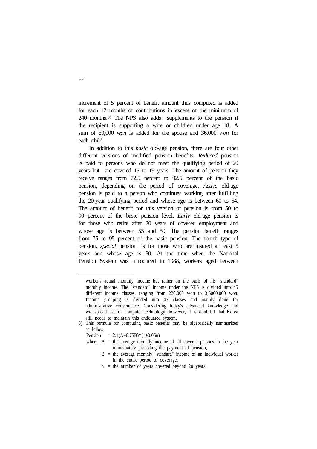increment of 5 percent of benefit amount thus computed is added for each 12 months of contributions in excess of the minimum of 240 months.5) The NPS also adds supplements to the pension if the recipient is supporting a wife or children under age 18. A sum of 60,000 *won* is added for the spouse and 36,000 *won* for each child.

In addition to this *basic* old-age pension, there are four other different versions of modified pension benefits. *Reduced* pension is paid to persons who do not meet the qualifying period of 20 years but are covered 15 to 19 years. The amount of pension they receive ranges from 72.5 percent to 92.5 percent of the basic pension, depending on the period of coverage. *Active* old-age pension is paid to a person who continues working after fulfilling the 20-year qualifying period and whose age is between 60 to 64. The amount of benefit for this version of pension is from 50 to 90 percent of the basic pension level. *Early* old-age pension is for those who retire after 20 years of covered employment and whose age is between 55 and 59. The pension benefit ranges from 75 to 95 percent of the basic pension. The fourth type of pension, *special* pension, is for those who are insured at least 5 years and whose age is 60. At the time when the National Pension System was introduced in 1988, workers aged between

- $B =$  the average monthly "standard" income of an individual worker in the entire period of coverage,
- n = the number of years covered beyond 20 years.

66

worker's actual monthly income but rather on the basis of his "standard" monthly income. The "standard" income under the NPS is divided into 45 different income classes, ranging from 220,000 won to 3,6000,000 won. Income grouping is divided into 45 classes and mainly done for administrative convenience. Considering today's advanced knowledge and widespread use of computer technology, however, it is doubtful that Korea still needs to maintain this antiquated system.

<sup>5)</sup> This formula for computing basic benefits may be algebraically summarized as follow:

Pension =  $2.4(A+0.75B)\times(1+0.05n)$ 

where  $A =$  the average monthly income of all covered persons in the year immediately preceding the payment of pension,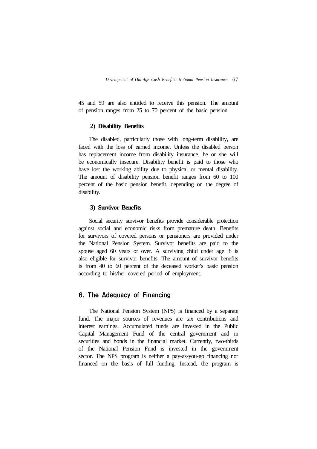45 and 59 are also entitled to receive this pension. The amount of pension ranges from 25 to 70 percent of the basic pension.

#### **2) Disability Benefits**

The disabled, particularly those with long-term disability, are faced with the loss of earned income. Unless the disabled person has replacement income from disability insurance, he or she will be economically insecure. Disability benefit is paid to those who have lost the working ability due to physical or mental disability. The amount of disability pension benefit ranges from 60 to 100 percent of the basic pension benefit, depending on the degree of disability.

#### **3) Survivor Benefits**

Social security survivor benefits provide considerable protection against social and economic risks from premature death. Benefits for survivors of covered persons or pensioners are provided under the National Pension System. Survivor benefits are paid to the spouse aged 60 years or over. A surviving child under age l8 is also eligible for survivor benefits. The amount of survivor benefits is from 40 to 60 percent of the deceased worker's basic pension according to his/her covered period of employment.

#### 6. The Adequacy of Financing

The National Pension System (NPS) is financed by a separate fund. The major sources of revenues are tax contributions and interest earnings. Accumulated funds are invested in the Public Capital Management Fund of the central government and in securities and bonds in the financial market. Currently, two-thirds of the National Pension Fund is invested in the government sector. The NPS program is neither a pay-as-you-go financing nor financed on the basis of full funding. Instead, the program is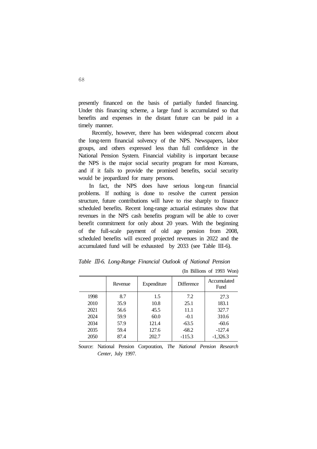presently financed on the basis of partially funded financing. Under this financing scheme, a large fund is accumulated so that benefits and expenses in the distant future can be paid in a timely manner.

 Recently, however, there has been widespread concern about the long-term financial solvency of the NPS. Newspapers, labor groups, and others expressed less than full confidence in the National Pension System. Financial viability is important because the NPS is the major social security program for most Koreans, and if it fails to provide the promised benefits, social security would be jeopardized for many persons.

In fact, the NPS does have serious long-run financial problems. If nothing is done to resolve the current pension structure, future contributions will have to rise sharply to finance scheduled benefits. Recent long-range actuarial estimates show that revenues in the NPS cash benefits program will be able to cover benefit commitment for only about 20 years. With the beginning of the full-scale payment of old age pension from 2008, scheduled benefits will exceed projected revenues in 2022 and the accumulated fund will be exhausted by 2033 (see Table III-6).

|      | Revenue | Expenditure | <b>Difference</b> | Accumulated<br>Fund |
|------|---------|-------------|-------------------|---------------------|
| 1998 | 8.7     | 1.5         | 7.2               | 27.3                |
| 2010 | 35.9    | 10.8        | 25.1              | 183.1               |
| 2021 | 56.6    | 45.5        | 11.1              | 327.7               |
| 2024 | 59.9    | 60.0        | $-0.1$            | 310.6               |
| 2034 | 57.9    | 121.4       | $-63.5$           | $-60.6$             |
| 2035 | 59.4    | 127.6       | $-68.2$           | $-127.4$            |
| 2050 | 87.4    | 202.7       | $-115.3$          | $-1,326.3$          |

*Table* Ⅲ*-6. Long-Range Financial Outlook of National Pension*

(In Billions of 1993 Won)

Source: National Pension Corporation, *The National Pension Research Center*, July 1997.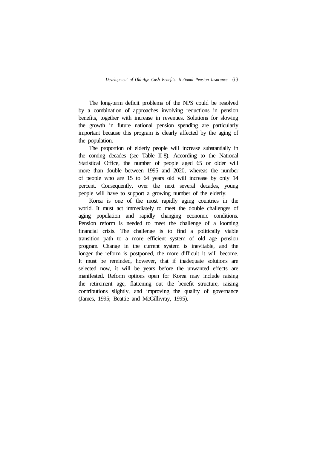The long-term deficit problems of the NPS could be resolved by a combination of approaches involving reductions in pension benefits, together with increase in revenues. Solutions for slowing the growth in future national pension spending are particularly important because this program is clearly affected by the aging of the population.

The proportion of elderly people will increase substantially in the coming decades (see Table II-8). According to the National Statistical Office, the number of people aged 65 or older will more than double between 1995 and 2020, whereas the number of people who are 15 to 64 years old will increase by only 14 percent. Consequently, over the next several decades, young people will have to support a growing number of the elderly.

Korea is one of the most rapidly aging countries in the world. It must act immediately to meet the double challenges of aging population and rapidly changing economic conditions. Pension reform is needed to meet the challenge of a looming financial crisis. The challenge is to find a politically viable transition path to a more efficient system of old age pension program. Change in the current system is inevitable, and the longer the reform is postponed, the more difficult it will become. It must be reminded, however, that if inadequate solutions are selected now, it will be years before the unwanted effects are manifested. Reform options open for Korea may include raising the retirement age, flattening out the benefit structure, raising contributions slightly, and improving the quality of governance (James, 1995; Beattie and McGillivray, 1995).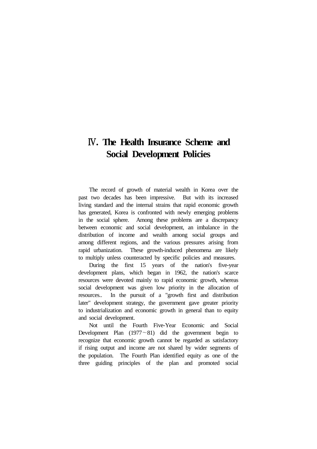# Ⅳ**. The Health Insurance Scheme and Social Development Policies**

The record of growth of material wealth in Korea over the past two decades has been impressive. But with its increased living standard and the internal strains that rapid economic growth has generated, Korea is confronted with newly emerging problems in the social sphere. Among these problems are a discrepancy between economic and social development, an imbalance in the distribution of income and wealth among social groups and among different regions, and the various pressures arising from rapid urbanization. These growth-induced phenomena are likely to multiply unless counteracted by specific policies and measures.

During the first 15 years of the nation's five-year development plans, which began in 1962, the nation's scarce resources were devoted mainly to rapid economic growth, whereas social development was given low priority in the allocation of resources.. In the pursuit of a "growth first and distribution later" development strategy, the government gave greater priority to industrialization and economic growth in general than to equity and social development.

Not until the Fourth Five-Year Economic and Social Development Plan  $(1977 \sim 81)$  did the government begin to recognize that economic growth cannot be regarded as satisfactory if rising output and income are not shared by wider segments of the population. The Fourth Plan identified equity as one of the three guiding principles of the plan and promoted social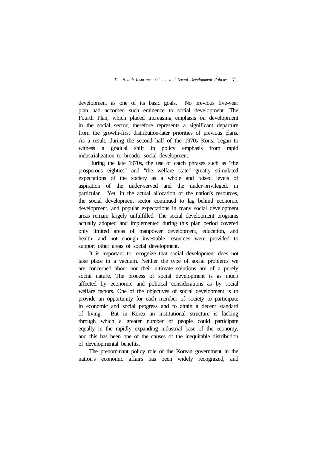development as one of its basic goals. No previous five-year plan had accorded such eminence to social development. The Fourth Plan, which placed increasing emphasis on development in the social sector, therefore represents a significant departure from the growth-first distribution-later priorities of previous plans. As a result, during the second half of the 1970s Korea began to witness a gradual shift in policy emphasis from rapid industrialization to broader social development.

During the late 1970s, the use of catch phrases such as "the prosperous eighties" and "the welfare state" greatly stimulated expectations of the society as a whole and raised levels of aspiration of the under-served and the under-privileged, in particular. Yet, in the actual allocation of the nation's resources, the social development sector continued to lag behind economic development, and popular expectations in many social development areas remain largely unfulfilled. The social development programs actually adopted and implemented during this plan period covered only limited areas of manpower development, education, and health; and not enough investable resources were provided to support other areas of social development.

It is important to recognize that social development does not take place in a vacuum. Neither the type of social problems we are concerned about nor their ultimate solutions are of a purely social nature. The process of social development is as much affected by economic and political considerations as by social welfare factors. One of the objectives of social development is to provide an opportunity for each member of society to participate in economic and social progress and to attain a decent standard of living. But in Korea an institutional structure is lacking through which a greater number of people could participate equally in the rapidly expanding industrial base of the economy, and this has been one of the causes of the inequitable distribution of developmental benefits.

The predominant policy role of the Korean government in the nation's economic affairs has been widely recognized, and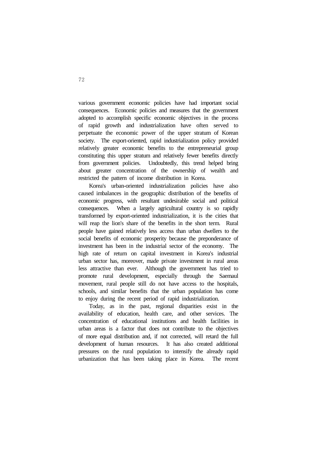various government economic policies have had important social consequences. Economic policies and measures that the government adopted to accomplish specific economic objectives in the process of rapid growth and industrialization have often served to perpetuate the economic power of the upper stratum of Korean society. The export-oriented, rapid industrialization policy provided relatively greater economic benefits to the entrepreneurial group constituting this upper stratum and relatively fewer benefits directly from government policies. Undoubtedly, this trend helped bring about greater concentration of the ownership of wealth and restricted the pattern of income distribution in Korea.

Korea's urban-oriented industrialization policies have also caused imbalances in the geographic distribution of the benefits of economic progress, with resultant undesirable social and political consequences. When a largely agricultural country is so rapidly transformed by export-oriented industrialization, it is the cities that will reap the lion's share of the benefits in the short term. Rural people have gained relatively less access than urban dwellers to the social benefits of economic prosperity because the preponderance of investment has been in the industrial sector of the economy. The high rate of return on capital investment in Korea's industrial urban sector has, moreover, made private investment in rural areas less attractive than ever. Although the government has tried to promote rural development, especially through the Saemaul movement, rural people still do not have access to the hospitals, schools, and similar benefits that the urban population has come to enjoy during the recent period of rapid industrialization.

Today, as in the past, regional disparities exist in the availability of education, health care, and other services. The concentration of educational institutions and health facilities in urban areas is a factor that does not contribute to the objectives of more equal distribution and, if not corrected, will retard the full development of human resources. It has also created additional pressures on the rural population to intensify the already rapid urbanization that has been taking place in Korea. The recent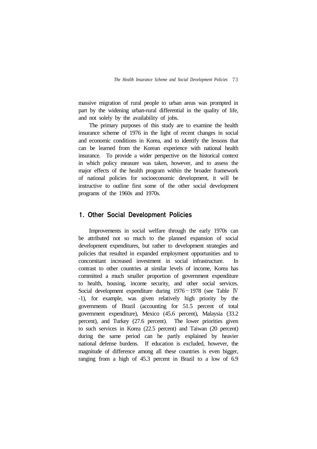massive migration of rural people to urban areas was prompted in part by the widening urban-rural differential in the quality of life, and not solely by the availability of jobs.

The primary purposes of this study are to examine the health insurance scheme of 1976 in the light of recent changes in social and economic conditions in Korea, and to identify the lessons that can be learned from the Korean experience with national health insurance. To provide a wider perspective on the historical context in which policy measure was taken, however, and to assess the major effects of the health program within the broader framework of national policies for socioeconomic development, it will be instructive to outline first some of the other social development programs of the 1960s and 1970s.

## 1. Other Social Development Policies

Improvements in social welfare through the early 1970s can be attributed not so much to the planned expansion of social development expenditures, but rather to development strategies and policies that resulted in expanded employment opportunities and to concomitant increased investment in social infrastructure. In contrast to other countries at similar levels of income, Korea has committed a much smaller proportion of government expenditure to health, housing, income security, and other social services. Social development expenditure during 1976~1978 (see Table Ⅳ -1), for example, was given relatively high priority by the governments of Brazil (accounting for 51.5 percent of total government expenditure), Mexico (45.6 percent), Malaysia (33.2 percent), and Turkey (27.6 percent). The lower priorities given to such services in Korea (22.5 percent) and Taiwan (20 percent) during the same period can be partly explained by heavier national defense burdens. If education is excluded, however, the magnitude of difference among all these countries is even bigger, ranging from a high of 45.3 percent in Brazil to a low of 6.9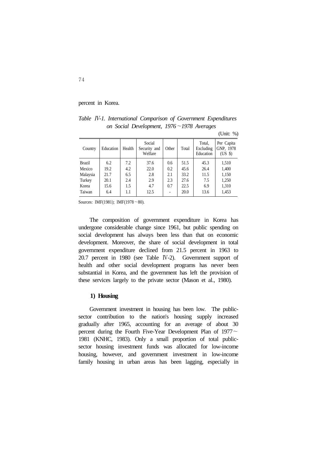percent in Korea.

*Table* Ⅳ*-1. International Comparison of Government Expenditures on Social Development, 1976*~*1978 Averages*

(Unit: %)

| Country  | Education | Health | Social<br>Security and<br>Welfare | Other                    | Total | Total.<br>Excluding<br>Education | Per Capita<br>GNP, 1978<br>(US S) |
|----------|-----------|--------|-----------------------------------|--------------------------|-------|----------------------------------|-----------------------------------|
| Brazil   | 6.2       | 7.2    | 37.6                              | 0.6                      | 51.5  | 45.3                             | 1,510                             |
| Mexico   | 19.2      | 4.2    | 22.0                              | 0.2                      | 45.6  | 26.4                             | 1,400                             |
| Malaysia | 21.7      | 6.5    | 2.8                               | 2.1                      | 33.2  | 11.5                             | 1,150                             |
| Turkey   | 20.1      | 2.4    | 2.9                               | 2.3                      | 27.6  | 7.5                              | 1,250                             |
| Korea    | 15.6      | 1.5    | 4.7                               | 0.7                      | 22.5  | 6.9                              | 1,310                             |
| Taiwan   | 6.4       | 1.1    | 12.5                              | $\overline{\phantom{a}}$ | 20.0  | 13.6                             | 1,453                             |
|          |           |        |                                   |                          |       |                                  |                                   |

Sources: IMF(1981); IMF(1978~80).

 The composition of government expenditure in Korea has undergone considerable change since 1961, but public spending on social development has always been less than that on economic development. Moreover, the share of social development in total government expenditure declined from 21.5 percent in 1963 to 20.7 percent in 1980 (see Table Ⅳ-2). Government support of health and other social development programs has never been substantial in Korea, and the government has left the provision of these services largely to the private sector (Mason et al., 1980).

#### **1) Housing**

 Government investment in housing has been low. The publicsector contribution to the nation's housing supply increased gradually after 1965, accounting for an average of about 30 percent during the Fourth Five-Year Development Plan of  $1977 \sim$ 1981 (KNHC, 1983). Only a small proportion of total publicsector housing investment funds was allocated for low-income housing, however, and government investment in low-income family housing in urban areas has been lagging, especially in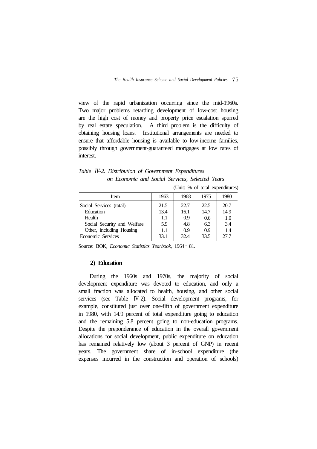(Unit: % of total expenditures)

view of the rapid urbanization occurring since the mid-1960s. Two major problems retarding development of low-cost housing are the high cost of money and property price escalation spurred by real estate speculation. A third problem is the difficulty of obtaining housing loans. Institutional arrangements are needed to ensure that affordable housing is available to low-income families, possibly through government-guaranteed mortgages at low rates of interest.

*Table* Ⅳ*-2. Distribution of Government Expenditures on Economic and Social Services, Selected Years* 

| Item                        | 1963 | 1968 | 1975 | 1980 |
|-----------------------------|------|------|------|------|
| Social Services (total)     | 21.5 | 22.7 | 22.5 | 20.7 |
| Education                   | 13.4 | 16.1 | 14.7 | 14.9 |
| Health                      | 1.1  | 0.9  | 0.6  | 1.0  |
| Social Security and Welfare | 5.9  | 4.8  | 6.3  | 3.4  |
| Other, including Housing    | 1.1  | 0.9  | 0.9  | 1.4  |
| Economic Services           | 33.1 | 32.4 | 33.5 | 27.7 |
|                             |      |      |      |      |

Source: BOK, *Economic Statistics Yearbook*, 1964~81.

#### **2) Education**

 During the 1960s and 1970s, the majority of social development expenditure was devoted to education, and only a small fraction was allocated to health, housing, and other social services (see Table Ⅳ-2). Social development programs, for example, constituted just over one-fifth of government expenditure in 1980, with 14.9 percent of total expenditure going to education and the remaining 5.8 percent going to non-education programs. Despite the preponderance of education in the overall government allocations for social development, public expenditure on education has remained relatively low (about 3 percent of GNP) in recent years. The government share of in-school expenditure (the expenses incurred in the construction and operation of schools)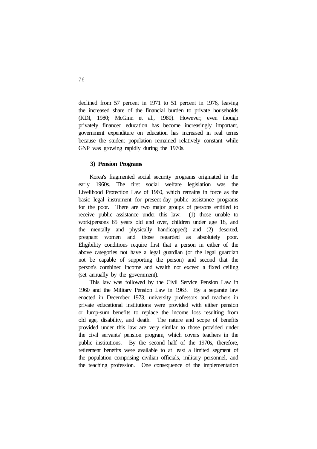declined from 57 percent in 1971 to 51 percent in 1976, leaving the increased share of the financial burden to private households (KDI, 1980; McGinn et al., 1980). However, even though privately financed education has become increasingly important, government expenditure on education has increased in real terms because the student population remained relatively constant while GNP was growing rapidly during the 1970s.

#### **3) Pension Programs**

 Korea's fragmented social security programs originated in the early 1960s. The first social welfare legislation was the Livelihood Protection Law of 1960, which remains in force as the basic legal instrument for present-day public assistance programs for the poor. There are two major groups of persons entitled to receive public assistance under this law: (1) those unable to work(persons 65 years old and over, children under age 18, and the mentally and physically handicapped) and (2) deserted, pregnant women and those regarded as absolutely poor. Eligibility conditions require first that a person in either of the above categories not have a legal guardian (or the legal guardian not be capable of supporting the person) and second that the person's combined income and wealth not exceed a fixed ceiling (set annually by the government).

 This law was followed by the Civil Service Pension Law in 1960 and the Military Pension Law in 1963. By a separate law enacted in December 1973, university professors and teachers in private educational institutions were provided with either pension or lump-sum benefits to replace the income loss resulting from old age, disability, and death. The nature and scope of benefits provided under this law are very similar to those provided under the civil servants' pension program, which covers teachers in the public institutions. By the second half of the 1970s, therefore, retirement benefits were available to at least a limited segment of the population comprising civilian officials, military personnel, and the teaching profession. One consequence of the implementation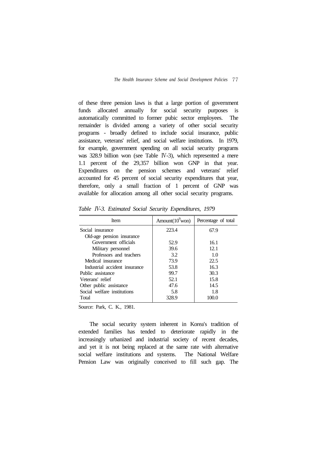of these three pension laws is that a large portion of government funds allocated annually for social security purposes is automatically committed to former pubic sector employees. The remainder is divided among a variety of other social security programs - broadly defined to include social insurance, public assistance, veterans' relief, and social welfare institutions. In 1979, for example, government spending on all social security programs was 328.9 billion won (see Table Ⅳ-3), which represented a mere 1.1 percent of the 29,357 billion won GNP in that year. Expenditures on the pension schemes and veterans' relief accounted for 45 percent of social security expenditures that year, therefore, only a small fraction of 1 percent of GNP was available for allocation among all other social security programs.

| <b>Item</b>                   | Amount $(10^9$ won) | Percentage of total |
|-------------------------------|---------------------|---------------------|
| Social insurance              | 223.4               | 67.9                |
| Old-age pension insurance     |                     |                     |
| Government officials          | 52.9                | 16.1                |
| Military personnel            | 39.6                | 12.1                |
| Professors and teachers       | 3.2                 | 1.0                 |
| Medical insurance             | 73.9                | 22.5                |
| Industrial accident insurance | 53.8                | 16.3                |
| Public assistance             | 99.7                | 30.3                |
| Veterans' relief              | 52.1                | 15.8                |
| Other public assistance       | 47.6                | 14.5                |
| Social welfare institutions   | 5.8                 | 1.8                 |
| Total                         | 328.9               | 100.0               |

*Table* Ⅳ*-3. Estimated Social Security Expenditures, 1979*

Source: Park, C. K., 1981.

 The social security system inherent in Korea's tradition of extended families has tended to deteriorate rapidly in the increasingly urbanized and industrial society of recent decades, and yet it is not being replaced at the same rate with alternative social welfare institutions and systems. The National Welfare Pension Law was originally conceived to fill such gap. The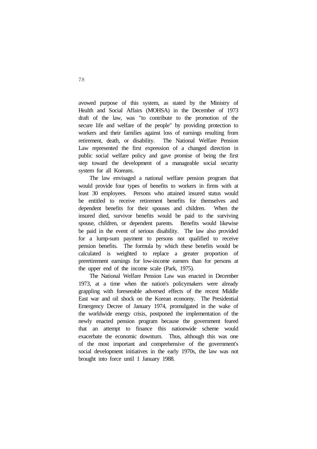avowed purpose of this system, as stated by the Ministry of Health and Social Affairs (MOHSA) in the December of 1973 draft of the law, was "to contribute to the promotion of the secure life and welfare of the people" by providing protection to workers and their families against loss of earnings resulting from retirement, death, or disability. The National Welfare Pension Law represented the first expression of a changed direction in public social welfare policy and gave promise of being the first step toward the development of a manageable social security system for all Koreans.

 The law envisaged a national welfare pension program that would provide four types of benefits to workers in firms with at least 30 employees. Persons who attained insured status would be entitled to receive retirement benefits for themselves and dependent benefits for their spouses and children. When the insured died, survivor benefits would be paid to the surviving spouse, children, or dependent parents. Benefits would likewise be paid in the event of serious disability. The law also provided for a lump-sum payment to persons not qualified to receive pension benefits. The formula by which these benefits would be calculated is weighted to replace a greater proportion of preretirement earnings for low-income earners than for persons at the upper end of the income scale (Park, 1975).

 The National Welfare Pension Law was enacted in December 1973, at a time when the nation's policymakers were already grappling with foreseeable adversed effects of the recent Middle East war and oil shock on the Korean economy. The Presidential Emergency Decree of January 1974, promulgated in the wake of the worldwide energy crisis, postponed the implementation of the newly enacted pension program because the government feared that an attempt to finance this nationwide scheme would exacerbate the economic downturn. Thus, although this was one of the most important and comprehensive of the government's social development initiatives in the early 1970s, the law was not brought into force until 1 January 1988.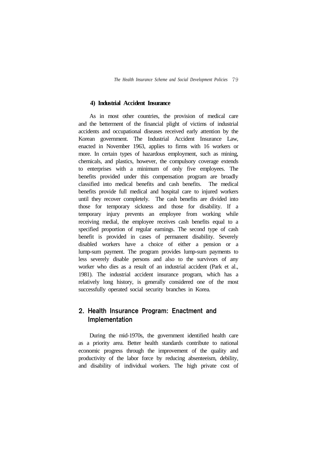## **4) Industrial Accident Insurance**

 As in most other countries, the provision of medical care and the betterment of the financial plight of victims of industrial accidents and occupational diseases received early attention by the Korean government. The Industrial Accident Insurance Law, enacted in November 1963, applies to firms with 16 workers or more. In certain types of hazardous employment, such as mining, chemicals, and plastics, however, the compulsory coverage extends to enterprises with a minimum of only five employees. The benefits provided under this compensation program are broadly classified into medical benefits and cash benefits. The medical benefits provide full medical and hospital care to injured workers until they recover completely. The cash benefits are divided into those for temporary sickness and those for disability. If a temporary injury prevents an employee from working while receiving medial, the employee receives cash benefits equal to a specified proportion of regular earnings. The second type of cash benefit is provided in cases of permanent disability. Severely disabled workers have a choice of either a pension or a lump-sum payment. The program provides lump-sum payments to less severely disable persons and also to the survivors of any worker who dies as a result of an industrial accident (Park et al., 1981). The industrial accident insurance program, which has a relatively long history, is generally considered one of the most successfully operated social security branches in Korea.

# 2. Health Insurance Program: Enactment and Implementation

 During the mid-1970s, the government identified health care as a priority area. Better health standards contribute to national economic progress through the improvement of the quality and productivity of the labor force by reducing absenteeism, debility, and disability of individual workers. The high private cost of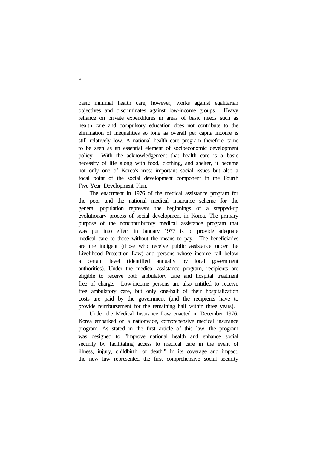basic minimal health care, however, works against egalitarian objectives and discriminates against low-income groups. Heavy reliance on private expenditures in areas of basic needs such as health care and compulsory education does not contribute to the elimination of inequalities so long as overall per capita income is still relatively low. A national health care program therefore came to be seen as an essential element of socioeconomic development policy. With the acknowledgement that health care is a basic necessity of life along with food, clothing, and shelter, it became not only one of Korea's most important social issues but also a focal point of the social development component in the Fourth Five-Year Development Plan.

 The enactment in 1976 of the medical assistance program for the poor and the national medical insurance scheme for the general population represent the beginnings of a stepped-up evolutionary process of social development in Korea. The primary purpose of the noncontributory medical assistance program that was put into effect in January 1977 is to provide adequate medical care to those without the means to pay. The beneficiaries are the indigent (those who receive public assistance under the Livelihood Protection Law) and persons whose income fall below a certain level (identified annually by local government authorities). Under the medical assistance program, recipients are eligible to receive both ambulatory care and hospital treatment free of charge. Low-income persons are also entitled to receive free ambulatory care, but only one-half of their hospitalization costs are paid by the government (and the recipients have to provide reimbursement for the remaining half within three years).

 Under the Medical Insurance Law enacted in December 1976, Korea embarked on a nationwide, comprehensive medical insurance program. As stated in the first article of this law, the program was designed to "improve national health and enhance social security by facilitating access to medical care in the event of illness, injury, childbirth, or death." In its coverage and impact, the new law represented the first comprehensive social security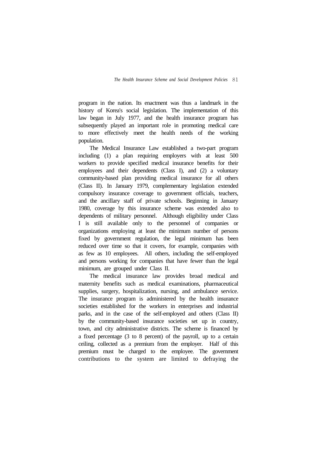program in the nation. Its enactment was thus a landmark in the history of Korea's social legislation. The implementation of this law began in July 1977, and the health insurance program has subsequently played an important role in promoting medical care to more effectively meet the health needs of the working population.

 The Medical Insurance Law established a two-part program including (1) a plan requiring employers with at least 500 workers to provide specified medical insurance benefits for their employees and their dependents (Class I), and (2) a voluntary community-based plan providing medical insurance for all others (Class II). In January 1979, complementary legislation extended compulsory insurance coverage to government officials, teachers, and the ancillary staff of private schools. Beginning in January 1980, coverage by this insurance scheme was extended also to dependents of military personnel. Although eligibility under Class I is still available only to the personnel of companies or organizations employing at least the minimum number of persons fixed by government regulation, the legal minimum has been reduced over time so that it covers, for example, companies with as few as 10 employees. All others, including the self-employed and persons working for companies that have fewer than the legal minimum, are grouped under Class II.

 The medical insurance law provides broad medical and maternity benefits such as medical examinations, pharmaceutical supplies, surgery, hospitalization, nursing, and ambulance service. The insurance program is administered by the health insurance societies established for the workers in enterprises and industrial parks, and in the case of the self-employed and others (Class II) by the community-based insurance societies set up in country, town, and city administrative districts. The scheme is financed by a fixed percentage (3 to 8 percent) of the payroll, up to a certain ceiling, collected as a premium from the employer. Half of this premium must be charged to the employee. The government contributions to the system are limited to defraying the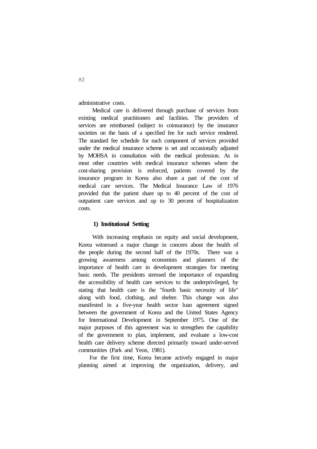administrative costs.

 Medical care is delivered through purchase of services from existing medical practitioners and facilities. The providers of services are reimbursed (subject to coinsurance) by the insurance societies on the basis of a specified fee for each service rendered. The standard fee schedule for each component of services provided under the medical insurance scheme is set and occasionally adjusted by MOHSA in consultation with the medical profession. As in most other countries with medical insurance schemes where the cost-sharing provision is enforced, patients covered by the insurance program in Korea also share a part of the cost of medical care services. The Medical Insurance Law of 1976 provided that the patient share up to 40 percent of the cost of outpatient care services and up to 30 percent of hospitalization costs.

#### **1) Institutional Setting**

 With increasing emphasis on equity and social development, Korea witnessed a major change in concern about the health of the people during the second half of the 1970s. There was a growing awareness among economists and planners of the importance of health care in development strategies for meeting basic needs. The presidents stressed the importance of expanding the accessibility of health care services to the underprivileged, by stating that health care is the "fourth basic necessity of life" along with food, clothing, and shelter. This change was also manifested in a five-year health sector loan agreement signed between the government of Korea and the United States Agency for International Development in September 1975. One of the major purposes of this agreement was to strengthen the capability of the government to plan, implement, and evaluate a low-cost health care delivery scheme directed primarily toward under-served communities (Park and Yeon, 1981).

 For the first time, Korea became actively engaged in major planning aimed at improving the organization, delivery, and

82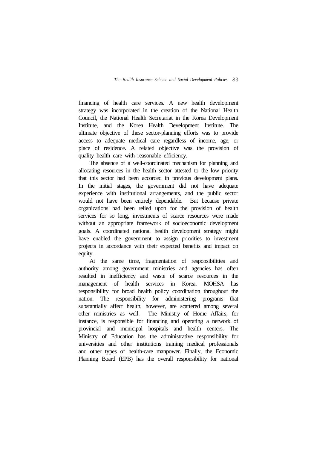financing of health care services. A new health development strategy was incorporated in the creation of the National Health Council, the National Health Secretariat in the Korea Development Institute, and the Korea Health Development Institute. The ultimate objective of these sector-planning efforts was to provide access to adequate medical care regardless of income, age, or place of residence. A related objective was the provision of quality health care with reasonable efficiency.

 The absence of a well-coordinated mechanism for planning and allocating resources in the health sector attested to the low priority that this sector had been accorded in previous development plans. In the initial stages, the government did not have adequate experience with institutional arrangements, and the public sector would not have been entirely dependable. But because private organizations had been relied upon for the provision of health services for so long, investments of scarce resources were made without an appropriate framework of socioeconomic development goals. A coordinated national health development strategy might have enabled the government to assign priorities to investment projects in accordance with their expected benefits and impact on equity.

 At the same time, fragmentation of responsibilities and authority among government ministries and agencies has often resulted in inefficiency and waste of scarce resources in the management of health services in Korea. MOHSA has responsibility for broad health policy coordination throughout the nation. The responsibility for administering programs that substantially affect health, however, are scattered among several other ministries as well. The Ministry of Home Affairs, for instance, is responsible for financing and operating a network of provincial and municipal hospitals and health centers. The Ministry of Education has the administrative responsibility for universities and other institutions training medical professionals and other types of health-care manpower. Finally, the Economic Planning Board (EPB) has the overall responsibility for national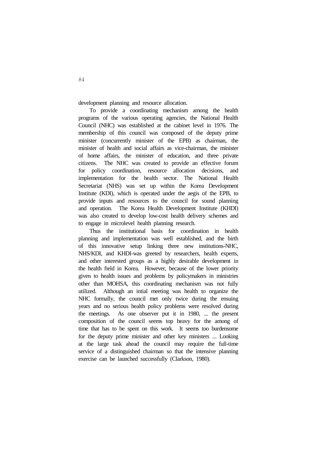development planning and resource allocation.

 To provide a coordinating mechanism among the health programs of the various operating agencies, the National Health Council (NHC) was established at the cabinet level in 1976. The membership of this council was composed of the deputy prime minister (concurrently minister of the EPB) as chairman, the minister of health and social affairs as vice-chairman, the minister of home affairs, the minister of education, and three private citizens. The NHC was created to provide an effective forum for policy coordination, resource allocation decisions, and implementation for the health sector. The National Health Secretariat (NHS) was set up within the Korea Development Institute (KDI), which is operated under the aegis of the EPB, to provide inputs and resources to the council for sound planning and operation. The Korea Health Development Institute (KHDI) was also created to develop low-cost health delivery schemes and to engage in microlevel health planning research.

 Thus the institutional basis for coordination in health planning and implementation was well established, and the birth of this innovative setup linking three new institutions-NHC, NHS/KDI, and KHDI-was greeted by researchers, health experts, and other interested groups as a highly desirable development in the health field in Korea. However, because of the lower priority given to health issues and problems by policymakers in ministries other than MOHSA, this coordinating mechanism was not fully utilized. Although an intial meeting was health to organize the NHC formally, the council met only twice during the ensuing years and no serious health policy problems were resolved during the meetings. As one observer put it in 1980, ... the present composition of the council seems top heavy for the among of time that has to be spent on this work. It seems too burdensome for the deputy prime minister and other key ministers ... Looking at the large task ahead the council may require the full-time service of a distinguished chairman so that the intensive planning exercise can be launched successfully (Clarkson, 1980).

84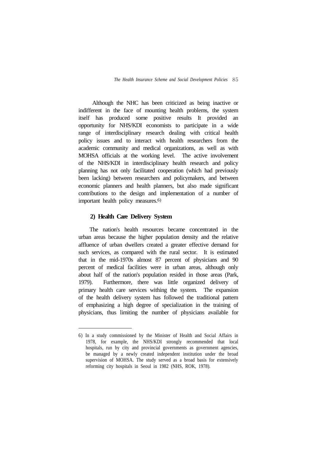Although the NHC has been criticized as being inactive or indifferent in the face of mounting health problems, the system itself has produced some positive results It provided an opportunity for NHS/KDI economists to participate in a wide range of interdisciplinary research dealing with critical health policy issues and to interact with health researchers from the academic community and medical organizations, as well as with MOHSA officials at the working level. The active involvement of the NHS/KDI in interdisciplinary health research and policy planning has not only facilitated cooperation (which had previously been lacking) between researchers and policymakers, and between economic planners and health planners, but also made significant contributions to the design and implementation of a number of important health policy measures.6)

#### **2) Health Care Delivery System**

 The nation's health resources became concentrated in the urban areas because the higher population density and the relative affluence of urban dwellers created a greater effective demand for such services, as compared with the rural sector. It is estimated that in the mid-1970s almost 87 percent of physicians and 90 percent of medical facilities were in urban areas, although only about half of the nation's population resided in those areas (Park, 1979). Furthermore, there was little organized delivery of primary health care services withing the system. The expansion of the health delivery system has followed the traditional pattern of emphasizing a high degree of specialization in the training of physicians, thus limiting the number of physicians available for

<sup>6)</sup> In a study commissioned by the Minister of Health and Social Affairs in 1978, for example, the NHS/KDI strongly recommended that local hospitals, run by city and provincial governments as government agencies, be managed by a newly created independent institution under the broad supervision of MOHSA. The study served as a broad basis for extensively reforming city hospitals in Seoul in 1982 (NHS, ROK, 1978).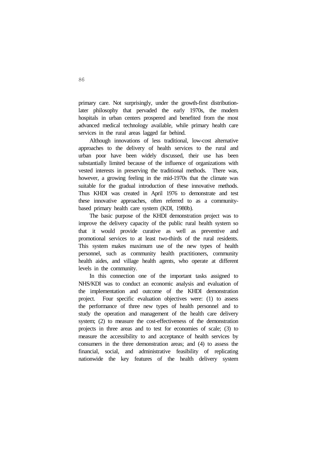primary care. Not surprisingly, under the growth-first distributionlater philosophy that pervaded the early 1970s, the modern hospitals in urban centers prospered and benefited from the most advanced medical technology available, while primary health care services in the rural areas lagged far behind.

 Although innovations of less traditional, low-cost alternative approaches to the delivery of health services to the rural and urban poor have been widely discussed, their use has been substantially limited because of the influence of organizations with vested interests in preserving the traditional methods. There was, however, a growing feeling in the mid-1970s that the climate was suitable for the gradual introduction of these innovative methods. Thus KHDI was created in April 1976 to demonstrate and test these innovative approaches, often referred to as a communitybased primary health care system (KDI, 1980b).

 The basic purpose of the KHDI demonstration project was to improve the delivery capacity of the public rural health system so that it would provide curative as well as preventive and promotional services to at least two-thirds of the rural residents. This system makes maximum use of the new types of health personnel, such as community health practitioners, community health aides, and village health agents, who operate at different levels in the community.

 In this connection one of the important tasks assigned to NHS/KDI was to conduct an economic analysis and evaluation of the implementation and outcome of the KHDI demonstration project. Four specific evaluation objectives were: (1) to assess the performance of three new types of health personnel and to study the operation and management of the health care delivery system; (2) to measure the cost-effectiveness of the demonstration projects in three areas and to test for economies of scale; (3) to measure the accessibility to and acceptance of health services by consumers in the three demonstration areas; and (4) to assess the financial, social, and administrative feasibility of replicating nationwide the key features of the health delivery system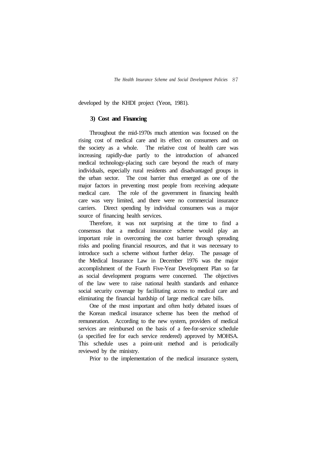developed by the KHDI project (Yeon, 1981).

#### **3) Cost and Financing**

 Throughout the mid-1970s much attention was focused on the rising cost of medical care and its effect on consumers and on the society as a whole. The relative cost of health care was increasing rapidly-due partly to the introduction of advanced medical technology-placing such care beyond the reach of many individuals, especially rural residents and disadvantaged groups in the urban sector. The cost barrier thus emerged as one of the major factors in preventing most people from receiving adequate medical care. The role of the government in financing health care was very limited, and there were no commercial insurance carriers. Direct spending by individual consumers was a major source of financing health services.

 Therefore, it was not surprising at the time to find a consensus that a medical insurance scheme would play an important role in overcoming the cost barrier through spreading risks and pooling financial resources, and that it was necessary to introduce such a scheme without further delay. The passage of the Medical Insurance Law in December 1976 was the major accomplishment of the Fourth Five-Year Development Plan so far as social development programs were concerned. The objectives of the law were to raise national health standards and enhance social security coverage by facilitating access to medical care and eliminating the financial hardship of large medical care bills.

 One of the most important and often hotly debated issues of the Korean medical insurance scheme has been the method of remuneration. According to the new system, providers of medical services are reimbursed on the basis of a fee-for-service schedule (a specified fee for each service rendered) approved by MOHSA. This schedule uses a point-unit method and is periodically reviewed by the ministry.

Prior to the implementation of the medical insurance system,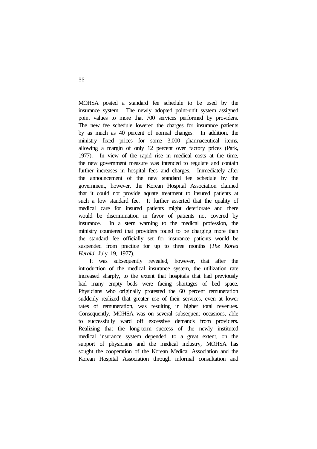MOHSA posted a standard fee schedule to be used by the insurance system. The newly adopted point-unit system assigned point values to more that 700 services performed by providers. The new fee schedule lowered the charges for insurance patients by as much as 40 percent of normal changes. In addition, the ministry fixed prices for some 3,000 pharmaceutical items, allowing a margin of only 12 percent over factory prices (Park, 1977). In view of the rapid rise in medical costs at the time, the new government measure was intended to regulate and contain further increases in hospital fees and charges. Immediately after the announcement of the new standard fee schedule by the government, however, the Korean Hospital Association claimed that it could not provide aquate treatment to insured patients at such a low standard fee. It further asserted that the quality of medical care for insured patients might deteriorate and there would be discrimination in favor of patients not covered by insurance. In a stern warning to the medical profession, the ministry countered that providers found to be charging more than the standard fee officially set for insurance patients would be suspended from practice for up to three months (*The Korea Herald*, July 19, 1977).

 It was subsequently revealed, however, that after the introduction of the medical insurance system, the utilization rate increased sharply, to the extent that hospitals that had previously had many empty beds were facing shortages of bed space. Physicians who originally protested the 60 percent remuneration suddenly realized that greater use of their services, even at lower rates of remuneration, was resulting in higher total revenues. Consequently, MOHSA was on several subsequent occasions, able to successfully ward off excessive demands from providers. Realizing that the long-term success of the newly instituted medical insurance system depended, to a great extent, on the support of physicians and the medical industry, MOHSA has sought the cooperation of the Korean Medical Association and the Korean Hospital Association through informal consultation and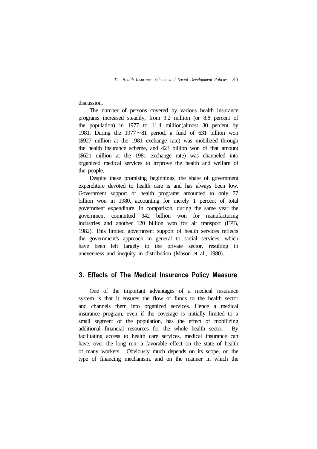#### discussion.

 The number of persons covered by various health insurance programs increased steadily, from 3.2 million (or 8.8 percent of the population) in 1977 to 11.4 million(almost 30 percent by 1981. During the 1977 $\sim$ 81 period, a fund of 631 billion won (\$927 million at the 1981 exchange rate) was mobilized through the health insurance scheme, and 423 billion won of that amount (\$621 million at the 1981 exchange rate) was channeled into organized medical services to improve the health and welfare of the people.

 Despite these promising beginnings, the share of government expenditure devoted to health care is and has always been low. Government support of health programs amounted to only 77 billion won in 1980, accounting for merely 1 percent of total government expenditure. In comparison, during the same year the government committed 342 billion won for manufacturing industries and another 120 billion won for air transport (EPB, 1982). This limited government support of health services reflects the government's approach in general to social services, which have been left largely to the private sector, resulting in unevenness and inequity in distribution (Mason et al., 1980).

## 3. Effects of The Medical Insurance Policy Measure

 One of the important advantages of a medical insurance system is that it ensures the flow of funds to the health sector and channels them into organized services. Hence a medical insurance program, even if the coverage is initially limited to a small segment of the population, has the effect of mobilizing additional financial resources for the whole health sector. By facilitating access to health care services, medical insurance can have, over the long run, a favorable effect on the state of health of many workers. Obviously much depends on its scope, on the type of financing mechanism, and on the manner in which the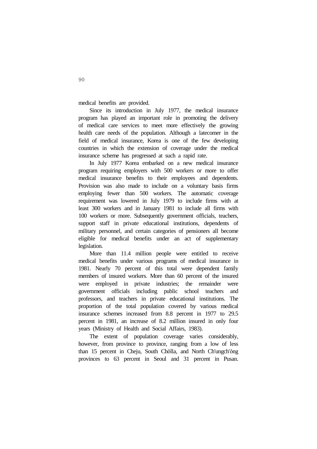medical benefits are provided.

 Since its introduction in July 1977, the medical insurance program has played an important role in promoting the delivery of medical care services to meet more effectively the growing health care needs of the population. Although a latecomer in the field of medical insurance, Korea is one of the few developing countries in which the extension of coverage under the medical insurance scheme has progressed at such a rapid rate.

 In July 1977 Korea embarked on a new medical insurance program requiring employers with 500 workers or more to offer medical insurance benefits to their employees and dependents. Provision was also made to include on a voluntary basis firms employing fewer than 500 workers. The automatic coverage requirement was lowered in July 1979 to include firms with at least 300 workers and in January 1981 to include all firms with 100 workers or more. Subsequently government officials, teachers, support staff in private educational institutions, dependents of military personnel, and certain categories of pensioners all become eligible for medical benefits under an act of supplementary legislation.

 More than 11.4 million people were entitled to receive medical benefits under various programs of medical insurance in 1981. Nearly 70 percent of this total were dependent family members of insured workers. More than 60 percent of the insured were employed in private industries; the remainder were government officials including public school teachers and professors, and teachers in private educational institutions. The proportion of the total population covered by various medical insurance schemes increased from 8.8 percent in 1977 to 29.5 percent in 1981, an increase of 8.2 million insured in only four years (Ministry of Health and Social Affairs, 1983).

 The extent of population coverage varies considerably, however, from province to province, ranging from a low of less than 15 percent in Cheju, South Chǒlla, and North Ch'ungch'ǒng provinces to 63 percent in Seoul and 31 percent in Pusan.

90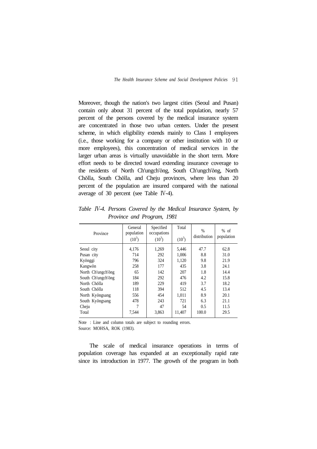Moreover, though the nation's two largest cities (Seoul and Pusan) contain only about 31 percent of the total population, nearly 57 percent of the persons covered by the medical insurance system are concentrated in those two urban centers. Under the present scheme, in which eligibility extends mainly to Class I employees (i.e., those working for a company or other institution with 10 or more employees), this concentration of medical services in the larger urban areas is virtually unavoidable in the short term. More effort needs to be directed toward extending insurance coverage to the residents of North Ch'ungch'ǒng, South Ch'ungch'ǒng, North Chǒlla, South Chǒlla, and Cheju provinces, where less than 20 percent of the population are insured compared with the national average of 30 percent (see Table Ⅳ-4).

| Province           | General<br>population<br>$(10^3)$ | Specified<br>occupations<br>$(10^3)$ | Total<br>$(10^3)$ | $\%$<br>distribution | % of<br>population |
|--------------------|-----------------------------------|--------------------------------------|-------------------|----------------------|--------------------|
| Seoul city         | 4,176                             | 1,269                                | 5,446             | 47.7                 | 62.8               |
| Pusan city         | 714                               | 292                                  | 1.006             | 8.8                  | 31.0               |
| Kyŏnggi            | 796                               | 324                                  | 1.120             | 9.8                  | 21.9               |
| Kangwŏn            | 258                               | 177                                  | 435               | 3.8                  | 24.1               |
| North Ch'ungch'ŏng | 65                                | 142                                  | 207               | 1.8                  | 14.4               |
| South Ch'ungch'ŏng | 184                               | 292                                  | 476               | 4.2                  | 15.8               |
| North Chŏlla       | 189                               | 229                                  | 419               | 3.7                  | 18.2               |
| South Cholla       | 118                               | 394                                  | 512               | 4.5                  | 13.4               |
| North Kyŏngsang    | 556                               | 454                                  | 1,011             | 8.9                  | 20.1               |
| South Kyŏngsang    | 478                               | 243                                  | 721               | 6.3                  | 21.1               |
| Cheju              | 7                                 | 47                                   | 54                | 0.5                  | 11.5               |
| Total              | 7,544                             | 3,863                                | 11.407            | 100.0                | 29.5               |
|                    |                                   |                                      |                   |                      |                    |

*Table* Ⅳ*-4. Persons Covered by the Medical Insurance System, by Province and Program, 1981*

Note : Line and column totals are subject to rounding errors.

Source: MOHSA, ROK (1983).

 The scale of medical insurance operations in terms of population coverage has expanded at an exceptionally rapid rate since its introduction in 1977. The growth of the program in both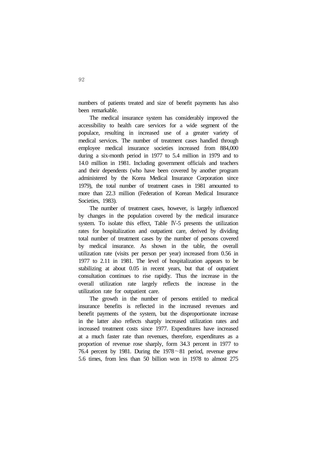numbers of patients treated and size of benefit payments has also been remarkable.

 The medical insurance system has considerably improved the accessibility to health care services for a wide segment of the populace, resulting in increased use of a greater variety of medical services. The number of treatment cases handled through employee medical insurance societies increased from 884,000 during a six-month period in 1977 to 5.4 million in 1979 and to 14.0 million in 1981. Including government officials and teachers and their dependents (who have been covered by another program administered by the Korea Medical Insurance Corporation since 1979), the total number of treatment cases in 1981 amounted to more than 22.3 million (Federation of Korean Medical Insurance Societies, 1983).

 The number of treatment cases, however, is largely influenced by changes in the population covered by the medical insurance system. To isolate this effect, Table Ⅳ-5 presents the utilization rates for hospitalization and outpatient care, derived by dividing total number of treatment cases by the number of persons covered by medical insurance. As shown in the table, the overall utilization rate (visits per person per year) increased from 0.56 in 1977 to 2.11 in 1981. The level of hospitalization appears to be stabilizing at about 0.05 in recent years, but that of outpatient consultation continues to rise rapidly. Thus the increase in the overall utilization rate largely reflects the increase in the utilization rate for outpatient care.

 The growth in the number of persons entitled to medical insurance benefits is reflected in the increased revenues and benefit payments of the system, but the disproportionate increase in the latter also reflects sharply increased utilization rates and increased treatment costs since 1977. Expenditures have increased at a much faster rate than revenues, therefore, expenditures as a proportion of revenue rose sharply, form 34.3 percent in 1977 to 76.4 percent by 1981. During the  $1978 \sim 81$  period, revenue grew 5.6 times, from less than 50 billion won in 1978 to almost 275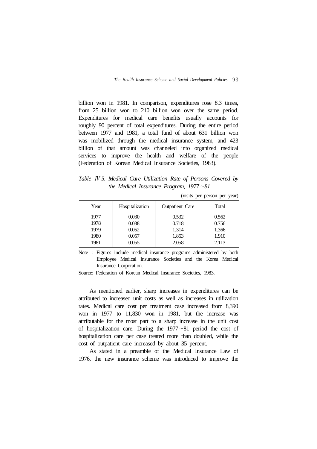billion won in 1981. In comparison, expenditures rose 8.3 times, from 25 billion won to 210 billion won over the same period. Expenditures for medical care benefits usually accounts for roughly 90 percent of total expenditures. During the entire period between 1977 and 1981, a total fund of about 631 billion won was mobilized through the medical insurance system, and 423 billion of that amount was channeled into organized medical services to improve the health and welfare of the people (Federation of Korean Medical Insurance Societies, 1983).

*Table* Ⅳ*-5. Medical Care Utilization Rate of Persons Covered by the Medical Insurance Program, 1977*~*81* 

| Hospitalization | <b>Outpatient Care</b> | Total |
|-----------------|------------------------|-------|
| 0.030           | 0.532                  | 0.562 |
| 0.038           | 0.718                  | 0.756 |
| 0.052           | 1.314                  | 1.366 |
| 0.057           | 1.853                  | 1.910 |
| 0.055           | 2.058                  | 2.113 |
|                 |                        |       |

(visits per person per year)

Note : Figures include medical insurance programs administered by both Employee Medical Insurance Societies and the Korea Medical Insurance Corporation.

Source: Federation of Korean Medical Insurance Societies, 1983.

 As mentioned earlier, sharp increases in expenditures can be attributed to increased unit costs as well as increases in utilization rates. Medical care cost per treatment case increased from 8,390 won in 1977 to 11,830 won in 1981, but the increase was attributable for the most part to a sharp increase in the unit cost of hospitalization care. During the  $1977 \sim 81$  period the cost of hospitalization care per case treated more than doubled, while the cost of outpatient care increased by about 35 percent.

 As stated in a preamble of the Medical Insurance Law of 1976, the new insurance scheme was introduced to improve the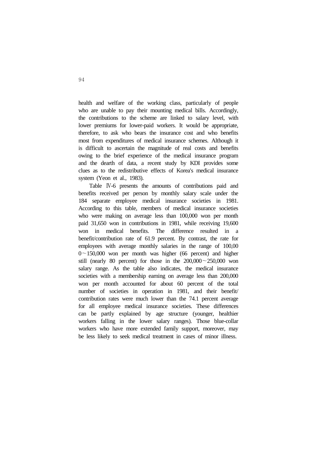health and welfare of the working class, particularly of people who are unable to pay their mounting medical bills. Accordingly, the contributions to the scheme are linked to salary level, with lower premiums for lower-paid workers. It would be appropriate, therefore, to ask who bears the insurance cost and who benefits most from expenditures of medical insurance schemes. Although it is difficult to ascertain the magnitude of real costs and benefits owing to the brief experience of the medical insurance program and the dearth of data, a recent study by KDI provides some clues as to the redistributive effects of Korea's medical insurance system (Yeon et al., 1983).

 Table Ⅳ-6 presents the amounts of contributions paid and benefits received per person by monthly salary scale under the 184 separate employee medical insurance societies in 1981. According to this table, members of medical insurance societies who were making on average less than 100,000 won per month paid 31,650 won in contributions in 1981, while receiving 19,600 won in medical benefits. The difference resulted in a benefit/contribution rate of 61.9 percent. By contrast, the rate for employees with average monthly salaries in the range of 100,00  $0 \sim 150,000$  won per month was higher (66 percent) and higher still (nearly 80 percent) for those in the  $200,000 \sim 250,000$  won salary range. As the table also indicates, the medical insurance societies with a membership earning on average less than 200,000 won per month accounted for about 60 percent of the total number of societies in operation in 1981, and their benefit/ contribution rates were much lower than the 74.1 percent average for all employee medical insurance societies. These differences can be partly explained by age structure (younger, healthier workers falling in the lower salary ranges). Those blue-collar workers who have more extended family support, moreover, may be less likely to seek medical treatment in cases of minor illness.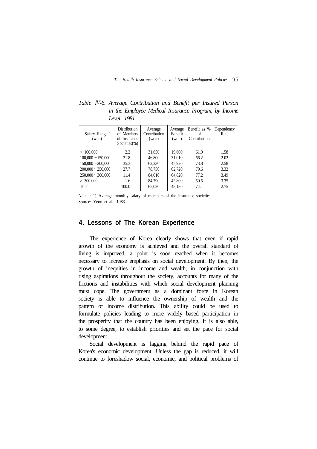*Table* Ⅳ*-6. Average Contribution and Benefit per Insured Person in the Employee Medical Insurance Program, by Income Level, 1981*

| Salary Range <sup>1)</sup><br>(won) | <b>Distribution</b><br>of Members<br>of Insurance<br>Societies $(\%)$ | Average<br>Contribution<br>(won) | Average<br><b>Benefit</b><br>(won) | Benefit as %<br>οf<br>Contribution | Dependency<br>Rate |
|-------------------------------------|-----------------------------------------------------------------------|----------------------------------|------------------------------------|------------------------------------|--------------------|
| < 100,000                           | 2.2                                                                   | 31,650                           | 19,600                             | 61.9                               | 1.58               |
| $100,000 \sim 150,000$              | 21.8                                                                  | 46,800                           | 31,010                             | 66.2                               | 2.02               |
| $150,000 - 200,000$                 | 35.3                                                                  | 62,230                           | 45.920                             | 73.8                               | 2.58               |
| $200,000 - 250,000$                 | 27.7                                                                  | 78.750                           | 62,720                             | 79.6                               | 3.32               |
| $250,000 - 300,000$                 | 11.4                                                                  | 84,010                           | 64,820                             | 77.2                               | 3.49               |
| > 300,000                           | 1.6                                                                   | 84.790                           | 42,800                             | 50.5                               | 3.35               |
| Total                               | 100.0                                                                 | 65,020                           | 48.180                             | 74.1                               | 2.75               |

Note : 1) Average monthly salary of members of the insurance societies. Source: Yeon et al., 1983.

## 4. Lessons of The Korean Experience

 The experience of Korea clearly shows that even if rapid growth of the economy is achieved and the overall standard of living is improved, a point is soon reached when it becomes necessary to increase emphasis on social development. By then, the growth of inequities in income and wealth, in conjunction with rising aspirations throughout the society, accounts for many of the frictions and instabilities with which social development planning must cope. The government as a dominant force in Korean society is able to influence the ownership of wealth and the pattern of income distribution. This ability could be used to formulate policies leading to more widely based participation in the prosperity that the country has been enjoying. It is also able, to some degree, to establish priorities and set the pace for social development.

 Social development is lagging behind the rapid pace of Korea's economic development. Unless the gap is reduced, it will continue to foreshadow social, economic, and political problems of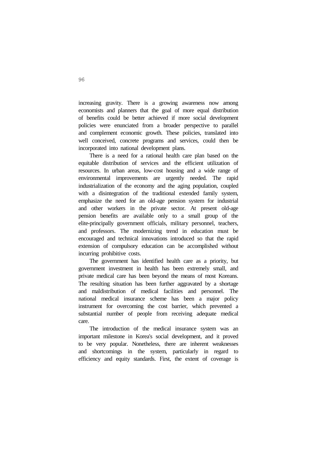increasing gravity. There is a growing awareness now among economists and planners that the goal of more equal distribution of benefits could be better achieved if more social development policies were enunciated from a broader perspective to parallel and complement economic growth. These policies, translated into well conceived, concrete programs and services, could then be incorporated into national development plans.

 There is a need for a rational health care plan based on the equitable distribution of services and the efficient utilization of resources. In urban areas, low-cost housing and a wide range of environmental improvements are urgently needed. The rapid industrialization of the economy and the aging population, coupled with a disintegration of the traditional extended family system, emphasize the need for an old-age pension system for industrial and other workers in the private sector. At present old-age pension benefits are available only to a small group of the elite-principally government officials, military personnel, teachers, and professors. The modernizing trend in education must be encouraged and technical innovations introduced so that the rapid extension of compulsory education can be accomplished without incurring prohibitive costs.

 The government has identified health care as a priority, but government investment in health has been extremely small, and private medical care has been beyond the means of most Koreans. The resulting situation has been further aggravated by a shortage and maldistribution of medical facilities and personnel. The national medical insurance scheme has been a major policy instrument for overcoming the cost barrier, which prevented a substantial number of people from receiving adequate medical care.

 The introduction of the medical insurance system was an important milestone in Korea's social development, and it proved to be very popular. Nonetheless, there are inherent weaknesses and shortcomings in the system, particularly in regard to efficiency and equity standards. First, the extent of coverage is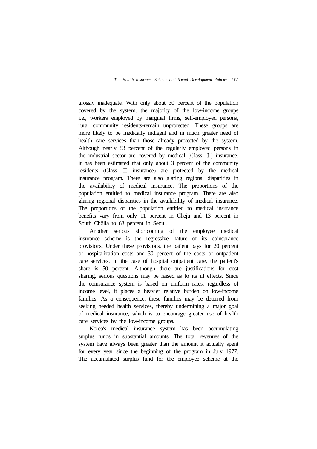grossly inadequate. With only about 30 percent of the population covered by the system, the majority of the low-income groups i.e., workers employed by marginal firms, self-employed persons, rural community residents-remain unprotected. These groups are more likely to be medically indigent and in much greater need of health care services than those already protected by the system. Although nearly 83 percent of the regularly employed persons in the industrial sector are covered by medical (Class Ⅰ) insurance, it has been estimated that only about 3 percent of the community residents (Class Ⅱ insurance) are protected by the medical insurance program. There are also glaring regional disparities in the availability of medical insurance. The proportions of the population entitled to medical insurance program. There are also glaring regional disparities in the availability of medical insurance. The proportions of the population entitled to medical insurance benefits vary from only 11 percent in Cheju and 13 percent in South Chŏlla to 63 percent in Seoul.

 Another serious shortcoming of the employee medical insurance scheme is the regressive nature of its coinsurance provisions. Under these provisions, the patient pays for 20 percent of hospitalization costs and 30 percent of the costs of outpatient care services. In the case of hospital outpatient care, the patient's share is 50 percent. Although there are justifications for cost sharing, serious questions may be raised as to its ill effects. Since the coinsurance system is based on uniform rates, regardless of income level, it places a heavier relative burden on low-income families. As a consequence, these families may be deterred from seeking needed health services, thereby undermining a major goal of medical insurance, which is to encourage greater use of health care services by the low-income groups.

 Korea's medical insurance system has been accumulating surplus funds in substantial amounts. The total revenues of the system have always been greater than the amount it actually spent for every year since the beginning of the program in July 1977. The accumulated surplus fund for the employee scheme at the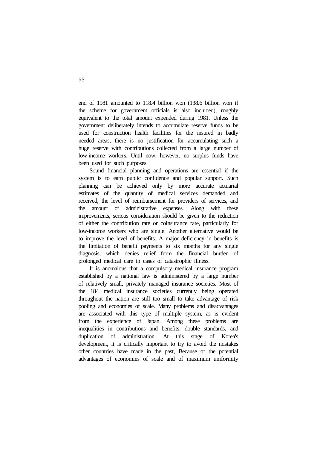end of 1981 amounted to 118.4 billion won (138.6 billion won if the scheme for government officials is also included), roughly equivalent to the total amount expended during 1981. Unless the government deliberately intends to accumulate reserve funds to be used for construction health facilities for the insured in badly needed areas, there is no justification for accumulating such a huge reserve with contributions collected from a large number of low-income workers. Until now, however, no surplus funds have been used for such purposes.

 Sound financial planning and operations are essential if the system is to earn public confidence and popular support. Such planning can be achieved only by more accurate actuarial estimates of the quantity of medical services demanded and received, the level of reimbursement for providers of services, and the amount of administrative expenses. Along with these improvements, serious consideration should be given to the reduction of either the contribution rate or coinsurance rate, particularly for low-income workers who are single. Another alternative would be to improve the level of benefits. A major deficiency in benefits is the limitation of benefit payments to six months for any single diagnosis, which denies relief from the financial burden of prolonged medical care in cases of catastrophic illness.

 It is anomalous that a compulsory medical insurance program established by a national law is administered by a large number of relatively small, privately managed insurance societies. Most of the 184 medical insurance societies currently being operated throughout the nation are still too small to take advantage of risk pooling and economies of scale. Many problems and disadvantages are associated with this type of multiple system, as is evident from the experience of Japan. Among these problems are inequalities in contributions and benefits, double standards, and duplication of administration. At this stage of Korea's development, it is critically important to try to avoid the mistakes other countries have made in the past, Because of the potential advantages of economies of scale and of maximum uniformity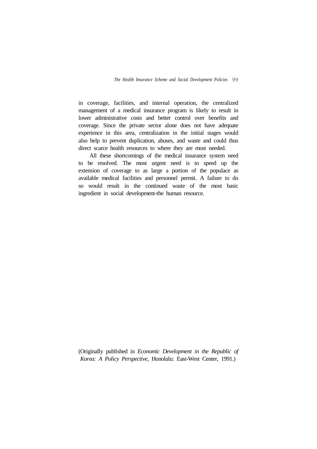in coverage, facilities, and internal operation, the centralized management of a medical insurance program is likely to result in lower administrative costs and better control over benefits and coverage. Since the private sector alone does not have adequate experience in this area, centralization in the initial stages would also help to prevent duplication, abuses, and waste and could thus direct scarce health resources to where they are most needed.

 All these shortcomings of the medical insurance system need to be resolved. The most urgent need is to speed up the extension of coverage to as large a portion of the populace as available medical facilities and personnel permit. A failure to do so would result in the continued waste of the most basic ingredient in social development-the human resource.

(Originally published in *Economic Development in the Republic of Korea: A Policy Perspective*, Honolulu: East-West Center, 1991.)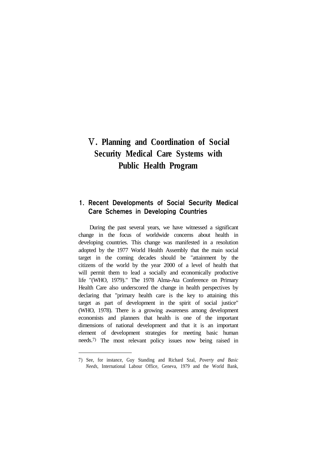# Ⅴ**. Planning and Coordination of Social Security Medical Care Systems with Public Health Program**

# 1. Recent Developments of Social Security Medical Care Schemes in Developing Countries

 During the past several years, we have witnessed a significant change in the focus of worldwide concerns about health in developing countries. This change was manifested in a resolution adopted by the 1977 World Health Assembly that the main social target in the coming decades should be "attainment by the citizens of the world by the year 2000 of a level of health that will permit them to lead a socially and economically productive life "(WHO*,* 1979)." The 1978 Alma-Ata Conference on Primary Health Care also underscored the change in health perspectives by declaring that "primary health care is the key to attaining this target as part of development in the spirit of social justice" (WHO, 1978). There is a growing awareness among development economists and planners that health is one of the important dimensions of national development and that it is an important element of development strategies for meeting basic human needs.7) The most relevant policy issues now being raised in

<sup>7)</sup> See, for instance, Guy Standing and Richard Szal, *Poverty and Basic Needs*, International Labour Office, Geneva, 1979 and the World Bank,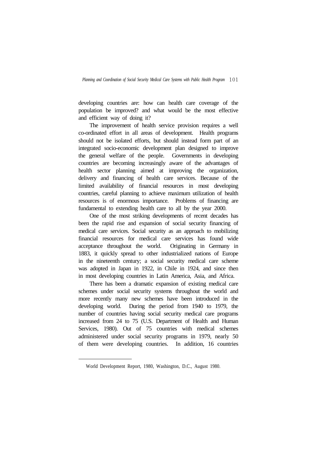developing countries are: how can health care coverage of the population be improved? and what would be the most effective and efficient way of doing it?

 The improvement of health service provision requires a well co-ordinated effort in all areas of development. Health programs should not be isolated efforts, but should instead form part of an integrated socio-economic development plan designed to improve the general welfare of the people. Governments in developing countries are becoming increasingly aware of the advantages of health sector planning aimed at improving the organization, delivery and financing of health care services. Because of the limited availability of financial resources in most developing countries, careful planning to achieve maximum utilization of health resources is of enormous importance. Problems of financing are fundamental to extending health care to all by the year 2000.

 One of the most striking developments of recent decades has been the rapid rise and expansion of social security financing of medical care services. Social security as an approach to mobilizing financial resources for medical care services has found wide acceptance throughout the world. Originating in Germany in 1883, it quickly spread to other industrialized nations of Europe in the nineteenth century; a social security medical care scheme was adopted in Japan in 1922, in Chile in 1924, and since then in most developing countries in Latin America, Asia, and Africa.

 There has been a dramatic expansion of existing medical care schemes under social security systems throughout the world and more recently many new schemes have been introduced in the developing world. During the period from 1940 to 1979, the number of countries having social security medical care programs increased from 24 to 75 (U.S. Department of Health and Human Services, 1980). Out of 75 countries with medical schemes administered under social security programs in 1979, nearly 50 of them were developing countries. In addition, 16 countries

World Development Report, 1980, Washington, D.C., August 1980.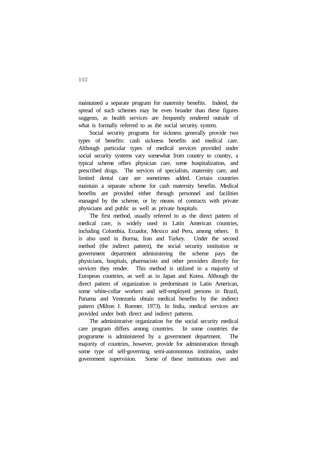maintained a separate program for maternity benefits. Indeed, the spread of such schemes may be even broader than these figures suggests, as health services are frequently rendered outside of what is formally referred to as the social security system.

 Social security programs for sickness generally provide two types of benefits: cash sickness benefits and medical care. Although particular types of medical services provided under social security systems vary somewhat from country to country, a typical scheme offers physician care, some hospitalization, and prescribed drugs. The services of specialists, maternity care, and limited dental care are sometimes added. Certain countries maintain a separate scheme for cash maternity benefits. Medical benefits are provided either through personnel and facilities managed by the scheme, or by means of contracts with private physicians and public as well as private hospitals.

 The first method, usually referred to as the direct pattern of medical care, is widely used in Latin American countries, including Colombia, Ecuador, Mexico and Peru, among others. It is also used in Burma, Iran and Turkey. Under the second method (the indirect pattern), the social security institution or government department administering the scheme pays the physicians, hospitals, pharmacists and other providers directly for services they render. This method is utilized in a majority of European countries, as well as in Japan and Korea. Although the direct pattern of organization is predominant in Latin American, some white-collar workers and self-employed persons in Brazil, Panama and Venezuela obtain medical benefits by the indirect pattern (Milton I. Roemer, 1973). In India, medical services are provided under both direct and indirect patterns.

 The administrative organization for the social security medical care program differs among countries. In some countries the programme is administered by a government department. The majority of countries, however, provide for administration through some type of self-governing semi-autonomous institution, under government supervision. Some of these institutions own and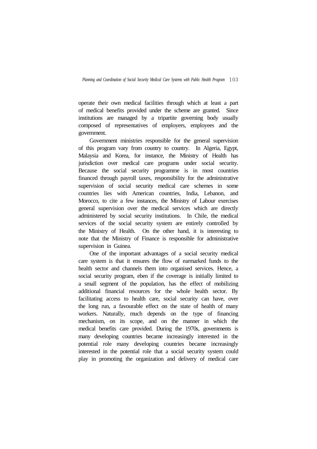operate their own medical facilities through which at least a part of medical benefits provided under the scheme are granted. Since institutions are managed by a tripartite governing body usually composed of representatives of employers, employees and the government.

 Government ministries responsible for the general supervision of this program vary from country to country. In Algeria, Egypt, Malaysia and Korea, for instance, the Ministry of Health has jurisdiction over medical care programs under social security. Because the social security programme is in most countries financed through payroll taxes, responsibility for the administrative supervision of social security medical care schemes in some countries lies with American countries, India, Lebanon, and Morocco, to cite a few instances, the Ministry of Labour exercises general supervision over the medical services which are directly administered by social security institutions. In Chile, the medical services of the social security system are entirely controlled by the Ministry of Health. On the other hand, it is interesting to note that the Ministry of Finance is responsible for administrative supervision in Guinea.

 One of the important advantages of a social security medical care system is that it ensures the flow of earmarked funds to the health sector and channels them into organised services. Hence, a social security program, eben if the coverage is initially limited to a small segment of the population, has the effect of mobilizing additional financial resources for the whole health sector. By facilitating access to health care, social security can have, over the long run, a favourable effect on the state of health of many workers. Naturally, much depends on the type of financing mechanism, on its scope, and on the manner in which the medical benefits care provided. During the 1970s, governments is many developing countries became increasingly interested in the potential role many developing countries became increasingly interested in the potential role that a social security system could play in promoting the organization and delivery of medical care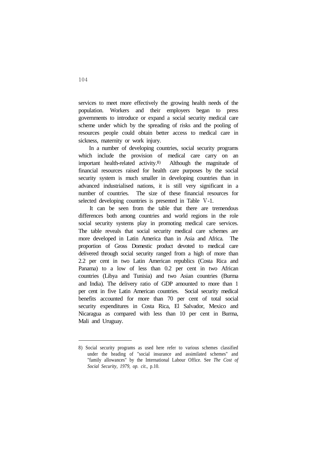services to meet more effectively the growing health needs of the population. Workers and their employers began to press governments to introduce or expand a social security medical care scheme under which by the spreading of risks and the pooling of resources people could obtain better access to medical care in sickness, maternity or work injury.

In a number of developing countries, social security programs which include the provision of medical care carry on an important health-related activity.8) Although the magnitude of financial resources raised for health care purposes by the social security system is much smaller in developing countries than in advanced industrialised nations, it is still very significant in a number of countries. The size of these financial resources for selected developing countries is presented in Table V-1.

 It can be seen from the table that there are tremendous differences both among countries and world regions in the role social security systems play in promoting medical care services. The table reveals that social security medical care schemes are more developed in Latin America than in Asia and Africa. The proportion of Gross Domestic product devoted to medical care delivered through social security ranged from a high of more than 2.2 per cent in two Latin American republics (Costa Rica and Panama) to a low of less than 0.2 per cent in two African countries (Libya and Tunisia) and two Asian countries (Burma and India). The delivery ratio of GDP amounted to more than 1 per cent in five Latin American countries. Social security medical benefits accounted for more than 70 per cent of total social security expenditures in Costa Rica, El Salvador, Mexico and Nicaragua as compared with less than 10 per cent in Burma, Mali and Uruguay.

<sup>8)</sup> Social security programs as used here refer to various schemes classified under the heading of "social insurance and assimilated schemes" and "family allowances" by the International Labour Office. See *The Cost of Social Security, 1979, op. cit*., p.10.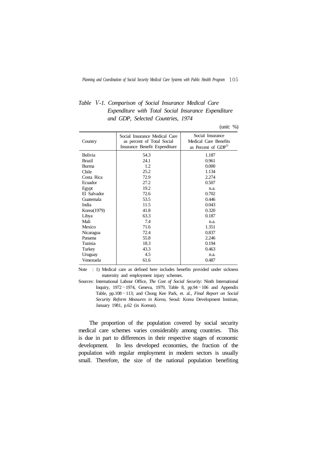*Planning and Coordination of Social Security Medical Care Systems with Public Health Program* 105

## *Table* Ⅴ*-1. Comparison of Social Insurance Medical Care Expenditure with Total Social Insurance Expenditure and GDP, Selected Countries, 1974*

(unit: %)

| Country       | Social Insurance Medical Care<br>as percent of Total Social<br>Insurance Benefit Expenditure | Social Insurance<br>Medical Care Benefits<br>as Percent of GDP <sup>1)</sup> |
|---------------|----------------------------------------------------------------------------------------------|------------------------------------------------------------------------------|
| Bolivia       | 54.3                                                                                         | 1.187                                                                        |
| <b>Brazil</b> | 24.1                                                                                         | 0.961                                                                        |
| <b>Burma</b>  | 1.2.                                                                                         | 0.000                                                                        |
| Chile         | 25.2                                                                                         | 1.134                                                                        |
| Costa Rica    | 72.9                                                                                         | 2.274                                                                        |
| Ecuador       | 27.2                                                                                         | 0.507                                                                        |
| Egypt         | 19.2                                                                                         | n.a.                                                                         |
| El Salvador   | 72.6                                                                                         | 0.702                                                                        |
| Guatemala     | 53.5                                                                                         | 0.446                                                                        |
| India         | 11.5                                                                                         | 0.043                                                                        |
| Korea(1979)   | 41.8                                                                                         | 0.320                                                                        |
| Libya         | 63.3                                                                                         | 0.187                                                                        |
| Mali          | 7.4                                                                                          | n.a.                                                                         |
| Mexico        | 71.6                                                                                         | 1.351                                                                        |
| Nicaragua     | 72.4                                                                                         | 0.837                                                                        |
| Panama        | 55.8                                                                                         | 2.246                                                                        |
| Tunisia       | 18.3                                                                                         | 0.194                                                                        |
| Turkey        | 43.3                                                                                         | 0.463                                                                        |
| Uruguay       | 4.5                                                                                          | n.a.                                                                         |
| Venezuela     | 61.6                                                                                         | 0.487                                                                        |
|               |                                                                                              |                                                                              |

Note : 1) Medical care as defined here includes benefits provided under sickness maternity and employment injury schemes.

Sources: International Labour Office, *The Cost of Social Security*: Ninth International Inquiry,  $1972 \sim 1974$ , Geneva, 1979, Table 8, pp.94 $\sim$ 106 and Appendix Table, pp.108~113; and Chong Kee Park, et. al., *Final Report on Social Security Reform Measures in Korea*, Seoul: Korea Development Institute, January 1981, p.62 (in Korean).

 The proportion of the population covered by social security medical care schemes varies considerably among countries. This is due in part to differences in their respective stages of economic development. In less developed economies, the fraction of the population with regular employment in modern sectors is usually small. Therefore, the size of the national population benefiting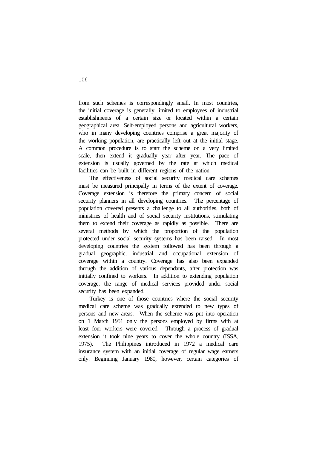from such schemes is correspondingly small. In most countries, the initial coverage is generally limited to employees of industrial establishments of a certain size or located within a certain geographical area. Self-employed persons and agricultural workers, who in many developing countries comprise a great majority of the working population, are practically left out at the initial stage. A common procedure is to start the scheme on a very limited scale, then extend it gradually year after year. The pace of extension is usually governed by the rate at which medical facilities can be built in different regions of the nation.

 The effectiveness of social security medical care schemes must be measured principally in terms of the extent of coverage. Coverage extension is therefore the primary concern of social security planners in all developing countries. The percentage of population covered presents a challenge to all authorities, both of ministries of health and of social security institutions, stimulating them to extend their coverage as rapidly as possible. There are several methods by which the proportion of the population protected under social security systems has been raised. In most developing countries the system followed has been through a gradual geographic, industrial and occupational extension of coverage within a country. Coverage has also been expanded through the addition of various dependants, after protection was initially confined to workers. In addition to extending population coverage, the range of medical services provided under social security has been expanded.

 Turkey is one of those countries where the social security medical care scheme was gradually extended to new types of persons and new areas. When the scheme was put into operation on 1 March 1951 only the persons employed by firms with at least four workers were covered. Through a process of gradual extension it took nine years to cover the whole country (ISSA, 1975). The Philippines introduced in 1972 a medical care insurance system with an initial coverage of regular wage earners only. Beginning January 1980, however, certain categories of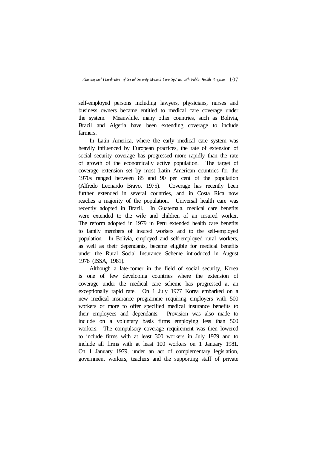self-employed persons including lawyers, physicians, nurses and business owners became entitled to medical care coverage under the system. Meanwhile, many other countries, such as Bolivia, Brazil and Algeria have been extending coverage to include farmers.

 In Latin America, where the early medical care system was heavily influenced by European practices, the rate of extension of social security coverage has progressed more rapidly than the rate of growth of the economically active population. The target of coverage extension set by most Latin American countries for the 1970s ranged between 85 and 90 per cent of the population (Alfredo Leonardo Bravo, 1975). Coverage has recently been further extended in several countries, and in Costa Rica now reaches a majority of the population. Universal health care was recently adopted in Brazil. In Guatemala, medical care benefits were extended to the wife and children of an insured worker. The reform adopted in 1979 in Peru extended health care benefits to family members of insured workers and to the self-employed population. In Bolivia, employed and self-employed rural workers, as well as their dependants, became eligible for medical benefits under the Rural Social Insurance Scheme introduced in August 1978 (ISSA, 1981).

 Although a late-comer in the field of social security, Korea is one of few developing countries where the extension of coverage under the medical care scheme has progressed at an exceptionally rapid rate. On 1 July 1977 Korea embarked on a new medical insurance programme requiring employers with 500 workers or more to offer specified medical insurance benefits to their employees and dependants. Provision was also made to include on a voluntary basis firms employing less than 500 workers. The compulsory coverage requirement was then lowered to include firms with at least 300 workers in July 1979 and to include all firms with at least 100 workers on 1 January 1981. On 1 January 1979, under an act of complementary legislation, government workers, teachers and the supporting staff of private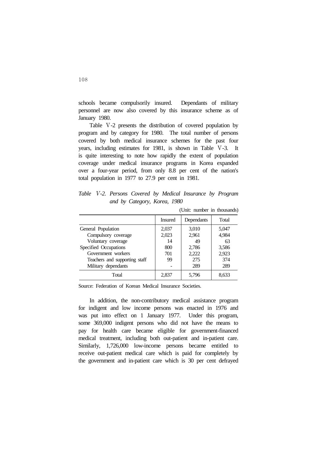schools became compulsorily insured. Dependants of military personnel are now also covered by this insurance scheme as of January 1980.

Table V-2 presents the distribution of covered population by program and by category for 1980. The total number of persons covered by both medical insurance schemes for the past four years, including estimates for 1981, is shown in Table Ⅴ-3. It is quite interesting to note how rapidly the extent of population coverage under medical insurance programs in Korea expanded over a four-year period, from only 8.8 per cent of the nation's total population in 1977 to 27.9 per cent in 1981.

*Table* Ⅴ*-2. Persons Covered by Medical Insurance by Program and by Category, Korea, 1980*

|                               | (Unit: number in thousands) |            |       |  |  |
|-------------------------------|-----------------------------|------------|-------|--|--|
|                               | <b>Insured</b>              | Dependants | Total |  |  |
| General Population            | 2,037                       | 3,010      | 5,047 |  |  |
| Compulsory coverage           | 2,023                       | 2,961      | 4,984 |  |  |
| Voluntary coverage            | 14                          | 49         | 63    |  |  |
| Specified Occupations         | 800                         | 2,786      | 3,586 |  |  |
| Government workers            | 701                         | 2,222      | 2,923 |  |  |
| Teachers and supporting staff | 99                          | 275        | 374   |  |  |
| Military dependants           |                             | 289        | 289   |  |  |
| Total                         | 2,837                       | 5.796      | 8,633 |  |  |

Source: Federation of Korean Medical Insurance Societies.

 In addition, the non-contributory medical assistance program for indigent and low income persons was enacted in 1976 and was put into effect on 1 January 1977. Under this program, some 369,000 indigent persons who did not have the means to pay for health care became eligible for government-financed medical treatment, including both out-patient and in-patient care. Similarly, 1,726,000 low-income persons became entitled to receive out-patient medical care which is paid for completely by the government and in-patient care which is 30 per cent defrayed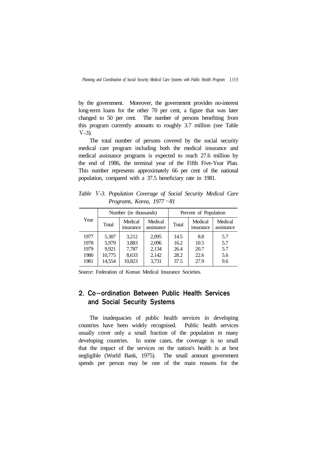by the government. Moreover, the government provides no-interest long-term loans for the other 70 per cent, a figure that was later changed to 50 per cent. The number of persons benefiting from this program currently amounts to roughly 3.7 million (see Table  $V-3$ ).

 The total number of persons covered by the social security medical care program including both the medical insurance and medical assistance programs is expected to reach 27.6 million by the end of 1986, the terminal year of the Fifth Five-Year Plan. This number represents approximately 66 per cent of the national population, compared with a 37.5 beneficiary rate in 1981.

*Table* Ⅴ*-3. Population Coverage of Social Security Medical Care Programs, Korea, 1977*~*81*

| Number (in thousands) |                      |                       | Percent of Population |                      |                       |  |
|-----------------------|----------------------|-----------------------|-----------------------|----------------------|-----------------------|--|
| Total                 | Medical<br>insurance | Medical<br>assistance | Total                 | Medical<br>insurance | Medical<br>assistance |  |
| 5,307                 | 3,212                | 2,095                 | 14.5                  | 8.8                  | 5.7                   |  |
| 5.979                 | 3,883                | 2,096                 | 16.2                  | 10.5                 | 5.7                   |  |
| 9.921                 | 7,787                | 2,134                 | 26.4                  | 20.7                 | 5.7                   |  |
| 10,775                | 8,633                | 2,142                 | 28.2                  | 22.6                 | 5.6                   |  |
| 14,554                | 10,823               | 3,731                 | 37.5                  | 27.9                 | 9.6                   |  |
|                       |                      |                       |                       |                      |                       |  |

Source: Federation of Korean Medical Insurance Societies.

# 2. Co-ordination Between Public Health Services and Social Security Systems

 The inadequacies of public health services in developing countries have been widely recognised. Public health services usually cover only a small fraction of the population in many developing countries. In some cases, the coverage is so small that the impact of the services on the nation's health is at best negligible (World Bank, 1975). The small amount government spends per person may be one of the main reasons for the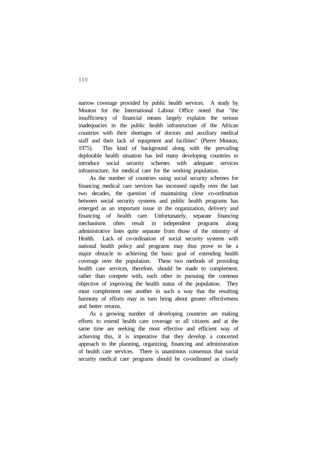narrow coverage provided by public health services. A study by Mouton for the International Labour Office noted that "the insufficiency of financial means largely explains the serious inadequacies in the public health infrastructure of the African countries with their shortages of doctors and auxiliary medical staff and their lack of equipment and facilities" (Pierre Mouton, 1975). This kind of background along with the prevailing deplorable health situation has led many developing countries to introduce social security schemes with adequate services infrastructure, for medical care for the working population.

 As the number of countries using social security schemes for financing medical care services has increased rapidly over the last two decades, the question of maintaining close co-ordination between social security systems and public health programs has emerged as an important issue in the organization, delivery and financing of health care. Unfortunately, separate financing mechanisms often result in independent programs along administrative lines quite separate from those of the ministry of Health. Lack of co-ordination of social security systems with national health policy and programs may thus prove to be a major obstacle to achieving the basic goal of extending health coverage over the population. These two methods of providing health care services, therefore, should be made to complement, rather than compete with, each other in pursuing the common objective of improving the health status of the population. They must complement one another in such a way that the resulting harmony of efforts may in turn bring about greater effectiveness and better returns.

 As a growing number of developing countries are making efforts to extend health care coverage to all citizens and at the same time are seeking the most effective and efficient way of achieving this, it is imperative that they develop a concerted approach to the planning, organizing, financing and administration of health care services. There is unanimous consensus that social security medical care programs should be co-ordinated as closely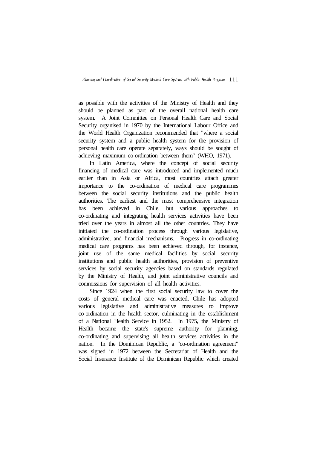as possible with the activities of the Ministry of Health and they should be planned as part of the overall national health care system. A Joint Committee on Personal Health Care and Social Security organised in 1970 by the International Labour Office and the World Health Organization recommended that "where a social security system and a public health system for the provision of personal health care operate separately, ways should be sought of achieving maximum co-ordination between them" (WHO, 1971).

 In Latin America, where the concept of social security financing of medical care was introduced and implemented much earlier than in Asia or Africa, most countries attach greater importance to the co-ordination of medical care programmes between the social security institutions and the public health authorities. The earliest and the most comprehensive integration has been achieved in Chile, but various approaches to co-ordinating and integrating health services activities have been tried over the years in almost all the other countries. They have initiated the co-ordination process through various legislative, administrative, and financial mechanisms. Progress in co-ordinating medical care programs has been achieved through, for instance, joint use of the same medical facilities by social security institutions and public health authorities, provision of preventive services by social security agencies based on standards regulated by the Ministry of Health, and joint administrative councils and commissions for supervision of all health activities.

 Since 1924 when the first social security law to cover the costs of general medical care was enacted, Chile has adopted various legislative and administrative measures to improve co-ordination in the health sector, culminating in the establishment of a National Health Service in 1952. In 1975, the Ministry of Health became the state's supreme authority for planning, co-ordinating and supervising all health services activities in the nation. In the Dominican Republic, a "co-ordination agreement" was signed in 1972 between the Secretariat of Health and the Social Insurance Institute of the Dominican Republic which created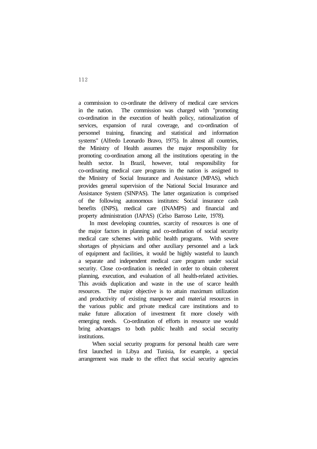a commission to co-ordinate the delivery of medical care services in the nation. The commission was charged with "promoting co-ordination in the execution of health policy, rationalization of services, expansion of rural coverage, and co-ordination of personnel training, financing and statistical and information systems" (Alfredo Leonardo Bravo, 1975). In almost all countries, the Ministry of Health assumes the major responsibility for promoting co-ordination among all the institutions operating in the health sector. In Brazil, however, total responsibility for co-ordinating medical care programs in the nation is assigned to the Ministry of Social Insurance and Assistance (MPAS), which provides general supervision of the National Social Insurance and Assistance System (SINPAS). The latter organization is comprised of the following autonomous institutes: Social insurance cash benefits (INPS), medical care (INAMPS) and financial and property administration (IAPAS) (Celso Barroso Leite, 1978).

 In most developing countries, scarcity of resources is one of the major factors in planning and co-ordination of social security medical care schemes with public health programs. With severe shortages of physicians and other auxiliary personnel and a lack of equipment and facilities, it would be highly wasteful to launch a separate and independent medical care program under social security. Close co-ordination is needed in order to obtain coherent planning, execution, and evaluation of all health-related activities. This avoids duplication and waste in the use of scarce health resources. The major objective is to attain maximum utilization and productivity of existing manpower and material resources in the various public and private medical care institutions and to make future allocation of investment fit more closely with emerging needs. Co-ordination of efforts in resource use would bring advantages to both public health and social security institutions.

 When social security programs for personal health care were first launched in Libya and Tunisia, for example, a special arrangement was made to the effect that social security agencies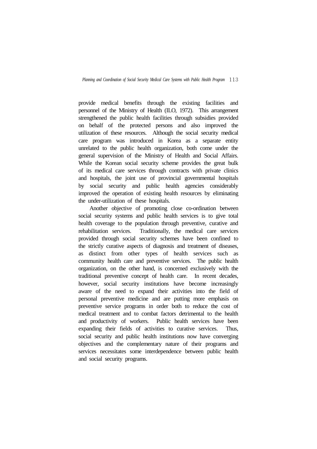provide medical benefits through the existing facilities and personnel of the Ministry of Health (ILO, 1972). This arrangement strengthened the public health facilities through subsidies provided on behalf of the protected persons and also improved the utilization of these resources. Although the social security medical care program was introduced in Korea as a separate entity unrelated to the public health organization, both come under the general supervision of the Ministry of Health and Social Affairs. While the Korean social security scheme provides the great bulk of its medical care services through contracts with private clinics and hospitals, the joint use of provincial governmental hospitals by social security and public health agencies considerably improved the operation of existing health resources by eliminating the under-utilization of these hospitals.

 Another objective of promoting close co-ordination between social security systems and public health services is to give total health coverage to the population through preventive, curative and rehabilitation services. Traditionally, the medical care services provided through social security schemes have been confined to the strictly curative aspects of diagnosis and treatment of diseases, as distinct from other types of health services such as community health care and preventive services. The public health organization, on the other hand, is concerned exclusively with the traditional preventive concept of health care. In recent decades, however, social security institutions have become increasingly aware of the need to expand their activities into the field of personal preventive medicine and are putting more emphasis on preventive service programs in order both to reduce the cost of medical treatment and to combat factors detrimental to the health and productivity of workers. Public health services have been expanding their fields of activities to curative services. Thus, social security and public health institutions now have converging objectives and the complementary nature of their programs and services necessitates some interdependence between public health and social security programs.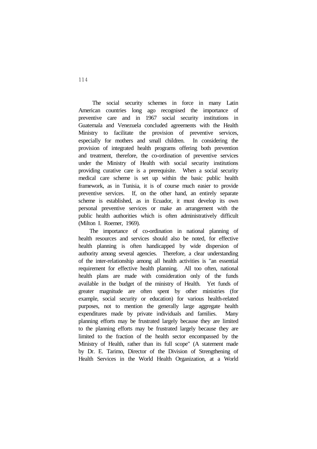The social security schemes in force in many Latin American countries long ago recognised the importance of preventive care and in 1967 social security institutions in Guatemala and Venezuela concluded agreements with the Health Ministry to facilitate the provision of preventive services, especially for mothers and small children. In considering the provision of integrated health programs offering both prevention and treatment, therefore, the co-ordination of preventive services under the Ministry of Health with social security institutions providing curative care is a prerequisite. When a social security medical care scheme is set up within the basic public health framework, as in Tunisia, it is of course much easier to provide preventive services. If, on the other hand, an entirely separate scheme is established, as in Ecuador, it must develop its own personal preventive services or make an arrangement with the public health authorities which is often administratively difficult (Milton I. Roemer, 1969).

 The importance of co-ordination in national planning of health resources and services should also be noted, for effective health planning is often handicapped by wide dispersion of authority among several agencies. Therefore, a clear understanding of the inter-relationship among all health activities is "an essential requirement for effective health planning. All too often, national health plans are made with consideration only of the funds available in the budget of the ministry of Health. Yet funds of greater magnitude are often spent by other ministries (for example, social security or education) for various health-related purposes, not to mention the generally large aggregate health expenditures made by private individuals and families. Many planning efforts may be frustrated largely because they are limited to the planning efforts may be frustrated largely because they are limited to the fraction of the health sector encompassed by the Ministry of Health, rather than its full scope" (A statement made by Dr. E. Tarimo, Director of the Division of Strengthening of Health Services in the World Health Organization, at a World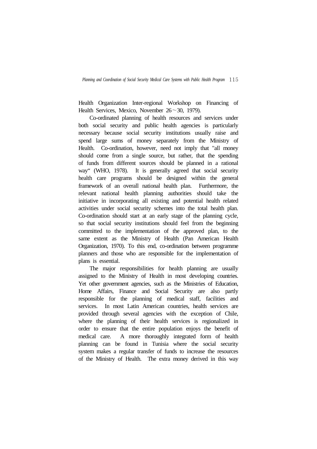Health Organization Inter-regional Workshop on Financing of Health Services, Mexico, November  $26 \sim 30$ , 1979).

 Co-ordinated planning of health resources and services under both social security and public health agencies is particularly necessary because social security institutions usually raise and spend large sums of money separately from the Ministry of Health. Co-ordination, however, need not imply that "all money should come from a single source, but rather, that the spending of funds from different sources should be planned in a rational way" (WHO, 1978). It is generally agreed that social security health care programs should be designed within the general framework of an overall national health plan. Furthermore, the relevant national health planning authorities should take the initiative in incorporating all existing and potential health related activities under social security schemes into the total health plan. Co-ordination should start at an early stage of the planning cycle, so that social security institutions should feel from the beginning committed to the implementation of the approved plan, to the same extent as the Ministry of Health (Pan American Health Organization, 1970). To this end, co-ordination between programme planners and those who are responsible for the implementation of plans is essential.

 The major responsibilities for health planning are usually assigned to the Ministry of Health in most developing countries. Yet other government agencies, such as the Ministries of Education, Home Affairs, Finance and Social Security are also partly responsible for the planning of medical staff, facilities and services. In most Latin American countries, health services are provided through several agencies with the exception of Chile, where the planning of their health services is regionalized in order to ensure that the entire population enjoys the benefit of medical care. A more thoroughly integrated form of health planning can be found in Tunisia where the social security system makes a regular transfer of funds to increase the resources of the Ministry of Health. The extra money derived in this way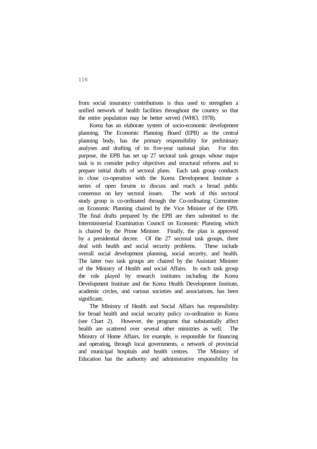from social insurance contributions is thus used to strengthen a unified network of health facilities throughout the country so that the entire population may be better served (WHO, 1978).

 Korea has an elaborate system of socio-economic development planning. The Economic Planning Board (EPB) as the central planning body, has the primary responsibility for preliminary analyses and drafting of its five-year national plan. For this purpose, the EPB has set up 27 sectoral task groups whose major task is to consider policy objectives and structural reforms and to prepare initial drafts of sectoral plans. Each task group conducts in close co-operation with the Korea Development Institute a series of open forums to discuss and reach a broad public consensus on key sectoral issues. The work of this sectoral study group is co-ordinated through the Co-ordinating Committee on Economic Planning chaired by the Vice Minister of the EPB. The final drafts prepared by the EPB are then submitted to the Interministerial Examination Council on Economic Planning which is chaired by the Prime Minister. Finally, the plan is approved by a presidential decree. Of the 27 sectoral task groups, three deal with health and social security problems. These include overall social development planning, social security, and health. The latter two task groups are chaired by the Assistant Minister of the Ministry of Health and social Affairs. In each task group the role played by research institutes including the Korea Development Institute and the Korea Health Development Institute, academic circles, and various societies and associations, has been significant.

 The Ministry of Health and Social Affairs has responsibility for broad health and social security policy co-ordination in Korea (see Chart 2). However, the programs that substantially affect health are scattered over several other ministries as well. The Ministry of Home Affairs, for example, is responsible for financing and operating, through local governments, a network of provincial and municipal hospitals and health centres. The Ministry of Education has the authority and administrative responsibility for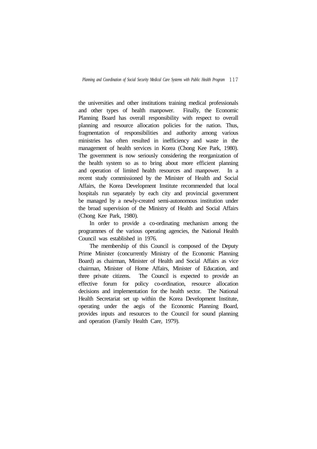the universities and other institutions training medical professionals and other types of health manpower. Finally, the Economic Planning Board has overall responsibility with respect to overall planning and resource allocation policies for the nation. Thus, fragmentation of responsibilities and authority among various ministries has often resulted in inefficiency and waste in the management of health services in Korea (Chong Kee Park, 1980). The government is now seriously considering the reorganization of the health system so as to bring about more efficient planning and operation of limited health resources and manpower. In a recent study commissioned by the Minister of Health and Social Affairs, the Korea Development Institute recommended that local hospitals run separately by each city and provincial government be managed by a newly-created semi-autonomous institution under the broad supervision of the Ministry of Health and Social Affairs (Chong Kee Park, 1980).

 In order to provide a co-ordinating mechanism among the programmes of the various operating agencies, the National Health Council was established in 1976.

 The membership of this Council is composed of the Deputy Prime Minister (concurrently Ministry of the Economic Planning Board) as chairman, Minister of Health and Social Affairs as vice chairman, Minister of Home Affairs, Minister of Education, and three private citizens. The Council is expected to provide an effective forum for policy co-ordination, resource allocation decisions and implementation for the health sector. The National Health Secretariat set up within the Korea Development Institute, operating under the aegis of the Economic Planning Board, provides inputs and resources to the Council for sound planning and operation (Family Health Care, 1979).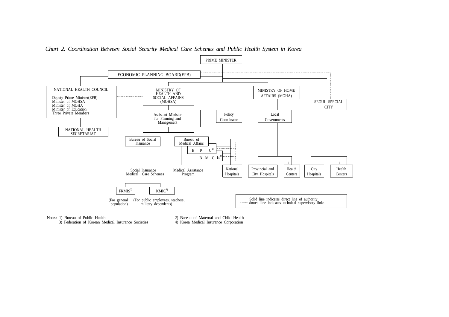

#### *Chart 2. Coordination Between Social Security Medical Care Schemes and Public Health System in Korea*

3) Federation of Korean Medical Insurance Societies 4) Korea Medical Insurance Corporation

Notes: 1) Bureau of Public Health 2) Bureau of Maternal and Child Health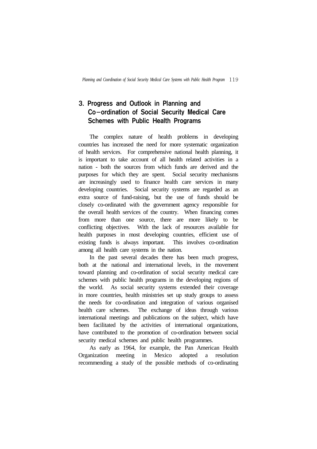# 3. Progress and Outlook in Planning and Co-ordination of Social Security Medical Care Schemes with Public Health Programs

 The complex nature of health problems in developing countries has increased the need for more systematic organization of health services. For comprehensive national health planning, it is important to take account of all health related activities in a nation - both the sources from which funds are derived and the purposes for which they are spent. Social security mechanisms are increasingly used to finance health care services in many developing countries. Social security systems are regarded as an extra source of fund-raising, but the use of funds should be closely co-ordinated with the government agency responsible for the overall health services of the country. When financing comes from more than one source, there are more likely to be conflicting objectives. With the lack of resources available for health purposes in most developing countries, efficient use of existing funds is always important. This involves co-ordination among all health care systems in the nation.

 In the past several decades there has been much progress, both at the national and international levels, in the movement toward planning and co-ordination of social security medical care schemes with public health programs in the developing regions of the world. As social security systems extended their coverage in more countries, health ministries set up study groups to assess the needs for co-ordination and integration of various organised health care schemes. The exchange of ideas through various international meetings and publications on the subject, which have been facilitated by the activities of international organizations, have contributed to the promotion of co-ordination between social security medical schemes and public health programmes.

 As early as 1964, for example, the Pan American Health Organization meeting in Mexico adopted a resolution recommending a study of the possible methods of co-ordinating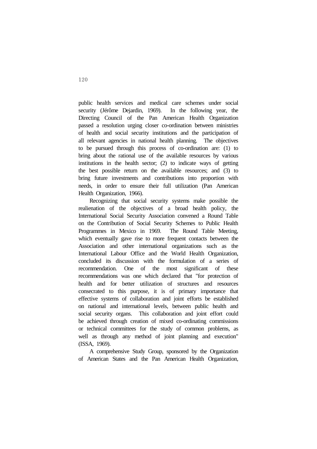public health services and medical care schemes under social security (Jérôme Dejardin, 1969). In the following year, the Directing Council of the Pan American Health Organization passed a resolution urging closer co-ordination between ministries of health and social security institutions and the participation of all relevant agencies in national health planning. The objectives to be pursued through this process of co-ordination are: (1) to bring about the rational use of the available resources by various institutions in the health sector; (2) to indicate ways of getting the best possible return on the available resources; and (3) to bring future investments and contributions into proportion with needs, in order to ensure their full utilization (Pan American Health Organization, 1966).

 Recognizing that social security systems make possible the realienation of the objectives of a broad health policy, the International Social Security Association convened a Round Table on the Contribution of Social Security Schemes to Public Health Programmes in Mexico in 1969. The Round Table Meeting, which eventually gave rise to more frequent contacts between the Association and other international organizations such as the International Labour Office and the World Health Organization, concluded its discussion with the formulation of a series of recommendation. One of the most significant of these recommendations was one which declared that "for protection of health and for better utilization of structures and resources consecrated to this purpose, it is of primary importance that effective systems of collaboration and joint efforts be established on national and international levels, between public health and social security organs. This collaboration and joint effort could be achieved through creation of mixed co-ordinating commissions or technical committees for the study of common problems, as well as through any method of joint planning and execution" (ISSA, 1969).

 A comprehensive Study Group, sponsored by the Organization of American States and the Pan American Health Organization,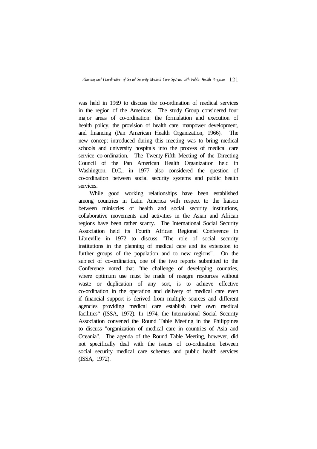was held in 1969 to discuss the co-ordination of medical services in the region of the Americas. The study Group considered four major areas of co-ordination: the formulation and execution of health policy, the provision of health care, manpower development, and financing (Pan American Health Organization, 1966). The new concept introduced during this meeting was to bring medical schools and university hospitals into the process of medical care service co-ordination. The Twenty-Fifth Meeting of the Directing Council of the Pan American Health Organization held in Washington, D.C., in 1977 also considered the question of co-ordination between social security systems and public health services.

 While good working relationships have been established among countries in Latin America with respect to the liaison between ministries of health and social security institutions, collaborative movements and activities in the Asian and African regions have been rather scanty. The International Social Security Association held its Fourth African Regional Conference in Libreville in 1972 to discuss "The role of social security institutions in the planning of medical care and its extension to further groups of the population and to new regions". On the subject of co-ordination, one of the two reports submitted to the Conference noted that "the challenge of developing countries, where optimum use must be made of meagre resources without waste or duplication of any sort, is to achieve effective co-ordination in the operation and delivery of medical care even if financial support is derived from multiple sources and different agencies providing medical care establish their own medical facilities" (ISSA, 1972). In 1974, the International Social Security Association convened the Round Table Meeting in the Philippines to discuss "organization of medical care in countries of Asia and Oceania". The agenda of the Round Table Meeting, however, did not specifically deal with the issues of co-ordination between social security medical care schemes and public health services (ISSA, 1972).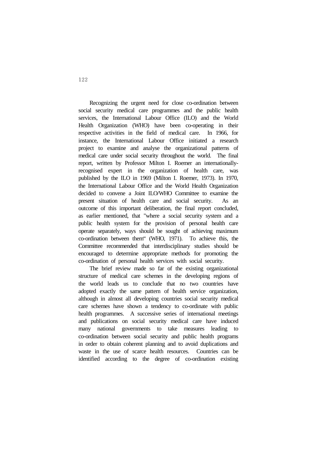Recognizing the urgent need for close co-ordination between social security medical care programmes and the public health services, the International Labour Office (ILO) and the World Health Organization (WHO) have been co-operating in their respective activities in the field of medical care. In 1966, for instance, the International Labour Office initiated a research project to examine and analyse the organizational patterns of medical care under social security throughout the world. The final report, written by Professor Milton I. Roemer an internationallyrecognised expert in the organization of health care, was published by the ILO in 1969 (Milton I. Roemer, 1973). In 1970, the International Labour Office and the World Health Organization decided to convene a Joint ILO/WHO Committee to examine the present situation of health care and social security. As an outcome of this important deliberation, the final report concluded, as earlier mentioned, that "where a social security system and a public health system for the provision of personal health care operate separately, ways should be sought of achieving maximum co-ordination between them" (WHO, 1971). To achieve this, the Committee recommended that interdisciplinary studies should be encouraged to determine appropriate methods for promoting the co-ordination of personal health services with social security.

 The brief review made so far of the existing organizational structure of medical care schemes in the developing regions of the world leads us to conclude that no two countries have adopted exactly the same pattern of health service organization, although in almost all developing countries social security medical care schemes have shown a tendency to co-ordinate with public health programmes. A successive series of international meetings and publications on social security medical care have induced many national governments to take measures leading to co-ordination between social security and public health programs in order to obtain coherent planning and to avoid duplications and waste in the use of scarce health resources. Countries can be identified according to the degree of co-ordination existing

122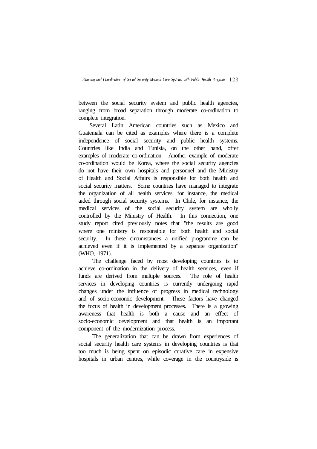between the social security system and public health agencies, ranging from broad separation through moderate co-ordination to complete integration.

 Several Latin American countries such as Mexico and Guatemala can be cited as examples where there is a complete independence of social security and public health systems. Countries like India and Tunisia, on the other hand, offer examples of moderate co-ordination. Another example of moderate co-ordination would be Korea, where the social security agencies do not have their own hospitals and personnel and the Ministry of Health and Social Affairs is responsible for both health and social security matters. Some countries have managed to integrate the organization of all health services, for instance, the medical aided through social security systems. In Chile, for instance, the medical services of the social security system are wholly controlled by the Ministry of Health. In this connection, one study report cited previously notes that "the results are good where one ministry is responsible for both health and social security. In these circumstances a unified programme can be achieved even if it is implemented by a separate organization" (WHO, 1971).

 The challenge faced by most developing countries is to achieve co-ordination in the delivery of health services, even if funds are derived from multiple sources. The role of health services in developing countries is currently undergoing rapid changes under the influence of progress in medical technology and of socio-economic development. These factors have changed the focus of health in development processes. There is a growing awareness that health is both a cause and an effect of socio-economic development and that health is an important component of the modernization process.

 The generalization that can be drawn from experiences of social security health care systems in developing countries is that too much is being spent on episodic curative care in expensive hospitals in urban centres, while coverage in the countryside is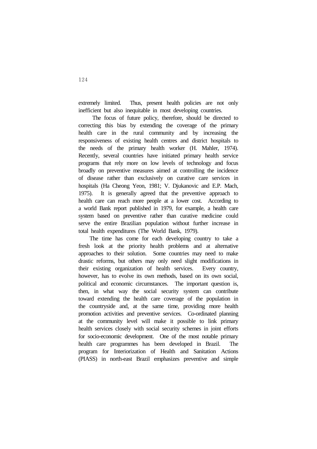extremely limited. Thus, present health policies are not only inefficient but also inequitable in most developing countries.

 The focus of future policy, therefore, should be directed to correcting this bias by extending the coverage of the primary health care in the rural community and by increasing the responsiveness of existing health centres and district hospitals to the needs of the primary health worker (H. Mahler, 1974). Recently, several countries have initiated primary health service programs that rely more on low levels of technology and focus broadly on preventive measures aimed at controlling the incidence of disease rather than exclusively on curative care services in hospitals (Ha Cheong Yeon, 1981; V. Djukanovic and E.P. Mach, 1975). It is generally agreed that the preventive approach to health care can reach more people at a lower cost. According to a world Bank report published in 1979, for example, a health care system based on preventive rather than curative medicine could serve the entire Brazilian population without further increase in total health expenditures (The World Bank, 1979).

 The time has come for each developing country to take a fresh look at the priority health problems and at alternative approaches to their solution. Some countries may need to make drastic reforms, but others may only need slight modifications in their existing organization of health services. Every country, however, has to evolve its own methods, based on its own social, political and economic circumstances. The important question is, then, in what way the social security system can contribute toward extending the health care coverage of the population in the countryside and, at the same time, providing more health promotion activities and preventive services. Co-ordinated planning at the community level will make it possible to link primary health services closely with social security schemes in joint efforts for socio-economic development. One of the most notable primary health care programmes has been developed in Brazil. The program for Interiorization of Health and Sanitation Actions (PIASS) in north-east Brazil emphasizes preventive and simple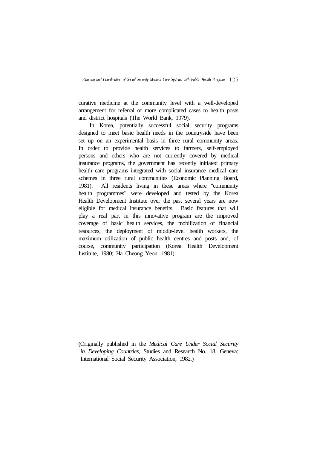curative medicine at the community level with a well-developed arrangement for referral of more complicated cases to health posts and district hospitals (The World Bank, 1979).

 In Korea, potentially successful social security programs designed to meet basic health needs in the countryside have been set up on an experimental basis in three rural community areas. In order to provide health services to farmers, self-employed persons and others who are not currently covered by medical insurance programs, the government has recently initiated primary health care programs integrated with social insurance medical care schemes in three rural communities (Economic Planning Board, 1981). All residents living in these areas where "community health programmes" were developed and tested by the Korea Health Development Institute over the past several years are now eligible for medical insurance benefits. Basic features that will play a real part in this innovative program are the improved coverage of basic health services, the mobilization of financial resources, the deployment of middle-level health workers, the maximum utilization of public health centres and posts and, of course, community participation (Korea Health Development Institute, 1980; Ha Cheong Yeon, 1981).

(Originally published in the *Medical Care Under Social Security in Developing Countries,* Studies and Research No. 18, Geneva: International Social Security Association, 1982.)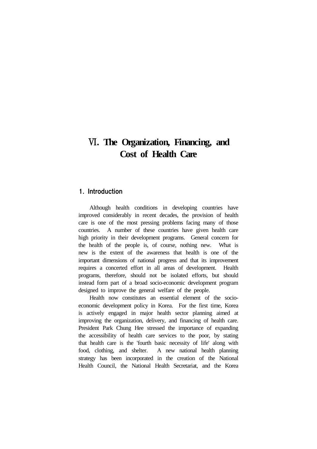# Ⅵ**. The Organization, Financing, and Cost of Health Care**

#### 1. Introduction

 Although health conditions in developing countries have improved considerably in recent decades, the provision of health care is one of the most pressing problems facing many of those countries. A number of these countries have given health care high priority in their development programs. General concern for the health of the people is, of course, nothing new. What is new is the extent of the awareness that health is one of the important dimensions of national progress and that its improvement requires a concerted effort in all areas of development. Health programs, therefore, should not be isolated efforts, but should instead form part of a broad socio-economic development program designed to improve the general welfare of the people.

 Health now constitutes an essential element of the socioeconomic development policy in Korea. For the first time, Korea is actively engaged in major health sector planning aimed at improving the organization, delivery, and financing of health care. President Park Chung Hee stressed the importance of expanding the accessibility of health care services to the poor, by stating that health care is the 'fourth basic necessity of life' along with food, clothing, and shelter. A new national health planning strategy has been incorporated in the creation of the National Health Council, the National Health Secretariat, and the Korea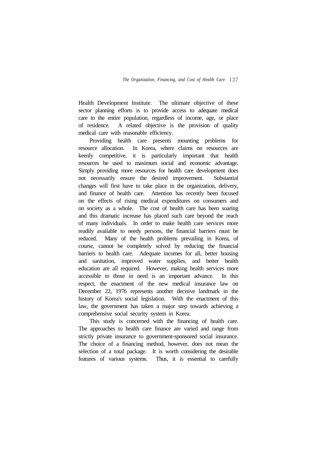Health Development Institute. The ultimate objective of these sector planning efforts is to provide access to adequate medical care to the entire population, regardless of income, age, or place of residence. A related objective is the provision of quality medical care with reasonable efficiency.

 Providing health care presents mounting problems for resource allocation. In Korea, where claims on resources are keenly competitive, it is particularly important that health resources be used to maximum social and economic advantage. Simply providing more resources for health care development does not necessarily ensure the desired improvement. Substantial changes will first have to take place in the organization, delivery, and finance of health care. Attention has recently been focused on the effects of rising medical expenditures on consumers and on society as a whole. The cost of health care has been soaring and this dramatic increase has placed such care beyond the reach of many individuals. In order to make health care services more readily available to needy persons, the financial barriers must be reduced. Many of the health problems prevailing in Korea, of course, cannot be completely solved by reducing the financial barriers to health care. Adequate incomes for all, better housing and sanitation, improved water supplies, and better health education are all required. However, making health services more accessible to those in need is an important advance. In this respect, the enactment of the new medical insurance law on December 22, 1976 represents another decisive landmark in the history of Korea's social legislation. With the enactment of this law, the government has taken a major step towards achieving a comprehensive social security system in Korea.

 This study is concerned with the financing of health care. The approaches to health care finance are varied and range from strictly private insurance to government-sponsored social insurance. The choice of a financing method, however, does not mean the selection of a total package. It is worth considering the desirable features of various systems. Thus, it is essential to carefully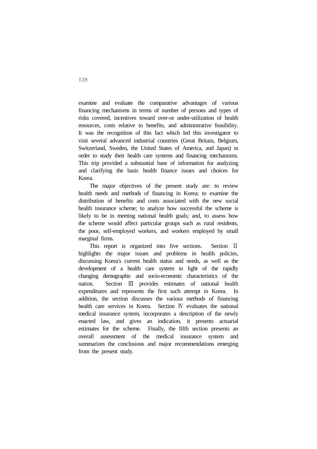examine and evaluate the comparative advantages of various financing mechanisms in terms of number of persons and types of risks covered, incentives toward over-or under-utilization of health resources, costs relative to benefits, and administrative feasibility. It was the recognition of this fact which led this investigator to visit several advanced industrial countries (Great Britain, Belgium, Switzerland, Sweden, the United States of America, and Japan) in order to study their health care systems and financing mechanisms. This trip provided a substantial base of information for analyzing and clarifying the basic health finance issues and choices for Korea.

 The major objectives of the present study are: to review health needs and methods of financing in Korea; to examine the distribution of benefits and costs associated with the new social health insurance scheme; to analyze how successful the scheme is likely to be in meeting national health goals; and, to assess how the scheme would affect particular groups such as rural residents, the poor, self-employed workers, and workers employed by small marginal firms.

This report is organized into five sections. Section II highlights the major issues and problems in health policies, discussing Korea's current health status and needs, as well as the development of a health care system in light of the rapidly changing demographic and socio-economic characteristics of the nation. Section Ⅲ provides estimates of national health expenditures and represents the first such attempt in Korea. In addition, the section discusses the various methods of financing health care services in Korea. Section Ⅳ evaluates the national medical insurance system, incorporates a description of the newly enacted law, and gives an indication, it presents actuarial estimates for the scheme. Finally, the fifth section presents an overall assessment of the medical insurance system and summarizes the conclusions and major recommendations emerging from the present study.

128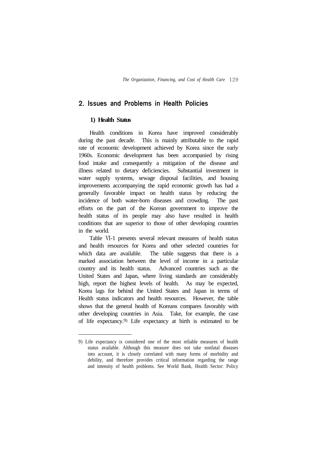### 2. Issues and Problems in Health Policies

#### **1) Health Status**

 Health conditions in Korea have improved considerably during the past decade. This is mainly attributable to the rapid rate of economic development achieved by Korea since the early 1960s. Economic development has been accompanied by rising food intake and consequently a mitigation of the disease and illness related to dietary deficiencies. Substantial investment in water supply systems, sewage disposal facilities, and housing improvements accompanying the rapid economic growth has had a generally favorable impact on health status by reducing the incidence of both water-born diseases and crowding. The past efforts on the part of the Korean government to improve the health status of its people may also have resulted in health conditions that are superior to those of other developing countries in the world.

 Table Ⅵ-1 presents several relevant measures of health status and health resources for Korea and other selected countries for which data are available. The table suggests that there is a marked association between the level of income in a particular country and its health status. Advanced countries such as the United States and Japan, where living standards are considerably high, report the highest levels of health. As may be expected, Korea lags for behind the United States and Japan in terms of Health status indicators and health resources. However, the table shows that the general health of Koreans compares favorably with other developing countries in Asia. Take, for example, the case of life expectancy.9) Life expectancy at birth is estimated to be

<sup>9)</sup> Life expectancy is considered one of the most reliable measures of health status available. Although this measure does not take nonfatal diseases into account, it is closely correlated with many forms of morbidity and debility, and therefore provides critical information regarding the range and intensity of health problems. See World Bank, Health Sector: Policy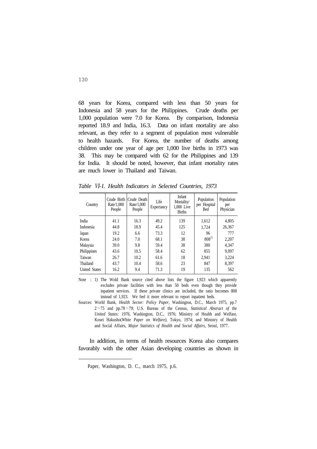68 years for Korea, compared with less than 50 years for Indonesia and 58 years for the Philippines. Crude deaths per 1,000 population were 7.0 for Korea. By comparison, Indonesia reported 18.9 and India, 16.3. Data on infant mortality are also relevant, as they refer to a segment of population most vulnerable to health hazards. For Korea, the number of deaths among children under one year of age per 1,000 live births in 1973 was 38. This may be compared with 62 for the Philippines and 139 for India. It should be noted, however, that infant mortality rates are much lower in Thailand and Taiwan.

*Table* Ⅵ*-1. Health Indicators in Selected Countries, 1973*

| Country              | Crude Birth<br>Rate/1,000<br>People | Crude Death<br>Rate/1,000<br>People | Life<br>Expectancy | Infant<br>Mortality/<br>1,000 Live<br><b>Births</b> | Population<br>per Hospital<br><b>Bed</b> | Population<br>per<br>Physician |
|----------------------|-------------------------------------|-------------------------------------|--------------------|-----------------------------------------------------|------------------------------------------|--------------------------------|
| India                | 41.1                                | 16.3                                | 49.2               | 139                                                 | 1,612                                    | 4,805                          |
| Indonesia            | 44.8                                | 18.9                                | 45.4               | 125                                                 | 1.724                                    | 26,367                         |
| Japan                | 19.2                                | 6.6                                 | 73.3               | 12                                                  | 96                                       | 777                            |
| Korea                | 24.0                                | 7.0                                 | 68.1               | 38                                                  | $808^{1}$                                | 2,207                          |
| Malaysia             | 39.0                                | 9.8                                 | 59.4               | 38                                                  | 380                                      | 4.347                          |
| Philippines          | 43.6                                | 10.5                                | 58.4               | 62                                                  | 855                                      | 9.097                          |
| Taiwan               | 26.7                                | 10.2                                | 61.6               | 18                                                  | 2.941                                    | 3,224                          |
| Thailand             | 43.7                                | 10.4                                | 58.6               | 23                                                  | 847                                      | 8.397                          |
| <b>United States</b> | 16.2                                | 9.4                                 | 71.3               | 19                                                  | 135                                      | 562                            |

Note : 1) The Wold Bank source cited above lists the figure 1,923 which apparently excludes private facilities with less than 50 beds even though they provide inpatient services. If these private clinics are included, the ratio becomes 808 instead of 1,923. We feel it more relevant to report inpatient beds.

Sources: World Bank, *Health Sector: Policy Paper*, Washington, D.C., March 1975, pp.7 2~75 and pp.78~79; U.S. Bureau of the Census, *Statistical Abstract of the United States: 1976,* Washington, D.C., 1976; Ministry of Health and Welfare, Kosei Hakusho(*White Paper on Welfare)*, Tokyo, 1974; and Ministry of Health and Social Affairs, *Major Statistics of Health and Social Affairs*, Seoul, 1977.

 In addition, in terms of health resources Korea also compares favorably with the other Asian developing countries as shown in

Paper, Washington, D. C., march 1975, p.6.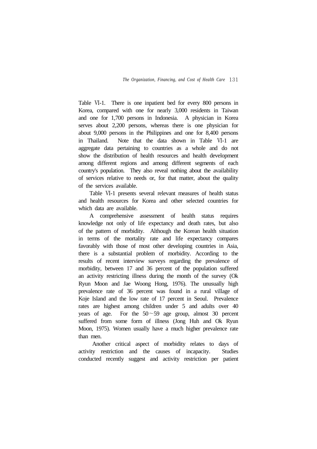Table VI-1. There is one inpatient bed for every 800 persons in Korea, compared with one for nearly 3,000 residents in Taiwan and one for 1,700 persons in Indonesia. A physician in Korea serves about 2,200 persons, whereas there is one physician for about 9,000 persons in the Philippines and one for 8,400 persons in Thailand. Note that the data shown in Table Ⅵ-1 are aggregate data pertaining to countries as a whole and do not show the distribution of health resources and health development among different regions and among different segments of each country's population. They also reveal nothing about the availability of services relative to needs or, for that matter, about the quality of the services available.

 Table Ⅵ-1 presents several relevant measures of health status and health resources for Korea and other selected countries for which data are available.

 A comprehensive assessment of health status requires knowledge not only of life expectancy and death rates, but also of the pattern of morbidity. Although the Korean health situation in terms of the mortality rate and life expectancy compares favorably with those of most other developing countries in Asia, there is a substantial problem of morbidity. According to the results of recent interview surveys regarding the prevalence of morbidity, between 17 and 36 percent of the population suffered an activity restricting illness during the month of the survey (Ok Ryun Moon and Jae Woong Hong, 1976). The unusually high prevalence rate of 36 percent was found in a rural village of Koje Island and the low rate of 17 percent in Seoul. Prevalence rates are highest among children under 5 and adults over 40 years of age. For the  $50^{\circ}59$  age group, almost 30 percent suffered from some form of illness (Jong Huh and Ok Ryun Moon, 1975). Women usually have a much higher prevalence rate than men.

 Another critical aspect of morbidity relates to days of activity restriction and the causes of incapacity. Studies conducted recently suggest and activity restriction per patient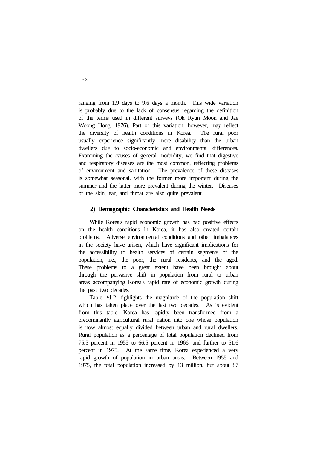ranging from 1.9 days to 9.6 days a month. This wide variation is probably due to the lack of consensus regarding the definition of the terms used in different surveys (Ok Ryun Moon and Jae Woong Hong, 1976). Part of this variation, however, may reflect the diversity of health conditions in Korea. The rural poor usually experience significantly more disability than the urban dwellers due to socio-economic and environmental differences. Examining the causes of general morbidity, we find that digestive and respiratory diseases are the most common, reflecting problems of environment and sanitation. The prevalence of these diseases is somewhat seasonal, with the former more important during the summer and the latter more prevalent during the winter. Diseases of the skin, ear, and throat are also quite prevalent.

#### **2) Demographic Characteristics and Health Needs**

 While Korea's rapid economic growth has had positive effects on the health conditions in Korea, it has also created certain problems. Adverse environmental conditions and other imbalances in the society have arisen, which have significant implications for the accessibility to health services of certain segments of the population, i.e., the poor, the rural residents, and the aged. These problems to a great extent have been brought about through the pervasive shift in population from rural to urban areas accompanying Korea's rapid rate of economic growth during the past two decades.

Table  $VI-2$  highlights the magnitude of the population shift which has taken place over the last two decades. As is evident from this table, Korea has rapidly been transformed from a predominantly agricultural rural nation into one whose population is now almost equally divided between urban and rural dwellers. Rural population as a percentage of total population declined from 75.5 percent in 1955 to 66.5 percent in 1966, and further to 51.6 percent in 1975. At the same time, Korea experienced a very rapid growth of population in urban areas. Between 1955 and 1975, the total population increased by 13 million, but about 87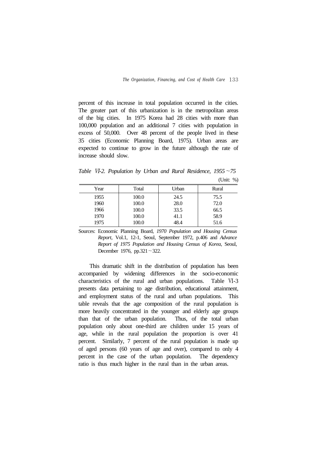percent of this increase in total population occurred in the cities. The greater part of this urbanization is in the metropolitan areas of the big cities. In 1975 Korea had 28 cities with more than 100,000 population and an additional 7 cities with population in excess of 50,000. Over 48 percent of the people lived in these 35 cities (Economic Planning Board, 1975). Urban areas are expected to continue to grow in the future although the rate of increase should slow.

*Table* Ⅵ*-2. Population by Urban and Rural Residence, 1955*~*75* (Unit: %)

| Year | Total | Urban | Rural |
|------|-------|-------|-------|
| 1955 | 100.0 | 24.5  | 75.5  |
| 1960 | 100.0 | 28.0  | 72.0  |
| 1966 | 100.0 | 33.5  | 66.5  |
| 1970 | 100.0 | 41.1  | 58.9  |
| 1975 | 100.0 | 48.4  | 51.6  |

Sources: Economic Planning Board, *1970 Population and Housing Census Report*, Vol.1, 12-1, Seoul, September 1972, p.406 and *Advance Report of 1975 Population and Housing Census of Korea,* Seoul, December 1976, pp.321~322.

 This dramatic shift in the distribution of population has been accompanied by widening differences in the socio-economic characteristics of the rural and urban populations. Table Ⅵ-3 presents data pertaining to age distribution, educational attainment, and employment status of the rural and urban populations. This table reveals that the age composition of the rural population is more heavily concentrated in the younger and elderly age groups than that of the urban population. Thus, of the total urban population only about one-third are children under 15 years of age, while in the rural population the proportion is over 41 percent. Similarly, 7 percent of the rural population is made up of aged persons (60 years of age and over), compared to only 4 percent in the case of the urban population. The dependency ratio is thus much higher in the rural than in the urban areas.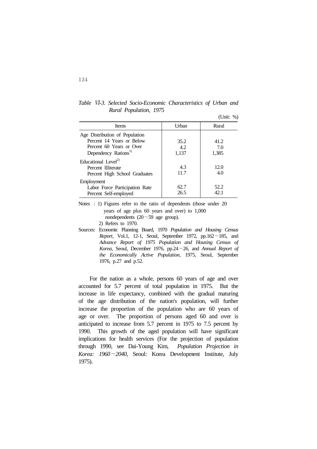|                                                                                                                             |                      | (Unit: %)            |
|-----------------------------------------------------------------------------------------------------------------------------|----------------------|----------------------|
| <b>Items</b>                                                                                                                | <b>U</b> rban        | Rural                |
| Age Distribution of Population<br>Percent 14 Years or Below<br>Percent 60 Years or Over<br>Dependency Rations <sup>1)</sup> | 35.2<br>4.2<br>1,137 | 41.2<br>7.0<br>1,385 |
| Educational Level <sup>2)</sup><br>Percent Illiterate<br>Percent High School Graduates                                      | 4.3<br>11.7          | 12.0<br>4.0          |
| Employment<br>Labor Force Participation Rate<br>Percent Self-employed                                                       | 62.7<br>26.5         | 52.2<br>42.1         |

*Table* Ⅵ*-3. Selected Socio-Economic Characteristics of Urban and Rural Population, 1975*

Notes : 1) Figures refer to the ratio of dependents (those under 20 years of age plus 60 years and over) to 1,000 nondependents  $(20 \sim 59$  age group).

2) Refers to 1970.

Sources: Economic Planning Board, 1970 *Population and Housing Census Report,* Vol.1, 12-1, Seoul, September 1972, pp.162 $\sim$ 185, and *Advance Report of 1975 Population and Housing Census of Korea*, Seoul, December 1976, pp.24~26, and *Annual Report of the Economically Active Population,* 1975, Seoul, September 1976, p.27 and p.52.

 For the nation as a whole, persons 60 years of age and over accounted for 5.7 percent of total population in 1975. But the increase in life expectancy, combined with the gradual maturing of the age distribution of the nation's population, will further increase the proportion of the population who are 60 years of age or over. The proportion of persons aged 60 and over is anticipated to increase from 5.7 percent in 1975 to 7.5 percent by 1990. This growth of the aged population will have significant implications for health services (For the projection of population through 1990, see Dai-Young Kim, *Population Projection in Korea: 1960*~*2040,* Seoul: Korea Development Institute, July 1975).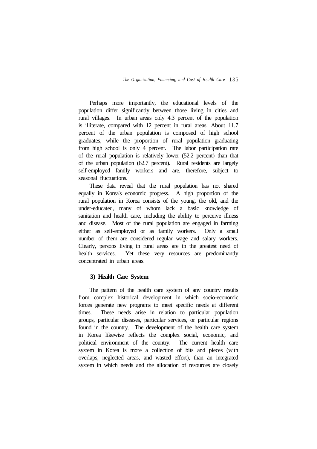Perhaps more importantly, the educational levels of the population differ significantly between those living in cities and rural villages. In urban areas only 4.3 percent of the population is illiterate, compared with 12 percent in rural areas. About 11.7 percent of the urban population is composed of high school graduates, while the proportion of rural population graduating from high school is only 4 percent. The labor participation rate of the rural population is relatively lower (52.2 percent) than that of the urban population (62.7 percent). Rural residents are largely self-employed family workers and are, therefore, subject to seasonal fluctuations.

 These data reveal that the rural population has not shared equally in Korea's economic progress. A high proportion of the rural population in Korea consists of the young, the old, and the under-educated, many of whom lack a basic knowledge of sanitation and health care, including the ability to perceive illness and disease. Most of the rural population are engaged in farming either as self-employed or as family workers. Only a small number of them are considered regular wage and salary workers. Clearly, persons living in rural areas are in the greatest need of health services. Yet these very resources are predominantly concentrated in urban areas.

#### **3) Health Care System**

 The pattern of the health care system of any country results from complex historical development in which socio-economic forces generate new programs to meet specific needs at different times. These needs arise in relation to particular population groups, particular diseases, particular services, or particular regions found in the country. The development of the health care system in Korea likewise reflects the complex social, economic, and political environment of the country. The current health care system in Korea is more a collection of bits and pieces (with overlaps, neglected areas, and wasted effort), than an integrated system in which needs and the allocation of resources are closely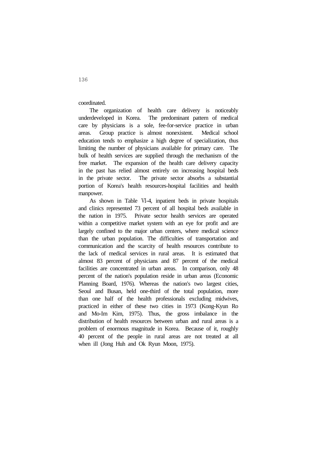coordinated.

 The organization of health care delivery is noticeably underdeveloped in Korea. The predominant pattern of medical care by physicians is a sole, fee-for-service practice in urban areas. Group practice is almost nonexistent. Medical school education tends to emphasize a high degree of specialization, thus limiting the number of physicians available for primary care. The bulk of health services are supplied through the mechanism of the free market. The expansion of the health care delivery capacity in the past has relied almost entirely on increasing hospital beds in the private sector. The private sector absorbs a substantial portion of Korea's health resources-hospital facilities and health manpower.

 As shown in Table Ⅵ-4, inpatient beds in private hospitals and clinics represented 73 percent of all hospital beds available in the nation in 1975. Private sector health services are operated within a competitive market system with an eye for profit and are largely confined to the major urban centers, where medical science than the urban population. The difficulties of transportation and communication and the scarcity of health resources contribute to the lack of medical services in rural areas. It is estimated that almost 83 percent of physicians and 87 percent of the medical facilities are concentrated in urban areas. In comparison, only 48 percent of the nation's population reside in urban areas (Economic Planning Board, 1976). Whereas the nation's two largest cities, Seoul and Busan, held one-third of the total population, more than one half of the health professionals excluding midwives, practiced in either of these two cities in 1973 (Kong-Kyun Ro and Mo-Im Kim, 1975). Thus, the gross imbalance in the distribution of health resources between urban and rural areas is a problem of enormous magnitude in Korea. Because of it, roughly 40 percent of the people in rural areas are not treated at all when ill (Jong Huh and Ok Ryun Moon, 1975).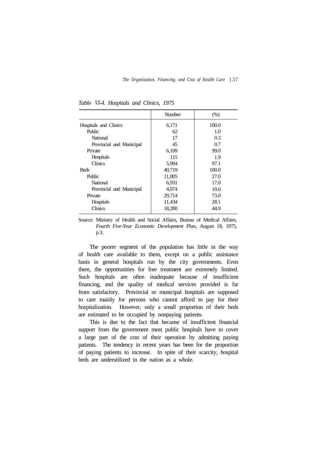|                          | Number | (% )  |
|--------------------------|--------|-------|
| Hospitals and Clinics    | 6,171  | 100.0 |
| Public                   | 62     | 1.0   |
| National                 | 17     | 0.3   |
| Provincial and Municipal | 45     | 0.7   |
| Private                  | 6,109  | 99.0  |
| Hospitals                | 115    | 1.9   |
| <b>Clinics</b>           | 5,994  | 97.1  |
| <b>Beds</b>              | 40,719 | 100.0 |
| Public                   | 11,005 | 27.0  |
| <b>National</b>          | 6,931  | 17.0  |
| Provincial and Municipal | 4,074  | 10.0  |
| Private                  | 29,714 | 73.0  |
| Hospitals                | 11,434 | 28.1  |
| <b>Clinics</b>           | 18,280 | 44.9  |
|                          |        |       |

*Table* Ⅵ*-4. Hospitals and Clinics, 1975*

Source: Ministry of Health and Social Affairs, Bureau of Medical Affairs, *Fourth Five-Year Economic Development Plan*, August 18, 1975, p.3.

 The poorer segment of the population has little in the way of health care available to them, except on a public assistance basis in general hospitals run by the city governments. Even there, the opportunities for free treatment are extremely limited. Such hospitals are often inadequate because of insufficient financing, and the quality of medical services provided is far from satisfactory. Provincial or municipal hospitals are supposed to care mainly for persons who cannot afford to pay for their hospitalization. However, only a small proportion of their beds are estimated to be occupied by nonpaying patients.

 This is due to the fact that because of insufficient financial support from the government most public hospitals have to cover a large part of the cost of their operation by admitting paying patients. The tendency in recent years has been for the proportion of paying patients to increase. In spite of their scarcity, hospital beds are underutilized in the nation as a whole.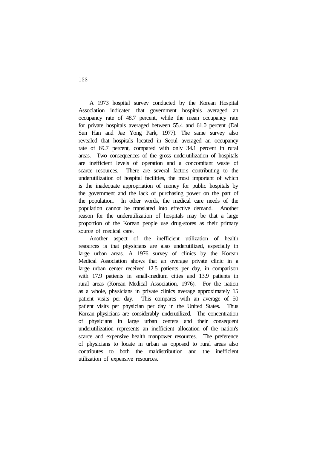A 1973 hospital survey conducted by the Korean Hospital Association indicated that government hospitals averaged an occupancy rate of 48.7 percent, while the mean occupancy rate for private hospitals averaged between 55.4 and 61.0 percent (Dal Sun Han and Jae Yong Park, 1977). The same survey also revealed that hospitals located in Seoul averaged an occupancy rate of 69.7 percent, compared with only 34.1 percent in rural areas. Two consequences of the gross underutilization of hospitals are inefficient levels of operation and a concomitant waste of scarce resources. There are several factors contributing to the underutilization of hospital facilities, the most important of which is the inadequate appropriation of money for public hospitals by the government and the lack of purchasing power on the part of the population. In other words, the medical care needs of the population cannot be translated into effective demand. Another reason for the underutilization of hospitals may be that a large proportion of the Korean people use drug-stores as their primary source of medical care.

 Another aspect of the inefficient utilization of health resources is that physicians are also underutilized, especially in large urban areas. A 1976 survey of clinics by the Korean Medical Association shows that an overage private clinic in a large urban center received 12.5 patients per day, in comparison with 17.9 patients in small-medium cities and 13.9 patients in rural areas (Korean Medical Association, 1976). For the nation as a whole, physicians in private clinics average approximately 15 patient visits per day. This compares with an average of 50 patient visits per physician per day in the United States. Thus Korean physicians are considerably underutilized. The concentration of physicians in large urban centers and their consequent underutilization represents an inefficient allocation of the nation's scarce and expensive health manpower resources. The preference of physicians to locate in urban as opposed to rural areas also contributes to both the maldistribution and the inefficient utilization of expensive resources.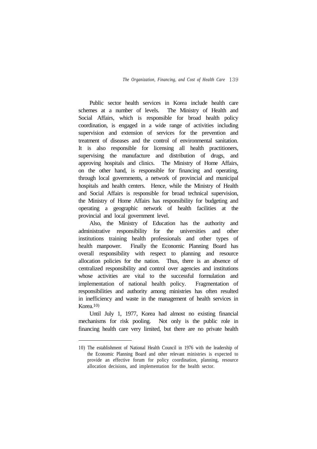Public sector health services in Korea include health care schemes at a number of levels. The Ministry of Health and Social Affairs, which is responsible for broad health policy coordination, is engaged in a wide range of activities including supervision and extension of services for the prevention and treatment of diseases and the control of environmental sanitation. It is also responsible for licensing all health practitioners, supervising the manufacture and distribution of drugs, and approving hospitals and clinics. The Ministry of Home Affairs, on the other hand, is responsible for financing and operating, through local governments, a network of provincial and municipal hospitals and health centers. Hence, while the Ministry of Health and Social Affairs is responsible for broad technical supervision, the Ministry of Home Affairs has responsibility for budgeting and operating a geographic network of health facilities at the provincial and local government level.

 Also, the Ministry of Education has the authority and administrative responsibility for the universities and other institutions training health professionals and other types of health manpower. Finally the Economic Planning Board has overall responsibility with respect to planning and resource allocation policies for the nation. Thus, there is an absence of centralized responsibility and control over agencies and institutions whose activities are vital to the successful formulation and implementation of national health policy. Fragmentation of responsibilities and authority among ministries has often resulted in inefficiency and waste in the management of health services in Korea.10)

 Until July 1, 1977, Korea had almost no existing financial mechanisms for risk pooling. Not only is the public role in financing health care very limited, but there are no private health

<sup>10)</sup> The establishment of National Health Council in 1976 with the leadership of the Economic Planning Board and other relevant ministries is expected to provide an effective forum for policy coordination, planning, resource allocation decisions, and implementation for the health sector.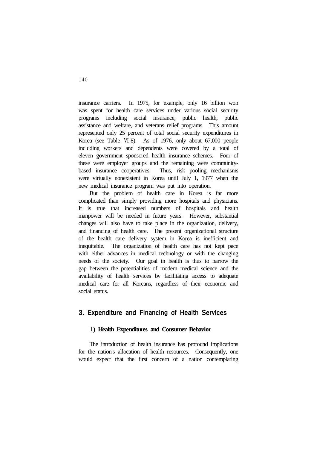insurance carriers. In 1975, for example, only 16 billion won was spent for health care services under various social security programs including social insurance, public health, public assistance and welfare, and veterans relief programs. This amount represented only 25 percent of total social security expenditures in Korea (see Table Ⅵ-8). As of 1976, only about 67,000 people including workers and dependents were covered by a total of eleven government sponsored health insurance schemes. Four of these were employer groups and the remaining were communitybased insurance cooperatives. Thus, risk pooling mechanisms were virtually nonexistent in Korea until July 1, 1977 when the new medical insurance program was put into operation.

 But the problem of health care in Korea is far more complicated than simply providing more hospitals and physicians. It is true that increased numbers of hospitals and health manpower will be needed in future years. However, substantial changes will also have to take place in the organization, delivery, and financing of health care. The present organizational structure of the health care delivery system in Korea is inefficient and inequitable. The organization of health care has not kept pace with either advances in medical technology or with the changing needs of the society. Our goal in health is thus to narrow the gap between the potentialities of modern medical science and the availability of health services by facilitating access to adequate medical care for all Koreans, regardless of their economic and social status.

## 3. Expenditure and Financing of Health Services

#### **1) Health Expenditures and Consumer Behavior**

 The introduction of health insurance has profound implications for the nation's allocation of health resources. Consequently, one would expect that the first concern of a nation contemplating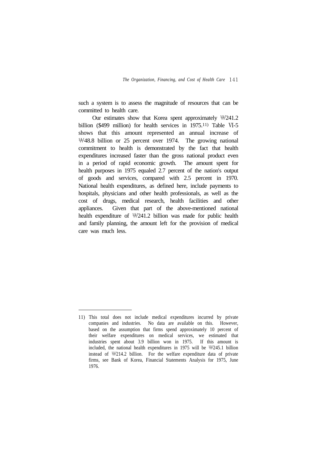such a system is to assess the magnitude of resources that can be committed to health care.

 Our estimates show that Korea spent approximately ₩241.2 billion (\$499 million) for health services in 1975.<sup>11)</sup> Table VI-5 shows that this amount represented an annual increase of ₩48.8 billion or 25 percent over 1974. The growing national commitment to health is demonstrated by the fact that health expenditures increased faster than the gross national product even in a period of rapid economic growth. The amount spent for health purposes in 1975 equaled 2.7 percent of the nation's output of goods and services, compared with 2.5 percent in 1970. National health expenditures, as defined here, include payments to hospitals, physicians and other health professionals, as well as the cost of drugs, medical research, health facilities and other appliances. Given that part of the above-mentioned national health expenditure of ₩241.2 billion was made for public health and family planning, the amount left for the provision of medical care was much less.

<sup>11)</sup> This total does not include medical expenditures incurred by private companies and industries. No data are available on this. However, based on the assumption that firms spend approximately 10 percent of their welfare expenditures on medical services, we estimated that industries spent about 3.9 billion won in 1975. If this amount is included, the national health expenditures in 1975 will be ₩245.1 billion instead of ₩214.2 billion. For the welfare expenditure data of private firms, see Bank of Korea, Financial Statements Analysis for 1975, June 1976.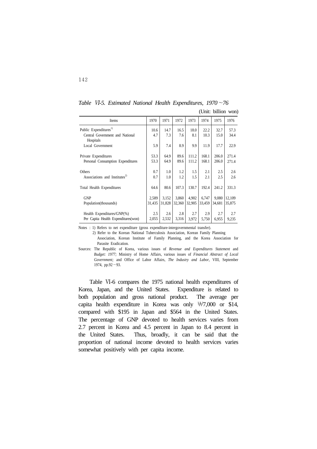|                                              |        |        |        |        |        |        | (Unit: billion won) |
|----------------------------------------------|--------|--------|--------|--------|--------|--------|---------------------|
| Items                                        | 1970   | 1971   | 1972   | 1973   | 1974   | 1975   | 1976                |
| Public Expenditures <sup>1)</sup>            | 10.6   | 14.7   | 16.5   | 18.0   | 22.2   | 32.7   | 57.3                |
| Central Government and National<br>Hospitals | 4.7    | 7.3    | 7.6    | 8.1    | 10.3   | 15.0   | 34.4                |
| Local Government                             | 5.9    | 7.4    | 8.9    | 9.9    | 11.9   | 17.7   | 22.9                |
| Private Expenditures                         | 53.3   | 64.9   | 89.6   | 111.2  | 168.1  | 206.0  | 271.4               |
| Personal Consumption Expenditures            | 53.3   | 64.9   | 89.6   | 111.2  | 168.1  | 206.0  | 271.4               |
| Others                                       | 0.7    | 1.0    | 1.2    | 1.5    | 2.1    | 2.5    | 2.6                 |
| Associations and Institutes <sup>2)</sup>    | 0.7    | 1.0    | 1.2    | 1.5    | 2.1    | 2.5    | 2.6                 |
| Total Health Expenditures                    | 64.6   | 80.6   | 107.3  | 130.7  | 192.4  | 241.2  | 331.3               |
| <b>GNP</b>                                   | 2,589  | 3,152  | 3,860  | 4.902  | 6.747  | 9.080  | 12,109              |
| Population(thousands)                        | 31,435 | 31,828 | 32,360 | 32,905 | 33,459 | 34,681 | 35,875              |
| Health Expenditures/GNP(%)                   | 2.5    | 2.6    | 2.8    | 2.7    | 2.9    | 2.7    | 2.7                 |
| Per Capita Health Expenditures (won)         | 2,055  | 2,532  | 3,316  | 3,972  | 5,750  | 6,955  | 9,235               |

*Table* Ⅵ*-5. Estimated National Health Expenditures, 1970*~*76*

Notes : 1) Refers to net expenditure (gross expenditure-intergovernmental transfer).

2) Refer to the Korean National Tuberculosis Association, Korean Family Planning Association, Korean Institute of Family Planning, and the Korea Association for Parasite Eradication.

Sources: The Republic of Korea, various issues of *Revenue and Expenditures Statement* and *Budget: 1977;* Ministry of Home Affairs, various issues of *Financial Abstract of Local Government;* and Office of Labor Affairs, *The Industry and Labor*, VIII, September 1974, pp.92~93.

 Table Ⅵ-6 compares the 1975 national health expenditures of Korea, Japan, and the United States. Expenditure is related to both population and gross national product. The average per capita health expenditure in Korea was only ₩7,000 or \$14, compared with \$195 in Japan and \$564 in the United States. The percentage of GNP devoted to health services varies from 2.7 percent in Korea and 4.5 percent in Japan to 8.4 percent in the United States. Thus, broadly, it can be said that the proportion of national income devoted to health services varies somewhat positively with per capita income.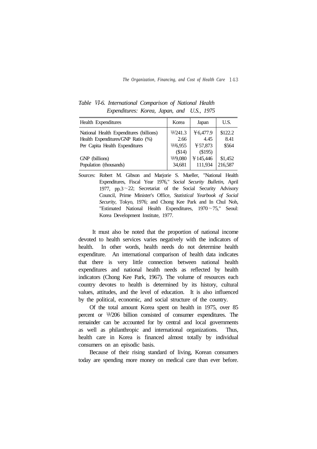| Korea             | Japan    | U.S.    |
|-------------------|----------|---------|
| $\frac{1}{2}41.3$ | 46,477.9 | \$122.2 |
| 2.66              | 4.45     | 8.41    |
|                   | 457,873  | \$564   |
| \$14)             | (\$195)  |         |
| ₩9,080            | ¥145,446 | \$1,452 |
| 34,681            | 111,934  | 216,587 |
|                   |          |         |

*Table* Ⅵ*-6. International Comparison of National Health Expenditures: Korea, Japan, and U.S., 1975*

Sources: Robert M. Gibson and Marjorie S. Mueller, "National Health Expenditures, Fiscal Year 1976," *Social Security Bulletin*, April 1977, pp. $3 \sim 22$ ; Secretariat of the Social Security Advisory Council, Prime Minister's Office, *Statistical Yearbook of Social Security,* Tokyo, 1976; and Chong Kee Park and In Chul Noh, "Estimated National Health Expenditures, 1970~75," Seoul: Korea Development Institute, 1977.

 It must also be noted that the proportion of national income devoted to health services varies negatively with the indicators of health. In other words, health needs do not determine health expenditure. An international comparison of health data indicates that there is very little connection between national health expenditures and national health needs as reflected by health indicators (Chong Kee Park, 1967). The volume of resources each country devotes to health is determined by its history, cultural values, attitudes, and the level of education. It is also influenced by the political, economic, and social structure of the country.

 Of the total amount Korea spent on health in 1975, over 85 percent or ₩206 billion consisted of consumer expenditures. The remainder can be accounted for by central and local governments as well as philanthropic and international organizations. Thus, health care in Korea is financed almost totally by individual consumers on an episodic basis.

 Because of their rising standard of living, Korean consumers today are spending more money on medical care than ever before.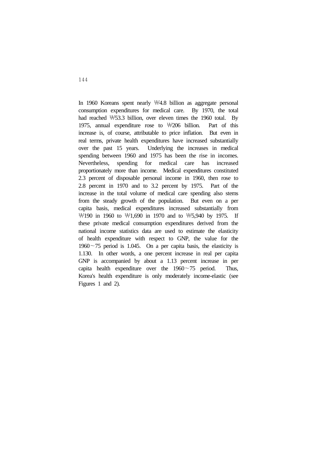In 1960 Koreans spent nearly ₩4.8 billion as aggregate personal consumption expenditures for medical care. By 1970, the total had reached ₩53.3 billion, over eleven times the 1960 total. By 1975, annual expenditure rose to ₩206 billion. Part of this increase is, of course, attributable to price inflation. But even in real terms, private health expenditures have increased substantially over the past 15 years. Underlying the increases in medical spending between 1960 and 1975 has been the rise in incomes. Nevertheless, spending for medical care has increased proportionately more than income. Medical expenditures constituted 2.3 percent of disposable personal income in 1960, then rose to 2.8 percent in 1970 and to 3.2 percent by 1975. Part of the increase in the total volume of medical care spending also stems from the steady growth of the population. But even on a per capita basis, medical expenditures increased substantially from ₩190 in 1960 to ₩1,690 in 1970 and to ₩5,940 by 1975. If these private medical consumption expenditures derived from the national income statistics data are used to estimate the elasticity of health expenditure with respect to GNP, the value for the  $1960 \sim 75$  period is 1.045. On a per capita basis, the elasticity is 1.130. In other words, a one percent increase in real per capita GNP is accompanied by about a 1.13 percent increase in per capita health expenditure over the  $1960 \sim 75$  period. Thus, Korea's health expenditure is only moderately income-elastic (see Figures 1 and 2).

144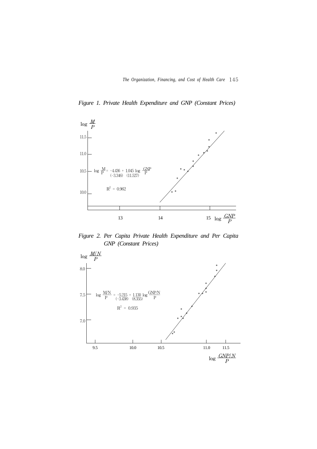*Figure 1. Private Health Expenditure and GNP (Constant Prices)*



*Figure 2. Per Capita Private Health Expenditure and Per Capita GNP (Constant Prices)*

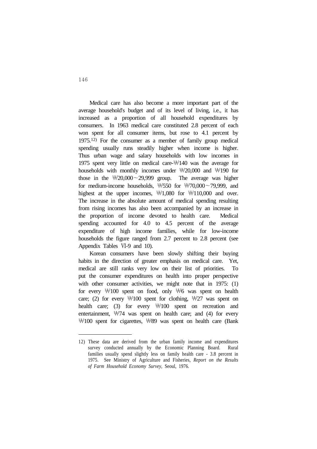Medical care has also become a more important part of the average household's budget and of its level of living, i.e., it has increased as a proportion of all household expenditures by consumers. In 1963 medical care constituted 2.8 percent of each won spent for all consumer items, but rose to 4.1 percent by 1975.12) For the consumer as a member of family group medical spending usually runs steadily higher when income is higher. Thus urban wage and salary households with low incomes in 1975 spent very little on medical care-₩140 was the average for households with monthly incomes under ₩20,000 and ₩190 for those in the  $\frac{1}{20,000}$  ~29,999 group. The average was higher for medium-income households,  $\frac{11}{2000}$  for  $\frac{11}{2000}$  - 79,999, and highest at the upper incomes,  $\frac{110000}{110000}$  and over. The increase in the absolute amount of medical spending resulting from rising incomes has also been accompanied by an increase in the proportion of income devoted to health care. Medical spending accounted for 4.0 to 4.5 percent of the average expenditure of high income families, while for low-income households the figure ranged from 2.7 percent to 2.8 percent (see Appendix Tables Ⅵ-9 and 10).

 Korean consumers have been slowly shifting their buying habits in the direction of greater emphasis on medical care. Yet, medical are still ranks very low on their list of priorities. To put the consumer expenditures on health into proper perspective with other consumer activities, we might note that in 1975: (1) for every  $\mathbb{W}100$  spent on food, only  $\mathbb{W}6$  was spent on health care; (2) for every  $\mathbb{W}100$  spent for clothing,  $\mathbb{W}27$  was spent on health care; (3) for every ₩100 spent on recreation and entertainment, ₩74 was spent on health care; and (4) for every ₩100 spent for cigarettes, ₩89 was spent on health care (Bank

146

<sup>12)</sup> These data are derived from the urban family income and expenditures survey conducted annually by the Economic Planning Board. Rural families usually spend slightly less on family health care - 3.8 percent in 1975. See Ministry of Agriculture and Fisheries, *Report on the Results of Farm Household Economy Survey*, Seoul, 1976.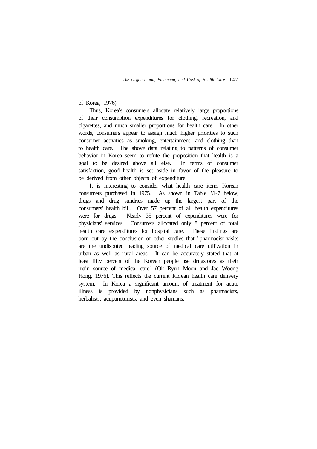### of Korea, 1976).

 Thus, Korea's consumers allocate relatively large proportions of their consumption expenditures for clothing, recreation, and cigarettes, and much smaller proportions for health care. In other words, consumers appear to assign much higher priorities to such consumer activities as smoking, entertainment, and clothing than to health care. The above data relating to patterns of consumer behavior in Korea seem to refute the proposition that health is a goal to be desired above all else. In terms of consumer satisfaction, good health is set aside in favor of the pleasure to be derived from other objects of expenditure.

 It is interesting to consider what health care items Korean consumers purchased in 1975. As shown in Table Ⅵ-7 below, drugs and drug sundries made up the largest part of the consumers' health bill. Over 57 percent of all health expenditures were for drugs. Nearly 35 percent of expenditures were for physicians' services. Consumers allocated only 8 percent of total health care expenditures for hospital care. These findings are born out by the conclusion of other studies that "pharmacist visits are the undisputed leading source of medical care utilization in urban as well as rural areas. It can be accurately stated that at least fifty percent of the Korean people use drugstores as their main source of medical care" (Ok Ryun Moon and Jae Woong Hong, 1976). This reflects the current Korean health care delivery system. In Korea a significant amount of treatment for acute illness is provided by nonphysicians such as pharmacists, herbalists, acupuncturists, and even shamans.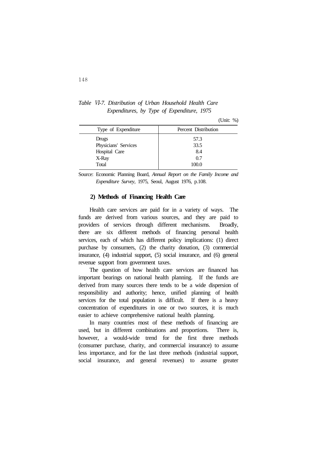*Table* Ⅵ*-7. Distribution of Urban Household Health Care Expenditures, by Type of Expenditure, 1975*

| (Unit: $\%$ ) |  |
|---------------|--|
|               |  |

| Type of Expenditure  | Percent Distribution |
|----------------------|----------------------|
| Drugs                | 57.3                 |
| Physicians' Services | 33.5                 |
| Hospital Care        | 8.4                  |
| X-Ray                | 0.7                  |
| Total                | 100.0                |
|                      |                      |

Source: Economic Planning Board, *Annual Report on the Family Income and Expenditure Survey,* 1975, Seoul, August 1976, p.108.

## **2) Methods of Financing Health Care**

 Health care services are paid for in a variety of ways. The funds are derived from various sources, and they are paid to providers of services through different mechanisms. Broadly, there are six different methods of financing personal health services, each of which has different policy implications: (1) direct purchase by consumers, (2) the charity donation, (3) commercial insurance, (4) industrial support, (5) social insurance, and (6) general revenue support from government taxes.

 The question of how health care services are financed has important bearings on national health planning. If the funds are derived from many sources there tends to be a wide dispersion of responsibility and authority; hence, unified planning of health services for the total population is difficult. If there is a heavy concentration of expenditures in one or two sources, it is much easier to achieve comprehensive national health planning.

 In many countries most of these methods of financing are used, but in different combinations and proportions. There is, however, a would-wide trend for the first three methods (consumer purchase, charity, and commercial insurance) to assume less importance, and for the last three methods (industrial support, social insurance, and general revenues) to assume greater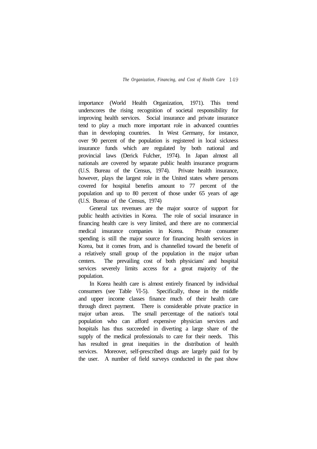importance (World Health Organization, 1971). This trend underscores the rising recognition of societal responsibility for improving health services. Social insurance and private insurance tend to play a much more important role in advanced countries than in developing countries. In West Germany, for instance, over 90 percent of the population is registered in local sickness insurance funds which are regulated by both national and provincial laws (Derick Fulcher, 1974). In Japan almost all nationals are covered by separate public health insurance programs (U.S. Bureau of the Census, 1974). Private health insurance, however, plays the largest role in the United states where persons covered for hospital benefits amount to 77 percent of the population and up to 80 percent of those under 65 years of age (U.S. Bureau of the Census, 1974)

 General tax revenues are the major source of support for public health activities in Korea. The role of social insurance in financing health care is very limited, and there are no commercial medical insurance companies in Korea. Private consumer spending is still the major source for financing health services in Korea, but it comes from, and is channelled toward the benefit of a relatively small group of the population in the major urban centers. The prevailing cost of both physicians' and hospital services severely limits access for a great majority of the population.

 In Korea health care is almost entirely financed by individual consumers (see Table Ⅵ-5). Specifically, those in the middle and upper income classes finance much of their health care through direct payment. There is considerable private practice in major urban areas. The small percentage of the nation's total population who can afford expensive physician services and hospitals has thus succeeded in diverting a large share of the supply of the medical professionals to care for their needs. This has resulted in great inequities in the distribution of health services. Moreover, self-prescribed drugs are largely paid for by the user. A number of field surveys conducted in the past show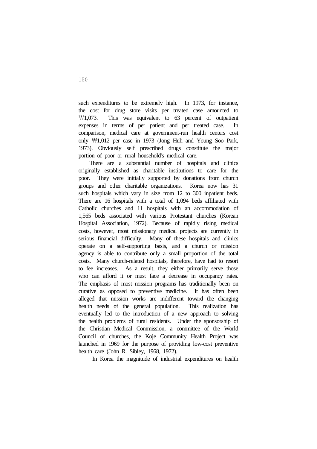such expenditures to be extremely high. In 1973, for instance, the cost for drug store visits per treated case amounted to ₩1,073. This was equivalent to 63 percent of outpatient expenses in terms of per patient and per treated case. In comparison, medical care at government-run health centers cost only ₩1,012 per case in 1973 (Jong Huh and Young Soo Park, 1973). Obviously self prescribed drugs constitute the major portion of poor or rural household's medical care.

 There are a substantial number of hospitals and clinics originally established as charitable institutions to care for the poor. They were initially supported by donations from church groups and other charitable organizations. Korea now has 31 such hospitals which vary in size from 12 to 300 inpatient beds. There are 16 hospitals with a total of 1,094 beds affiliated with Catholic churches and 11 hospitals with an accommodation of 1,565 beds associated with various Protestant churches (Korean Hospital Association, 1972). Because of rapidly rising medical costs, however, most missionary medical projects are currently in serious financial difficulty. Many of these hospitals and clinics operate on a self-supporting basis, and a church or mission agency is able to contribute only a small proportion of the total costs. Many church-related hospitals, therefore, have had to resort to fee increases. As a result, they either primarily serve those who can afford it or must face a decrease in occupancy rates. The emphasis of most mission programs has traditionally been on curative as opposed to preventive medicine. It has often been alleged that mission works are indifferent toward the changing health needs of the general population. This realization has eventually led to the introduction of a new approach to solving the health problems of rural residents. Under the sponsorship of the Christian Medical Commission, a committee of the World Council of churches, the Koje Community Health Project was launched in 1969 for the purpose of providing low-cost preventive health care (John R. Sibley, 1968, 1972).

In Korea the magnitude of industrial expenditures on health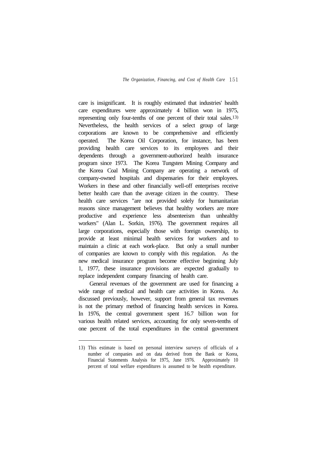care is insignificant. It is roughly estimated that industries' health care expenditures were approximately 4 billion won in 1975, representing only four-tenths of one percent of their total sales.13) Nevertheless, the health services of a select group of large corporations are known to be comprehensive and efficiently operated. The Korea Oil Corporation, for instance, has been providing health care services to its employees and their dependents through a government-authorized health insurance program since 1973. The Korea Tungsten Mining Company and the Korea Coal Mining Company are operating a network of company-owned hospitals and dispensaries for their employees. Workers in these and other financially well-off enterprises receive better health care than the average citizen in the country. These health care services "are not provided solely for humanitarian reasons since management believes that healthy workers are more productive and experience less absenteeism than unhealthy workers" (Alan L. Sorkin, 1976). The government requires all large corporations, especially those with foreign ownership, to provide at least minimal health services for workers and to maintain a clinic at each work-place. But only a small number of companies are known to comply with this regulation. As the new medical insurance program become effective beginning July 1, 1977, these insurance provisions are expected gradually to replace independent company financing of health care.

 General revenues of the government are used for financing a wide range of medical and health care activities in Korea. As discussed previously, however, support from general tax revenues is not the primary method of financing health services in Korea. In 1976, the central government spent 16.7 billion won for various health related services, accounting for only seven-tenths of one percent of the total expenditures in the central government

<sup>13)</sup> This estimate is based on personal interview surveys of officials of a number of companies and on data derived from the Bank or Korea, Financial Statements Analysis for 1975, June 1976. Approximately 10 percent of total welfare expenditures is assumed to be health expenditure.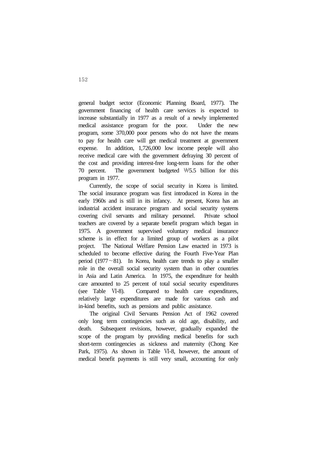general budget sector (Economic Planning Board, 1977). The government financing of health care services is expected to increase substantially in 1977 as a result of a newly implemented medical assistance program for the poor. Under the new program, some 370,000 poor persons who do not have the means to pay for health care will get medical treatment at government expense. In addition, 1,726,000 low income people will also receive medical care with the government defraying 30 percent of the cost and providing interest-free long-term loans for the other 70 percent. The government budgeted ₩5.5 billion for this program in 1977.

 Currently, the scope of social security in Korea is limited. The social insurance program was first introduced in Korea in the early 1960s and is still in its infancy. At present, Korea has an industrial accident insurance program and social security systems covering civil servants and military personnel. Private school teachers are covered by a separate benefit program which began in 1975. A government supervised voluntary medical insurance scheme is in effect for a limited group of workers as a pilot project. The National Welfare Pension Law enacted in 1973 is scheduled to become effective during the Fourth Five-Year Plan period (1977 $\sim$ 81). In Korea, health care trends to play a smaller role in the overall social security system than in other countries in Asia and Latin America. In 1975, the expenditure for health care amounted to 25 percent of total social security expenditures (see Table Ⅵ-8). Compared to health care expenditures, relatively large expenditures are made for various cash and in-kind benefits, such as pensions and public assistance.

 The original Civil Servants Pension Act of 1962 covered only long term contingencies such as old age, disability, and death. Subsequent revisions, however, gradually expanded the scope of the program by providing medical benefits for such short-term contingencies as sickness and maternity (Chong Kee Park, 1975). As shown in Table Ⅵ-8, however, the amount of medical benefit payments is still very small, accounting for only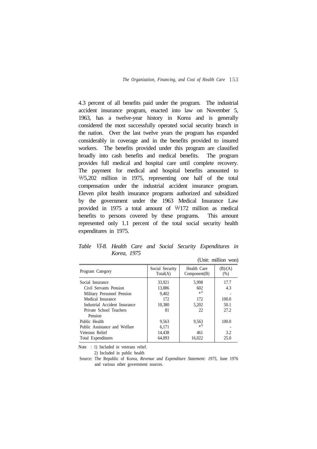4.3 percent of all benefits paid under the program. The industrial accident insurance program, enacted into law on November 5, 1963, has a twelve-year history in Korea and is generally considered the most successfully operated social security branch in the nation. Over the last twelve years the program has expanded considerably in coverage and in the benefits provided to insured workers. The benefits provided under this program are classified broadly into cash benefits and medical benefits. The program provides full medical and hospital care until complete recovery. The payment for medical and hospital benefits amounted to ₩5,202 million in 1975, representing one half of the total compensation under the industrial accident insurance program. Eleven pilot health insurance programs authorized and subsidized by the government under the 1963 Medical Insurance Law provided in 1975 a total amount of ₩172 million as medical benefits to persons covered by these programs. This amount represented only 1.1 percent of the total social security health expenditures in 1975.

*Table* Ⅵ*-8. Health Care and Social Security Expenditures in Korea, 1975*

|                               |                             |                             | (Unit: million won) |
|-------------------------------|-----------------------------|-----------------------------|---------------------|
| Program Category              | Social Security<br>Total(A) | Health Care<br>Component(B) | (B)/(A)<br>(% )     |
| Social Insurance              | 33,921                      | 5,998                       | 17.7                |
| Civil Servants Pension        | 13,886                      | 602                         | 4.3                 |
| Military Personnel Pension    | 9.402                       | $*$ <sup>1</sup> )          |                     |
| Medical Insurance             | 172                         | 172                         | 100.0               |
| Industrial Accident Insurance | 10,380                      | 5,202                       | 50.1                |
| Private School Teachers       | 81                          | 22.                         | 27.2                |
| Pension                       |                             |                             |                     |
| Public Health                 | 9,563                       | 9,563                       | 100.0               |
| Public Assistance and Welfare | 6,171                       | $*^{2}$                     |                     |
| Veterans Relief               | 14.438                      | 461                         | 3.2                 |
| Total Expenditures            | 64,093                      | 16,022                      | 25.0                |

Note : 1) Included in veterans relief.

2) Included in public health

Source: The Republic of Korea, *Revenue and Expenditure Statement: 1975,* June 1976 and various other government sources.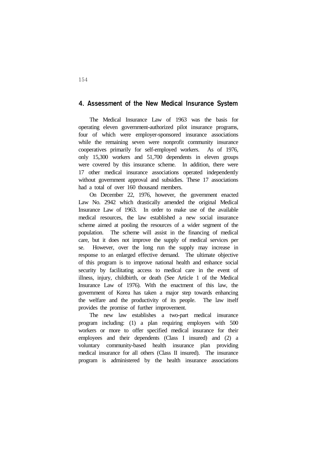# 4. Assessment of the New Medical Insurance System

 The Medical Insurance Law of 1963 was the basis for operating eleven government-authorized pilot insurance programs, four of which were employer-sponsored insurance associations while the remaining seven were nonprofit community insurance cooperatives primarily for self-employed workers. As of 1976, only 15,300 workers and 51,700 dependents in eleven groups were covered by this insurance scheme. In addition, there were 17 other medical insurance associations operated independently without government approval and subsidies. These 17 associations had a total of over 160 thousand members.

 On December 22, 1976, however, the government enacted Law No. 2942 which drastically amended the original Medical Insurance Law of 1963. In order to make use of the available medical resources, the law established a new social insurance scheme aimed at pooling the resources of a wider segment of the population. The scheme will assist in the financing of medical care, but it does not improve the supply of medical services per se. However, over the long run the supply may increase in response to an enlarged effective demand. The ultimate objective of this program is to improve national health and enhance social security by facilitating access to medical care in the event of illness, injury, childbirth, or death (See Article 1 of the Medical Insurance Law of 1976). With the enactment of this law, the government of Korea has taken a major step towards enhancing the welfare and the productivity of its people. The law itself provides the promise of further improvement.

 The new law establishes a two-part medical insurance program including: (1) a plan requiring employers with 500 workers or more to offer specified medical insurance for their employees and their dependents (Class I insured) and (2) a voluntary community-based health insurance plan providing medical insurance for all others (Class II insured). The insurance program is administered by the health insurance associations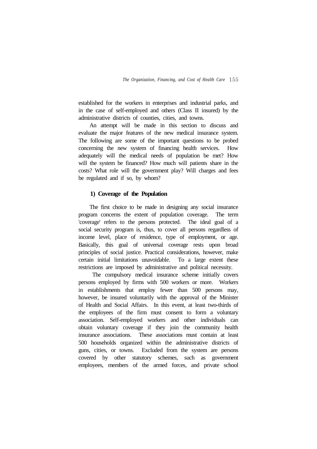established for the workers in enterprises and industrial parks, and in the case of self-employed and others (Class II insured) by the administrative districts of counties, cities, and towns.

 An attempt will be made in this section to discuss and evaluate the major features of the new medical insurance system. The following are some of the important questions to be probed concerning the new system of financing health services. How adequately will the medical needs of population be met? How will the system be financed? How much will patients share in the costs? What role will the government play? Will charges and fees be regulated and if so, by whom?

### **1) Coverage of the Population**

 The first choice to be made in designing any social insurance program concerns the extent of population coverage. The term 'coverage' refers to the persons protected. The ideal goal of a social security program is, thus, to cover all persons regardless of income level, place of residence, type of employment, or age. Basically, this goal of universal coverage rests upon broad principles of social justice. Practical considerations, however, make certain initial limitations unavoidable. To a large extent these restrictions are imposed by administrative and political necessity.

 The compulsory medical insurance scheme initially covers persons employed by firms with 500 workers or more. Workers in establishments that employ fewer than 500 persons may, however, be insured voluntarily with the approval of the Minister of Health and Social Affairs. In this event, at least two-thirds of the employees of the firm must consent to form a voluntary association. Self-employed workers and other individuals can obtain voluntary coverage if they join the community health insurance associations. These associations must contain at least 500 households organized within the administrative districts of guns, cities, or towns. Excluded from the system are persons covered by other statutory schemes, such as government employees, members of the armed forces, and private school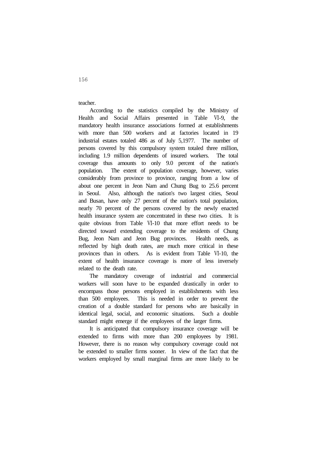### teacher.

 According to the statistics compiled by the Ministry of Health and Social Affairs presented in Table Ⅵ-9, the mandatory health insurance associations formed at establishments with more than 500 workers and at factories located in 19 industrial estates totaled 486 as of July 5,1977. The number of persons covered by this compulsory system totaled three million, including 1.9 million dependents of insured workers. The total coverage thus amounts to only 9.0 percent of the nation's population. The extent of population coverage, however, varies considerably from province to province, ranging from a low of about one percent in Jeon Nam and Chung Bug to 25.6 percent in Seoul. Also, although the nation's two largest cities, Seoul and Busan, have only 27 percent of the nation's total population, nearly 70 percent of the persons covered by the newly enacted health insurance system are concentrated in these two cities. It is quite obvious from Table Ⅵ-10 that more effort needs to be directed toward extending coverage to the residents of Chung Bug, Jeon Nam and Jeon Bug provinces. Health needs, as reflected by high death rates, are much more critical in these provinces than in others. As is evident from Table Ⅵ-10, the extent of health insurance coverage is more of less inversely related to the death rate.

 The mandatory coverage of industrial and commercial workers will soon have to be expanded drastically in order to encompass those persons employed in establishments with less than 500 employees. This is needed in order to prevent the creation of a double standard for persons who are basically in identical legal, social, and economic situations. Such a double standard might emerge if the employees of the larger firms.

 It is anticipated that compulsory insurance coverage will be extended to firms with more than 200 employees by 1981. However, there is no reason why compulsory coverage could not be extended to smaller firms sooner. In view of the fact that the workers employed by small marginal firms are more likely to be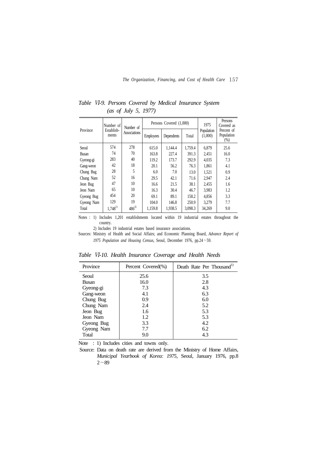|              | Number of           | Number of    | Persons Covered (1,000)        |         |         | 1975                  | Persons<br>Covered as           |
|--------------|---------------------|--------------|--------------------------------|---------|---------|-----------------------|---------------------------------|
| Province     | Establish-<br>ments | Associations | <b>Employees</b><br>Dependents |         | Total   | Population<br>(1,000) | Percent of<br>Population<br>(%) |
| Seoul        | 574                 | 278          | 615.0                          | 1,144.4 | 1,759.4 | 6,879                 | 25.6                            |
| <b>Busan</b> | 74                  | 70           | 163.8                          | 227.4   | 391.3   | 2,451                 | 16.0                            |
| Gyeong-gi    | 283                 | 40           | 119.2                          | 173.7   | 292.9   | 4,035                 | 7.3                             |
| Gang-weon    | 42                  | 18           | 20.1                           | 56.2    | 76.3    | 1,861                 | 4.1                             |
| Chung Bug    | 28                  | 5            | 6.0                            | 7.0     | 13.0    | 1,521                 | 0.9                             |
| Chung Nam    | 52                  | 16           | 29.5                           | 42.1    | 71.6    | 2,947                 | 2.4                             |
| Jeon Bug     | 47                  | 10           | 16.6                           | 21.5    | 38.1    | 2,455                 | 1.6                             |
| Jeon Nam     | 65                  | 10           | 16.3                           | 30.4    | 46.7    | 3,983                 | 1.2                             |
| Gyeong Bug   | 454                 | 20           | 69.1                           | 89.1    | 158.2   | 4,856                 | 3.3                             |
| Gyeong Nam   | 129                 | 19           | 104.0                          | 146.8   | 250.9   | 3,279                 | 7.7                             |
| Total        | $1,748^{1}$         | $486^{2}$    | 1,159.8                        | 1,938.5 | 3,098.3 | 34,269                | 9.0                             |

*Table* Ⅵ*-9. Persons Covered by Medical Insurance System (as of July 5, 1977)*

Notes : 1) Includes 1,201 establishments located within 19 industrial estates throughout the country.

2) Includes 19 industrial estates based insurance associations.

Sources: Ministry of Health and Social Affairs; and Economic Planning Board, *Advance Report of 1975 Population and Housing Census*, Seoul, December 1976, pp.24~59.

| Province   | Percent Covered(%) | Death Rate Per Thousand <sup>1)</sup> |
|------------|--------------------|---------------------------------------|
| Seoul      | 25.6               | 3.5                                   |
| Busan      | 16.0               | 2.8                                   |
| Gyeong-gi  | 7.3                | 4.3                                   |
| Gang-weon  | 4.1                | 6.3                                   |
| Chung Bug  | 0.9                | 6.0                                   |
| Chung Nam  | 2.4                | 5.2                                   |
| Jeon Bug   | 1.6                | 5.3                                   |
| Jeon Nam   | 1.2                | 5.3                                   |
| Gyeong Bug | 3.3                | 4.2                                   |
| Gyeong Nam | 7.7                | 6.2                                   |
| Total      | 9.0                | 4.3                                   |

*Table* Ⅵ*-10. Health Insurance Coverage and Health Needs*

Note : 1) Includes cities and towns only.

Source: Data on death rate are derived from the Ministry of Home Affairs, *Municipal Yearbook of Korea: 1975*, Seoul, January 1976, pp.8  $2 - 89$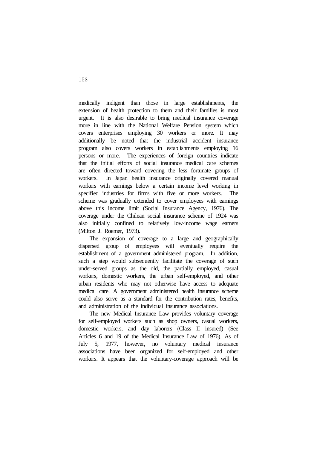medically indigent than those in large establishments, the extension of health protection to them and their families is most urgent. It is also desirable to bring medical insurance coverage more in line with the National Welfare Pension system which covers enterprises employing 30 workers or more. It may additionally be noted that the industrial accident insurance program also covers workers in establishments employing 16 persons or more. The experiences of foreign countries indicate that the initial efforts of social insurance medical care schemes are often directed toward covering the less fortunate groups of workers. In Japan health insurance originally covered manual workers with earnings below a certain income level working in specified industries for firms with five or more workers. The scheme was gradually extended to cover employees with earnings above this income limit (Social Insurance Agency, 1976). The coverage under the Chilean social insurance scheme of 1924 was also initially confined to relatively low-income wage earners (Milton J. Roemer, 1973).

 The expansion of coverage to a large and geographically dispersed group of employees will eventually require the establishment of a government administered program. In addition, such a step would subsequently facilitate the coverage of such under-served groups as the old, the partially employed, casual workers, domestic workers, the urban self-employed, and other urban residents who may not otherwise have access to adequate medical care. A government administered health insurance scheme could also serve as a standard for the contribution rates, benefits, and administration of the individual insurance associations.

 The new Medical Insurance Law provides voluntary coverage for self-employed workers such as shop owners, casual workers, domestic workers, and day laborers (Class II insured) (See Articles 6 and 19 of the Medical Insurance Law of 1976). As of July 5, 1977, however, no voluntary medical insurance associations have been organized for self-employed and other workers. It appears that the voluntary-coverage approach will be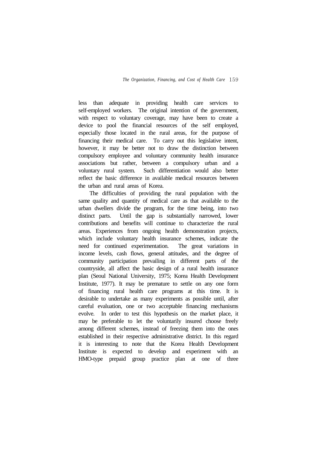less than adequate in providing health care services to self-employed workers. The original intention of the government, with respect to voluntary coverage, may have been to create a device to pool the financial resources of the self employed, especially those located in the rural areas, for the purpose of financing their medical care. To carry out this legislative intent, however, it may be better not to draw the distinction between compulsory employee and voluntary community health insurance associations but rather, between a compulsory urban and a voluntary rural system. Such differentiation would also better reflect the basic difference in available medical resources between the urban and rural areas of Korea.

 The difficulties of providing the rural population with the same quality and quantity of medical care as that available to the urban dwellers divide the program, for the time being, into two distinct parts. Until the gap is substantially narrowed, lower contributions and benefits will continue to characterize the rural areas. Experiences from ongoing health demonstration projects, which include voluntary health insurance schemes, indicate the need for continued experimentation. The great variations in income levels, cash flows, general attitudes, and the degree of community participation prevailing in different parts of the countryside, all affect the basic design of a rural health insurance plan (Seoul National University, 1975; Korea Health Development Institute, 1977). It may be premature to settle on any one form of financing rural health care programs at this time. It is desirable to undertake as many experiments as possible until, after careful evaluation, one or two acceptable financing mechanisms evolve. In order to test this hypothesis on the market place, it may be preferable to let the voluntarily insured choose freely among different schemes, instead of freezing them into the ones established in their respective administrative district. In this regard it is interesting to note that the Korea Health Development Institute is expected to develop and experiment with an HMO-type prepaid group practice plan at one of three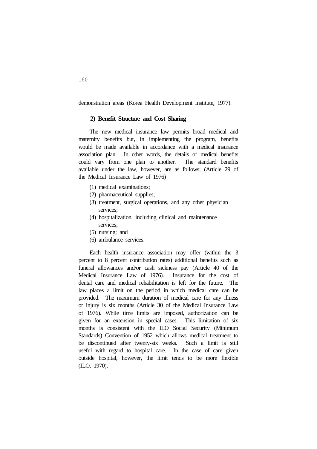demonstration areas (Korea Health Development Institute, 1977).

#### **2) Benefit Structure and Cost Sharing**

 The new medical insurance law permits broad medical and maternity benefits but, in implementing the program, benefits would be made available in accordance with a medical insurance association plan. In other words, the details of medical benefits could vary from one plan to another. The standard benefits available under the law, however, are as follows; (Article 29 of the Medical Insurance Law of 1976)

- (1) medical examinations;
- (2) pharmaceutical supplies;
- (3) treatment, surgical operations, and any other physician services;
- (4) hospitalization, including clinical and maintenance services;
- (5) nursing; and
- (6) ambulance services.

 Each health insurance association may offer (within the 3 percent to 8 percent contribution rates) additional benefits such as funeral allowances and/or cash sickness pay (Article 40 of the Medical Insurance Law of 1976). Insurance for the cost of dental care and medical rehabilitation is left for the future. The law places a limit on the period in which medical care can be provided. The maximum duration of medical care for any illness or injury is six months (Article 30 of the Medical Insurance Law of 1976). While time limits are imposed, authorization can be given for an extension in special cases. This limitation of six months is consistent with the ILO Social Security (Minimum Standards) Convention of 1952 which allows medical treatment to be discontinued after twenty-six weeks. Such a limit is still useful with regard to hospital care. In the case of care given outside hospital, however, the limit tends to be more flexible (ILO, 1970).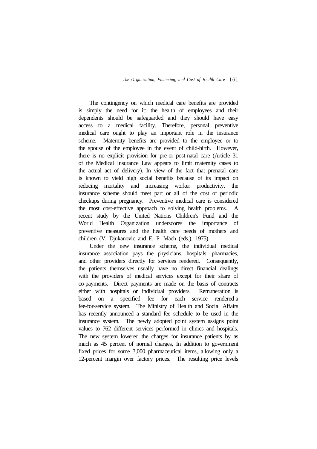The contingency on which medical care benefits are provided is simply the need for it: the health of employees and their dependents should be safeguarded and they should have easy access to a medical facility. Therefore, personal preventive medical care ought to play an important role in the insurance scheme. Maternity benefits are provided to the employee or to the spouse of the employee in the event of child-birth. However, there is no explicit provision for pre-or post-natal care (Article 31 of the Medical Insurance Law appears to limit maternity cases to the actual act of delivery). In view of the fact that prenatal care is known to yield high social benefits because of its impact on reducing mortality and increasing worker productivity, the insurance scheme should meet part or all of the cost of periodic checkups during pregnancy. Preventive medical care is considered the most cost-effective approach to solving health problems. A recent study by the United Nations Children's Fund and the World Health Organization underscores the importance of preventive measures and the health care needs of mothers and children (V. Djukanovic and E. P. Mach (eds.), 1975).

 Under the new insurance scheme, the individual medical insurance association pays the physicians, hospitals, pharmacies, and other providers directly for services rendered. Consequently, the patients themselves usually have no direct financial dealings with the providers of medical services except for their share of co-payments. Direct payments are made on the basis of contracts either with hospitals or individual providers. Remuneration is based on a specified fee for each service rendered-a fee-for-service system. The Ministry of Health and Social Affairs has recently announced a standard fee schedule to be used in the insurance system. The newly adopted point system assigns point values to 762 different services performed in clinics and hospitals. The new system lowered the charges for insurance patients by as much as 45 percent of normal charges, In addition to government fixed prices for some 3,000 pharmaceutical items, allowing only a 12-percent margin over factory prices. The resulting price levels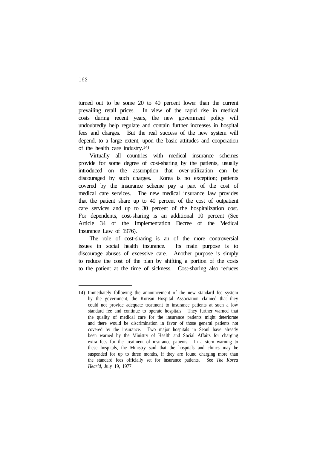turned out to be some 20 to 40 percent lower than the current prevailing retail prices. In view of the rapid rise in medical costs during recent years, the new government policy will undoubtedly help regulate and contain further increases in hospital fees and charges. But the real success of the new system will depend, to a large extent, upon the basic attitudes and cooperation of the health care industry.14)

 Virtually all countries with medical insurance schemes provide for some degree of cost-sharing by the patients, usually introduced on the assumption that over-utilization can be discouraged by such charges. Korea is no exception; patients covered by the insurance scheme pay a part of the cost of medical care services. The new medical insurance law provides that the patient share up to 40 percent of the cost of outpatient care services and up to 30 percent of the hospitalization cost. For dependents, cost-sharing is an additional 10 percent (See Article 34 of the Implementation Decree of the Medical Insurance Law of 1976).

 The role of cost-sharing is an of the more controversial issues in social health insurance. Its main purpose is to discourage abuses of excessive care. Another purpose is simply to reduce the cost of the plan by shifting a portion of the costs to the patient at the time of sickness. Cost-sharing also reduces

<sup>14)</sup> Immediately following the announcement of the new standard fee system by the government, the Korean Hospital Association claimed that they could not provide adequate treatment to insurance patients at such a low standard fee and continue to operate hospitals. They further warned that the quality of medical care for the insurance patients might deteriorate and there would be discrimination in favor of those general patients not covered by the insurance. Two major hospitals in Seoul have already been warned by the Ministry of Health and Social Affairs for charging extra fees for the treatment of insurance patients. In a stern warning to these hospitals, the Ministry said that the hospitals and clinics may be suspended for up to three months, if they are found charging more than the standard fees officially set for insurance patients. See *The Korea Hearld*, July 19, 1977.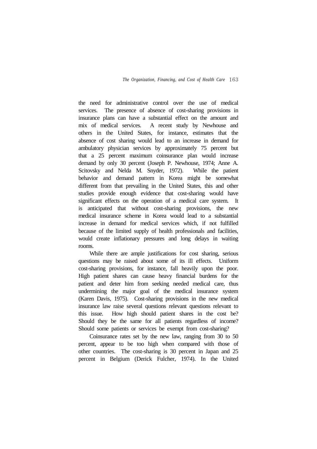the need for administrative control over the use of medical services. The presence of absence of cost-sharing provisions in insurance plans can have a substantial effect on the amount and mix of medical services. A recent study by Newhouse and others in the United States, for instance, estimates that the absence of cost sharing would lead to an increase in demand for ambulatory physician services by approximately 75 percent but that a 25 percent maximum coinsurance plan would increase demand by only 30 percent (Joseph P. Newhouse, 1974; Anne A. Scitovsky and Nelda M. Snyder, 1972). While the patient behavior and demand pattern in Korea might be somewhat different from that prevailing in the United States, this and other studies provide enough evidence that cost-sharing would have significant effects on the operation of a medical care system. It is anticipated that without cost-sharing provisions, the new medical insurance scheme in Korea would lead to a substantial increase in demand for medical services which, if not fulfilled because of the limited supply of health professionals and facilities, would create inflationary pressures and long delays in waiting rooms.

 While there are ample justifications for cost sharing, serious questions may be raised about some of its ill effects. Uniform cost-sharing provisions, for instance, fall heavily upon the poor. High patient shares can cause heavy financial burdens for the patient and deter him from seeking needed medical care, thus undermining the major goal of the medical insurance system (Karen Davis, 1975). Cost-sharing provisions in the new medical insurance law raise several questions relevant questions relevant to this issue. How high should patient shares in the cost be? Should they be the same for all patients regardless of income? Should some patients or services be exempt from cost-sharing?

 Coinsurance rates set by the new law, ranging from 30 to 50 percent, appear to be too high when compared with those of other countries. The cost-sharing is 30 percent in Japan and 25 percent in Belgium (Derick Fulcher, 1974). In the United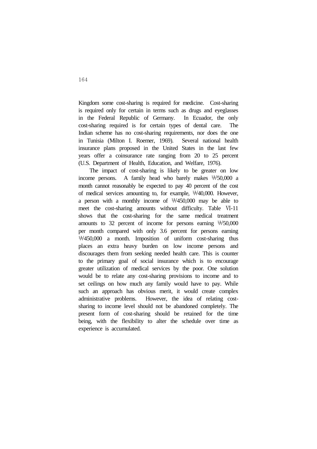Kingdom some cost-sharing is required for medicine. Cost-sharing is required only for certain in terms such as drugs and eyeglasses in the Federal Republic of Germany. In Ecuador, the only cost-sharing required is for certain types of dental care. The Indian scheme has no cost-sharing requirements, nor does the one in Tunisia (Milton I. Roemer, 1969). Several national health insurance plans proposed in the United States in the last few years offer a coinsurance rate ranging from 20 to 25 percent (U.S. Department of Health, Education, and Welfare, 1976).

 The impact of cost-sharing is likely to be greater on low income persons. A family head who barely makes ₩50,000 a month cannot reasonably be expected to pay 40 percent of the cost of medical services amounting to, for example, ₩40,000. However, a person with a monthly income of ₩450,000 may be able to meet the cost-sharing amounts without difficulty. Table Ⅵ-11 shows that the cost-sharing for the same medical treatment amounts to 32 percent of income for persons earning ₩50,000 per month compared with only 3.6 percent for persons earning ₩450,000 a month. Imposition of uniform cost-sharing thus places an extra heavy burden on low income persons and discourages them from seeking needed health care. This is counter to the primary goal of social insurance which is to encourage greater utilization of medical services by the poor. One solution would be to relate any cost-sharing provisions to income and to set ceilings on how much any family would have to pay. While such an approach has obvious merit, it would create complex administrative problems. However, the idea of relating costsharing to income level should not be abandoned completely. The present form of cost-sharing should be retained for the time being, with the flexibility to alter the schedule over time as experience is accumulated.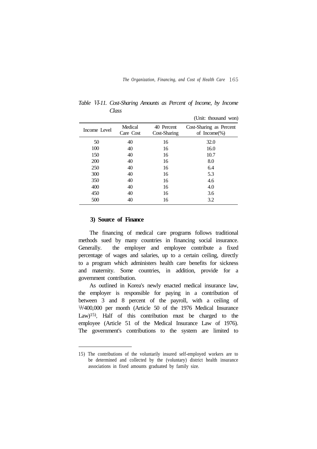|              |                      |                            | (Unit: thousand won)                    |
|--------------|----------------------|----------------------------|-----------------------------------------|
| Income Level | Medical<br>Care Cost | 40 Percent<br>Cost-Sharing | Cost-Sharing as Percent<br>of Income(%) |
| 50           | 40                   | 16                         | 32.0                                    |
| 100          | 40                   | 16                         | 16.0                                    |
| 150          | 40                   | 16                         | 10.7                                    |
| <b>200</b>   | 40                   | 16                         | 8.0                                     |
| 250          | 40                   | 16                         | 6.4                                     |
| 300          | 40                   | 16                         | 5.3                                     |
| 350          | 40                   | 16                         | 4.6                                     |
| 400          | 40                   | 16                         | 4.0                                     |
| 450          | 40                   | 16                         | 3.6                                     |
| 500          | 40                   | 16                         | 3.2                                     |
|              |                      |                            |                                         |

*Table* Ⅵ*-11. Cost-Sharing Amounts as Percent of Income, by Income Class*

# **3) Source of Finance**

 The financing of medical care programs follows traditional methods sued by many countries in financing social insurance. Generally. the employer and employee contribute a fixed percentage of wages and salaries, up to a certain ceiling, directly to a program which administers health care benefits for sickness and maternity. Some countries, in addition, provide for a government contribution.

 As outlined in Korea's newly enacted medical insurance law, the employer is responsible for paying in a contribution of between 3 and 8 percent of the payroll, with a ceiling of ₩400,000 per month (Article 50 of the 1976 Medical Insurance Law)15), Half of this contribution must be charged to the employee (Article 51 of the Medical Insurance Law of 1976). The government's contributions to the system are limited to

<sup>15)</sup> The contributions of the voluntarily insured self-employed workers are to be determined and collected by the (voluntary) district health insurance associations in fixed amounts graduated by family size.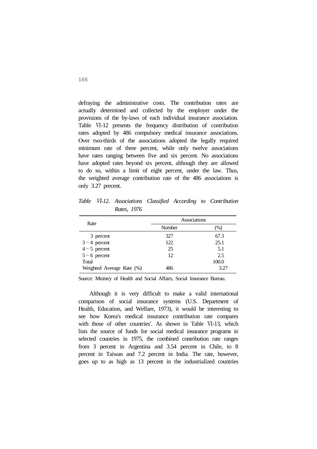defraying the administrative costs. The contribution rates are actually determined and collected by the employer under the provisions of the by-laws of each individual insurance association. Table Ⅵ-12 presents the frequency distribution of contribution rates adopted by 486 compulsory medical insurance associations. Over two-thirds of the associations adopted the legally required minimum rate of three percent, while only twelve associations have rates ranging between five and six percent. No associations have adopted rates beyond six percent, although they are allowed to do so, within a limit of eight percent, under the law. Thus, the weighted average contribution rate of the 486 associations is only 3.27 precent.

*Table* Ⅵ*-12. Associations Classified According to Contribution Rates, 1976*

| Rate                      | Associations |       |  |  |
|---------------------------|--------------|-------|--|--|
|                           | Number       | $\%$  |  |  |
| 3 percent                 | 327          | 67.3  |  |  |
| $3 \sim 4$ percent        | 122          | 25.1  |  |  |
| $4 \sim 5$ percent        | 25           | 5.1   |  |  |
| $5~$ 6 percent            | 12.          | 2.5   |  |  |
| Total                     |              | 100.0 |  |  |
| Weighted Average Rate (%) | 486          | 3.27  |  |  |

Source: Ministry of Health and Social Affairs, Social Insurance Bureau.

 Although it is very difficult to make a valid international comparison of social insurance systems (U.S. Department of Health, Education, and Welfare, 1973), it would be interesting to see how Korea's medical insurance contribution rate compares with those of other countries'. As shown in Table Ⅵ-13, which lists the source of funds for social medical insurance programs in selected countries in 1975, the combined contribution rate ranges from 3 percent in Argentina and 3.54 percent in Chile, to 8 percent in Taiwan and 7.2 percent in India. The rate, however, goes up to as high as 13 percent in the industrialized countries

166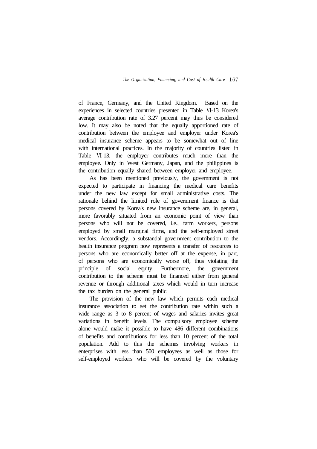of France, Germany, and the United Kingdom. Based on the experiences in selected countries presented in Table Ⅵ-13 Korea's average contribution rate of 3.27 percent may thus be considered low. It may also be noted that the equally apportioned rate of contribution between the employee and employer under Korea's medical insurance scheme appears to be somewhat out of line with international practices. In the majority of countries listed in Table VI-13, the employer contributes much more than the employee. Only in West Germany, Japan, and the philippines is the contribution equally shared between employer and employee.

 As has been mentioned previously, the government is not expected to participate in financing the medical care benefits under the new law except for small administrative costs. The rationale behind the limited role of government finance is that persons covered by Korea's new insurance scheme are, in general, more favorably situated from an economic point of view than persons who will not be covered, i.e., farm workers, persons employed by small marginal firms, and the self-employed street vendors. Accordingly, a substantial government contribution to the health insurance program now represents a transfer of resources to persons who are economically better off at the expense, in part, of persons who are economically worse off, thus violating the principle of social equity. Furthermore, the government contribution to the scheme must be financed either from general revenue or through additional taxes which would in turn increase the tax burden on the general public.

 The provision of the new law which permits each medical insurance association to set the contribution rate within such a wide range as 3 to 8 percent of wages and salaries invites great variations in benefit levels. The compulsory employee scheme alone would make it possible to have 486 different combinations of benefits and contributions for less than 10 percent of the total population. Add to this the schemes involving workers in enterprises with less than 500 employees as well as those for self-employed workers who will be covered by the voluntary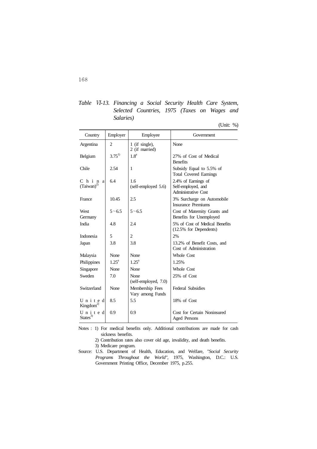*Table* Ⅵ*-13. Financing a Social Security Health Care System, Selected Countries, 1975 (Taxes on Wages and Salaries)*

| (Unit: %) |  |
|-----------|--|
|           |  |

| Country                        | Employer       | Employee                            | Government                                                       |
|--------------------------------|----------------|-------------------------------------|------------------------------------------------------------------|
| Argentina                      | 2              | 1 (if single),<br>2 (if married)    | None                                                             |
| Belgium                        | $3.75^{1}$     | 1.8 <sup>a</sup>                    | 27% of Cost of Medical<br><b>Benefits</b>                        |
| Chile                          | 2.54           | 1                                   | Subsidy Equal to 5.5% of<br><b>Total Covered Earnings</b>        |
| $Ch$ in<br>-al<br>$(Taiwan)^2$ | 6.4            | $1.6\,$<br>(self-employed 5.6)      | 2.4% of Earnings of<br>Self-employed, and<br>Administrative Cost |
| France                         | 10.45          | 2.5                                 | 3% Surcharge on Automobile<br><b>Insurance Premiums</b>          |
| West<br>Germany                | $5 - 6.5$      | $5 - 6.5$                           | Cost of Maternity Grants and<br>Benefits for Unemployed          |
| India                          | 4.8            | 2.4                                 | 5% of Cost of Medical Benefits<br>(12.5% for Dependents)         |
| Indonesia                      | 5              | $\overline{2}$                      | 2%                                                               |
| Japan                          | 3.8            | 3.8                                 | 13.2% of Benefit Costs, and<br>Cost of Administration            |
| Malaysia                       | None           | None                                | Whole Cost                                                       |
| Philippines                    | $1.25^{\circ}$ | $1.25^{\text{a}}$                   | 1.25%                                                            |
| Singapore                      | None           | None                                | Whole Cost                                                       |
| Sweden                         | 7.0            | None<br>$(self$ -employed, $7.0$ )  | 25% of Cost                                                      |
| Switzerland                    | None           | Membership Fees<br>Vary among Funds | <b>Federal Subsidies</b>                                         |
| United<br>Kingdom <sup>2</sup> | 8.5            | 5.5                                 | 18% of Cost                                                      |
| United<br>$States^{3)}$        | 0.9            | 0.9                                 | Cost for Certain Noninsured<br><b>Aged Persons</b>               |

Notes : 1) For medical benefits only. Additional contributions are made for cash sickness benefits.

2) Contribution rates also cover old age, invalidity, and death benefits.

3) Medicare program.

Source: U.S. Department of Health, Education, and Welfare, "*Social Security Programs Throughout the World",* 1975, Washington, D.C.: U.S. Government Printing Office, December 1975, p.255.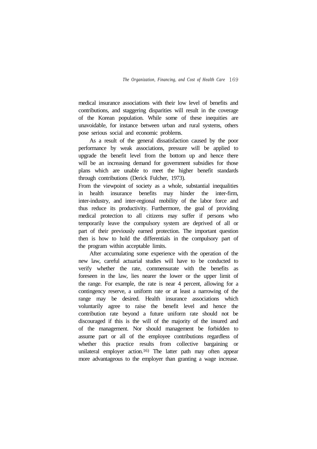medical insurance associations with their low level of benefits and contributions, and staggering disparities will result in the coverage of the Korean population. While some of these inequities are unavoidable, for instance between urban and rural systems, others pose serious social and economic problems.

 As a result of the general dissatisfaction caused by the poor performance by weak associations, pressure will be applied to upgrade the benefit level from the bottom up and hence there will be an increasing demand for government subsidies for those plans which are unable to meet the higher benefit standards through contributions (Derick Fulcher, 1973).

From the viewpoint of society as a whole, substantial inequalities in health insurance benefits may hinder the inter-firm, inter-industry, and inter-regional mobility of the labor force and thus reduce its productivity. Furthermore, the goal of providing medical protection to all citizens may suffer if persons who temporarily leave the compulsory system are deprived of all or part of their previously earned protection. The important question then is how to hold the differentials in the compulsory part of the program within acceptable limits.

 After accumulating some experience with the operation of the new law, careful actuarial studies will have to be conducted to verify whether the rate, commensurate with the benefits as foreseen in the law, lies nearer the lower or the upper limit of the range. For example, the rate is near 4 percent, allowing for a contingency reserve, a uniform rate or at least a narrowing of the range may be desired. Health insurance associations which voluntarily agree to raise the benefit level and hence the contribution rate beyond a future uniform rate should not be discouraged if this is the will of the majority of the insured and of the management. Nor should management be forbidden to assume part or all of the employee contributions regardless of whether this practice results from collective bargaining or unilateral employer action.16) The latter path may often appear more advantageous to the employer than granting a wage increase.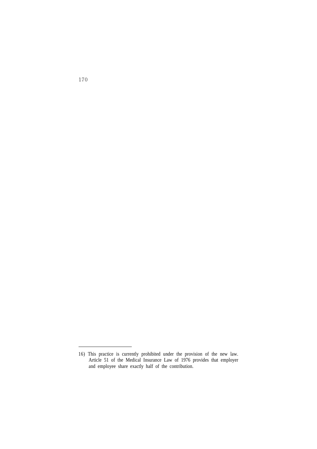170

<sup>16)</sup> This practice is currently prohibited under the provision of the new law. Article 51 of the Medical Insurance Law of 1976 provides that employer and employee share exactly half of the contribution.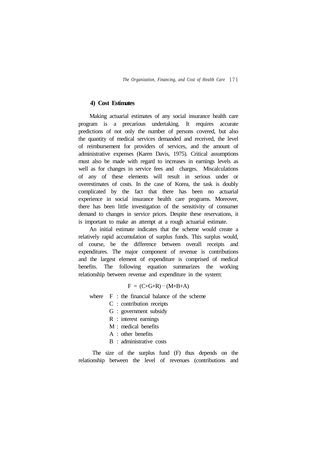# **4) Cost Estimates**

 Making actuarial estimates of any social insurance health care program is a precarious undertaking. It requires accurate predictions of not only the number of persons covered, but also the quantity of medical services demanded and received, the level of reimbursement for providers of services, and the amount of administrative expenses (Karen Davis, 1975). Critical assumptions must also be made with regard to increases in earnings levels as well as for changes in service fees and charges. Miscalculations of any of these elements will result in serious under or overestimates of costs. In the case of Korea, the task is doubly complicated by the fact that there has been no actuarial experience in social insurance health care programs. Moreover, there has been little investigation of the sensitivity of consumer demand to changes in service prices. Despite these reservations, it is important to make an attempt at a rough actuarial estimate.

 An initial estimate indicates that the scheme would create a relatively rapid accumulation of surplus funds. This surplus would, of course, be the difference between overall receipts and expenditures. The major component of revenue is contributions and the largest element of expenditure is comprised of medical benefits. The following equation summarizes the working relationship between revenue and expenditure in the system:

### $F = (C + G + R) - (M + B + A)$

where F : the financial balance of the scheme

- C : contribution receipts
- G : government subsidy
- R : interest earnings
- M : medical benefits
- A : other benefits
- B : administrative costs

 The size of the surplus fund (F) thus depends on the relationship between the level of revenues (contributions and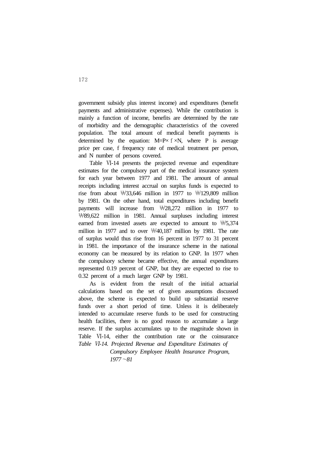government subsidy plus interest income) and expenditures (benefit payments and administrative expenses). While the contribution is mainly a function of income, benefits are determined by the rate of morbidity and the demographic characteristics of the covered population. The total amount of medical benefit payments is determined by the equation:  $M=Px$  f  $\times N$ , where P is average price per case, f frequency rate of medical treatment per person, and N number of persons covered.

Table VI-14 presents the projected revenue and expenditure estimates for the compulsory part of the medical insurance system for each year between 1977 and 1981. The amount of annual receipts including interest accrual on surplus funds is expected to rise from about  $\forall$ 33,646 million in 1977 to  $\forall$ 129,809 million by 1981. On the other hand, total expenditures including benefit payments will increase from ₩28,272 million in 1977 to ₩89,622 million in 1981. Annual surpluses including interest earned from invested assets are expected to amount to ₩5,374 million in 1977 and to over ₩40,187 million by 1981. The rate of surplus would thus rise from 16 percent in 1977 to 31 percent in 1981. the importance of the insurance scheme in the national economy can be measured by its relation to GNP. In 1977 when the compulsory scheme became effective, the annual expenditures represented 0.19 percent of GNP, but they are expected to rise to 0.32 percent of a much larger GNP by 1981.

 As is evident from the result of the initial actuarial calculations based on the set of given assumptions discussed above, the scheme is expected to build up substantial reserve funds over a short period of time. Unless it is deliberately intended to accumulate reserve funds to be used for constructing health facilities, there is no good reason to accumulate a large reserve. If the surplus accumulates up to the magnitude shown in Table VI-14, either the contribution rate or the coinsurance *Table* Ⅵ*-14. Projected Revenue and Expenditure Estimates of*

> *Compulsory Employee Health Insurance Program, 1977*~*81*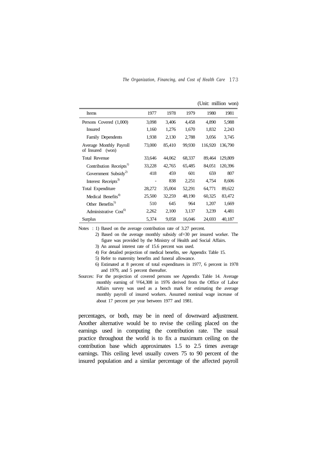| Items                                       | 1977   | 1978   | 1979   | 1980    | 1981    |
|---------------------------------------------|--------|--------|--------|---------|---------|
| Persons Covered (1,000)                     | 3,098  | 3,406  | 4.458  | 4,890   | 5,988   |
| <b>Insured</b>                              | 1,160  | 1,276  | 1,670  | 1,832   | 2,243   |
| <b>Family Dependents</b>                    | 1,938  | 2,130  | 2,788  | 3,056   | 3,745   |
| Average Monthly Payroll<br>of Insured (won) | 73,000 | 85,410 | 99,930 | 116.920 | 136,790 |
| <b>Total Revenue</b>                        | 33,646 | 44,062 | 68,337 | 89.464  | 129,809 |
| Contribution Receipts <sup>1)</sup>         | 33,228 | 42,765 | 65,485 | 84,051  | 120,396 |
| Government Subsidy <sup>2)</sup>            | 418    | 459    | 601    | 659     | 807     |
| Interest Receipts <sup>3)</sup>             |        | 838    | 2,251  | 4,754   | 8,606   |
| Total Expenditure                           | 28,272 | 35,004 | 52,291 | 64,771  | 89,622  |
| Medical Benefits <sup>4)</sup>              | 25,500 | 32,259 | 48,190 | 60,325  | 83,472  |
| Other Benefits <sup>5)</sup>                | 510    | 645    | 964    | 1,207   | 1,669   |
| Administrative Cost <sup>6)</sup>           | 2,262  | 2,100  | 3,137  | 3,239   | 4,481   |
| Surplus                                     | 5,374  | 9,058  | 16,046 | 24,693  | 40,187  |

(Unit: million won)

Notes : 1) Based on the average contribution rate of 3.27 percent.

- 2) Based on the average monthly subsidy of=30 per insured worker. The figure was provided by the Ministry of Health and Social Affairs.
- 3) An annual interest rate of 15.6 percent was used.
- 4) For detailed projection of medical benefits, see Appendix Table 15.
- 5) Refer to maternity benefits and funeral allowance.
- 6) Estimated at 8 percent of total expenditures in 1977, 6 percent in 1978 and 1979, and 5 percent thereafter.
- Sources: For the projection of covered persons see Appendix Table 14. Average monthly earning of ₩64,308 in 1976 derived from the Office of Labor Affairs survey was used as a bench mark for estimating the average monthly payroll of insured workers. Assumed nominal wage increase of about 17 percent per year between 1977 and 1981.

percentages, or both, may be in need of downward adjustment. Another alternative would be to revise the ceiling placed on the earnings used in computing the contribution rate. The usual practice throughout the world is to fix a maximum ceiling on the contribution base which approximates 1.5 to 2.5 times average earnings. This ceiling level usually covers 75 to 90 percent of the insured population and a similar percentage of the affected payroll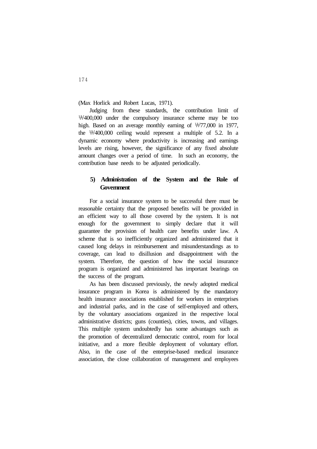(Max Horlick and Robert Lucas, 1971).

 Judging from these standards, the contribution limit of ₩400,000 under the compulsory insurance scheme may be too high. Based on an average monthly earning of ₩77,000 in 1977, the ₩400,000 ceiling would represent a multiple of 5.2. In a dynamic economy where productivity is increasing and earnings levels are rising, however, the significance of any fixed absolute amount changes over a period of time. In such an economy, the contribution base needs to be adjusted periodically.

# **5) Administration of the System and the Role of Government**

 For a social insurance system to be successful there must be reasonable certainty that the proposed benefits will be provided in an efficient way to all those covered by the system. It is not enough for the government to simply declare that it will guarantee the provision of health care benefits under law. A scheme that is so inefficiently organized and administered that it caused long delays in reimbursement and misunderstandings as to coverage, can lead to disillusion and disappointment with the system. Therefore, the question of how the social insurance program is organized and administered has important bearings on the success of the program.

 As has been discussed previously, the newly adopted medical insurance program in Korea is administered by the mandatory health insurance associations established for workers in enterprises and industrial parks, and in the case of self-employed and others, by the voluntary associations organized in the respective local administrative districts; guns (counties), cities, towns, and villages. This multiple system undoubtedly has some advantages such as the promotion of decentralized democratic control, room for local initiative, and a more flexible deployment of voluntary effort. Also, in the case of the enterprise-based medical insurance association, the close collaboration of management and employees

174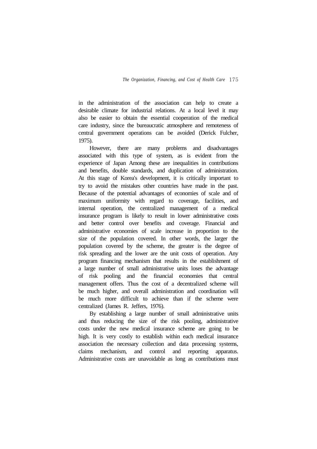in the administration of the association can help to create a desirable climate for industrial relations. At a local level it may also be easier to obtain the essential cooperation of the medical care industry, since the bureaucratic atmosphere and remoteness of central government operations can be avoided (Derick Fulcher, 1975).

 However, there are many problems and disadvantages associated with this type of system, as is evident from the experience of Japan Among these are inequalities in contributions and benefits, double standards, and duplication of administration. At this stage of Korea's development, it is critically important to try to avoid the mistakes other countries have made in the past. Because of the potential advantages of economies of scale and of maximum uniformity with regard to coverage, facilities, and internal operation, the centralized management of a medical insurance program is likely to result in lower administrative costs and better control over benefits and coverage. Financial and administrative economies of scale increase in proportion to the size of the population covered. In other words, the larger the population covered by the scheme, the greater is the degree of risk spreading and the lower are the unit costs of operation. Any program financing mechanism that results in the establishment of a large number of small administrative units loses the advantage of risk pooling and the financial economies that central management offers. Thus the cost of a decentralized scheme will be much higher, and overall administration and coordination will be much more difficult to achieve than if the scheme were centralized (James R. Jeffers, 1976).

 By establishing a large number of small administrative units and thus reducing the size of the risk pooling, administrative costs under the new medical insurance scheme are going to be high. It is very costly to establish within each medical insurance association the necessary collection and data processing systems, claims mechanism, and control and reporting apparatus. Administrative costs are unavoidable as long as contributions must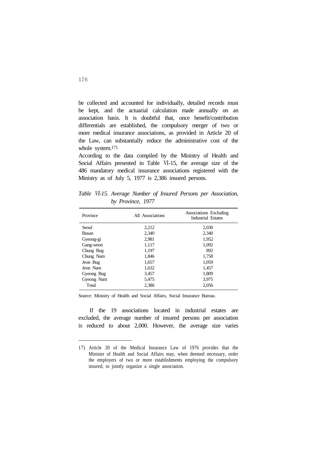be collected and accounted for individually, detailed records must be kept, and the actuarial calculation made annually on an association basis. It is doubtful that, once benefit/contribution differentials are established, the compulsory merger of two or more medical insurance associations, as provided in Article 20 of the Law, can substantially reduce the administrative cost of the whole system.<sup>17)</sup>

According to the data compiled by the Ministry of Health and Social Affairs presented in Table Ⅵ-15, the average size of the 486 mandatory medical insurance associations registered with the Ministry as of July 5, 1977 is 2,386 insured persons.

| Province     | All Associations | Associations Excluding<br><b>Industrial Estates</b> |
|--------------|------------------|-----------------------------------------------------|
| Seoul        | 2,212            | 2,030                                               |
| <b>Busan</b> | 2,340            | 2,340                                               |
| Gyeong-gi    | 2.981            | 1,952                                               |
| Gang-weon    | 1,117            | 1.092                                               |
| Chung Bug    | 1,197            | 892                                                 |
| Chung Nam    | 1,846            | 1,758                                               |
| Jeon Bug     | 1,657            | 1,059                                               |
| Jeon Nam     | 1,632            | 1,457                                               |
| Gyeong Bug   | 3,457            | 1,809                                               |
| Gyeong Nam   | 5,475            | 3,975                                               |
| Total        | 2.386            | 2.056                                               |

*Table* Ⅵ*-15. Average Number of Insured Persons per Association, by Province, 1977*

Source: Ministry of Health and Social Affairs, Social Insurance Bureau.

 If the 19 associations located in industrial estates are excluded, the average number of insured persons per association is reduced to about 2,000. However, the average size varies

176

<sup>17)</sup> Article 20 of the Medical Insurance Law of 1976 provides that the Minister of Health and Social Affairs may, when deemed necessary, order the employers of two or more establishments employing the compulsory insured, to jointly organize a single association.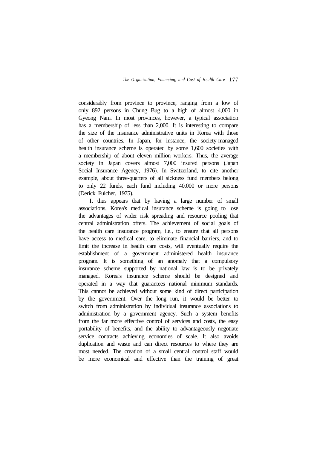considerably from province to province, ranging from a low of only 892 persons in Chung Bug to a high of almost 4,000 in Gyeong Nam. In most provinces, however, a typical association has a membership of less than 2,000. It is interesting to compare the size of the insurance administrative units in Korea with those of other countries. In Japan, for instance, the society-managed health insurance scheme is operated by some 1,600 societies with a membership of about eleven million workers. Thus, the average society in Japan covers almost 7,000 insured persons (Japan Social Insurance Agency, 1976). In Switzerland, to cite another example, about three-quarters of all sickness fund members belong to only 22 funds, each fund including 40,000 or more persons (Derick Fulcher, 1975).

 It thus appears that by having a large number of small associations, Korea's medical insurance scheme is going to lose the advantages of wider risk spreading and resource pooling that central administration offers. The achievement of social goals of the health care insurance program, i.e., to ensure that all persons have access to medical care, to eliminate financial barriers, and to limit the increase in health care costs, will eventually require the establishment of a government administered health insurance program. It is something of an anomaly that a compulsory insurance scheme supported by national law is to be privately managed. Korea's insurance scheme should be designed and operated in a way that guarantees national minimum standards. This cannot be achieved without some kind of direct participation by the government. Over the long run, it would be better to switch from administration by individual insurance associations to administration by a government agency. Such a system benefits from the far more effective control of services and costs, the easy portability of benefits, and the ability to advantageously negotiate service contracts achieving economies of scale. It also avoids duplication and waste and can direct resources to where they are most needed. The creation of a small central control staff would be more economical and effective than the training of great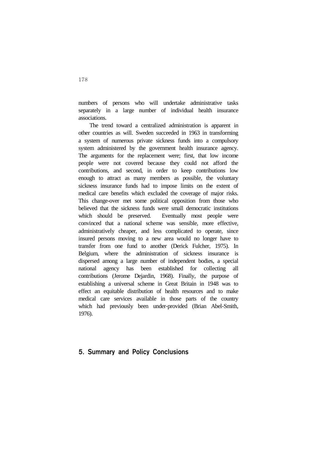numbers of persons who will undertake administrative tasks separately in a large number of individual health insurance associations.

 The trend toward a centralized administration is apparent in other countries as will. Sweden succeeded in 1963 in transforming a system of numerous private sickness funds into a compulsory system administered by the government health insurance agency. The arguments for the replacement were; first, that low income people were not covered because they could not afford the contributions, and second, in order to keep contributions low enough to attract as many members as possible, the voluntary sickness insurance funds had to impose limits on the extent of medical care benefits which excluded the coverage of major risks. This change-over met some political opposition from those who believed that the sickness funds were small democratic institutions which should be preserved. Eventually most people were convinced that a national scheme was sensible, more effective, administratively cheaper, and less complicated to operate, since insured persons moving to a new area would no longer have to transfer from one fund to another (Derick Fulcher, 1975). In Belgium, where the administration of sickness insurance is dispersed among a large number of independent bodies, a special national agency has been established for collecting all contributions (Jerome Dejardin, 1968). Finally, the purpose of establishing a universal scheme in Great Britain in 1948 was to effect an equitable distribution of health resources and to make medical care services available in those parts of the country which had previously been under-provided (Brian Abel-Smith, 1976).

# 5. Summary and Policy Conclusions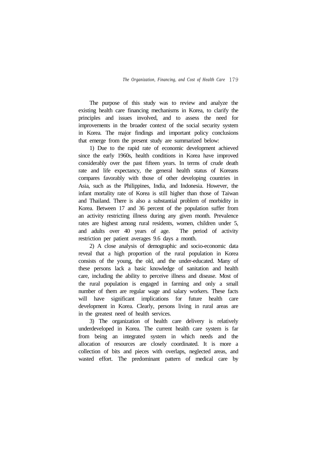The purpose of this study was to review and analyze the existing health care financing mechanisms in Korea, to clarify the principles and issues involved, and to assess the need for improvements in the broader context of the social security system in Korea. The major findings and important policy conclusions that emerge from the present study are summarized below:

 1) Due to the rapid rate of economic development achieved since the early 1960s, health conditions in Korea have improved considerably over the past fifteen years. In terms of crude death rate and life expectancy, the general health status of Koreans compares favorably with those of other developing countries in Asia, such as the Philippines, India, and Indonesia. However, the infant mortality rate of Korea is still higher than those of Taiwan and Thailand. There is also a substantial problem of morbidity in Korea. Between 17 and 36 percent of the population suffer from an activity restricting illness during any given month. Prevalence rates are highest among rural residents, women, children under 5, and adults over 40 years of age. The period of activity restriction per patient averages 9.6 days a month.

 2) A close analysis of demographic and socio-economic data reveal that a high proportion of the rural population in Korea consists of the young, the old, and the under-educated. Many of these persons lack a basic knowledge of sanitation and health care, including the ability to perceive illness and disease. Most of the rural population is engaged in farming and only a small number of them are regular wage and salary workers. These facts will have significant implications for future health care development in Korea. Clearly, persons living in rural areas are in the greatest need of health services.

 3) The organization of health care delivery is relatively underdeveloped in Korea. The current health care system is far from being an integrated system in which needs and the allocation of resources are closely coordinated. It is more a collection of bits and pieces with overlaps, neglected areas, and wasted effort. The predominant pattern of medical care by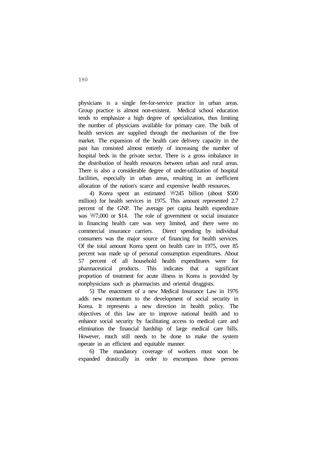physicians is a single fee-for-service practice in urban areas. Group practice is almost non-existent. Medical school education tends to emphasize a high degree of specialization, thus limiting the number of physicians available for primary care. The bulk of health services are supplied through the mechanism of the free market. The expansion of the health care delivery capacity in the past has consisted almost entirely of increasing the number of hospital beds in the private sector. There is a gross imbalance in the distribution of health resources between urban and rural areas. There is also a considerable degree of under-utilization of hospital facilities, especially in urban areas, resulting in an inefficient allocation of the nation's scarce and expensive health resources.

 4) Korea spent an estimated ₩245 billion (about \$500 million) for health services in 1975. This amount represented 2.7 percent of the GNP. The average per capita health expenditure was ₩7,000 or \$14. The role of government or social insurance in financing health care was very limited, and there were no commercial insurance carriers. Direct spending by individual consumers was the major source of financing for health services. Of the total amount Korea spent on health care in 1975, over 85 percent was made up of personal consumption expenditures. About 57 percent of all household health expenditures were for pharmaceutical products. This indicates that a significant proportion of treatment for acute illness in Korea is provided by nonphysicians such as pharmacists and oriental druggists.

 5) The enactment of a new Medical Insurance Law in 1976 adds new momentum to the development of social security in Korea. It represents a new direction in health policy. The objectives of this law are to improve national health and to enhance social security by facilitating access to medical care and elimination the financial hardship of large medical care bills. However, much still needs to be done to make the system operate in an efficient and equitable manner.

 6) The mandatory coverage of workers must soon be expanded drastically in order to encompass those persons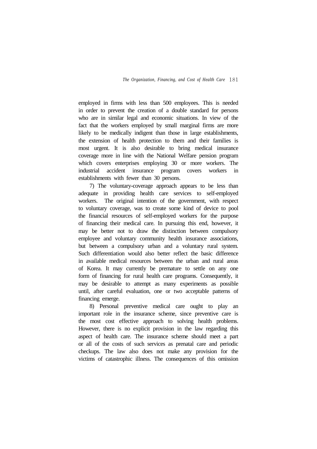employed in firms with less than 500 employees. This is needed in order to prevent the creation of a double standard for persons who are in similar legal and economic situations. In view of the fact that the workers employed by small marginal firms are more likely to be medically indigent than those in large establishments, the extension of health protection to them and their families is most urgent. It is also desirable to bring medical insurance coverage more in line with the National Welfare pension program which covers enterprises employing 30 or more workers. The industrial accident insurance program covers workers in establishments with fewer than 30 persons.

 7) The voluntary-coverage approach appears to be less than adequate in providing health care services to self-employed workers. The original intention of the government, with respect to voluntary coverage, was to create some kind of device to pool the financial resources of self-employed workers for the purpose of financing their medical care. In pursuing this end, however, it may be better not to draw the distinction between compulsory employee and voluntary community health insurance associations, but between a compulsory urban and a voluntary rural system. Such differentiation would also better reflect the basic difference in available medical resources between the urban and rural areas of Korea. It may currently be premature to settle on any one form of financing for rural health care programs. Consequently, it may be desirable to attempt as many experiments as possible until, after careful evaluation, one or two acceptable patterns of financing emerge.

 8) Personal preventive medical care ought to play an important role in the insurance scheme, since preventive care is the most cost effective approach to solving health problems. However, there is no explicit provision in the law regarding this aspect of health care. The insurance scheme should meet a part or all of the costs of such services as prenatal care and periodic checkups. The law also does not make any provision for the victims of catastrophic illness. The consequences of this omission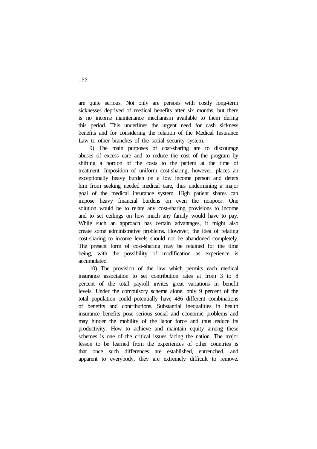are quite serious. Not only are persons with costly long-term sicknesses deprived of medical benefits after six months, but there is no income maintenance mechanism available to them during this period. This underlines the urgent need for cash sickness benefits and for considering the relation of the Medical Insurance Law to other branches of the social security system.

 9) The main purposes of cost-sharing are to discourage abuses of excess care and to reduce the cost of the program by shifting a portion of the costs to the patient at the time of treatment. Imposition of uniform cost-sharing, however, places an exceptionally heavy burden on a low income person and deters him from seeking needed medical care, thus undermining a major goal of the medical insurance system. High patient shares can impose heavy financial burdens on even the nonpoor. One solution would be to relate any cost-sharing provisions to income and to set ceilings on how much any family would have to pay. While such an approach has certain advantages, it might also create some administrative problems. However, the idea of relating cost-sharing to income levels should not be abandoned completely. The present form of cost-sharing may be retained for the time being, with the possibility of modification as experience is accumulated.

 10) The provision of the law which permits each medical insurance association to set contribution rates at from 3 to 8 percent of the total payroll invites great variations in benefit levels. Under the compulsory scheme alone, only 9 percent of the total population could potentially have 486 different combinations of benefits and contributions. Substantial inequalities in health insurance benefits pose serious social and economic problems and may hinder the mobility of the labor force and thus reduce its productivity. How to achieve and maintain equity among these schemes is one of the critical issues facing the nation. The major lesson to be learned from the experiences of other countries is that once such differences are established, entrenched, and apparent to everybody, they are extremely difficult to remove.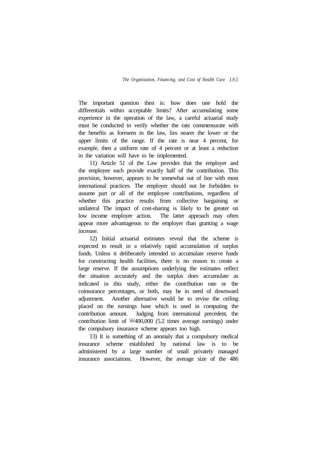The important question then is: how does one hold the differentials within acceptable limits? After accumulating some experience in the operation of the law, a careful actuarial study must be conducted to verify whether the rate commensurate with the benefits as foreseen in the law, lies nearer the lower or the upper limits of the range. If the rate is near 4 percent, for example, then a uniform rate of 4 percent or at least a reduction in the variation will have to be implemented.

 11) Article 51 of the Law provides that the employer and the employee each provide exactly half of the contribution. This provision, however, appears to be somewhat out of line with most international practices. The employer should not be forbidden to assume part or all of the employee contributions, regardless of whether this practice results from collective bargaining or unilateral The impact of cost-sharing is likely to be greater on low income employer action. The latter approach may often appear more advantageous to the employer than granting a wage increase.

 12) Initial actuarial estimates reveal that the scheme is expected to result in a relatively rapid accumulation of surplus funds. Unless it deliberately intended to accumulate reserve funds for constructing health facilities, there is no reason to create a large reserve. If the assumptions underlying the estimates reflect the situation accurately and the surplus does accumulate as indicated in this study, either the contribution rate or the coinsurance percentages, or both, may be in need of downward adjustment. Another alternative would be to revise the ceiling placed on the earnings base which is used in computing the contribution amount. Judging from international precedent, the contribution limit of ₩400,000 (5.2 times average earnings) under the compulsory insurance scheme appears too high.

 13) It is something of an anomaly that a compulsory medical insurance scheme established by national law is to be administered by a large number of small privately managed insurance associations. However, the average size of the 486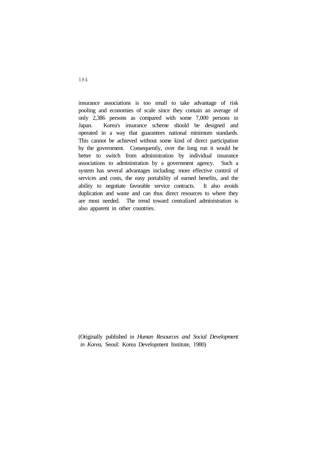insurance associations is too small to take advantage of risk pooling and economies of scale since they contain an average of only 2,386 persons as compared with some 7,000 persons in Japan. Korea's insurance scheme should be designed and operated in a way that guarantees national minimum standards. This cannot be achieved without some kind of direct participation by the government. Consequently, over the long run it would be better to switch from administration by individual insurance associations to administration by a government agency. Such a system has several advantages including: more effective control of services and costs, the easy portability of earned benefits, and the ability to negotiate favorable service contracts. It also avoids duplication and waste and can thus direct resources to where they are most needed. The trend toward centralized administration is also apparent in other countries.

(Originally published in *Human Resources and Social Development in Korea,* Seoul: Korea Development Institute, 1980)

184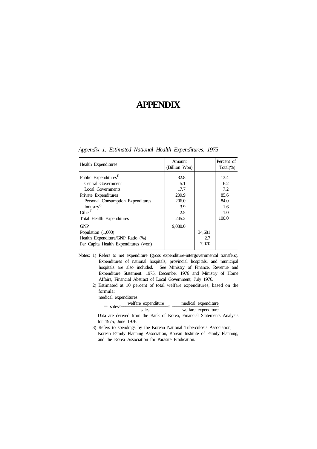# **APPENDIX**

*Appendix 1. Estimated National Health Expenditures, 1975*

| Health Expenditures                                                                                                                                                                                                     | Amount<br>(Billion Won)                                       |                        | Percent of<br>$Total(\%)$                                 |
|-------------------------------------------------------------------------------------------------------------------------------------------------------------------------------------------------------------------------|---------------------------------------------------------------|------------------------|-----------------------------------------------------------|
| Public Expenditures <sup>1)</sup><br>Central Government<br>Local Governments<br>Private Expenditures<br>Personal Consumption Expenditures<br>Industry <sup>2)</sup><br>Other <sup>3)</sup><br>Total Health Expenditures | 32.8<br>15.1<br>17.7<br>209.9<br>206.0<br>3.9<br>2.5<br>245.2 |                        | 13.4<br>6.2<br>7.2<br>85.6<br>84.0<br>1.6<br>1.0<br>100.0 |
| <b>GNP</b><br>Population (1,000)<br>Health Expenditure/GNP Ratio (%)<br>Per Capita Health Expenditures (won)                                                                                                            | 9,080.0                                                       | 34,681<br>2.7<br>7,070 |                                                           |

Notes: 1) Refers to net expenditure (gross expenditure-intergovernmental transfers). Expenditures of national hospitals, provincial hospitals, and municipal hospitals are also included. See Ministry of Finance, Revenue and Expenditure Statement: 1975, December 1976 and Ministry of Home Affairs, Financial Abstract of Local Government, July 1976.

2) Estimated at 10 percent of total welfare expenditures, based on the formula: medical<br>diastromondit

| medical expenditures |                     |                     |
|----------------------|---------------------|---------------------|
|                      | welfare expenditure | medical expenditure |
| $=$ sales $\times$   | sales               | welfare expenditure |

Data are derived from the Bank of Korea, Financial Statements Analysis for 1975, June 1976.

3) Refers to spendings by the Korean National Tuberculosis Association, Korean Family Planning Association, Korean Institute of Family Planning, and the Korea Association for Parasite Eradication.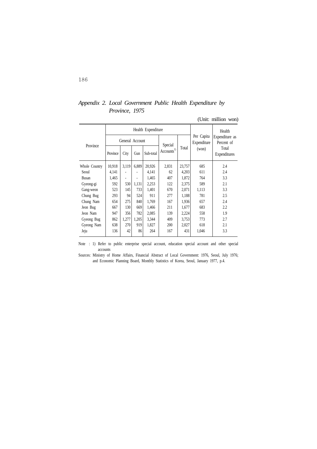|               |          |                 |       |           | Health                |        |                           |                              |
|---------------|----------|-----------------|-------|-----------|-----------------------|--------|---------------------------|------------------------------|
| Province      |          | General Account |       |           | Special               |        | Per Capita<br>Expenditure | Expenditure as<br>Percent of |
|               | Province | City            | Gun   | Sub-total | Accounts <sup>1</sup> | Total  | (won)                     | Total<br>Expenditures        |
| Whole Country | 10,918   | 3,119           | 6,889 | 20,926    | 2,831                 | 23,757 | 685                       | 2.4                          |
| Seoul         | 4,141    |                 |       | 4,141     | 62                    | 4,203  | 611                       | 2.4                          |
| <b>Busan</b>  | 1,465    | ٠               | ٠     | 1,465     | 407                   | 1,872  | 764                       | 3.3                          |
| Gyeong-gi     | 592      | 530             | 1,131 | 2,253     | 122                   | 2,375  | 589                       | 2.1                          |
| Gang-weon     | 523      | 145             | 733   | 1,401     | 670                   | 2,071  | 1,113                     | 3.3                          |
| Chung Bug     | 293      | 94              | 524   | 911       | 277                   | 1,188  | 781                       | 2.5                          |
| Chung Nam     | 654      | 275             | 840   | 1.769     | 167                   | 1,936  | 657                       | 2.4                          |
| Jeon Bug      | 667      | 130             | 669   | 1,466     | 211                   | 1,677  | 683                       | 2.2                          |
| Jeon Nam      | 947      | 356             | 782   | 2,085     | 139                   | 2,224  | 558                       | 1.9                          |
| Gyeong Bug    | 862      | 1,277           | 1,205 | 3,344     | 409                   | 3,753  | 773                       | 2.7                          |
| Gyeong Nam    | 638      | 270             | 919   | 1,827     | 200                   | 2,027  | 618                       | 2.1                          |
| Jeju          | 136      | 42              | 86    | 264       | 167                   | 431    | 1,046                     | 3.3                          |

*Appendix 2. Local Government Public Health Expenditure by Province, 1975*

(Unit: million won)

Note : 1) Refer to public enterprise special account, education special account and other special accounts

Sources: Ministry of Home Affairs, Financial Abstract of Local Government: 1976, Seoul, July 1976; and Economic Planning Board, Monthly Statistics of Korea, Seoul, January 1977, p.4.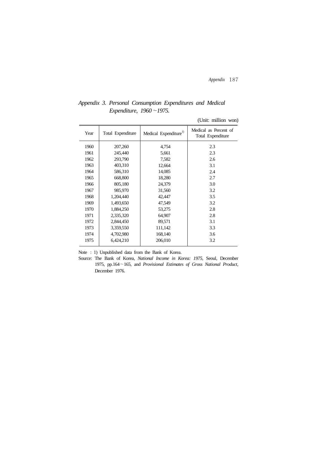*Appendix* 187

|      |                   |                                   | (Unit: million won)                        |
|------|-------------------|-----------------------------------|--------------------------------------------|
| Year | Total Expenditure | Medical Expenditure <sup>1)</sup> | Medical as Percent of<br>Total Expenditure |
| 1960 | 207,260           | 4,754                             | 2.3                                        |
| 1961 | 245,440           | 5,661                             | 2.3                                        |
| 1962 | 293,790           | 7,582                             | 2.6                                        |
| 1963 | 403,310           | 12,664                            | 3.1                                        |
| 1964 | 586,310           | 14,085                            | 2.4                                        |
| 1965 | 668,800           | 18,280                            | 2.7                                        |
| 1966 | 805,180           | 24,379                            | 3.0                                        |
| 1967 | 985,970           | 31,560                            | 3.2                                        |
| 1968 | 1,204,440         | 42,447                            | 3.5                                        |
| 1969 | 1,493,650         | 47,549                            | 3.2                                        |
| 1970 | 1,884,250         | 53,275                            | 2.8                                        |
| 1971 | 2,335,320         | 64,907                            | 2.8                                        |
| 1972 | 2,844,450         | 89,571                            | 3.1                                        |
| 1973 | 3,359,550         | 111,142                           | 3.3                                        |
| 1974 | 4,702,980         | 168,140                           | 3.6                                        |
| 1975 | 6,424,210         | 206,010                           | 3.2                                        |

|  | Appendix 3. Personal Consumption Expenditures and Medical |  |  |
|--|-----------------------------------------------------------|--|--|
|  | Expenditure, $1960 \sim 1975$ .                           |  |  |

Note : 1) Unpublished data from the Bank of Korea.

Source: The Bank of Korea, *National Income in Korea: 1975,* Seoul, December 1975, pp.164~165, and *Provisional Estimates of Gross National Product,* December 1976.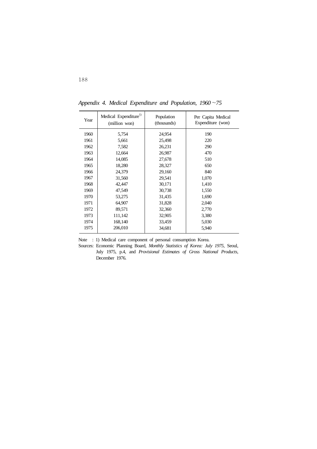| Year | Medical Expenditure <sup>1)</sup><br>(million won) | Population<br>(thousands) | Per Capita Medical<br>Expenditure (won) |
|------|----------------------------------------------------|---------------------------|-----------------------------------------|
| 1960 | 5,754                                              | 24,954                    | 190                                     |
| 1961 | 5,661                                              | 25,498                    | 220                                     |
| 1962 | 7,582                                              | 26,231                    | 290                                     |
| 1963 | 12,664                                             | 26,987                    | 470                                     |
| 1964 | 14,085                                             | 27,678                    | 510                                     |
| 1965 | 18,280                                             | 28,327                    | 650                                     |
| 1966 | 24,379                                             | 29,160                    | 840                                     |
| 1967 | 31,560                                             | 29,541                    | 1,070                                   |
| 1968 | 42,447                                             | 30,171                    | 1,410                                   |
| 1969 | 47,549                                             | 30,738                    | 1,550                                   |
| 1970 | 53,275                                             | 31,435                    | 1,690                                   |
| 1971 | 64,907                                             | 31,828                    | 2,040                                   |
| 1972 | 89,571                                             | 32,360                    | 2,770                                   |
| 1973 | 111,142                                            | 32,905                    | 3,380                                   |
| 1974 | 168,140                                            | 33,459                    | 5,030                                   |
| 1975 | 206,010                                            | 34,681                    | 5,940                                   |

*Appendix 4. Medical Expenditure and Population, 1960*~*75*

Note : 1) Medical care component of personal consumption Korea.

Sources: Economic Planning Board, *Monthly Statistics of Korea: July 1975,* Seoul, July 1975, p.4, and *Provisional Estimates of Gross National Products*, December 1976.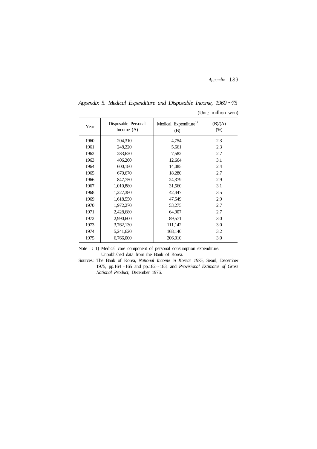| Year | Disposable Personal<br>Income $(A)$ | Medical Expenditure <sup>1)</sup><br>(B) | (B)/(A)<br>(%) |
|------|-------------------------------------|------------------------------------------|----------------|
| 1960 | 204,310                             | 4,754                                    | 2.3            |
| 1961 | 248,220                             | 5,661                                    | 2.3            |
| 1962 | 283,620                             | 7,582                                    | 2.7            |
| 1963 | 406,260                             | 12,664                                   | 3.1            |
| 1964 | 600,180                             | 14,085                                   | 2.4            |
| 1965 | 670,670                             | 18,280                                   | 2.7            |
| 1966 | 847,750                             | 24,379                                   | 2.9            |
| 1967 | 1,010,880                           | 31,560                                   | 3.1            |
| 1968 | 1,227,380                           | 42,447                                   | 3.5            |
| 1969 | 1,618,550                           | 47,549                                   | 2.9            |
| 1970 | 1,972,270                           | 53,275                                   | 2.7            |
| 1971 | 2,428,680                           | 64,907                                   | 2.7            |
| 1972 | 2,990,600                           | 89,571                                   | 3.0            |
| 1973 | 3,762,130                           | 111,142                                  | 3.0            |
| 1974 | 5,241,620                           | 168,140                                  | 3.2            |
| 1975 | 6,766,000                           | 206,010                                  | 3.0            |
|      |                                     |                                          |                |

*Appendix 5. Medical Expenditure and Disposable Income, 1960*~*75* (Unit: million won)

Note : 1) Medical care component of personal consumption expenditure. Unpublished data from the Bank of Korea.

Sources: The Bank of Korea, *National Income in Korea: 1975,* Seoul, December 1975, pp.164~165 and pp.182~183, and *Provisional Estimates of Gross National Product,* December 1976.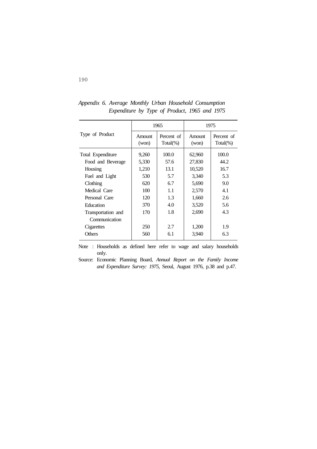|                    |                 | 1965                   | 1975            |                           |  |
|--------------------|-----------------|------------------------|-----------------|---------------------------|--|
| Type of Product    | Amount<br>(won) | Percent of<br>Total(%) | Amount<br>(won) | Percent of<br>$Total(\%)$ |  |
| Total Expenditure  | 9,260           | 100.0                  | 62,960          | 100.0                     |  |
| Food and Beverage  | 5,330           | 57.6                   | 27,830          | 44.2                      |  |
| Housing            | 1,210           | 13.1                   | 10,520          | 16.7                      |  |
| Fuel and Light     | 530             | 5.7                    | 3,340           | 5.3                       |  |
| Clothing           | 620             | 6.7                    | 5,690           | 9.0                       |  |
| Medical Care       | 100             | 1.1                    | 2,570           | 4.1                       |  |
| Personal Care      | 120             | 1.3                    | 1,660           | 2.6                       |  |
| Education          | 370             | 4.0                    | 3,520           | 5.6                       |  |
| Transportation and | 170             | 1.8                    | 2,690           | 4.3                       |  |
| Communication      |                 |                        |                 |                           |  |
| Cigarettes         | 250             | 2.7                    | 1,200           | 1.9                       |  |
| Others             | 560             | 6.1                    | 3,940           | 6.3                       |  |

*Appendix 6. Average Monthly Urban Household Consumption Expenditure by Type of Product, 1965 and 1975*

Note : Households as defined here refer to wage and salary households only.

Source: Economic Planning Board, *Annual Report on the Family Income and Expenditure Survey: 1975,* Seoul, August 1976, p.38 and p.47.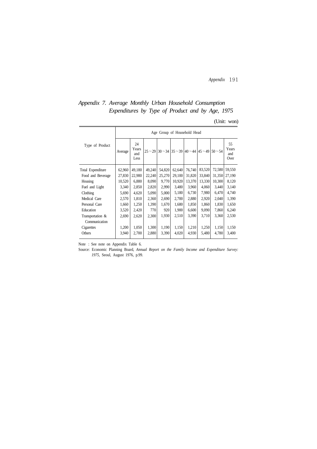#### *Appendix* 191

## *Appendix 7. Average Monthly Urban Household Consumption Expenditures by Type of Product and by Age, 1975*

| (Unit: won) |  |
|-------------|--|
|             |  |

|                   | Age Group of Household Head |                            |        |        |        |        |                                                        |        |                            |
|-------------------|-----------------------------|----------------------------|--------|--------|--------|--------|--------------------------------------------------------|--------|----------------------------|
| Type of Product   | Average                     | 24<br>Years<br>and<br>Less |        |        |        |        | $25 - 29$ 30 $-34$ 35 $-39$ 40 $-44$ 45 $-49$ 50 $-54$ |        | 55<br>Years<br>and<br>Over |
| Total Expenditure | 62,960                      | 49,180                     | 49,240 | 54,820 | 62,640 | 76,740 | 83,520                                                 | 72,580 | 59,550                     |
| Food and Beverage | 27,830                      | 22,980                     | 22,240 | 25,270 | 29,100 | 31,820 | 33,840                                                 | 31,350 | 27,190                     |
| Housing           | 10,520                      | 6,880                      | 8,090  | 9,770  | 10,920 | 13,370 | 13,330                                                 | 10,300 | 8,120                      |
| Fuel and Light    | 3,340                       | 2,850                      | 2,820  | 2,990  | 3,480  | 3,960  | 4,060                                                  | 3,440  | 3,140                      |
| Clothing          | 5,690                       | 4,620                      | 5,090  | 5,000  | 5,180  | 6,730  | 7,980                                                  | 6,470  | 4,740                      |
| Medical Care      | 2,570                       | 1,810                      | 2,360  | 2,690  | 2,700  | 2,880  | 2,920                                                  | 2,040  | 1,390                      |
| Personal Care     | 1,660                       | 1,250                      | 1,390  | 1,670  | 1,680  | 1,850  | 1,860                                                  | 1,830  | 1,650                      |
| Education         | 3,520                       | 2,420                      | 770    | 920    | 1,900  | 6,600  | 9,090                                                  | 7,860  | 6,240                      |
| Transportation &  | 2,690                       | 2,620                      | 2,300  | 1,930  | 2,510  | 3,390  | 3,710                                                  | 3,360  | 2,530                      |
| Communication     |                             |                            |        |        |        |        |                                                        |        |                            |
| Cigarettes        | 1,200                       | 1,050                      | 1,300  | 1,190  | 1,150  | 1,210  | 1,250                                                  | 1,150  | 1,150                      |
| Others            | 3,940                       | 2,700                      | 2,880  | 3,390  | 4,020  | 4,930  | 5,480                                                  | 4,780  | 3,400                      |

Note : See note on Appendix Table 6.

Source: Economic Planning Board, *Annual Report on the Family Income and Expenditure Survey: 1975,* Seoul, August 1976, p.99.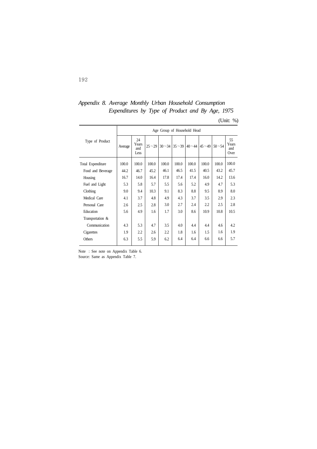| Age Group of Household Head |         |                            |           |       |                    |           |           |           |                            |
|-----------------------------|---------|----------------------------|-----------|-------|--------------------|-----------|-----------|-----------|----------------------------|
| Type of Product             | Average | 24<br>Years<br>and<br>Less | $25 - 29$ |       | $30 - 34$ 35 $-39$ | $40 - 44$ | $45 - 49$ | $50 - 54$ | 55<br>Years<br>and<br>Over |
| Total Expenditure           | 100.0   | 100.0                      | 100.0     | 100.0 | 100.0              | 100.0     | 100.0     | 100.0     | 100.0                      |
| Food and Beverage           | 44.2    | 46.7                       | 45.2      | 46.1  | 46.5               | 41.5      | 40.5      | 43.2      | 45.7                       |
| Housing                     | 16.7    | 14.0                       | 16.4      | 17.8  | 17.4               | 17.4      | 16.0      | 14.2      | 13.6                       |
| Fuel and Light              | 5.3     | 5.8                        | 5.7       | 5.5   | 5.6                | 5.2       | 4.9       | 4.7       | 5.3                        |
| Clothing                    | 9.0     | 9.4                        | 10.3      | 9.1   | 8.3                | 8.8       | 9.5       | 8.9       | 8.0                        |
| Medical Care                | 4.1     | 3.7                        | 4.8       | 4.9   | 4.3                | 3.7       | 3.5       | 2.9       | 2.3                        |
| Personal Care               | 2.6     | 2.5                        | 2.8       | 3.0   | 2.7                | 2.4       | 2.2       | 2.5       | 2.8                        |
| Education                   | 5.6     | 4.9                        | 1.6       | 1.7   | 3.0                | 8.6       | 10.9      | 10.8      | 10.5                       |
| Transportation &            |         |                            |           |       |                    |           |           |           |                            |
| Communication               | 4.3     | 5.3                        | 4.7       | 3.5   | 4.0                | 4.4       | 4.4       | 4.6       | 4.2                        |
| Cigarettes                  | 1.9     | 2.2                        | 2.6       | 2.2   | 1.8                | 1.6       | 1.5       | 1.6       | 1.9                        |
| Others                      | 6.3     | 5.5                        | 5.9       | 6.2   | 6.4                | 6.4       | 6.6       | 6.6       | 5.7                        |
|                             |         |                            |           |       |                    |           |           |           |                            |

*Appendix 8. Average Monthly Urban Household Consumption Expenditures by Type of Product and By Age, 1975*

(Unit: %)

Note : See note on Appendix Table 6.

Source: Same as Appendix Table 7.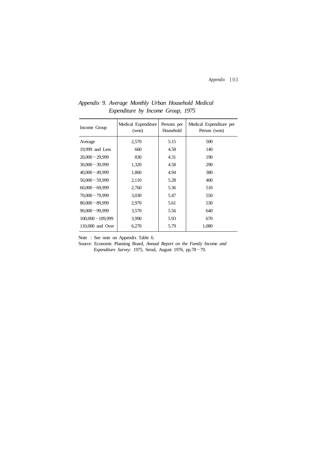*Appendix* 193

| Income Group         | Medical Expenditure<br>(won) | Persons per<br>Household | Medical Expenditure per<br>Person (won) |  |
|----------------------|------------------------------|--------------------------|-----------------------------------------|--|
| Average              | 2,570                        | 5.15                     | 500                                     |  |
| 19,999 and Less      | 660                          | 4.58                     | 140                                     |  |
| $20,000 \sim 29,999$ | 830                          | 4.31                     | 190                                     |  |
| $30,000 \sim 39,999$ | 1,320                        | 4.58                     | 290                                     |  |
| $40,000 - 49,999$    | 1,860                        | 4.94                     | 380                                     |  |
| $50,000 \sim 59,999$ | 2,110                        | 5.28                     | 400                                     |  |
| $60,000 \sim 69,999$ | 2,760                        | 5.36                     | 510                                     |  |
| $70,000 \sim 79,999$ | 3,030                        | 5.47                     | 550                                     |  |
| $80,000 \sim 89,999$ | 2,970                        | 5.61                     | 530                                     |  |
| $90,000 - 99,999$    | 3,570                        | 5.56                     | 640                                     |  |
| $100.000 - 109.999$  | 3,990                        | 5.93                     | 670                                     |  |
| $110,000$ and Over   | 6,270                        | 5.79                     | 1,080                                   |  |

## *Appendix 9. Average Monthly Urban Household Medical Expenditure by Income Group, 1975*

Note : See note on Appendix Table 6.

Source: Economic Planning Board, *Annual Report on the Family Income and Expenditure Survey: 1975,* Seoul, August 1976, pp.78~79.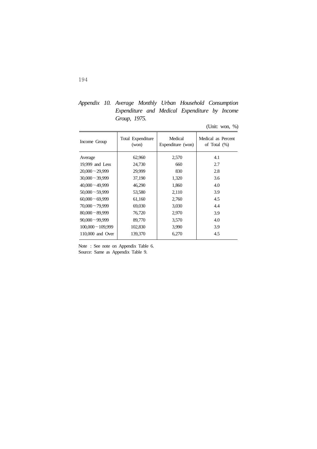*Appendix 10. Average Monthly Urban Household Consumption Expenditure and Medical Expenditure by Income Group, 1975.*

|                        |                            |                              | $\sqrt{u}$                            |
|------------------------|----------------------------|------------------------------|---------------------------------------|
| Income Group           | Total Expenditure<br>(won) | Medical<br>Expenditure (won) | Medical as Percent<br>of Total $(\%)$ |
| Average                | 62,960                     | 2,570                        | 4.1                                   |
| 19,999 and Less        | 24,730                     | 660                          | 2.7                                   |
| $20,000 - 29,999$      | 29,999                     | 830                          | 2.8                                   |
| $30,000 - 39,999$      | 37,190                     | 1,320                        | 3.6                                   |
| $40,000 - 49,999$      | 46,290                     | 1,860                        | 4.0                                   |
| $50,000 - 59,999$      | 53,580                     | 2,110                        | 3.9                                   |
| $60,000 \sim 69,999$   | 61,160                     | 2,760                        | 4.5                                   |
| $70,000 \sim 79,999$   | 69,030                     | 3,030                        | 4.4                                   |
| $80,000 \sim 89,999$   | 76,720                     | 2,970                        | 3.9                                   |
| $90,000 - 99,999$      | 89,770                     | 3,570                        | 4.0                                   |
| $100,000 \sim 109,999$ | 102,830                    | 3,990                        | 3.9                                   |
| 110,000 and Over       | 139.370                    | 6,270                        | 4.5                                   |

Note : See note on Appendix Table 6. Source: Same as Appendix Table 9.

(Unit: won, %)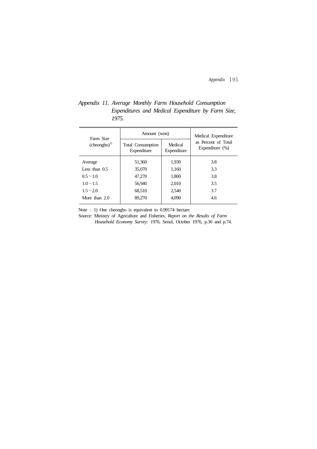| Farm Size<br>$(cheongbo)^{1}$ | Amount (won)                            | Medical Expenditure    |                                           |
|-------------------------------|-----------------------------------------|------------------------|-------------------------------------------|
|                               | <b>Total Consumption</b><br>Expenditure | Medical<br>Expenditure | as Percent of Total<br>Expenditure $(\%)$ |
| Average                       | 51,360                                  | 1,930                  | 3.8                                       |
| Less than $0.5$               | 35,070                                  | 1,160                  | 3.3                                       |
| $0.5 - 1.0$                   | 47.270                                  | 1,800                  | 3.8                                       |
| $1.0 \sim 1.5$                | 56,940                                  | 2.010                  | 3.5                                       |
| $1.5 - 2.0$                   | 68,510                                  | 2,540                  | 3.7                                       |
| More than $2.0$               | 89.270                                  | 4.090                  | 4.6                                       |
|                               |                                         |                        |                                           |

*Appendix 11. Average Monthly Farm Household Consumption Expenditures and Medical Expenditure by Farm Size, 1975.*

Note : 1) One cheongbo is equivalent to 0.99174 hectare.

Source: Ministry of Agriculture and Fisheries, *Report on the Results of Farm Household Economy Survey: 1976*, Seoul, October 1976, p.36 and p.74.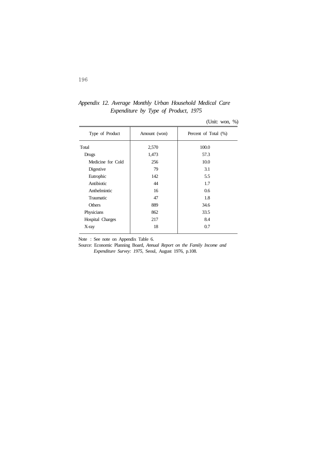|                   |              | (Unit: won, $\%$ )   |
|-------------------|--------------|----------------------|
| Type of Product   | Amount (won) | Percent of Total (%) |
| Total             | 2,570        | 100.0                |
| Drugs             | 1,473        | 57.3                 |
| Medicine for Cold | 256          | 10.0                 |
| Digestive         | 79           | 3.1                  |
| Eutrophic         | 142          | 5.5                  |
| Antibiotic        | 44           | 1.7                  |
| Anthelmintic      | 16           | 0.6                  |
| Traumatic         | 47           | 1.8                  |
| <b>Others</b>     | 889          | 34.6                 |
| Physicians        | 862          | 33.5                 |
| Hospital Charges  | 217          | 8.4                  |
| X-ray             | 18           | 0.7                  |

*Appendix 12. Average Monthly Urban Household Medical Care Expenditure by Type of Product, 1975*

Note : See note on Appendix Table 6.

Source: Economic Planning Board, *Annual Report on the Family Income and Expenditure Survey: 1975,* Seoul, August 1976, p.108.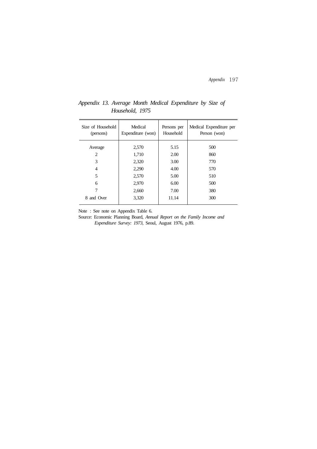| Size of Household<br>(persons) | Medical<br>Expenditure (won) | Persons per<br>Household | Medical Expenditure per<br>Person (won) |
|--------------------------------|------------------------------|--------------------------|-----------------------------------------|
| Average                        | 2,570                        | 5.15                     | 500                                     |
| 2                              | 1,710                        | 2.00                     | 860                                     |
| 3                              | 2,320                        | 3.00                     | 770                                     |
| 4                              | 2,290                        | 4.00                     | 570                                     |
| 5                              | 2,570                        | 5.00                     | 510                                     |
| 6                              | 2,970                        | 6.00                     | 500                                     |
|                                | 2,660                        | 7.00                     | 380                                     |
| 8 and Over                     | 3,320                        | 11.14                    | 300                                     |
|                                |                              |                          |                                         |

*Appendix 13. Average Month Medical Expenditure by Size of Household, 1975*

Note : See note on Appendix Table 6.

Source: Economic Planning Board, *Annual Report on the Family Income and Expenditure Survey: 1973,* Seoul, August 1976, p.89.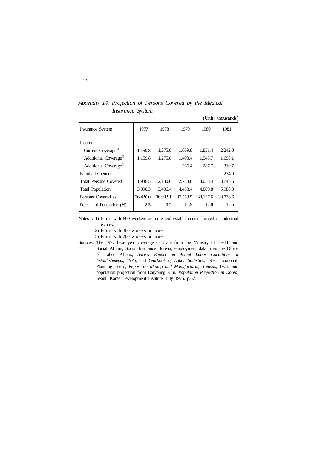|  | Appendix 14. Projection of Persons Covered by the Medical |  |  |  |
|--|-----------------------------------------------------------|--|--|--|
|  | <i>Insurance System</i>                                   |  |  |  |

(Unit: thousands)

| <b>Insurance System</b>           | 1977     | 1978               | 1979     |          | 1981     |
|-----------------------------------|----------|--------------------|----------|----------|----------|
| <b>Insured</b>                    |          |                    |          |          |          |
| Current Coverage <sup>1)</sup>    | 1,159.8  | 1,275.8<br>1,669.8 |          | 1,831.4  | 2,242.8  |
| Additional Coverage <sup>2)</sup> | 1,159.8  | 1,275.8            | 1,403.4  | 1,543.7  | 1,698.1  |
| Additional Coverage <sup>3)</sup> |          |                    | 266.4    | 287.7    | 310.7    |
| <b>Family Dependents</b>          |          |                    |          |          | 234.0    |
| <b>Total Persons Covered</b>      | 1,938.5  | 2,130.6            | 2,788.6  | 3,058.4  | 3,745.5  |
| <b>Total Population</b>           | 3,098.3  | 3.406.4            | 4,458.4  | 4,889.8  | 5,988.3  |
| Persons Covered as                | 36,420.0 | 36,982.1           | 37,553.5 | 38,137.6 | 38,736.6 |
| Percent of Population (%)         | 8.5      | 9.2                | 11.9     | 12.8     | 15.5     |

Notes : 1) Firms with 500 workers or more and establishments located in industrial estates.

2) Firms with 300 workers or more

3) Firms with 200 workers or more

Sources: The 1977 base year coverage data are from the Ministry of Health and Social Affairs, Social Insurance Bureau; employment data from the Office of Labor Affairs, *Survey Report on Actual Labor Conditions at Establishments, 1976,* and *Yearbook of Labor Statistics,* 1976; Economic Planning Board, *Report on Mining and Manufacturing Census,* 1975; and population projection from Daiyoung Kim, *Population Projection in Korea,* Seoul: Korea Development Institute, July 1975, p.67.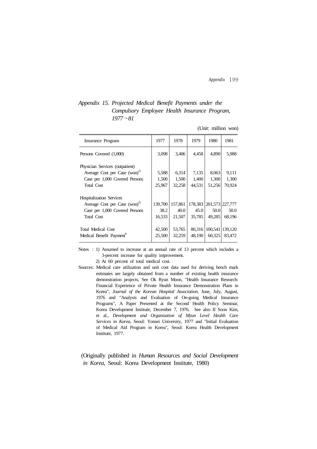#### *Appendix 15. Projected Medical Benefit Payments under the Compulsory Employee Health Insurance Program, 1977*~*81*

|                                           |         |         |        |                         | (Unit: million won) |
|-------------------------------------------|---------|---------|--------|-------------------------|---------------------|
| Insurance Program                         | 1977    | 1978    | 1979   | 1980                    | 1981                |
| Persons Covered (1,000)                   | 3,098   | 3,406   | 4,458  | 4,890                   | 5,988               |
| Physician Services (outpatient)           |         |         |        |                         |                     |
| Average Cost per Case (won) <sup>1)</sup> | 5,588   | 6,314   | 7,135  | 8,063                   | 9,111               |
| Case per 1,000 Covered Persons            | 1,500   | 1,500   | 1,400  | 1,300                   | 1,300               |
| <b>Total Cost</b>                         | 25,967  | 32,258  | 44.531 | 51.256                  | 70,924              |
| <b>Hospitalization Services</b>           |         |         |        |                         |                     |
| Average Cost per Case $(won)^2$           | 139,700 | 157,861 |        | 178,383 201,573 227,777 |                     |
| Case per 1,000 Covered Persons            | 38.2    | 40.0    | 45.0   | 50.0                    | 50.0                |
| <b>Total Cost</b>                         | 16,533  | 21,507  | 35,785 | 49,285                  | 68,196              |
| Total Medical Cost                        | 42,500  | 53,765  | 80,316 |                         | 100,541 139,120     |
| Medical Benefit Payment <sup>b</sup>      | 25,500  | 32,259  | 48,190 | 60,325                  | 83,472              |

Notes : 1) Assumed to increase at an annual rate of 13 percent which includes a 3-percent increase for quality improvement.

2) At 60 percent of total medical cost.

Sources: Medical care utilization and unit cost data used for deriving bench mark estimates are largely obtained from a number of existing health insurance demonstration projects, See Ok Ryun Moon, "Health Insurance Research: Financial Experience of Private Health Insurance Demonstration Plans in Korea", *Journal of the Korean Hospital Association,* June, July, August, 1976 and "Analysis and Evaluation of On-going Medical Insurance Programs", A Paper Presented at the Second Health Policy Seminar, Korea Development Institute, December 7, 1976. See also II Soon Kim, et al., *Development and Organization of Myun Level Health Care Services in Korea,* Seoul: Yonsei University, 1977 and "Initial Evaluation of Medical Aid Program in Korea", Seoul: Korea Health Development Institute, 1977.

 (Originally published in *Human Resources and Social Development in Korea,* Seoul: Korea Development Institute, 1980)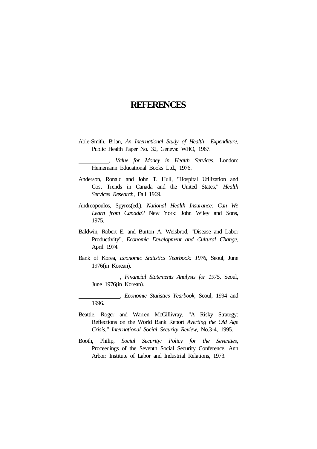## **REFERENCES**

- Able-Smith, Brian, *An International Study of Health Expenditure,* Public Health Paper No. 32, Geneva: WHO, 1967.
	- , *Value for Money in Health Services,* London: Heinemann Educational Books Ltd., 1976.
- Anderson, Ronald and John T. Hull, "Hospital Utilization and Cost Trends in Canada and the United States," *Health Services Research,* Fall 1969.
- Andreopoulos, Spyros(ed.), *National Health Insurance: Can We Learn from Canada?* New York: John Wiley and Sons, 1975.
- Baldwin, Robert E. and Burton A. Weisbrod, "Disease and Labor Productivity", *Economic Development and Cultural Change,* April 1974.
- Bank of Korea, *Economic Statistics Yearbook: 1976,* Seoul, June 1976(in Korean).

 , *Financial Statements Analysis for 1975,* Seoul, June 1976(in Korean).

- , *Economic Statistics Yearbook,* Seoul, 1994 and 1996.
- Beattie, Roger and Warren McGillivray, "A Risky Strategy: Reflections on the World Bank Report *Averting the Old Age Crisis," International Social Security Review,* No.3-4, 1995.
- Booth, Philip, *Social Security: Policy for the Seventies,* Proceedings of the Seventh Social Security Conference, Ann Arbor: Institute of Labor and Industrial Relations, 1973.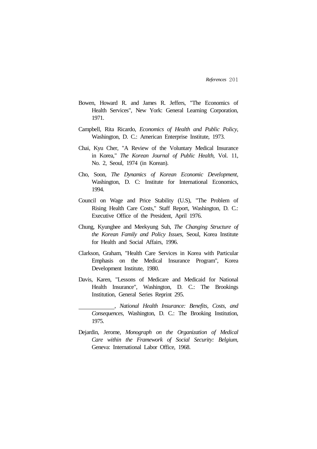- Bowen, Howard R. and James R. Jeffers, "The Economics of Health Services", New York: General Learning Corporation, 1971.
- Campbell, Rita Ricardo, *Economics of Health and Public Policy,* Washington, D. C.: American Enterprise Institute, 1973.
- Chai, Kyu Cher, "A Review of the Voluntary Medical Insurance in Korea," *The Korean Journal of Public Health,* Vol. 11, No. 2, Seoul, 1974 (in Korean).
- Cho, Soon, *The Dynamics of Korean Economic Development,* Washington, D. C: Institute for International Economics, 1994.
- Council on Wage and Price Stability (U.S), "The Problem of Rising Health Care Costs," Staff Report, Washington, D. C.: Executive Office of the President, April 1976.
- Chung, Kyunghee and Meekyung Suh, *The Changing Structure of the Korean Family and Policy Issues,* Seoul, Korea Institute for Health and Social Affairs, 1996.
- Clarkson, Graham, "Health Care Services in Korea with Particular Emphasis on the Medical Insurance Program", Korea Development Institute, 1980.
- Davis, Karen, "Lessons of Medicare and Medicaid for National Health Insurance", Washington, D. C.: The Brookings Institution, General Series Reprint 295.

 , *National Health Insurance: Benefits, Costs, and Consequences,* Washington, D. C.: The Brooking Institution, 1975.

Dejardin, Jerome, *Monograph on the Organization of Medical Care within the Framework of Social Security: Belgium,* Geneva: International Labor Office, 1968.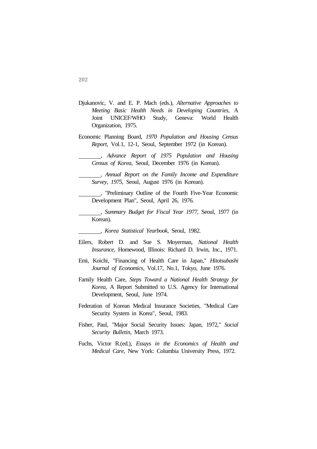- Djukanovic, V. and E. P. Mach (eds.), *Alternative Approaches to Meeting Basic Health Needs in Developing Countries,* A Joint UNICEF/WHO Study, Geneva: World Health Organization, 1975.
- Economic Planning Board, *1970 Population and Housing Census Report,* Vol.1, 12-1, Seoul, September 1972 (in Korean).
	- , *Advance Report of 1975 Population and Housing Census of Korea,* Seoul, December 1976 (in Korean).

 , *Annual Report on the Family Income and Expenditure Survey, 1975,* Seoul, August 1976 (in Korean).

- , "Preliminary Outline of the Fourth Five-Year Economic Development Plan", Seoul, April 26, 1976.
- , *Summary Budget for Fiscal Year 1977,* Seoul, 1977 (in Korean).
	- , *Korea Statistical Yearbook,* Seoul, 1982.
- Eilers, Robert D. and Sue S. Moyerman, *National Health Insurance,* Homewood, Illinois: Richard D. Irwin, Inc., 1971.
- Emi, Koichi, "Financing of Health Care in Japan," *Hitotsubashi Journal of Economics,* Vol.17, No.1, Tokyo, June 1976.
- Family Health Care, *Steps Toward a National Health Strategy for Korea,* A Report Submitted to U.S. Agency for International Development, Seoul, June 1974.
- Federation of Korean Medical Insurance Societies, "Medical Care Security System in Korea", Seoul, 1983.
- Fisher, Paul, "Major Social Security Issues: Japan, 1972," *Social Security Bulletin,* March 1973.
- Fuchs, Victor R.(ed.), *Essays in the Economics of Health and Medical Care,* New York: Columbia University Press, 1972.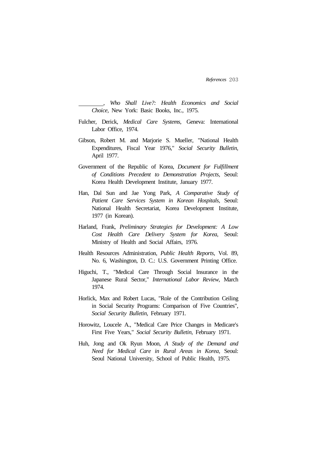, *Who Shall Live?: Health Economics and Social Choice,* New York: Basic Books, Inc., 1975.

- Fulcher, Derick, *Medical Care Systems,* Geneva: International Labor Office, 1974.
- Gibson, Robert M. and Marjorie S. Mueller, "National Health Expenditures, Fiscal Year 1976," *Social Security Bulletin,* April 1977.
- Government of the Republic of Korea, *Document for Fulfillment of Conditions Precedent to Demonstration Projects,* Seoul: Korea Health Development Institute, January 1977.
- Han, Dal Sun and Jae Yong Park, *A Comparative Study of Patient Care Services System in Korean Hospitals,* Seoul: National Health Secretariat, Korea Development Institute, 1977 (in Korean).
- Harland, Frank, *Preliminary Strategies for Development: A Low Cost Health Care Delivery System for Korea,* Seoul: Ministry of Health and Social Affairs, 1976.
- Health Resources Administration, *Public Health Reports,* Vol. 89, No. 6, Washington, D. C.: U.S. Government Printing Office.
- Higuchi, T., "Medical Care Through Social Insurance in the Japanese Rural Sector," *International Labor Review,* March 1974.
- Horlick, Max and Robert Lucas, "Role of the Contribution Ceiling in Social Security Programs: Comparison of Five Countries", *Social Security Bulletin,* February 1971.
- Horowitz, Loucele A., "Medical Care Price Changes in Medicare's First Five Years," *Social Security Bulletin,* February 1971.
- Huh, Jong and Ok Ryun Moon, *A Study of the Demand and Need for Medical Care in Rural Areas in Korea,* Seoul: Seoul National University, School of Public Health, 1975.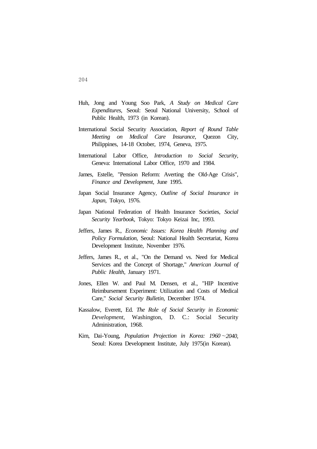- Huh, Jong and Young Soo Park, *A Study on Medical Care Expenditures,* Seoul: Seoul National University, School of Public Health, 1973 (in Korean).
- International Social Security Association, *Report of Round Table Meeting on Medical Care Insurance,* Quezon City, Philippines, 14-18 October, 1974, Geneva, 1975.
- International Labor Office, *Introduction to Social Security,* Geneva: International Labor Office, 1970 and 1984.
- James, Estelle, "Pension Reform: Averting the Old-Age Crisis", *Finance and Development,* June 1995.
- Japan Social Insurance Agency, *Outline of Social Insurance in Japan,* Tokyo, 1976.
- Japan National Federation of Health Insurance Societies, *Social Security Yearbook,* Tokyo: Tokyo Keizai Inc, 1993.
- Jeffers, James R., *Economic Issues: Korea Health Planning and Policy Formulation,* Seoul: National Health Secretariat, Korea Development Institute, November 1976.
- Jeffers, James R., et al., "On the Demand vs. Need for Medical Services and the Concept of Shortage," *American Journal of Public Health,* January 1971.
- Jones, Ellen W. and Paul M. Densen, et al., "HIP Incentive Reimbursement Experiment: Utilization and Costs of Medical Care," *Social Security Bulletin,* December 1974.
- Kassalow, Everett, Ed. *The Role of Social Security in Economic Development,* Washington, D. C.: Social Security Administration, 1968.
- Kim, Dai-Young, *Population Projection in Korea: 1960*~*2040,* Seoul: Korea Development Institute, July 1975(in Korean).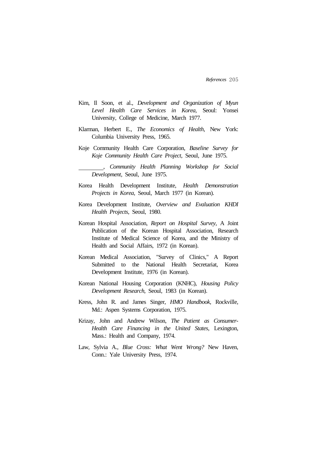- Kim, Il Soon, et al., *Development and Organization of Myun Level Health Care Services in Korea,* Seoul: Yonsei University, College of Medicine, March 1977.
- Klarman, Herbert E., *The Economics of Health,* New York: Columbia University Press, 1965.
- Koje Community Health Care Corporation, *Baseline Survey for Koje Community Health Care Project,* Seoul, June 1975.

 , *Community Health Planning Workshop for Social Development,* Seoul, June 1975.

- Korea Health Development Institute, *Health Demonstration Projects in Korea,* Seoul, March 1977 (in Korean).
- Korea Development Institute, *Overview and Evaluation KHDI Health Projects*, Seoul, 1980.
- Korean Hospital Association, *Report on Hospital Survey,* A Joint Publication of the Korean Hospital Association, Research Institute of Medical Science of Korea, and the Ministry of Health and Social Affairs, 1972 (in Korean).
- Korean Medical Association, "Survey of Clinics," A Report Submitted to the National Health Secretariat, Korea Development Institute, 1976 (in Korean).
- Korean National Housing Corporation (KNHC), *Housing Policy Development Research,* Seoul, 1983 (in Korean).
- Kress, John R. and James Singer, *HMO Handbook,* Rockville, Md.: Aspen Systems Corporation, 1975.
- Krizay, John and Andrew Wilson, *The Patient as Consumer-Health Care Financing in the United States,* Lexington, Mass.: Health and Company, 1974.
- Law, Sylvia A., *Blue Cross: What Went Wrong?* New Haven, Conn.: Yale University Press, 1974.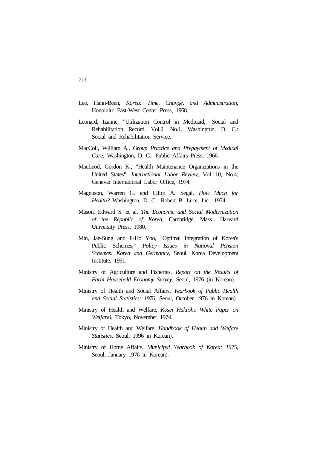- Lee, Hahn-Been, *Korea: Time, Change, and Administration,* Honolulu: East-West Center Press, 1968.
- Leonard, Izanne, "Utilization Control in Medicaid," Social and Rehabilitation Record, Vol.2, No.1, Washington, D. C.: Social and Rehabilitation Service.
- MacColl, William A., *Group Practice and Prepayment of Medical Care,* Washington, D. C.: Public Affairs Press, 1966.
- MacLeod, Gordon K., "Health Maintenance Organizations in the United States", *International Labor Review,* Vol.110, No.4, Geneva: International Labor Office, 1974.
- Magnuson, Warren G. and Elliot A. Segal, *How Much for Health?* Washington, D. C.: Robert B. Luce, Inc., 1974.
- Mason, Edward S. et al. *The Economic and Social Modernization of the Republic of Korea,* Cambridge, Mass.: Harvard University Press, 1980.
- Min, Jae-Sung and Il-Ho Yoo, "Optimal Integration of Korea's Public Schemes," *Policy Issues in National Pension Schemes: Korea and Germancy,* Seoul, Korea Development Institute, 1991.
- Ministry of Agriculture and Fisheries, *Report on the Results of Farm Household Economy Survey,* Seoul, 1976 (in Korean).
- Ministry of Health and Social Affairs, *Yearbook of Public Health and Social Statistics: 1976,* Seoul, October 1976 in Korean).
- Ministry of Health and Welfare, *Kosei Hakusho White Paper on Welfare),* Tokyo, November 1974.
- Ministry of Health and Welfare, *Handbook of Health and Welfare Statistics,* Seoul, 1996 in Korean).
- Ministry of Home Affairs, *Municipal Yearbook of Korea: 1975,* Seoul, January 1976 in Korean).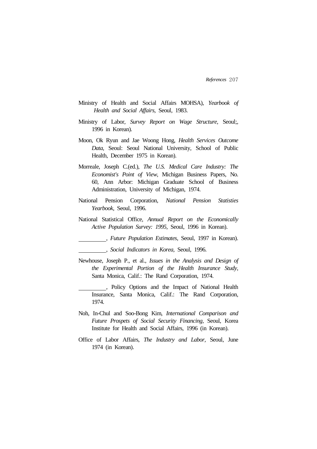- Ministry of Health and Social Affairs MOHSA), *Yearbook of Health and Social Affairs,* Seoul, 1983.
- Ministry of Labor, *Survey Report on Wage Structure,* Seoul;, 1996 in Korean).
- Moon, Ok Ryun and Jae Woong Hong, *Health Services Outcome Data,* Seoul: Seoul National University, School of Public Health, December 1975 in Korean).
- Morreale, Joseph C.(ed.), *The U.S. Medical Care Industry: The Economist's Point of View,* Michigan Business Papers, No. 60, Ann Arbor: Michigan Graduate School of Business Administration, University of Michigan, 1974.
- National Pension Corporation, *National Pension Statisties Yearbook,* Seoul, 1996.
- National Statistical Office, *Annual Report on the Economically Active Population Survey: 1995,* Seoul, 1996 in Korean).
	- , *Future Population Estimates*, Seoul, 1997 in Korean).
		- , *Social Indicators in Korea,* Seoul, 1996.
- Newhouse, Joseph P., et al., *Issues in the Analysis and Design of the Experimental Portion of the Health Insurance Study,* Santa Monica, Calif.: The Rand Corporation, 1974.
	- , Policy Options and the Impact of National Health Insurance, Santa Monica, Calif.: The Rand Corporation, 1974.
- Noh, In-Chul and Soo-Bong Kim, *International Comparison and Future Prospets of Social Security Financing,* Seoul, Korea Institute for Health and Social Affairs, 1996 (in Korean).
- Office of Labor Affairs, *The Industry and Labor,* Seoul, June 1974 (in Korean).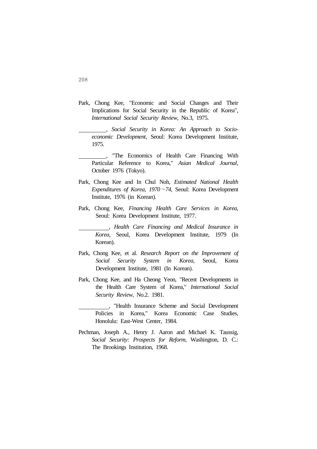- Park, Chong Kee, "Economic and Social Changes and Their Implications for Social Security in the Republic of Korea", *International Social Security Review,* No.3, 1975.
	- , *Social Security in Korea: An Approach to Socioeconomic Development,* Seoul: Korea Development Institute, 1975.
	- , "The Economics of Health Care Financing With Particular Reference to Korea," *Asian Medical Journal,* October 1976 (Tokyo).
- Park, Chong Kee and In Chul Noh, *Estimated National Health Expenditures of Korea, 1970*~*74,* Seoul: Korea Development Institute, 1976 (in Korean).
- Park, Chong Kee, *Financing Health Care Services in Korea,* Seoul: Korea Development Institute, 1977.

 , *Health Care Financing and Medical Insurance in Korea,* Seoul, Korea Development Institute, 1979 (In Korean).

- Park, Chong Kee, et al. *Research Report on the Improvement of Social Security System in Korea,* Seoul, Korea Development Institute, 1981 (In Korean).
- Park, Chong Kee, and Ha Cheong Yeon, "Recent Developments in the Health Care System of Korea," *International Social Security Review,* No.2. 1981.
	- , "Health Insurance Scheme and Social Development Policies in Korea," Korea Economic Case Studies, Honolulu: East-West Center, 1984.
- Pechman, Joseph A., Henry J. Aaron and Michael K. Taussig, *Social Security: Prospects for Reform,* Washington, D. C.: The Brookings Institution, 1968.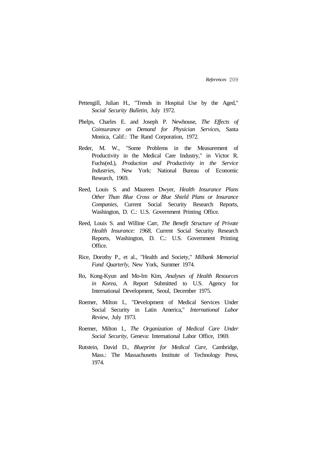- Pettengill, Julian H., "Trends in Hospital Use by the Aged," *Social Security Bulletin,* July 1972.
- Phelps, Charles E. and Joseph P. Newhouse, *The Effects of Coinsurance on Demand for Physician Services,* Santa Monica, Calif.: The Rand Corporation, 1972.
- Reder, M. W., "Some Problems in the Measurement of Productivity in the Medical Care Industry," in Victor R. Fuchs(ed.), *Production and Productivity in the Service Industries,* New York: National Bureau of Economic Research, 1969.
- Reed, Louis S. and Maureen Dwyer, *Health Insurance Plans Other Than Blue Cross or Blue Shield Plans or Insurance Companies,* Current Social Security Research Reports, Washington, D. C.: U.S. Government Printing Office.
- Reed, Louis S. and Willine Carr, *The Benefit Structure of Private Health Insurance: 1968,* Current Social Security Research Reports, Washington, D. C.: U.S. Government Printing Office.
- Rice, Dorothy P., et al., "Health and Society," *Milbank Memorial Fund Quarterly,* New York, Summer 1974.
- Ro, Kong-Kyun and Mo-Im Kim, *Analyses of Health Resources in Korea,* A Report Submitted to U.S. Agency for International Development, Seoul, December 1975.
- Roemer, Milton I., "Development of Medical Services Under Social Security in Latin America," *International Labor Review,* July 1973.
- Roemer, Milton I., *The Organization of Medical Care Under Social Security,* Geneva: International Labor Office, 1969.
- Rutstein, David D., *Blueprint for Medical Care,* Cambridge, Mass.: The Massachusetts Institute of Technology Press, 1974.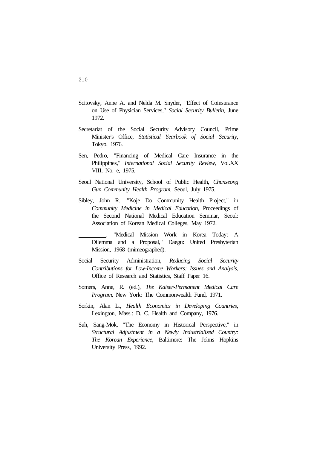- Scitovsky, Anne A. and Nelda M. Snyder, "Effect of Coinsurance on Use of Physician Services," *Social Security Bulletin,* June 1972.
- Secretariat of the Social Security Advisory Council, Prime Minister's Office, *Statistical Yearbook of Social Security,* Tokyo, 1976.
- Sen, Pedro, "Financing of Medical Care Insurance in the Philippines," *International Social Security Review,* Vol.XX VIII, No. e, 1975.
- Seoul National University, School of Public Health, *Chunseong Gun Community Health Program,* Seoul, July 1975.
- Sibley, John R., "Koje Do Community Health Project," in *Community Medicine in Medical Education,* Proceedings of the Second National Medical Education Seminar, Seoul: Association of Korean Medical Colleges, May 1972.
	- "Medical Mission Work in Korea Today: A Dilemma and a Proposal," Daegu: United Presbyterian Mission, 1968 (mimeographed).
- Social Security Administration, *Reducing Social Security Contributions for Low-Income Workers: Issues and Analysis,* Office of Research and Statistics, Staff Paper 16.
- Somers, Anne, R. (ed.), *The Kaiser-Permanent Medical Care Program,* New York: The Commonwealth Fund, 1971.
- Sorkin, Alan L., *Health Economics in Developing Countries,* Lexington, Mass.: D. C. Health and Company, 1976.
- Suh, Sang-Mok, "The Economy in Historical Perspective," in *Structural Adjustment in a Newly Industrialized Country: The Korean Experience,* Baltimore: The Johns Hopkins University Press, 1992.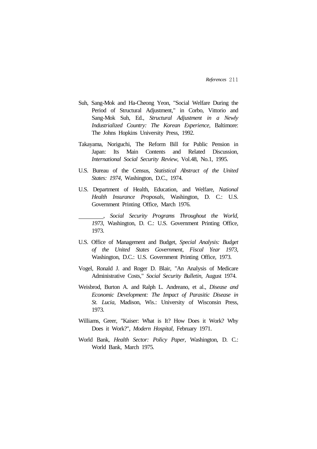- Suh, Sang-Mok and Ha-Cheong Yeon, "Social Welfare During the Period of Structural Adjustment," in Corbo, Vittorio and Sang-Mok Suh, Ed., *Structural Adjustment in a Newly Industrialized Country: The Korean Experience,* Baltimore: The Johns Hopkins University Press, 1992.
- Takayama, Noriguchi, The Reform Bill for Public Pension in Japan: Its Main Contents and Related Discussion, *International Social Security Review,* Vol.48, No.1, 1995.
- U.S. Bureau of the Census, *Statistical Abstract of the United States: 1974,* Washington, D.C., 1974.
- U.S. Department of Health, Education, and Welfare, *National Health Insurance Proposals,* Washington, D. C.: U.S. Government Printing Office, March 1976.

 , *Social Security Programs Throughout the World, 1973,* Washington, D. C.: U.S. Government Printing Office, 1973.

- U.S. Office of Management and Budget, *Special Analysis: Budget of the United States Government, Fiscal Year 1973,* Washington, D.C.: U.S. Government Printing Office, 1973.
- Vogel, Ronald J. and Roger D. Blair, "An Analysis of Medicare Administrative Costs," *Social Security Bulletin,* August 1974.
- Weisbrod, Burton A. and Ralph L. Andreano, et al., *Disease and Economic Development: The Impact of Parasitic Disease in St. Lucia,* Madison, Wis.: University of Wisconsin Press, 1973.
- Williams, Greer, "Kaiser: What is It? How Does it Work? Why Does it Work?", *Modern Hospital,* February 1971.
- World Bank, *Health Sector: Policy Paper,* Washington, D. C.: World Bank, March 1975.